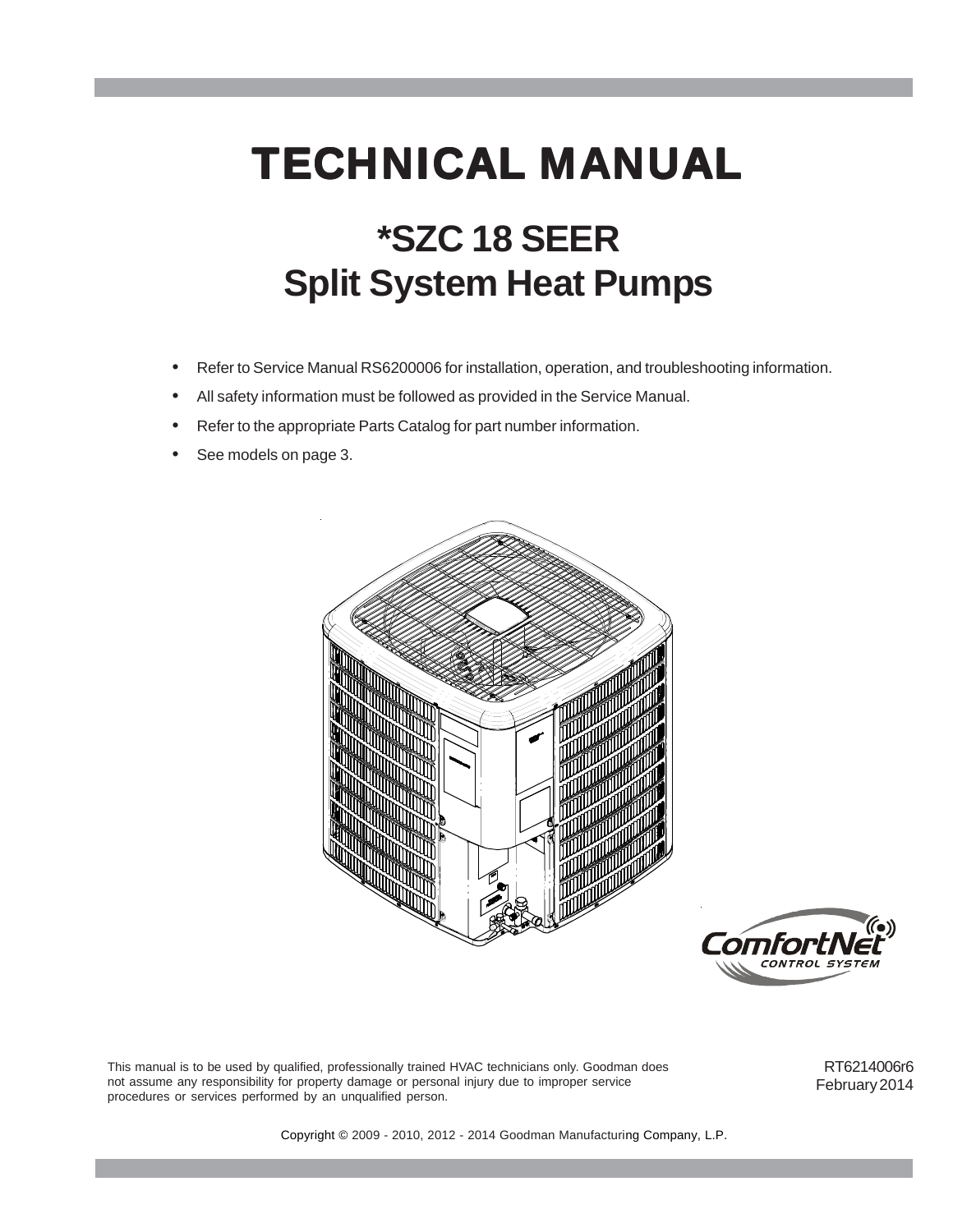# **\*SZC 18 SEER Split System Heat Pumps TECHNICAL MANUAL**

- Refer to Service Manual RS6200006 for installation, operation, and troubleshooting information.
- All safety information must be followed as provided in the Service Manual.
- Refer to the appropriate Parts Catalog for part number information.
- See models on page 3.





This manual is to be used by qualified, professionally trained HVAC technicians only. Goodman does not assume any responsibility for property damage or personal injury due to improper service procedures or services performed by an unqualified person.

RT6214006r6 February 2014

Copyright © 2009 - 2010, 2012 - 2014 Goodman Manufacturing Company, L.P.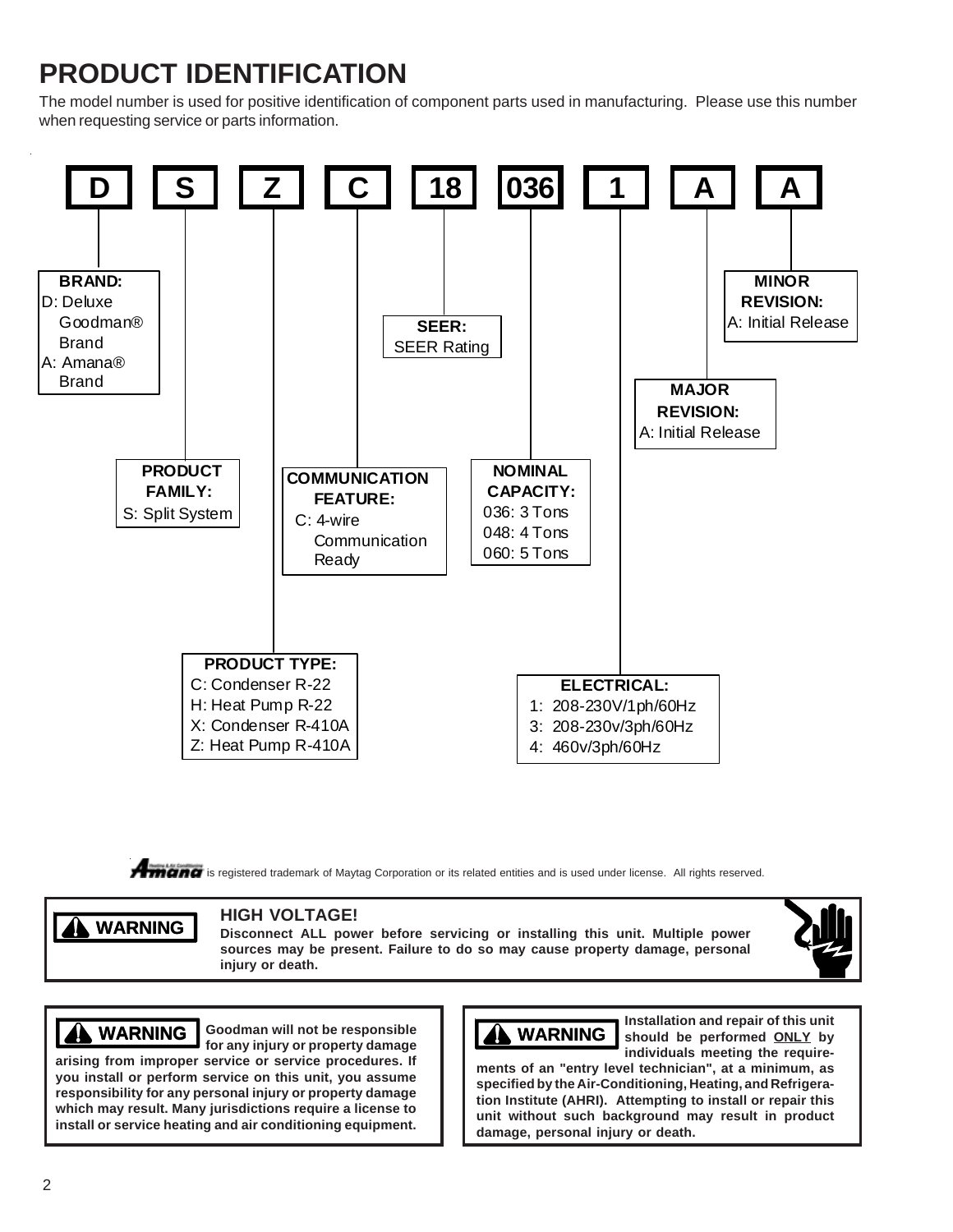# **PRODUCT IDENTIFICATION**

The model number is used for positive identification of component parts used in manufacturing. Please use this number when requesting service or parts information.



**Amanc** is registered trademark of Maytag Corporation or its related entities and is used under license. All rights reserved.

### **A** WARNING

### **HIGH VOLTAGE!**

**Disconnect ALL power before servicing or installing this unit. Multiple power sources may be present. Failure to do so may cause property damage, personal injury or death.**



**Goodman will not be responsible WARNING WARNING WARNING for any injury or property damage**

**arising from improper service or service procedures. If you install or perform service on this unit, you assume responsibility for any personal injury or property damage which may result. Many jurisdictions require a license to install or service heating and air conditioning equipment.**



**Installation and repair of this unit should be performed ONLY by individuals meeting the require-**

**ments of an "entry level technician", at a minimum, as specified by the Air-Conditioning, Heating, and Refrigeration Institute (AHRI). Attempting to install or repair this unit without such background may result in product damage, personal injury or death.**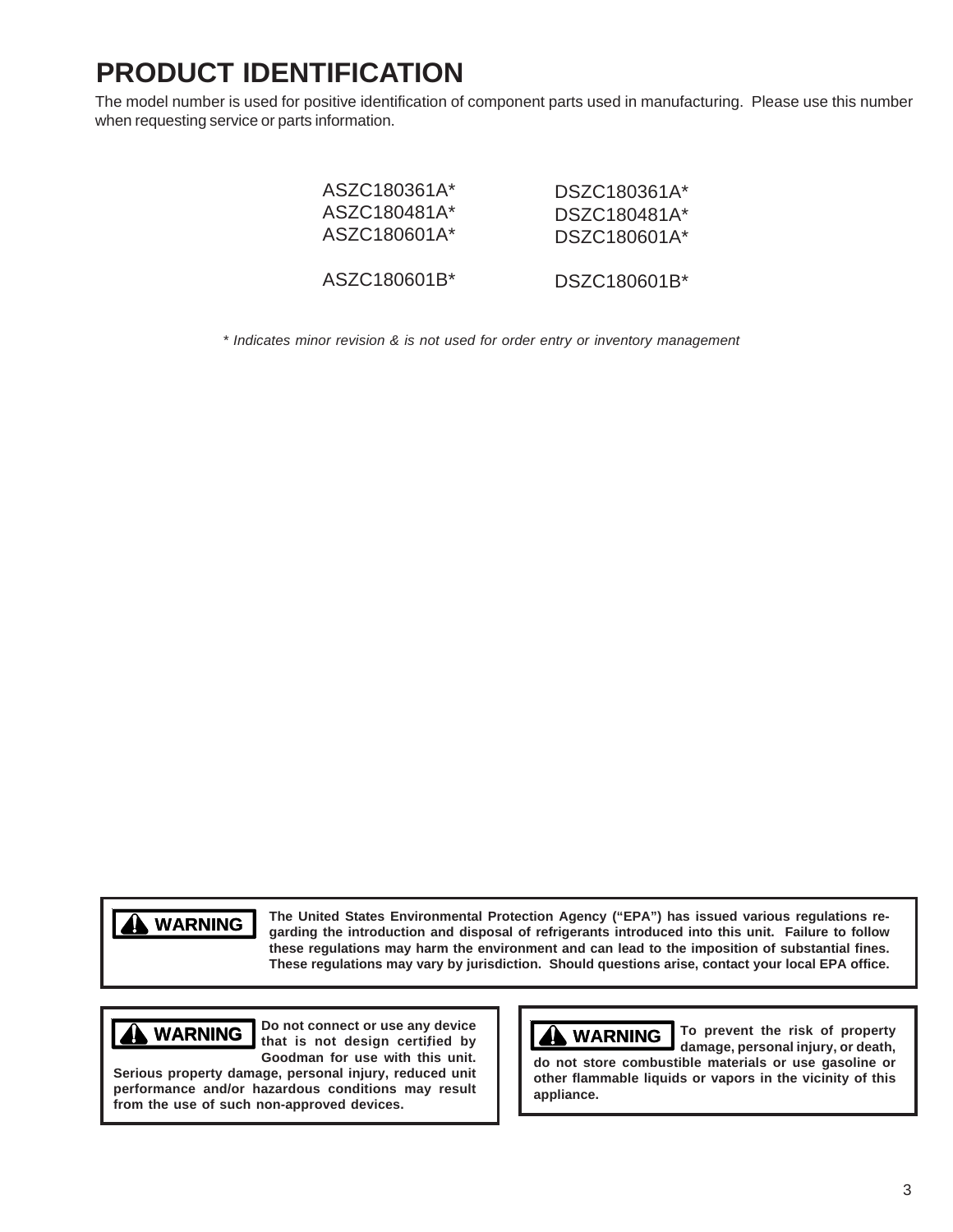# **PRODUCT IDENTIFICATION**

The model number is used for positive identification of component parts used in manufacturing. Please use this number when requesting service or parts information.

| ASZC180361A* | DSZC180361A* |
|--------------|--------------|
| ASZC180481A* | DSZC180481A* |
| ASZC180601A* | DSZC180601A* |
| ASZC180601B* | DSZC180601B* |

*\* Indicates minor revision & is not used for order entry or inventory management*



**The United States Environmental Protection Agency ("EPA") has issued various regulations regarding the introduction and disposal of refrigerants introduced into this unit. Failure to follow these regulations may harm the environment and can lead to the imposition of substantial fines. These regulations may vary by jurisdiction. Should questions arise, contact your local EPA office.**



**Do not connect or use any device that is not design certified by Goodman for use with this unit. WARNING**  $\begin{bmatrix} 100 \text{ not connect or use any device} \\ \text{the tree of decision certified by } \end{bmatrix}$  **To prevent the risk of property** 

**Serious property damage, personal injury, reduced unit performance and/or hazardous conditions may result from the use of such non-approved devices.**

**WARNING**

**damage, personal injury, or death, do not store combustible materials or use gasoline or other flammable liquids or vapors in the vicinity of this appliance.**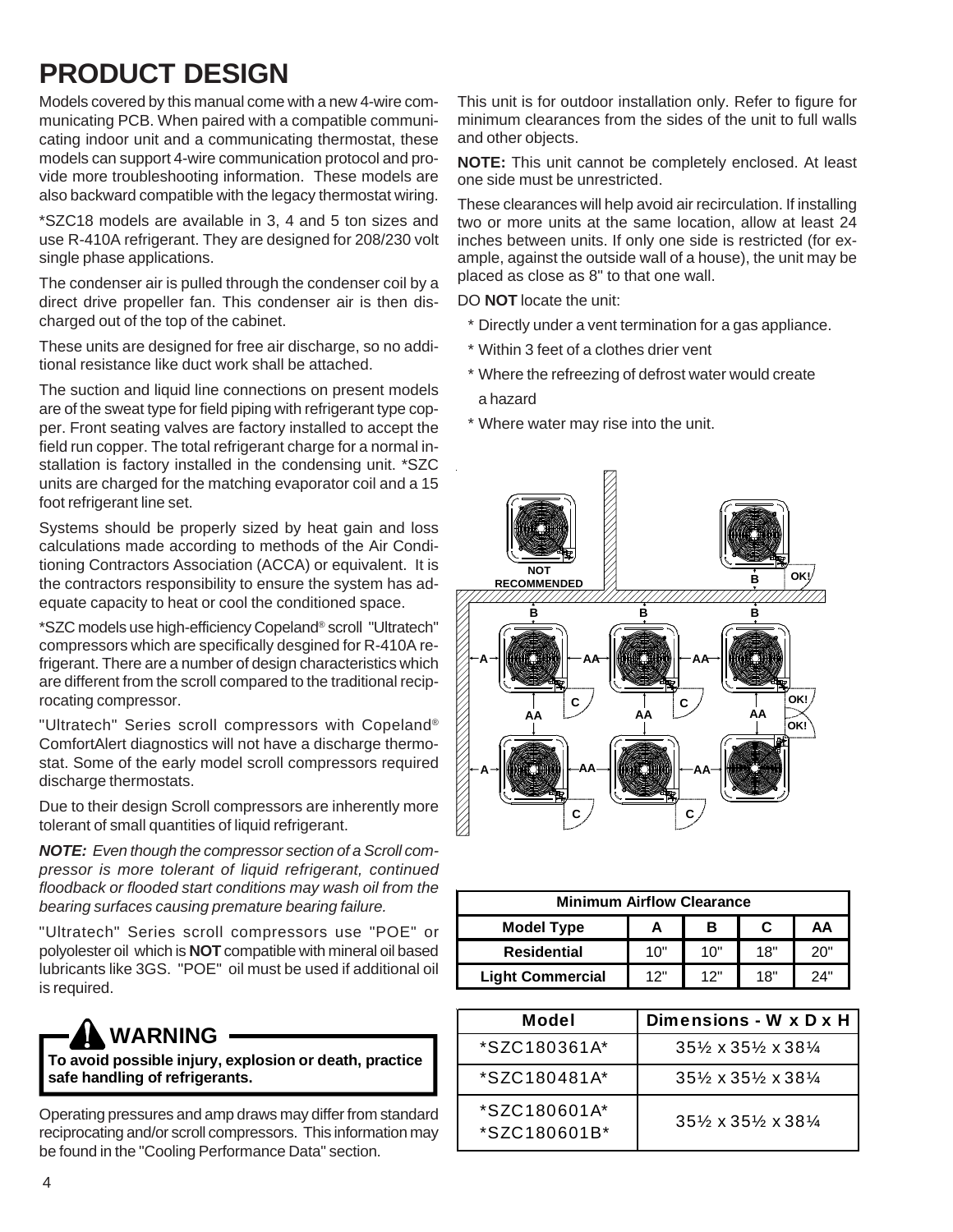# **PRODUCT DESIGN**

Models covered by this manual come with a new 4-wire communicating PCB. When paired with a compatible communicating indoor unit and a communicating thermostat, these models can support 4-wire communication protocol and provide more troubleshooting information. These models are also backward compatible with the legacy thermostat wiring.

\*SZC18 models are available in 3, 4 and 5 ton sizes and use R-410A refrigerant. They are designed for 208/230 volt single phase applications.

The condenser air is pulled through the condenser coil by a direct drive propeller fan. This condenser air is then discharged out of the top of the cabinet.

These units are designed for free air discharge, so no additional resistance like duct work shall be attached.

The suction and liquid line connections on present models are of the sweat type for field piping with refrigerant type copper. Front seating valves are factory installed to accept the field run copper. The total refrigerant charge for a normal installation is factory installed in the condensing unit. \*SZC units are charged for the matching evaporator coil and a 15 foot refrigerant line set.

Systems should be properly sized by heat gain and loss calculations made according to methods of the Air Conditioning Contractors Association (ACCA) or equivalent. It is the contractors responsibility to ensure the system has adequate capacity to heat or cool the conditioned space.

\*SZC models use high-efficiency Copeland® scroll "Ultratech" compressors which are specifically desgined for R-410A refrigerant. There are a number of design characteristics which are different from the scroll compared to the traditional reciprocating compressor.

"Ultratech" Series scroll compressors with Copeland® ComfortAlert diagnostics will not have a discharge thermostat. Some of the early model scroll compressors required discharge thermostats.

Due to their design Scroll compressors are inherently more tolerant of small quantities of liquid refrigerant.

*NOTE: Even though the compressor section of a Scroll compressor is more tolerant of liquid refrigerant, continued floodback or flooded start conditions may wash oil from the bearing surfaces causing premature bearing failure.*

"Ultratech" Series scroll compressors use "POE" or polyolester oil which is **NOT** compatible with mineral oil based lubricants like 3GS. "POE" oil must be used if additional oil is required.



**To avoid possible injury, explosion or death, practice safe handling of refrigerants.**

Operating pressures and amp draws may differ from standard reciprocating and/or scroll compressors. This information may be found in the "Cooling Performance Data" section.

This unit is for outdoor installation only. Refer to figure for minimum clearances from the sides of the unit to full walls and other objects.

**NOTE:** This unit cannot be completely enclosed. At least one side must be unrestricted.

These clearances will help avoid air recirculation. If installing two or more units at the same location, allow at least 24 inches between units. If only one side is restricted (for example, against the outside wall of a house), the unit may be placed as close as 8" to that one wall.

DO **NOT** locate the unit:

- \* Directly under a vent termination for a gas appliance.
- \* Within 3 feet of a clothes drier vent
- \* Where the refreezing of defrost water would create

a hazard

\* Where water may rise into the unit.



| <b>Minimum Airflow Clearance</b> |     |     |     |     |
|----------------------------------|-----|-----|-----|-----|
| <b>Model Type</b>                |     | в   |     | АΑ  |
| <b>Residential</b>               | 10" | 10" | 18" | 20" |
| <b>Light Commercial</b>          | 12" | 12" | 18" | 24" |

| Model                                | Dimensions - W x D x H                                    |
|--------------------------------------|-----------------------------------------------------------|
| *SZC180361A*                         | $35\frac{1}{2} \times 35\frac{1}{2} \times 38\frac{1}{4}$ |
| *SZC180481A*                         | $35\% \times 35\% \times 38\%$                            |
| $*$ SZC180601A $*$<br>$*SZC180601B*$ | $35\% \times 35\% \times 38\%$                            |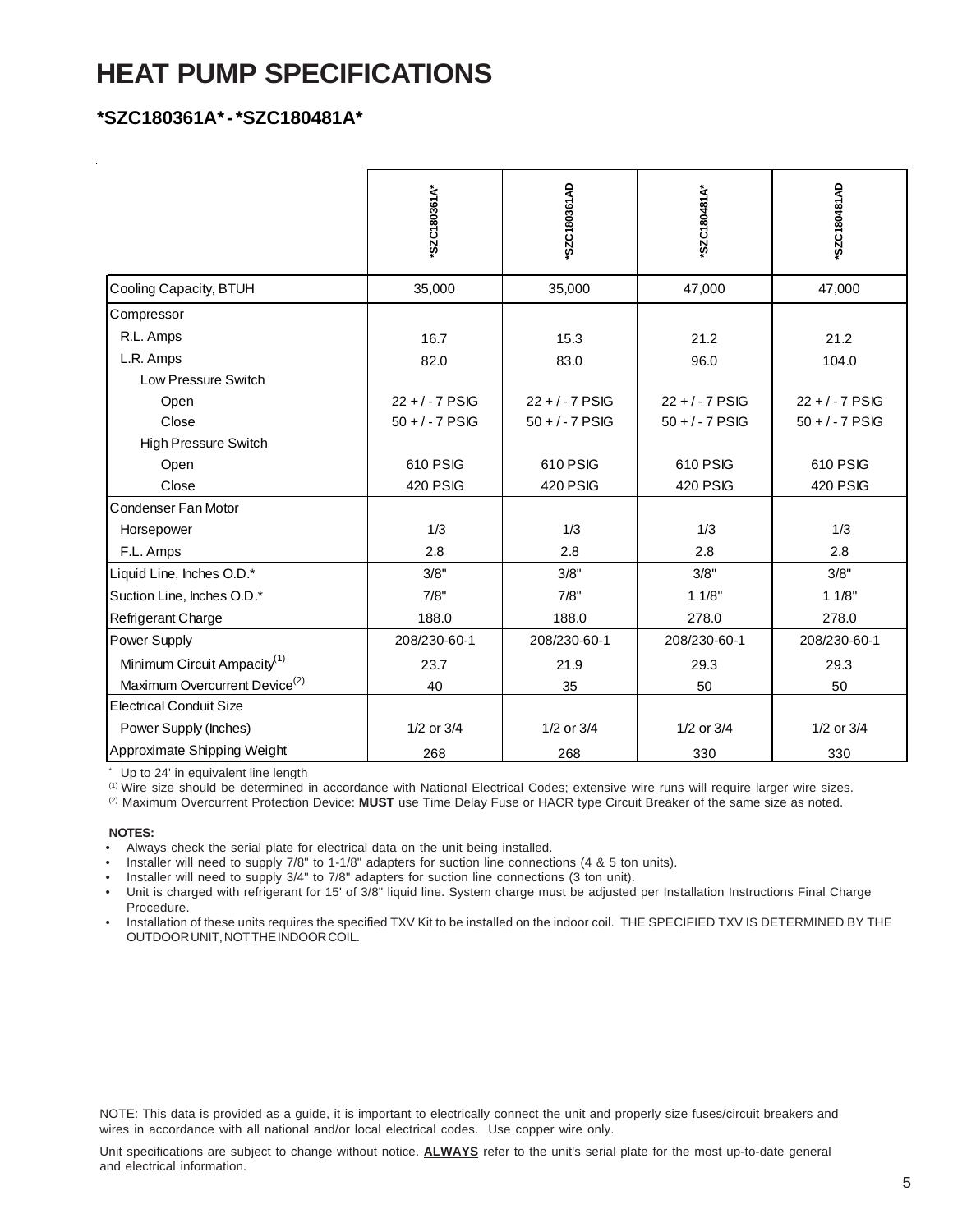### **HEAT PUMP SPECIFICATIONS**

### **\*SZC180361A\* - \*SZC180481A\***

|                                           | "SZC180361A"      | SZC180361AD       | "SZC180481A       | 'SZC180481AD      |
|-------------------------------------------|-------------------|-------------------|-------------------|-------------------|
| Cooling Capacity, BTUH                    | 35,000            | 35,000            | 47,000            | 47,000            |
| Compressor                                |                   |                   |                   |                   |
| R.L. Amps                                 | 16.7              | 15.3              | 21.2              | 21.2              |
| L.R. Amps                                 | 82.0              | 83.0              | 96.0              | 104.0             |
| Low Pressure Switch                       |                   |                   |                   |                   |
| Open                                      | $22 + 7 - 7$ PSIG | $22 + 7 - 7$ PSIG | $22 + 7 - 7$ PSIG | $22 + 7 - 7$ PSIG |
| Close                                     | $50 + / - 7$ PSIG | $50 + / - 7$ PSIG | $50 + (-7)$ PSIG  | $50 + / - 7$ PSIG |
| <b>High Pressure Switch</b>               |                   |                   |                   |                   |
| Open                                      | 610 PSIG          | 610 PSIG          | 610 PSIG          | 610 PSIG          |
| Close                                     | <b>420 PSIG</b>   | <b>420 PSIG</b>   | <b>420 PSIG</b>   | <b>420 PSIG</b>   |
| Condenser Fan Motor                       |                   |                   |                   |                   |
| Horsepower                                | 1/3               | 1/3               | 1/3               | 1/3               |
| F.L. Amps                                 | 2.8               | 2.8               | 2.8               | 2.8               |
| Liquid Line, Inches O.D.*                 | 3/8"              | 3/8"              | 3/8"              | 3/8"              |
| Suction Line, Inches O.D.*                | 7/8"              | 7/8"              | 11/8"             | 11/8"             |
| Refrigerant Charge                        | 188.0             | 188.0             | 278.0             | 278.0             |
| Power Supply                              | 208/230-60-1      | 208/230-60-1      | 208/230-60-1      | 208/230-60-1      |
| Minimum Circuit Ampacity <sup>(1)</sup>   | 23.7              | 21.9              | 29.3              | 29.3              |
| Maximum Overcurrent Device <sup>(2)</sup> | 40                | 35                | 50                | 50                |
| <b>Electrical Conduit Size</b>            |                   |                   |                   |                   |
| Power Supply (Inches)                     | $1/2$ or $3/4$    | $1/2$ or $3/4$    | 1/2 or 3/4        | $1/2$ or $3/4$    |
| Approximate Shipping Weight               | 268               | 268               | 330               | 330               |

\* Up to 24' in equivalent line length

(1) Wire size should be determined in accordance with National Electrical Codes; extensive wire runs will require larger wire sizes.

(2) Maximum Overcurrent Protection Device: **MUST** use Time Delay Fuse or HACR type Circuit Breaker of the same size as noted.

### **NOTES:**

- Always check the serial plate for electrical data on the unit being installed.
- Installer will need to supply 7/8" to 1-1/8" adapters for suction line connections (4 & 5 ton units).

• Installer will need to supply 3/4" to 7/8" adapters for suction line connections (3 ton unit).

- Unit is charged with refrigerant for 15' of 3/8" liquid line. System charge must be adjusted per Installation Instructions Final Charge Procedure.
- Installation of these units requires the specified TXV Kit to be installed on the indoor coil. THE SPECIFIED TXV IS DETERMINED BY THE OUTDOOR UNIT, NOT THE INDOOR COIL.

NOTE: This data is provided as a guide, it is important to electrically connect the unit and properly size fuses/circuit breakers and wires in accordance with all national and/or local electrical codes. Use copper wire only.

Unit specifications are subject to change without notice. **ALWAYS** refer to the unit's serial plate for the most up-to-date general and electrical information.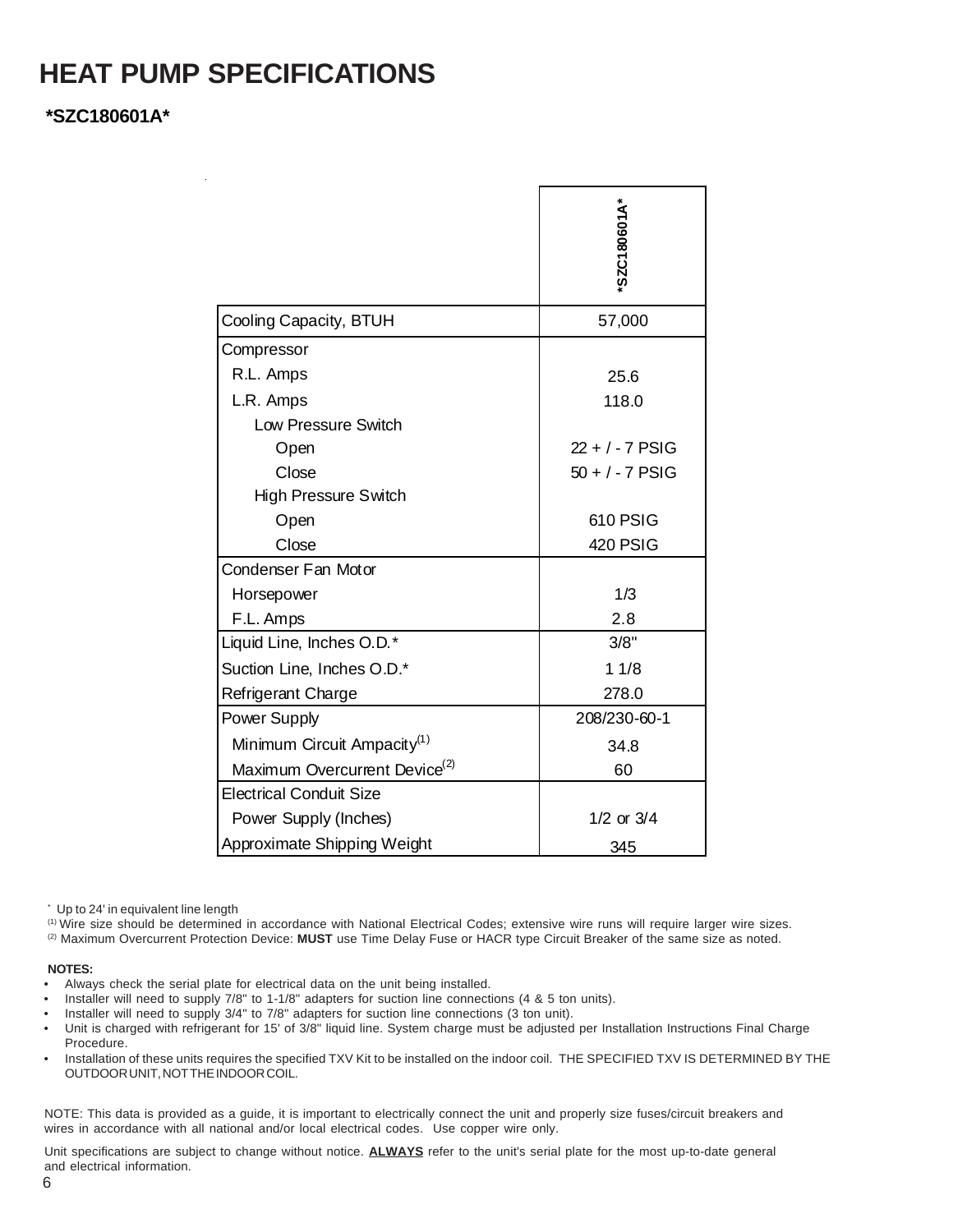### **HEAT PUMP SPECIFICATIONS**

### **\*SZC180601A\***

|                                           | "SZC180601A"      |
|-------------------------------------------|-------------------|
| Cooling Capacity, BTUH                    | 57,000            |
| Compressor                                |                   |
| R.L. Amps                                 | 25.6              |
| L.R. Amps                                 | 118.0             |
| Low Pressure Switch                       |                   |
| Open                                      | $22 + 7 - 7$ PSIG |
| Close                                     | $50 + 7$ PSIG     |
| <b>High Pressure Switch</b>               |                   |
| Open                                      | 610 PSIG          |
| Close                                     | 420 PSIG          |
| Condenser Fan Motor                       |                   |
| Horsepower                                | 1/3               |
| F.L. Amps                                 | 2.8               |
| Liquid Line, Inches O.D.*                 | 3/8"              |
| Suction Line, Inches O.D.*                | 11/8              |
| Refrigerant Charge                        | 278.0             |
| Power Supply                              | 208/230-60-1      |
| Minimum Circuit Ampacity <sup>(1)</sup>   | 34.8              |
| Maximum Overcurrent Device <sup>(2)</sup> | 60                |
| <b>Electrical Conduit Size</b>            |                   |
| Power Supply (Inches)                     | $1/2$ or $3/4$    |
| Approximate Shipping Weight               | 345               |

\* Up to 24' in equivalent line length

(1) Wire size should be determined in accordance with National Electrical Codes; extensive wire runs will require larger wire sizes.

(2) Maximum Overcurrent Protection Device: **MUST** use Time Delay Fuse or HACR type Circuit Breaker of the same size as noted.

### **NOTES:**

- Always check the serial plate for electrical data on the unit being installed.
- Installer will need to supply 7/8" to 1-1/8" adapters for suction line connections (4 & 5 ton units).
- Installer will need to supply 3/4" to 7/8" adapters for suction line connections (3 ton unit).
- Unit is charged with refrigerant for 15' of 3/8" liquid line. System charge must be adjusted per Installation Instructions Final Charge Procedure.
- Installation of these units requires the specified TXV Kit to be installed on the indoor coil. THE SPECIFIED TXV IS DETERMINED BY THE OUTDOOR UNIT, NOT THE INDOOR COIL.

NOTE: This data is provided as a guide, it is important to electrically connect the unit and properly size fuses/circuit breakers and wires in accordance with all national and/or local electrical codes. Use copper wire only.

Unit specifications are subject to change without notice. **ALWAYS** refer to the unit's serial plate for the most up-to-date general and electrical information.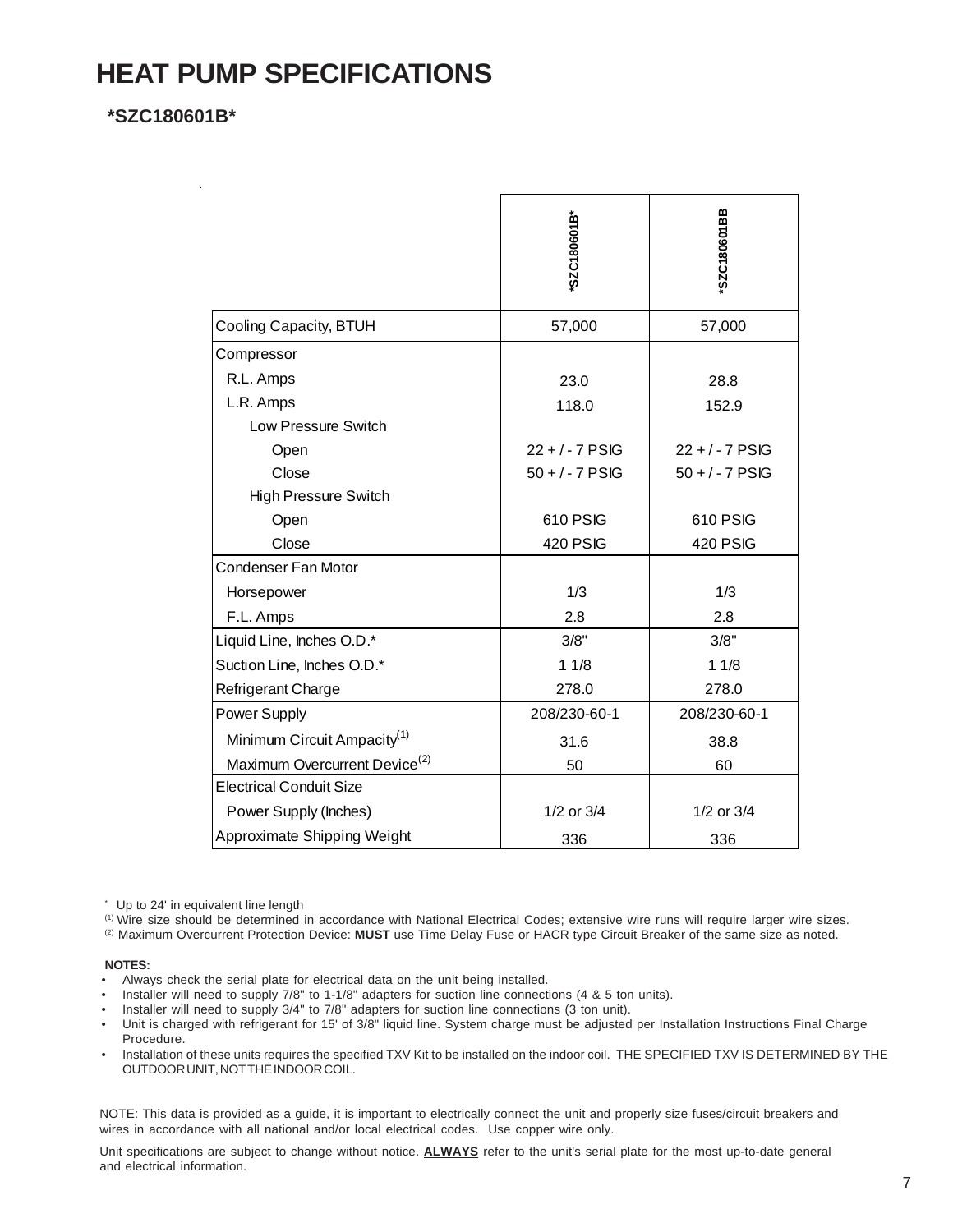### **HEAT PUMP SPECIFICATIONS**

### **\*SZC180601B\***

| "SZC180601B"      | SZC180601BB       |
|-------------------|-------------------|
| 57,000            | 57,000            |
|                   |                   |
| 23.0              | 28.8              |
| 118.0             | 152.9             |
|                   |                   |
| $22 + 7$ PSIG     | $22 + 7$ PSIG     |
| $50 + / - 7$ PSIG | $50 + / - 7$ PSIG |
|                   |                   |
| 610 PSIG          | 610 PSIG          |
| 420 PSIG          | <b>420 PSIG</b>   |
|                   |                   |
| 1/3               | 1/3               |
| 2.8               | 2.8               |
| 3/8"              | 3/8"              |
| 11/8              | 11/8              |
| 278.0             | 278.0             |
| 208/230-60-1      | 208/230-60-1      |
| 31.6              | 38.8              |
| 50                | 60                |
|                   |                   |
| 1/2 or 3/4        | 1/2 or 3/4        |
| 336               | 336               |
|                   |                   |

\* Up to 24' in equivalent line length

(1) Wire size should be determined in accordance with National Electrical Codes; extensive wire runs will require larger wire sizes.

(2) Maximum Overcurrent Protection Device: **MUST** use Time Delay Fuse or HACR type Circuit Breaker of the same size as noted.

### **NOTES:**

- Always check the serial plate for electrical data on the unit being installed.
- Installer will need to supply 7/8" to 1-1/8" adapters for suction line connections (4 & 5 ton units).
- Installer will need to supply 3/4" to 7/8" adapters for suction line connections (3 ton unit).
- Unit is charged with refrigerant for 15' of 3/8" liquid line. System charge must be adjusted per Installation Instructions Final Charge Procedure.
- Installation of these units requires the specified TXV Kit to be installed on the indoor coil. THE SPECIFIED TXV IS DETERMINED BY THE OUTDOOR UNIT, NOT THE INDOOR COIL.

NOTE: This data is provided as a guide, it is important to electrically connect the unit and properly size fuses/circuit breakers and wires in accordance with all national and/or local electrical codes. Use copper wire only.

Unit specifications are subject to change without notice. **ALWAYS** refer to the unit's serial plate for the most up-to-date general and electrical information.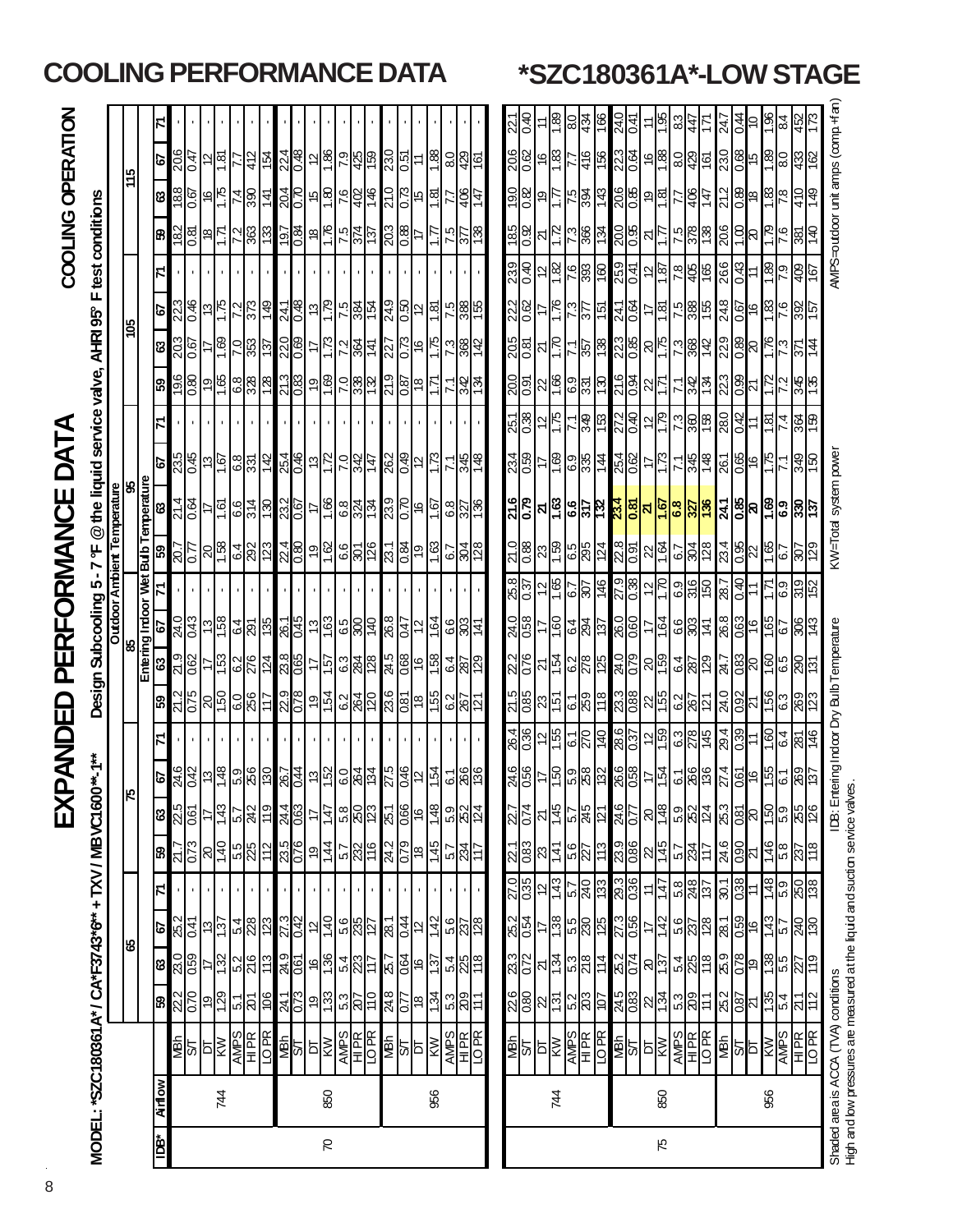| $\mathcal{L}^{\text{max}}_{\text{max}}$ and $\mathcal{L}^{\text{max}}_{\text{max}}$ and $\mathcal{L}^{\text{max}}_{\text{max}}$ |
|---------------------------------------------------------------------------------------------------------------------------------|
| ֚֚֚֚֬                                                                                                                           |
|                                                                                                                                 |
|                                                                                                                                 |
|                                                                                                                                 |
|                                                                                                                                 |
|                                                                                                                                 |
|                                                                                                                                 |
|                                                                                                                                 |
|                                                                                                                                 |
| ֚֚֚֬                                                                                                                            |
|                                                                                                                                 |
|                                                                                                                                 |
|                                                                                                                                 |
|                                                                                                                                 |
|                                                                                                                                 |
|                                                                                                                                 |
| I                                                                                                                               |
|                                                                                                                                 |
|                                                                                                                                 |
|                                                                                                                                 |
|                                                                                                                                 |
|                                                                                                                                 |
|                                                                                                                                 |
|                                                                                                                                 |
|                                                                                                                                 |
|                                                                                                                                 |

# COOLING OPERATION

| COOLING OPERATION<br>Design Subcooling 5 - 7 °F @ the liquid service valve, AHRI 95° F test conditions<br>XPANDED PERFORMANCE DATA<br>//ODEL: "SZC180361 A" / CA"F3743"6" + TXV / MBVC1 |
|-----------------------------------------------------------------------------------------------------------------------------------------------------------------------------------------|
|-----------------------------------------------------------------------------------------------------------------------------------------------------------------------------------------|

|                   |                                                           |                             | LING PI              |               |                    |                     |                |                 | ERFORMANCE DATA                                                                                                       |        |                     |     |                                                                                                                                                                                                                                                                                                                                                                                              |                   |           |                                  |                                                                        |     |            |                                                                       |                 |                  |     |                                                                                                                                                                                                                                                                             |                  |                                                                                                                                                                                                                                                                                                                                                                          |  |                                                                           |  |               |                                           |                          |      | *SZC180361A*-LOW STAGE                                                                                             |
|-------------------|-----------------------------------------------------------|-----------------------------|----------------------|---------------|--------------------|---------------------|----------------|-----------------|-----------------------------------------------------------------------------------------------------------------------|--------|---------------------|-----|----------------------------------------------------------------------------------------------------------------------------------------------------------------------------------------------------------------------------------------------------------------------------------------------------------------------------------------------------------------------------------------------|-------------------|-----------|----------------------------------|------------------------------------------------------------------------|-----|------------|-----------------------------------------------------------------------|-----------------|------------------|-----|-----------------------------------------------------------------------------------------------------------------------------------------------------------------------------------------------------------------------------------------------------------------------------|------------------|--------------------------------------------------------------------------------------------------------------------------------------------------------------------------------------------------------------------------------------------------------------------------------------------------------------------------------------------------------------------------|--|---------------------------------------------------------------------------|--|---------------|-------------------------------------------|--------------------------|------|--------------------------------------------------------------------------------------------------------------------|
|                   |                                                           |                             |                      |               |                    |                     |                |                 |                                                                                                                       |        |                     |     |                                                                                                                                                                                                                                                                                                                                                                                              |                   |           |                                  |                                                                        |     |            | <u> 기송</u>                                                            | Ξ               | $\frac{8}{18}$   | 0.8 | $\frac{434}{166}$                                                                                                                                                                                                                                                           | 24.0             | ≍ ≋                                                                                                                                                                                                                                                                                                                                                                      |  | $\frac{ a _4^4 \sum\limits_{i=1}^N \sum\limits_{j=1}^N  a_j ^2}{ a_j ^2}$ |  |               | $rac{8}{184}$                             | $rac{452}{173}$          |      |                                                                                                                    |
| COOLING OPERATION |                                                           |                             |                      | 5             |                    | $\frac{206}{0.47}$  |                | $\frac{12}{18}$ |                                                                                                                       | 유<br>효 |                     |     | <u>de de side side</u>                                                                                                                                                                                                                                                                                                                                                                       |                   | 88.1      |                                  | $\frac{15}{36}$                                                        |     |            | <u>ဒ္တို့အို မြန်မာ</u>                                               |                 |                  |     | <mark>နျွန္ပါပါတယ္။ ေတြ႕ေတြ ျဖ</mark> စ္ပြဲ<br><mark>(</mark> နယ္လုပ္သို႔ ေတြ႔ေတြ ျဖစ္ပြဲ ေတြ                                                                                                                                                                               |                  |                                                                                                                                                                                                                                                                                                                                                                          |  |                                                                           |  |               |                                           | 38                       |      | MPS=outdoor unit amps (comp. Han                                                                                   |
|                   |                                                           |                             | $\frac{511}{2}$      | ణ             |                    | $\frac{188}{0.67}$  |                |                 | els 4 월 <mark>호</mark>                                                                                                |        |                     |     | <u>gis a sigla di</u>                                                                                                                                                                                                                                                                                                                                                                        | $\frac{510}{210}$ |           |                                  | 되히                                                                     |     |            | $\frac{1}{2}$ $\frac{1}{2}$ $\frac{1}{2}$ $\frac{1}{2}$ $\frac{1}{2}$ |                 |                  |     | 넓일                                                                                                                                                                                                                                                                          |                  | <u>မြို့များ မြို့သူမြို့ မြို့များ</u>                                                                                                                                                                                                                                                                                                                                  |  |                                                                           |  |               |                                           | $rac{10}{4}$             | 671  |                                                                                                                    |
|                   | F test conditions                                         |                             |                      | န္တြ          |                    | $\frac{182}{0.81}$  |                |                 |                                                                                                                       |        |                     |     |                                                                                                                                                                                                                                                                                                                                                                                              |                   | Ë         |                                  | $\frac{25}{27}$                                                        |     | <b>S81</b> | $\frac{8}{2}$                                                         | $\frac{2}{12}$  |                  |     | 음원                                                                                                                                                                                                                                                                          |                  | <u>ခြို့မျိုးမြို့မြို့မြို့မြို့မြို့</u>                                                                                                                                                                                                                                                                                                                               |  |                                                                           |  |               |                                           | $rac{66}{92}$            | 0t l |                                                                                                                    |
|                   |                                                           |                             |                      | Z             |                    |                     |                |                 |                                                                                                                       |        |                     |     |                                                                                                                                                                                                                                                                                                                                                                                              |                   |           |                                  |                                                                        |     |            | $\frac{52.9}{0.40}$                                                   |                 | 인 $\frac{5}{2}$  |     | $\frac{66}{28}$                                                                                                                                                                                                                                                             | 25.9             | $2\frac{1}{2}$ $\frac{1}{2}$ $\frac{1}{2}$ $\frac{1}{2}$ $\frac{1}{2}$ $\frac{1}{2}$ $\frac{1}{2}$ $\frac{1}{2}$ $\frac{1}{2}$ $\frac{1}{2}$                                                                                                                                                                                                                             |  |                                                                           |  | 1.89          | 6.7                                       | 409                      | 167  |                                                                                                                    |
|                   |                                                           |                             | $\frac{501}{20}$     | ।৯            |                    | $\frac{223}{0.46}$  |                |                 | $\frac{5}{16}$                                                                                                        |        |                     |     | <u>Zadölölölölölölölölölölöl</u><br>Zadölölölölölölölölölölölöl                                                                                                                                                                                                                                                                                                                              |                   |           |                                  |                                                                        |     |            | $\frac{222}{0.62}$                                                    |                 |                  |     | $\frac{5}{16}$                                                                                                                                                                                                                                                              | 241              | FRI 5 2 3 5 6 6 7                                                                                                                                                                                                                                                                                                                                                        |  |                                                                           |  |               |                                           | $\frac{48}{92}$          |      |                                                                                                                    |
|                   |                                                           |                             |                      | lಙ            | $\frac{502}{1000}$ |                     |                |                 | $\frac{1}{8}$ $\frac{1}{8}$ $\frac{1}{8}$                                                                             |        | 220                 |     | <u> 다</u> 니게 화 <mark>크</mark>                                                                                                                                                                                                                                                                                                                                                                | $\frac{527}{16}$  |           | $\frac{18}{24}$                  |                                                                        | 142 |            | $\frac{180}{902}$                                                     |                 | <u>ম্ম</u>       |     | 직형 지                                                                                                                                                                                                                                                                        |                  | <u><u> 2000 - 2000 - 2000 - 20</u>00 - 2000 - 2000 - 2000 - 2000 - 2000 - 2000 - 2000 - 2000 - 2000 - 2000 - 2000 - 2000 - 20<br/>2000 - 2000 - 2000 - 2000 - 2000 - 2000 - 2000 - 2000 - 2000 - 2000 - 2000 - 2000 - 2000 - 2000 - 2000 </u>                                                                                                                            |  |                                                                           |  |               |                                           | 인슐                       |      |                                                                                                                    |
|                   |                                                           |                             |                      | 59            |                    | $\frac{196}{190}$   |                |                 | <u>ြိုင်းမြို့မျှ မြို့</u>                                                                                           |        |                     |     | <u>ျွို့ရွိခြိုင်မြို့မျိုး</u>                                                                                                                                                                                                                                                                                                                                                              | $rac{56}{25}$     | 1.71      |                                  | <u>너영</u> 술                                                            |     |            | $\frac{500}{1000}$                                                    |                 | $rac{22}{1.66}$  |     | <mark>ြို့အခြ</mark>                                                                                                                                                                                                                                                        |                  | <u>galar - 32 mga 26 mga 36</u>                                                                                                                                                                                                                                                                                                                                          |  |                                                                           |  |               |                                           |                          |      |                                                                                                                    |
|                   |                                                           |                             |                      |               |                    |                     |                |                 |                                                                                                                       |        |                     |     |                                                                                                                                                                                                                                                                                                                                                                                              |                   |           |                                  |                                                                        |     |            | $\frac{251}{0.38}$                                                    |                 | $\frac{1}{2}$    |     | <u>년왕</u> 업                                                                                                                                                                                                                                                                 |                  | <u><u> 2000 - 2000 - 2000 - 2000 - 2000 - 2000 - 2000 - 2000 - 2000 - 2000 - 2000 - 2000 - 2000 - 2000 - 2000 - 200</u><br/> -</u>                                                                                                                                                                                                                                       |  |                                                                           |  | <u>ि</u>      | $\overline{1}$                            | $\frac{361}{150}$        |      |                                                                                                                    |
| JAT               |                                                           |                             |                      | 6             |                    |                     |                |                 | <u>အိမ္က မြန္မာမြန္မာမွ အမွာမြန္မာမြန္မာမြန္မာမြန္မာမြန္မာမြန္မာမြန္မာမြန္မာမြန္မာမြန္မာမြန္မာမြန္မာမြန္မာမြန္မာမ</u> |        |                     |     |                                                                                                                                                                                                                                                                                                                                                                                              |                   | $\omega$  |                                  | $\frac{2}{12}$ $\frac{2}{12}$                                          |     |            | $\frac{234}{0.59}$                                                    |                 |                  |     |                                                                                                                                                                                                                                                                             |                  | FRF89 6586 F                                                                                                                                                                                                                                                                                                                                                             |  |                                                                           |  |               | $\frac{1}{2}$                             | $rac{340}{50}$           |      |                                                                                                                    |
| PERFORMANCE       | @ the liquid service valve, AHRI 95°                      | Outdoor Ambient Temperature | wet Bulb Temperature |               |                    | $\frac{214}{0.64}$  |                |                 |                                                                                                                       |        |                     |     |                                                                                                                                                                                                                                                                                                                                                                                              |                   |           | <u>eleela ja</u>                 |                                                                        |     |            | $\frac{62.0}{9.75}$                                                   |                 |                  |     | <mark>थ</mark> ह्नेड्डा <mark>४ ४ ४ ४ ४ ४ ४ ४ ४ ४ ५ ४ ७ %</mark>                                                                                                                                                                                                            |                  |                                                                                                                                                                                                                                                                                                                                                                          |  |                                                                           |  |               | <u>ခြေးမြို့</u>                          |                          |      | <w=total power<="" system="" td=""></w=total>                                                                      |
|                   | ٣<br>ŗ                                                    |                             |                      | င္ပြာ         |                    |                     |                |                 |                                                                                                                       |        |                     |     |                                                                                                                                                                                                                                                                                                                                                                                              | $\frac{1}{2}$ ನವಿ |           | $\frac{16}{16}$ $\frac{12}{128}$ |                                                                        |     |            | $rac{10}{20}$                                                         |                 |                  |     | $ 3  =  3 $                                                                                                                                                                                                                                                                 |                  | 85 2 5 2 5 2 3 3 3 2 4 5 5 -                                                                                                                                                                                                                                                                                                                                             |  |                                                                           |  |               |                                           | $\overline{\mathcal{B}}$ | ခြ   |                                                                                                                    |
|                   | 5                                                         |                             |                      |               |                    |                     |                |                 |                                                                                                                       |        |                     |     |                                                                                                                                                                                                                                                                                                                                                                                              |                   |           |                                  |                                                                        |     |            | $\frac{5.0}{9.35}$                                                    | $\frac{12}{16}$ |                  |     | $\frac{15}{25}$                                                                                                                                                                                                                                                             | 27.9<br>0.38     | $\frac{12}{1.70}$                                                                                                                                                                                                                                                                                                                                                        |  |                                                                           |  | $\frac{7}{1}$ | 6.9                                       | $\frac{319}{152}$        |      |                                                                                                                    |
|                   | Subcooling                                                |                             | Entering Indoor \    | 51            |                    |                     |                |                 |                                                                                                                       |        |                     |     |                                                                                                                                                                                                                                                                                                                                                                                              |                   |           |                                  | $rac{6}{8}$ $rac{8}{4}$                                                |     |            | $\frac{94.0}{0.58}$                                                   | ₽               | 160              |     | $rac{64}{84}$                                                                                                                                                                                                                                                               | $\frac{80}{100}$ | 는 음 이 일 <u>수 명</u> 이 일 이 일 <mark>~</mark>                                                                                                                                                                                                                                                                                                                                |  |                                                                           |  |               | $\frac{165}{67}$                          | $\frac{306}{143}$        |      |                                                                                                                    |
|                   |                                                           |                             |                      | င္မွာ         |                    | $\frac{21.9}{0.62}$ | $\overline{1}$ |                 | <u>ြို့ကျွံ့ကြီး အကြံ့</u>                                                                                            |        |                     |     | <u>는 이 이 원</u> 리 이 이 이 이 이 이 시<br>는 이 이 의 이 이 이 이 이 이 이 이 이 이 있다                                                                                                                                                                                                                                                                                                                             |                   | 158       |                                  | $rac{64}{80}$                                                          |     |            | $\frac{22.2}{0.76}$                                                   |                 | $\frac{21}{154}$ |     | $\frac{1}{28}$                                                                                                                                                                                                                                                              |                  | <u>ခြံပြီး မြံမြံမြံမြံမြံမြံမြံမြံမြံမြံမြံ</u>                                                                                                                                                                                                                                                                                                                         |  |                                                                           |  |               |                                           |                          |      |                                                                                                                    |
| $\mathbf{\Xi}$    | Design:                                                   |                             |                      | ြို့          |                    | $\frac{21.2}{0.75}$ |                |                 | <u>ခြင်းမြို့များ</u>                                                                                                 |        |                     |     | <u>ရွိမွို ချီးမြီးမြီးမြီးမြီးမြီးမြီးမြီး</u>                                                                                                                                                                                                                                                                                                                                              |                   |           |                                  |                                                                        |     |            | <u>5  8  5  5  5</u><br> 2  5  5  5                                   |                 |                  |     |                                                                                                                                                                                                                                                                             |                  |                                                                                                                                                                                                                                                                                                                                                                          |  |                                                                           |  |               |                                           |                          |      | door Dry Bulb Temperature                                                                                          |
| $\mathbf{\Xi}$    |                                                           |                             |                      |               |                    |                     |                |                 |                                                                                                                       |        |                     |     |                                                                                                                                                                                                                                                                                                                                                                                              |                   |           |                                  |                                                                        |     |            | $rac{36}{136}$                                                        |                 |                  |     | <u>ပြင်ပြင် မြို့ပြင် မြို့ပြင် မြို့ပြင် မြို့မြို့</u>                                                                                                                                                                                                                    |                  |                                                                                                                                                                                                                                                                                                                                                                          |  |                                                                           |  |               |                                           |                          | 146  |                                                                                                                    |
| EXPA              |                                                           |                             | 비                    | 5             |                    |                     |                |                 | <u>မြို့သူ မြို့များမြို့သူ မြို့သူ မြို့သူ မြို့သူ မြို့သူ မြို့များ</u>                                             |        |                     |     |                                                                                                                                                                                                                                                                                                                                                                                              |                   |           |                                  |                                                                        |     |            |                                                                       |                 |                  |     | <u>န္ကုဒ္မို႕ ျမန္မာမွာ အမြန္မာမွာ ျဖစ္ပြဲ ျမန္မာမွာ အမြား</u>                                                                                                                                                                                                              |                  |                                                                                                                                                                                                                                                                                                                                                                          |  |                                                                           |  |               |                                           |                          |      | DB: Entering                                                                                                       |
|                   |                                                           |                             |                      | ಙ             |                    | $\frac{2.5}{0.61}$  |                |                 | <mark>는 높은 것 =</mark>                                                                                                 |        | $\frac{244}{0.63}$  |     | <u>ျော် မြို့မြို့မျှ မြို့မြို့မျှမျှ မြို့မြို့မျှ မြို့မျှ မြို့မျှ မြို့မျှ မြို့မျှ မြို့မျှ မြို့မျှ မြို့</u>                                                                                                                                                                                                                                                                         |                   |           |                                  |                                                                        |     |            |                                                                       |                 |                  |     | 있습니 등 일정이                                                                                                                                                                                                                                                                   |                  | <u>ျော်ခြံခြံခြံမြို့မျိုးမြို့မြို့မြို့မြို့</u>                                                                                                                                                                                                                                                                                                                       |  |                                                                           |  |               |                                           |                          |      |                                                                                                                    |
|                   |                                                           |                             |                      | ႙ၟ            |                    |                     |                |                 | <u>မြို့ မြို့များ မြို့မြို့</u>                                                                                     |        |                     |     | $\frac{1}{2} \frac{1}{2} \frac{1}{2} \frac{1}{2} \frac{1}{2} \frac{1}{2} \frac{1}{2} \frac{1}{2} \frac{1}{2} \frac{1}{2} \frac{1}{2} \frac{1}{2} \frac{1}{2} \frac{1}{2} \frac{1}{2} \frac{1}{2} \frac{1}{2} \frac{1}{2} \frac{1}{2} \frac{1}{2} \frac{1}{2} \frac{1}{2} \frac{1}{2} \frac{1}{2} \frac{1}{2} \frac{1}{2} \frac{1}{2} \frac{1}{2} \frac{1}{2} \frac{1}{2} \frac{1}{2} \frac{$ |                   |           |                                  |                                                                        |     |            |                                                                       |                 |                  |     | <u> थुङ्के   अस्ति   अधि   अधि</u><br><u>ချိန္မွ တြန္း မြန္မာမြန္မာမြန္မာမြန္မာမြန္မာမြန္မာမြန္မာမြန္မာမြန္မာမြန္မာမြန္မာမြန္မာမြန္မာမြန္မာမြန္မာမြန္မ</u><br>မြန္မာမြန္မာမြန္မာမြန္မာမြန္မာမြန္မာမြန္မာမြန္မာမြန္မာမြန္မာမြန္မာမြန္မာမြန္မာမြန္မာမြန္မာမြန္မာမြန္မာမြန္မာမ |                  | $\frac{1}{2}$ $\frac{1}{2}$ $\frac{1}{2}$ $\frac{1}{2}$ $\frac{1}{2}$ $\frac{1}{2}$ $\frac{1}{2}$ $\frac{1}{2}$ $\frac{1}{2}$ $\frac{1}{2}$                                                                                                                                                                                                                              |  |                                                                           |  |               | <u> 예약 설명 정보</u><br><mark>생일 설명 설정</mark> |                          |      |                                                                                                                    |
|                   |                                                           |                             |                      | 49            |                    | $\frac{25.2}{0.41}$ |                |                 | <u>ခြင်ဖြစ်ဖြစ် အခြ</u>                                                                                               |        |                     |     | <u>ျခိုင္ပူတိုင္ကို ျမန္မာျခင္ကြက္လည္</u> ကြ                                                                                                                                                                                                                                                                                                                                                 |                   |           |                                  |                                                                        |     |            |                                                                       |                 |                  |     | $\frac{2}{3}$ $\frac{1}{3}$ $\frac{1}{3}$ $\frac{1}{3}$ $\frac{1}{3}$ $\frac{1}{3}$ $\frac{1}{3}$ $\frac{1}{3}$                                                                                                                                                             | 27.3             | <u>= မြို့များ  မြို့များ  မြို့</u>                                                                                                                                                                                                                                                                                                                                     |  |                                                                           |  |               |                                           |                          |      |                                                                                                                    |
|                   |                                                           |                             | 8                    | ශ             |                    | $\frac{10}{28}$     |                |                 | $\frac{1}{2}$ $\frac{1}{2}$ $\frac{1}{2}$ $\frac{1}{2}$ $\frac{1}{2}$                                                 |        | $\frac{24.9}{0.61}$ |     | $\frac{15}{12}$ $\frac{15}{12}$ $\frac{15}{12}$ $\frac{15}{12}$ $\frac{15}{12}$ $\frac{15}{12}$ $\frac{15}{12}$                                                                                                                                                                                                                                                                              |                   |           |                                  | $rac{1}{286}$                                                          |     |            |                                                                       |                 |                  |     | $\frac{1}{2}$ $\frac{1}{2}$ $\frac{1}{2}$ $\frac{1}{2}$ $\frac{1}{2}$ $\frac{1}{2}$ $\frac{1}{2}$ $\frac{1}{2}$ $\frac{1}{2}$                                                                                                                                               | 25.2             | $8\frac{1}{2}$ $\frac{1}{2}$ $8\frac{1}{2}$ $\frac{1}{2}$ $\frac{1}{2}$ $\frac{1}{2}$ $\frac{1}{2}$ $\frac{1}{2}$ $\frac{1}{2}$ $\frac{1}{2}$ $\frac{1}{2}$ $\frac{1}{2}$                                                                                                                                                                                                |  |                                                                           |  |               | $\frac{28}{35}$                           |                          |      |                                                                                                                    |
|                   |                                                           |                             |                      | န္တြ          | $\frac{222}{0.70}$ |                     |                |                 | <u>ခြင်းပြီး ခြ</u>                                                                                                   |        | $\frac{24.1}{0.73}$ |     | $\frac{1}{2}$ $\frac{1}{2}$ $\frac{1}{2}$ $\frac{1}{2}$ $\frac{1}{2}$ $\frac{1}{2}$ $\frac{1}{2}$ $\frac{1}{2}$ $\frac{1}{2}$ $\frac{1}{2}$                                                                                                                                                                                                                                                  |                   |           | $\frac{34}{25}$                  |                                                                        |     |            |                                                                       |                 |                  |     | 8 <mark>8825685</mark>                                                                                                                                                                                                                                                      |                  | $\frac{15}{10} \frac{1}{10} \frac{1}{10} \frac{1}{10} \frac{1}{10} \frac{1}{10} \frac{1}{10} \frac{1}{10} \frac{1}{10} \frac{1}{10} \frac{1}{10} \frac{1}{10} \frac{1}{10} \frac{1}{10} \frac{1}{10} \frac{1}{10} \frac{1}{10} \frac{1}{10} \frac{1}{10} \frac{1}{10} \frac{1}{10} \frac{1}{10} \frac{1}{10} \frac{1}{10} \frac{1}{10} \frac{1}{10} \frac{1}{10} \frac{$ |  |                                                                           |  |               | 8 8 2 2 3 4 2 5                           |                          |      |                                                                                                                    |
|                   |                                                           |                             |                      |               |                    |                     |                |                 | S <u>PSSSESSSI</u>                                                                                                    |        |                     |     | ▕<br>▏░▏▒▕▓▕ <u>▛</u>                                                                                                                                                                                                                                                                                                                                                                        |                   | <b>KW</b> |                                  | $\frac{\frac{\text{ANPS}}{\text{HIR}}}{\frac{\text{HIR}}{\text{DIR}}}$ |     |            |                                                                       |                 |                  |     | <b>MBR</b><br>ST RIVER<br>AMPR<br>LOFR                                                                                                                                                                                                                                      |                  | <b>SURVER SURVER</b><br>SURVER SURVER SURVER<br>SURVER SURVER                                                                                                                                                                                                                                                                                                            |  |                                                                           |  |               |                                           |                          |      |                                                                                                                    |
|                   |                                                           |                             |                      |               |                    |                     |                |                 |                                                                                                                       |        |                     |     |                                                                                                                                                                                                                                                                                                                                                                                              |                   |           |                                  |                                                                        |     |            |                                                                       |                 |                  |     |                                                                                                                                                                                                                                                                             |                  |                                                                                                                                                                                                                                                                                                                                                                          |  |                                                                           |  |               |                                           |                          |      |                                                                                                                    |
|                   | MODEL: *SZC180361A* / CA*F3743*6** + TXV / MBVC1600**-1** |                             |                      | <b>Aindow</b> |                    |                     |                | 744             |                                                                                                                       |        |                     | 850 |                                                                                                                                                                                                                                                                                                                                                                                              |                   | 956       |                                  |                                                                        |     |            |                                                                       |                 | 744              |     |                                                                                                                                                                                                                                                                             |                  | 850                                                                                                                                                                                                                                                                                                                                                                      |  |                                                                           |  | 956           |                                           |                          |      | Shaded area is ACCA (TVA) conditions<br>High and bw pressures are measured at the liquid and sudion service valves |
|                   |                                                           |                             |                      | È             |                    |                     |                |                 |                                                                                                                       |        |                     | R   |                                                                                                                                                                                                                                                                                                                                                                                              |                   |           |                                  |                                                                        |     |            |                                                                       |                 |                  |     |                                                                                                                                                                                                                                                                             |                  | 52                                                                                                                                                                                                                                                                                                                                                                       |  |                                                                           |  |               |                                           |                          |      |                                                                                                                    |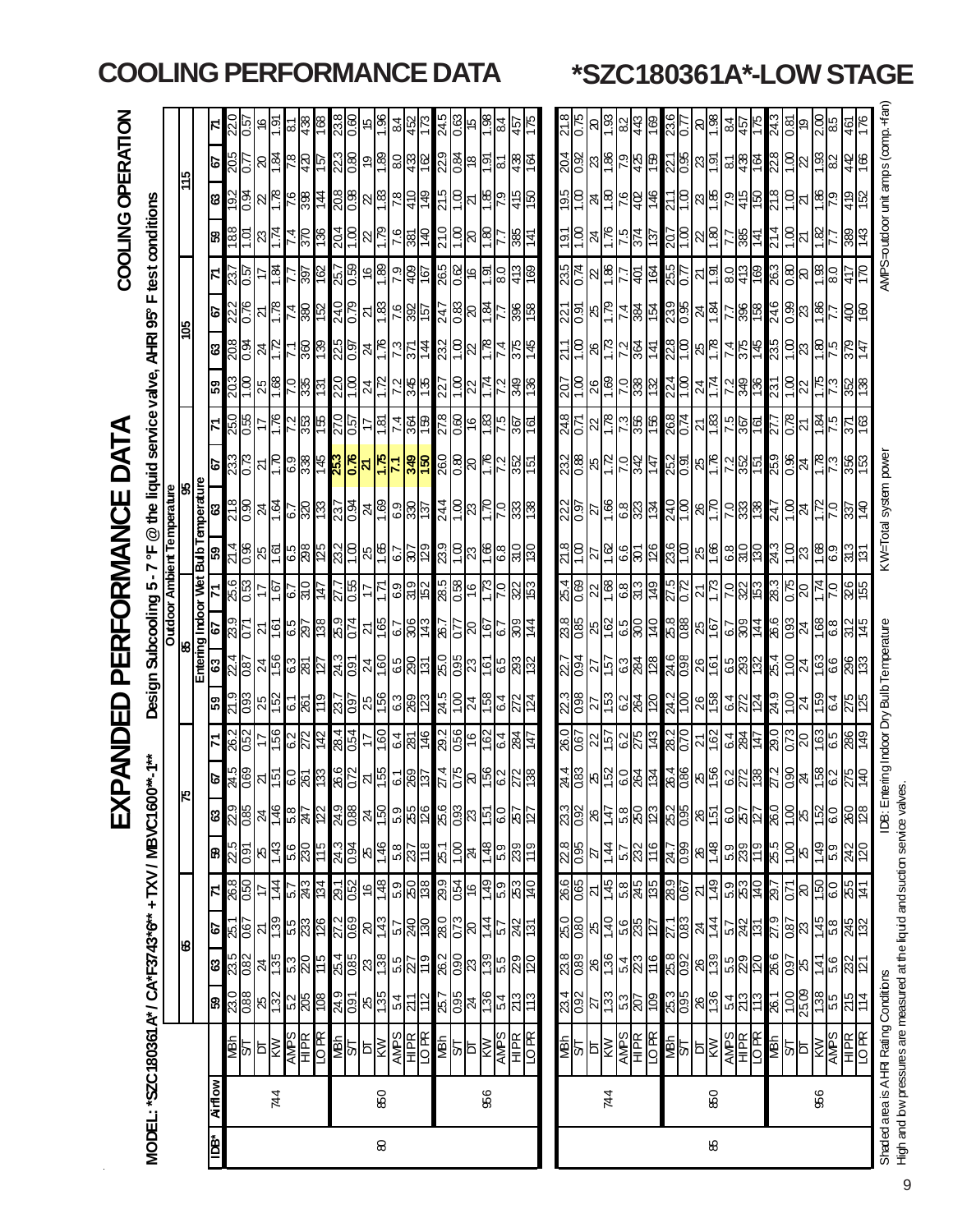|                                                                             |                                                               |                                                                                                                 |                                                                                                                               |                                                                                                               |                                                     |                                                         | 又                                                                     |                                                                                                                                                               | $\mathbf{H}$                                                          |                                                                                                                               | PERI                             |                              | FORMAN                               |                                                                   |                                                                                                   |                                                                                                   |                                                                                                                                                                                                |                                                                        |                                                                       |                                    | COOLING OPERATION                                                     |                                                                       |                                                                       |                    |
|-----------------------------------------------------------------------------|---------------------------------------------------------------|-----------------------------------------------------------------------------------------------------------------|-------------------------------------------------------------------------------------------------------------------------------|---------------------------------------------------------------------------------------------------------------|-----------------------------------------------------|---------------------------------------------------------|-----------------------------------------------------------------------|---------------------------------------------------------------------------------------------------------------------------------------------------------------|-----------------------------------------------------------------------|-------------------------------------------------------------------------------------------------------------------------------|----------------------------------|------------------------------|--------------------------------------|-------------------------------------------------------------------|---------------------------------------------------------------------------------------------------|---------------------------------------------------------------------------------------------------|------------------------------------------------------------------------------------------------------------------------------------------------------------------------------------------------|------------------------------------------------------------------------|-----------------------------------------------------------------------|------------------------------------|-----------------------------------------------------------------------|-----------------------------------------------------------------------|-----------------------------------------------------------------------|--------------------|
| MODEL: *SZC180361 A* / CA*F3743*6* + TXV / MBVC1600                         |                                                               |                                                                                                                 |                                                                                                                               |                                                                                                               |                                                     |                                                         |                                                                       |                                                                                                                                                               |                                                                       | Design                                                                                                                        | Subcooling 5-7                   |                              | ٣,                                   | @ the liquid service valve,                                       |                                                                                                   |                                                                                                   |                                                                                                                                                                                                | AHRI 95°                                                               |                                                                       |                                    | F test conditions                                                     |                                                                       |                                                                       |                    |
|                                                                             |                                                               |                                                                                                                 |                                                                                                                               |                                                                                                               |                                                     |                                                         |                                                                       |                                                                                                                                                               |                                                                       |                                                                                                                               |                                  |                              |                                      | <b>Cutdoor Ambient Temperature</b><br>Outdoor Ambient Temperature |                                                                                                   |                                                                                                   |                                                                                                                                                                                                |                                                                        |                                                                       |                                    |                                                                       |                                                                       |                                                                       |                    |
|                                                                             |                                                               |                                                                                                                 | ७                                                                                                                             |                                                                                                               |                                                     |                                                         |                                                                       |                                                                                                                                                               |                                                                       |                                                                                                                               | Entering Indoor Wet              |                              |                                      | <b>Bulb Temperature</b>                                           |                                                                                                   |                                                                                                   |                                                                                                                                                                                                | ∥≌                                                                     |                                                                       |                                    |                                                                       | la                                                                    |                                                                       |                    |
| <b>Airflow</b><br>à<br>E                                                    |                                                               |                                                                                                                 |                                                                                                                               |                                                                                                               |                                                     |                                                         |                                                                       | $\mathbf{z}$<br>2                                                                                                                                             | င္ပြာ                                                                 | 63                                                                                                                            | డ్                               |                              | 53                                   | S                                                                 | ଚ୍ଚ                                                                                               |                                                                                                   | င္ဟာ                                                                                                                                                                                           |                                                                        | ø                                                                     | Z                                  | 8                                                                     |                                                                       | ø                                                                     |                    |
|                                                                             |                                                               | <mark>န</mark> ္က ဒ္ကန္တုန္က မြန္လုပ္ရွိ အ                                                                      | <mark>အ</mark> အိမ္ကို အိမ္ကြဲ အိမ္ကြဲ ဆို                                                                                    | <u>اقام</u><br>198                                                                                            | E 86 = 1 = 12 3 3 - 13 e 14 0 8 8 9 8 5 = 1 0 8 8 5 | ន $\frac{15}{10}$ ន                                     | $\frac{1}{8}$ $\frac{1}{8}$ $\frac{1}{8}$ $\frac{1}{8}$ $\frac{1}{8}$ |                                                                                                                                                               |                                                                       |                                                                                                                               |                                  |                              |                                      |                                                                   |                                                                                                   |                                                                                                   |                                                                                                                                                                                                | $3\frac{1}{2}$ $\frac{1}{2}$ $\frac{1}{2}$ $\frac{1}{2}$ $\frac{1}{2}$ |                                                                       |                                    |                                                                       | အမြံ့ခြံ့ကြိုင်း                                                      |                                                                       |                    |
|                                                                             | <b>MBh</b><br>ST<br>NAMS<br>NAMPR<br>NBM<br>NBM<br>NBM<br>NBM |                                                                                                                 |                                                                                                                               |                                                                                                               |                                                     |                                                         |                                                                       | 800 - 600 - 800 - 600 - 600 - 600 - 600 - 600 - 600 - 600 - 600 - 600 - 600 - 600 - 600 - 600 - 600 - 600 - 60<br><u>မို့ဖြံ့သြီး မြန်မြို့များ မြန်မြို့</u> | $\frac{25}{25}$                                                       | $\frac{1}{8}$ $\frac{1}{8}$ $\frac{1}{8}$ $\frac{1}{8}$ $\frac{1}{8}$ $\frac{1}{8}$ $\frac{1}{8}$ $\frac{1}{8}$ $\frac{1}{8}$ | និង និង និង និង <mark>និង</mark> | $\frac{256}{98}$             | $\frac{2}{18}$ $\frac{1}{18}$        | <u> 일일 외국 일정 중 일일 원일 일</u> 일                                      | <u>အိုင္ကို ၁၉ ခုန္ကုန္က မွ</u><br>အိုင္တို ၁၉ ခုန္ကုန္က <mark>မွ အို</mark>                      | $\frac{11}{920}$                                                                                  |                                                                                                                                                                                                |                                                                        | $\frac{228}{108}$                                                     | $\frac{55}{25}$                    | ᢛॖ <mark>៝</mark> ឨऻଌ <mark>୲</mark> ៹                                |                                                                       | $\frac{205}{205}$                                                     | $\frac{20}{50}$    |
|                                                                             |                                                               |                                                                                                                 |                                                                                                                               |                                                                                                               |                                                     |                                                         |                                                                       |                                                                                                                                                               |                                                                       |                                                                                                                               |                                  |                              |                                      |                                                                   |                                                                                                   |                                                                                                   |                                                                                                                                                                                                |                                                                        |                                                                       |                                    |                                                                       |                                                                       | ∦≋                                                                    | ļΘ                 |
| 744                                                                         |                                                               |                                                                                                                 |                                                                                                                               |                                                                                                               |                                                     | $rac{25}{143}$                                          |                                                                       |                                                                                                                                                               |                                                                       |                                                                                                                               |                                  | 49 I                         |                                      |                                                                   |                                                                                                   |                                                                                                   |                                                                                                                                                                                                |                                                                        |                                                                       | $\frac{8}{8}$                      |                                                                       |                                                                       |                                                                       | J6 I               |
|                                                                             |                                                               |                                                                                                                 |                                                                                                                               |                                                                                                               |                                                     |                                                         |                                                                       |                                                                                                                                                               |                                                                       |                                                                                                                               |                                  | $\frac{67}{30}$              |                                      |                                                                   |                                                                                                   |                                                                                                   |                                                                                                                                                                                                |                                                                        |                                                                       |                                    |                                                                       |                                                                       |                                                                       |                    |
|                                                                             |                                                               |                                                                                                                 |                                                                                                                               | $ \mathbb{Z} $ ក្ដី <mark>ជំ</mark> ងឿ ឆ្នាំ                                                                  |                                                     | $\frac{66}{88}$                                         | 58722                                                                 |                                                                                                                                                               | $\frac{1}{2}$                                                         |                                                                                                                               |                                  |                              | <u>်ရွှေရွှာ</u>                     |                                                                   |                                                                                                   | $\frac{1}{2}$ $\frac{1}{2}$ $\frac{1}{2}$ $\frac{1}{2}$ $\frac{1}{2}$                             |                                                                                                                                                                                                |                                                                        |                                                                       | <u>့ြိုင်</u> ္ဂ                   | $\frac{52}{14}$                                                       | $rac{26}{68}$ $\frac{1}{4}$                                           | $\frac{\sqrt{2}}{82}$                                                 | 8                  |
|                                                                             |                                                               |                                                                                                                 |                                                                                                                               |                                                                                                               |                                                     |                                                         |                                                                       |                                                                                                                                                               |                                                                       |                                                                                                                               |                                  | 臣                            |                                      |                                                                   |                                                                                                   |                                                                                                   |                                                                                                                                                                                                |                                                                        |                                                                       |                                    |                                                                       |                                                                       |                                                                       | ⊠                  |
|                                                                             |                                                               |                                                                                                                 |                                                                                                                               |                                                                                                               |                                                     |                                                         |                                                                       |                                                                                                                                                               |                                                                       |                                                                                                                               |                                  |                              |                                      |                                                                   |                                                                                                   | 27.0                                                                                              |                                                                                                                                                                                                |                                                                        |                                                                       |                                    |                                                                       |                                                                       |                                                                       | 23.8               |
|                                                                             |                                                               | $\frac{249}{205}$                                                                                               |                                                                                                                               | 27.2                                                                                                          |                                                     | 24.3                                                    | 24.9                                                                  |                                                                                                                                                               | 23.7                                                                  |                                                                                                                               |                                  | $\frac{27.7}{0.55}$          | $\frac{2}{3}$                        |                                                                   |                                                                                                   | $\overline{c}0$                                                                                   |                                                                                                                                                                                                |                                                                        | <u> 수영법 정의 소</u>                                                      |                                    | $\frac{204}{1.00}$                                                    |                                                                       | $\frac{23}{8}$                                                        | 0.60               |
|                                                                             | <b>SARAS</b>                                                  | $8\frac{15}{15}$ $\frac{1}{25}$ $\frac{1}{25}$ $\frac{1}{25}$                                                   | 8882982                                                                                                                       | $8\frac{14}{14}$ $5\frac{1}{8}$                                                                               |                                                     | $\frac{8}{146}$ $\frac{12}{148}$                        | 8 2 3 3 3 3 3 4 5 6 8 2                                               |                                                                                                                                                               | <u> မမြို့မြို့မျှ မျှမျှမျှများမြို့များ</u>                         | <mark>ಸ</mark> ್ಮಣಿ ಪಟ್ಟಿ  ಪಟ್ಟಿ  ಸ                                                                                           | <u> 외례일이 정말이 거</u>               | 17                           | <u>ဗန္ဓြုိင္စြာ</u>                  |                                                                   | $\frac{1}{8}$ $\frac{1}{8}$ $\frac{1}{8}$ $\frac{1}{8}$ $\frac{1}{8}$ $\frac{1}{8}$ $\frac{1}{8}$ | <u> 다형법에</u>                                                                                      |                                                                                                                                                                                                | <u> ~ @ @  ~ @  ~  ~  ~  ~  ~ </u>                                     | <u> 외<mark>등</mark>능 원</u> 용 설명                                       | <u>ကြီးမြီးမြီးမြီး</u>            | $\frac{1}{2}$ $\frac{1}{2}$ $\frac{1}{2}$ $\frac{1}{2}$ $\frac{1}{2}$ | <u>ဒ္ဓိုမ္တုံ မြန္မုန္မုန္</u>                                        | $\frac{5}{8}$ $\frac{1}{8}$ $\frac{1}{8}$ $\frac{1}{8}$               | $\frac{15}{1}$     |
| 850<br>$\pmb{\otimes}$                                                      |                                                               |                                                                                                                 |                                                                                                                               |                                                                                                               |                                                     |                                                         |                                                                       |                                                                                                                                                               |                                                                       |                                                                                                                               |                                  | 71                           |                                      |                                                                   |                                                                                                   |                                                                                                   |                                                                                                                                                                                                |                                                                        |                                                                       |                                    |                                                                       |                                                                       |                                                                       |                    |
|                                                                             |                                                               |                                                                                                                 |                                                                                                                               |                                                                                                               |                                                     |                                                         |                                                                       |                                                                                                                                                               |                                                                       |                                                                                                                               |                                  | $rac{69}{280}$               |                                      |                                                                   |                                                                                                   |                                                                                                   |                                                                                                                                                                                                |                                                                        |                                                                       |                                    |                                                                       |                                                                       |                                                                       | $\frac{64}{36}$    |
|                                                                             |                                                               |                                                                                                                 |                                                                                                                               |                                                                                                               |                                                     |                                                         |                                                                       |                                                                                                                                                               |                                                                       |                                                                                                                               |                                  |                              |                                      |                                                                   |                                                                                                   |                                                                                                   |                                                                                                                                                                                                |                                                                        |                                                                       |                                    |                                                                       |                                                                       |                                                                       |                    |
|                                                                             |                                                               |                                                                                                                 |                                                                                                                               |                                                                                                               |                                                     |                                                         |                                                                       |                                                                                                                                                               |                                                                       |                                                                                                                               |                                  |                              |                                      |                                                                   |                                                                                                   |                                                                                                   |                                                                                                                                                                                                |                                                                        |                                                                       |                                    |                                                                       |                                                                       |                                                                       |                    |
|                                                                             |                                                               |                                                                                                                 |                                                                                                                               |                                                                                                               |                                                     |                                                         |                                                                       | 27.4                                                                                                                                                          |                                                                       |                                                                                                                               |                                  |                              | 8.82                                 | $\frac{5}{44}$ $\frac{1}{8}$ $\frac{1}{8}$                        | 26.0                                                                                              | 278                                                                                               |                                                                                                                                                                                                | $\frac{23}{10}$ ನ                                                      |                                                                       | 265                                | 21.0                                                                  | S12                                                                   |                                                                       | 315                |
|                                                                             |                                                               |                                                                                                                 |                                                                                                                               |                                                                                                               |                                                     |                                                         |                                                                       |                                                                                                                                                               |                                                                       |                                                                                                                               |                                  | $\frac{910}{980}$            |                                      |                                                                   | $\frac{8}{20}$                                                                                    |                                                                                                   |                                                                                                                                                                                                |                                                                        |                                                                       |                                    |                                                                       | <u>ទ្</u> រុ                                                          |                                                                       |                    |
|                                                                             |                                                               |                                                                                                                 |                                                                                                                               |                                                                                                               |                                                     |                                                         |                                                                       | <mark>င်ခြို့</mark> မြို့                                                                                                                                    |                                                                       |                                                                                                                               |                                  |                              | $\frac{2}{23}$                       |                                                                   |                                                                                                   | 89.8                                                                                              |                                                                                                                                                                                                |                                                                        |                                                                       | <u>ଟ୍ରିକ  କ୍</u>                   | <u>୍ମ</u> ି                                                           |                                                                       | $\frac{1}{2}$ $\frac{1}{2}$ $\frac{1}{2}$ $\frac{1}{2}$ $\frac{1}{2}$ | ပ္သူ့              |
| 98                                                                          |                                                               |                                                                                                                 |                                                                                                                               |                                                                                                               |                                                     |                                                         |                                                                       |                                                                                                                                                               |                                                                       | <u>ତି</u>                                                                                                                     | قا                               |                              | $\frac{8}{1}$                        | <u>Ris</u>                                                        |                                                                                                   |                                                                                                   |                                                                                                                                                                                                | ုဇ                                                                     | '।क्रृं।∙                                                             |                                    | <u>ାଞ୍</u>                                                            |                                                                       | ષ્ટિ                                                                  | န္ကြ               |
|                                                                             |                                                               |                                                                                                                 |                                                                                                                               |                                                                                                               |                                                     |                                                         |                                                                       |                                                                                                                                                               |                                                                       | G.3                                                                                                                           |                                  |                              | 8.9                                  |                                                                   |                                                                                                   | 57                                                                                                |                                                                                                                                                                                                |                                                                        |                                                                       | $_{\rm 8.0}$                       |                                                                       | <u>8 S</u>                                                            | ន1                                                                    | ಹ                  |
|                                                                             |                                                               |                                                                                                                 |                                                                                                                               |                                                                                                               |                                                     |                                                         |                                                                       |                                                                                                                                                               |                                                                       |                                                                                                                               | 인상[최                             |                              |                                      |                                                                   |                                                                                                   | <u> 196</u>                                                                                       |                                                                                                                                                                                                |                                                                        |                                                                       |                                    |                                                                       |                                                                       |                                                                       |                    |
|                                                                             | <b>SOLUTE SOLUTE</b>                                          | $\frac{1}{8}$ $\frac{1}{8}$ $\frac{1}{8}$ $\frac{1}{8}$ $\frac{1}{8}$ $\frac{1}{8}$ $\frac{1}{8}$ $\frac{1}{8}$ | <mark>န္လုဒ္</mark> ဆုံးများများ                                                                                              | $\frac{8}{8} \frac{1}{8} \frac{1}{8} \frac{1}{4} \frac{1}{8} \frac{1}{8} \frac{1}{8} \frac{1}{8} \frac{1}{8}$ |                                                     |                                                         |                                                                       | Ħ                                                                                                                                                             |                                                                       | ෆ                                                                                                                             |                                  | 53                           |                                      |                                                                   | 97                                                                                                | ≌                                                                                                 |                                                                                                                                                                                                | 375<br>145                                                             | 396<br>158                                                            | <u>ଞ</u>                           |                                                                       | <u>ର</u> ା                                                            | #%                                                                    |                    |
|                                                                             |                                                               |                                                                                                                 |                                                                                                                               |                                                                                                               |                                                     |                                                         |                                                                       |                                                                                                                                                               |                                                                       |                                                                                                                               |                                  |                              |                                      |                                                                   |                                                                                                   |                                                                                                   |                                                                                                                                                                                                |                                                                        |                                                                       |                                    |                                                                       |                                                                       |                                                                       |                    |
|                                                                             | 호 <mark>설화</mark>                                             |                                                                                                                 |                                                                                                                               |                                                                                                               |                                                     | $\frac{88}{14}$                                         |                                                                       |                                                                                                                                                               |                                                                       |                                                                                                                               |                                  |                              |                                      |                                                                   |                                                                                                   |                                                                                                   |                                                                                                                                                                                                |                                                                        |                                                                       |                                    |                                                                       |                                                                       |                                                                       |                    |
|                                                                             |                                                               |                                                                                                                 |                                                                                                                               |                                                                                                               |                                                     |                                                         |                                                                       |                                                                                                                                                               |                                                                       |                                                                                                                               |                                  |                              |                                      |                                                                   | $\frac{880}{255}$                                                                                 | $\frac{548}{9.71}$                                                                                | $\frac{207}{1.00}$                                                                                                                                                                             |                                                                        |                                                                       | $\frac{25}{25}$ $\frac{18}{25}$    |                                                                       | $\frac{1}{2}$ $\frac{1}{2}$ $\frac{1}{2}$ $\frac{1}{2}$ $\frac{1}{2}$ |                                                                       | $\frac{518}{6.75}$ |
|                                                                             |                                                               |                                                                                                                 |                                                                                                                               |                                                                                                               |                                                     |                                                         |                                                                       |                                                                                                                                                               |                                                                       |                                                                                                                               |                                  |                              |                                      |                                                                   |                                                                                                   |                                                                                                   |                                                                                                                                                                                                |                                                                        |                                                                       |                                    |                                                                       |                                                                       |                                                                       | ାର                 |
| 744                                                                         |                                                               |                                                                                                                 |                                                                                                                               |                                                                                                               |                                                     |                                                         | $\frac{33}{88}$                                                       |                                                                                                                                                               |                                                                       |                                                                                                                               |                                  |                              |                                      |                                                                   |                                                                                                   |                                                                                                   |                                                                                                                                                                                                |                                                                        | $\frac{1}{2}$ $\frac{1}{2}$ $\frac{1}{2}$ $\frac{1}{2}$ $\frac{1}{2}$ |                                    |                                                                       |                                                                       |                                                                       | ြို                |
|                                                                             |                                                               |                                                                                                                 |                                                                                                                               |                                                                                                               |                                                     |                                                         |                                                                       |                                                                                                                                                               |                                                                       |                                                                                                                               |                                  |                              |                                      |                                                                   |                                                                                                   |                                                                                                   |                                                                                                                                                                                                |                                                                        |                                                                       |                                    |                                                                       | $rac{6}{40}$                                                          |                                                                       | $\frac{8}{3}$ द    |
|                                                                             | $\frac{\overline{AMPS}}{IDR}$                                 | <u>များ မြို့များ</u>                                                                                           | $\frac{1}{2}$ $\frac{1}{2}$ $\frac{1}{2}$ $\frac{1}{2}$ $\frac{1}{2}$ $\frac{1}{2}$ $\frac{1}{2}$ $\frac{1}{2}$ $\frac{1}{2}$ | 8889988                                                                                                       | $\frac{1}{8}$                                       | $rac{25}{280}$                                          | $\frac{8}{58}$                                                        | $\frac{1}{8}$ $\frac{1}{8}$ $\frac{1}{8}$ $\frac{1}{8}$ $\frac{1}{8}$ $\frac{1}{8}$ $\frac{1}{8}$                                                             |                                                                       |                                                                                                                               | <u>အိုမ္အြံ မွာ ျမို့မြို့</u>   | <u>မျိုးဖြံ့ဖြံ့ဖြံ့ဖြံ့</u> | <u>ដនៃន្ទ្រីន្ទ្រី ដូ</u>            | <u>ျားဖြစ္ခြစ္ခြစ္ခြန္</u>                                        | 8  <mark>등 영信 </mark>                                                                             |                                                                                                   |                                                                                                                                                                                                | <u> {  ခ မြင  မြို့  မြို့</u>                                         |                                                                       | 보호                                 | <u>흰씱</u> 치기회의                                                        |                                                                       | <u>ဒိုမြို့မြို့မြို့မြို့</u>                                        |                    |
|                                                                             |                                                               |                                                                                                                 |                                                                                                                               |                                                                                                               |                                                     |                                                         |                                                                       | <u>နဲ့ အြံမြိုင် မြို့သူ မြို့အမြို့များ မြို့</u>                                                                                                            | <u> အိုမ္တို အိုမ္တြံ အခြံ အခြံ အိုမ္တြံ အိုမ္တို အိုမ္တို႔ အိုမ္</u> | <u>ြန္က ျပည္အတြက္ ျမန္မာျဖစ္ေတြ အျခားျခား ျဖစ္</u> ပြဲ ျဖစ္ပြဲ ျဖစ္ပြဲ ျဖစ္ပြဲ ျဖစ္ပြဲ ျဖစ္ပြဲ ျဖစ္ပြဲ ျဖစ္ပြဲ ျဖစ္ပြ         |                                  |                              |                                      |                                                                   |                                                                                                   | $ z _{\rm sc}^2 z _{\rm sc}^2 z _{\rm sc}^2 z _{\rm sc}$                                          | $ \mathbb{S} $ $\mathbb{S}$ $ \mathbb{S} $ $\mathbb{S}$ $ \mathbb{S} $ $ \mathbb{S} $ $ \mathbb{S} $ $ \mathbb{S} $ $ \mathbb{S} $ $ \mathbb{S} $ $ \mathbb{S} $ $ \mathbb{S} $ $ \mathbb{S} $ |                                                                        | <u> 노  앞  앞  양  와  상  양  상  양  성  성  상  상</u>   상  상  상               |                                    |                                                                       | 46                                                                    |                                                                       | <u>ී</u>           |
|                                                                             |                                                               |                                                                                                                 | 25.8                                                                                                                          | $\frac{27.1}{0.83}$                                                                                           |                                                     | 24.7                                                    | 25.2                                                                  |                                                                                                                                                               |                                                                       |                                                                                                                               |                                  | $\frac{27.5}{0.72}$          |                                      |                                                                   |                                                                                                   |                                                                                                   |                                                                                                                                                                                                |                                                                        |                                                                       | $\frac{255}{0.77}$                 |                                                                       |                                                                       |                                                                       | <u>536</u>         |
|                                                                             |                                                               | 8 <mark>88</mark> 83                                                                                            |                                                                                                                               |                                                                                                               |                                                     |                                                         |                                                                       |                                                                                                                                                               |                                                                       |                                                                                                                               | 88885858                         |                              |                                      | <u> ဒုဒ္ဒြါမခြိုင်မြီးမြီး</u>                                    | <u>ပ္ကိုစ္ကုံမွုျပည္ဆုံး မြွံ့ဖြံ့ဖြံ့ မြွံ့</u>                                                  |                                                                                                   |                                                                                                                                                                                                | $\frac{28}{10}$ $8\frac{1}{10}$                                        |                                                                       |                                    | <u>င်ခြိုမခြို</u>                                                    | <u> { ခြိုမခြိုင်]မြို့</u>                                           |                                                                       |                    |
|                                                                             |                                                               |                                                                                                                 |                                                                                                                               |                                                                                                               |                                                     | $rac{86}{148}$                                          |                                                                       |                                                                                                                                                               |                                                                       |                                                                                                                               |                                  | $\frac{21}{13}$              |                                      |                                                                   |                                                                                                   | $\frac{1}{2}$ $\frac{1}{2}$ $\frac{1}{2}$ $\frac{1}{2}$ $\frac{1}{2}$ $\frac{1}{2}$ $\frac{1}{2}$ |                                                                                                                                                                                                |                                                                        |                                                                       | ম $\frac{5}{1}$                    |                                                                       |                                                                       |                                                                       | $\frac{8}{2}$      |
| 850<br>88                                                                   |                                                               |                                                                                                                 |                                                                                                                               |                                                                                                               |                                                     |                                                         |                                                                       |                                                                                                                                                               |                                                                       |                                                                                                                               |                                  |                              |                                      |                                                                   |                                                                                                   |                                                                                                   |                                                                                                                                                                                                |                                                                        |                                                                       |                                    |                                                                       |                                                                       |                                                                       |                    |
|                                                                             |                                                               | $\frac{54}{20}$                                                                                                 |                                                                                                                               |                                                                                                               |                                                     | $\frac{59}{28}$                                         |                                                                       |                                                                                                                                                               |                                                                       |                                                                                                                               |                                  | $\frac{58}{25}$              |                                      |                                                                   |                                                                                                   |                                                                                                   |                                                                                                                                                                                                |                                                                        |                                                                       | $rac{6}{36}$                       | <u> 남</u> 왕                                                           |                                                                       |                                                                       | $\frac{5}{4}$ 한    |
|                                                                             |                                                               |                                                                                                                 |                                                                                                                               |                                                                                                               |                                                     |                                                         |                                                                       |                                                                                                                                                               |                                                                       |                                                                                                                               |                                  |                              |                                      |                                                                   |                                                                                                   |                                                                                                   |                                                                                                                                                                                                |                                                                        |                                                                       |                                    |                                                                       |                                                                       |                                                                       |                    |
|                                                                             |                                                               |                                                                                                                 | <mark> မမြို့ မျိုး မြို့မျိုး မြို့</mark>                                                                                   |                                                                                                               |                                                     |                                                         |                                                                       |                                                                                                                                                               |                                                                       |                                                                                                                               |                                  |                              |                                      |                                                                   |                                                                                                   |                                                                                                   |                                                                                                                                                                                                | <u> ∡ မြို့မှ ဗွိုဒ္ဓါမ္မျာ</u>                                        |                                                                       |                                    |                                                                       |                                                                       |                                                                       |                    |
|                                                                             |                                                               |                                                                                                                 |                                                                                                                               |                                                                                                               |                                                     |                                                         |                                                                       |                                                                                                                                                               |                                                                       |                                                                                                                               |                                  |                              |                                      |                                                                   |                                                                                                   |                                                                                                   |                                                                                                                                                                                                |                                                                        |                                                                       |                                    |                                                                       |                                                                       |                                                                       | 24.3               |
|                                                                             |                                                               | $\frac{261}{1.00}$                                                                                              |                                                                                                                               |                                                                                                               |                                                     | $\frac{85}{10}$ ಸ                                       |                                                                       |                                                                                                                                                               |                                                                       |                                                                                                                               |                                  | $\frac{3}{8}$ ನ್ನಡ           |                                      |                                                                   |                                                                                                   | $\frac{577}{278}$                                                                                 |                                                                                                                                                                                                |                                                                        |                                                                       |                                    | $\frac{14}{10}$                                                       |                                                                       | <u>ଅ୍ରାଥ</u>                                                          | $\sqrt{8}$         |
|                                                                             |                                                               |                                                                                                                 |                                                                                                                               |                                                                                                               |                                                     |                                                         |                                                                       | $\frac{27}{25}$                                                                                                                                               |                                                                       |                                                                                                                               |                                  |                              |                                      | $\frac{51}{18}$ $\frac{1}{18}$ $\frac{1}{18}$ $\frac{1}{18}$      |                                                                                                   |                                                                                                   |                                                                                                                                                                                                |                                                                        |                                                                       | <u><sup>ဇ္ဇု</sup>န္တုမ္ကူမ္ကု</u> |                                                                       | $\frac{18}{18}$                                                       |                                                                       | ღ                  |
| 986                                                                         |                                                               |                                                                                                                 |                                                                                                                               |                                                                                                               |                                                     |                                                         |                                                                       |                                                                                                                                                               |                                                                       |                                                                                                                               | 168                              |                              |                                      |                                                                   |                                                                                                   | Lg                                                                                                |                                                                                                                                                                                                |                                                                        |                                                                       |                                    | ⊠                                                                     |                                                                       | <u>ေ</u>                                                              | ωī                 |
|                                                                             | <b>SARA SERVE AND SERVE SERVE SERVE SERVE SE</b>              | $rac{1}{88}$ $rac{1}{88}$ $rac{1}{88}$ $rac{1}{88}$ $rac{1}{42}$                                                | $rac{1}{4}$ $\frac{1}{8}$ $\frac{1}{8}$ $\frac{1}{12}$                                                                        |                                                                                                               | <u>စ္ခါ ျခစ္သူမွာ ျဖစ္သြား မြန္မာျခစ္သြား</u>       | $\frac{2}{3}$ $\frac{8}{3}$ $\frac{1}{2}$ $\frac{1}{2}$ | ႜႜႜ <mark>ၛ႞</mark> ႍၣၟၣၣၣၣၣၣၣၣၣၣၣၣၣၣၣၣၣၣၣၣၣၣၣၣၣၣ                     | <u>အခြံ မြို့အမြို့ မြို့အမြို့မြို့</u>                                                                                                                      | 6.4                                                                   | <u>ေတြေ</u>                                                                                                                   | 8 9                              |                              | <u>ဗိုဒ္ဓြါမျှ မြေမြေမြေမြေမြေမြ</u> |                                                                   |                                                                                                   |                                                                                                   |                                                                                                                                                                                                |                                                                        |                                                                       | 08                                 |                                                                       |                                                                       | $\frac{82}{3}$                                                        |                    |
|                                                                             |                                                               |                                                                                                                 |                                                                                                                               |                                                                                                               |                                                     |                                                         |                                                                       |                                                                                                                                                               |                                                                       |                                                                                                                               | $rac{2}{145}$                    | 326                          |                                      |                                                                   |                                                                                                   | 입증                                                                                                |                                                                                                                                                                                                | <u>이수</u>                                                              | 하                                                                     |                                    |                                                                       |                                                                       | र्व ह                                                                 |                    |
|                                                                             |                                                               |                                                                                                                 |                                                                                                                               |                                                                                                               |                                                     |                                                         |                                                                       |                                                                                                                                                               |                                                                       |                                                                                                                               |                                  |                              |                                      |                                                                   |                                                                                                   |                                                                                                   |                                                                                                                                                                                                |                                                                        |                                                                       |                                    |                                                                       |                                                                       |                                                                       |                    |
| Shaded area is AHR Rating Conditions                                        |                                                               |                                                                                                                 |                                                                                                                               |                                                                                                               |                                                     |                                                         | IDB: Ent                                                              | ering Indoor Dry Bulb Temperature                                                                                                                             |                                                                       |                                                                                                                               |                                  |                              |                                      | KW=Total system power                                             |                                                                                                   |                                                                                                   |                                                                                                                                                                                                |                                                                        |                                                                       |                                    | AMPS=outdoor unit amps (comp. +fan                                    |                                                                       |                                                                       |                    |
| High and low pressures are measured at the liquid and sudtion service valve |                                                               |                                                                                                                 |                                                                                                                               |                                                                                                               |                                                     |                                                         |                                                                       |                                                                                                                                                               |                                                                       |                                                                                                                               |                                  |                              |                                      |                                                                   |                                                                                                   |                                                                                                   |                                                                                                                                                                                                |                                                                        |                                                                       |                                    |                                                                       |                                                                       |                                                                       |                    |

### **COOLING PERFORMANCE DATA \*SZC180361A\*-LOW STAGE**

9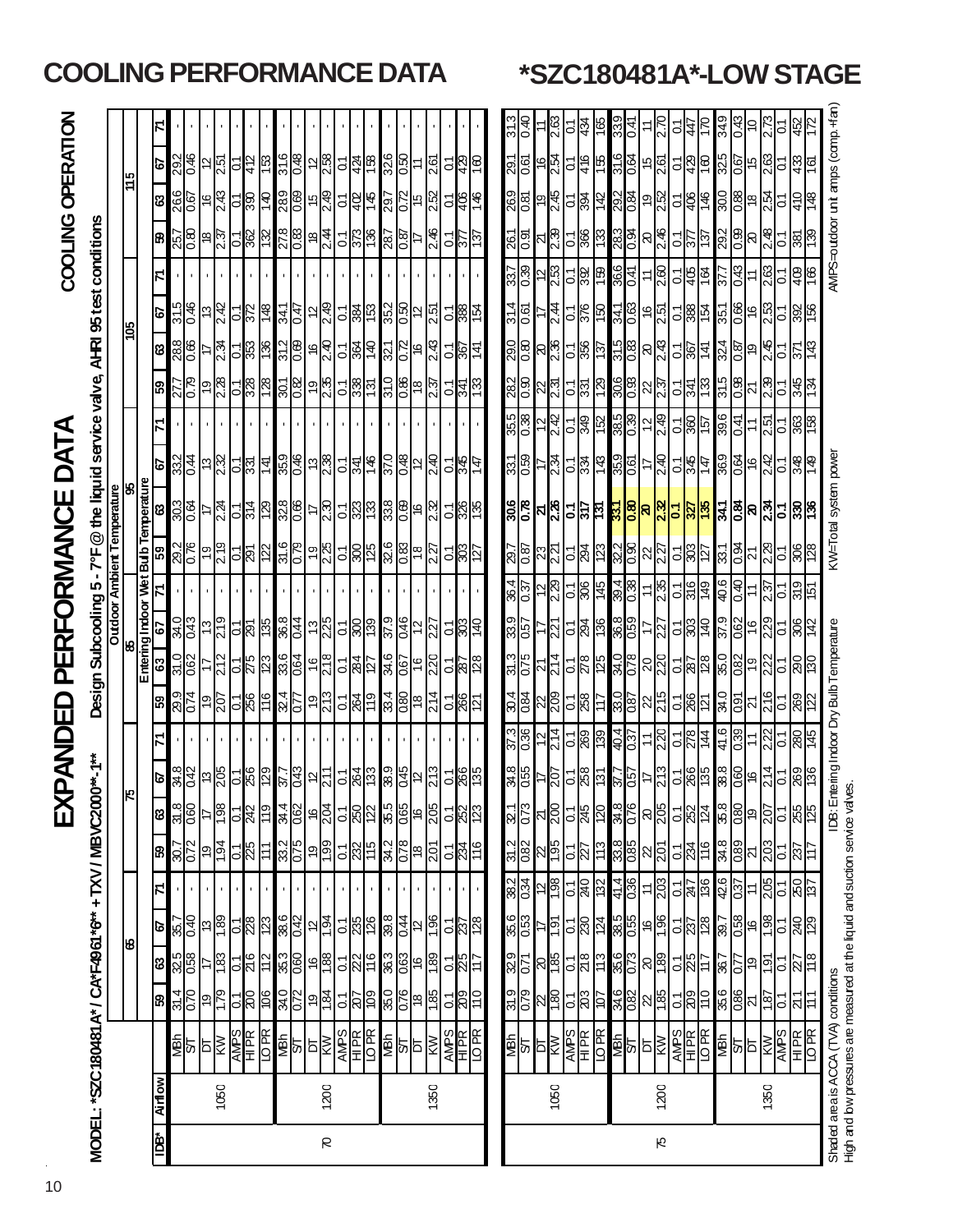# EXPANDED PERFORMANCE DATA

COOLING OPERATION

**EXPANDED PERFORMANCE DATA**<br>MODEL: \*SZC180481A\*/ CA\*F4961\*6\*\* +TXV/MBVC2000\*-1\*\* Design Subcooling 5 - 7°F @ the liquid service valve, AHRI 95 test conditions<br>| OO

| $rac{c}{\sqrt{1-\frac{1}{2}}}$<br>Design Subcooling 5 - 7°F @ the liquid service valve. AHRI 95 test conditions | <b>Outdoor Ambient</b> |
|-----------------------------------------------------------------------------------------------------------------|------------------------|
| V/MBVC2000**-1***                                                                                               |                        |
|                                                                                                                 |                        |

|     |                                      | 7        |                  |                    |                  |                                            |                    |                 |                 |             |            |                                                     |                 |                                 |                             |     |                                                         |                |                  |                  |                                          |                        |                            | 313                | ञ्<br>⊙                |                      | 2.63             | 5              | 434                     | 165              |
|-----|--------------------------------------|----------|------------------|--------------------|------------------|--------------------------------------------|--------------------|-----------------|-----------------|-------------|------------|-----------------------------------------------------|-----------------|---------------------------------|-----------------------------|-----|---------------------------------------------------------|----------------|------------------|------------------|------------------------------------------|------------------------|----------------------------|--------------------|------------------------|----------------------|------------------|----------------|-------------------------|------------------|
| 15  |                                      | 29       | 292              | \$0                | 5                | 2.51                                       | $\overline{c}$     | 412             | 153             | 31.6        | 0.48       | 57                                                  | 2.58            |                                 | 의화區                         |     | 326                                                     | $rac{50}{2}$   | $\overline{1}$   | 2.61             | $\overline{c}$                           | 429                    | 09 L                       | $\frac{29}{1}$     | ত<br>০                 | 9                    | 2.54             | δ              | 416                     | $\frac{15}{2}$   |
|     |                                      | ణి       | 266              | 0.67               | \$               | 243                                        | 5                  | 390             | <b>OFL</b>      | 289         | 0.69       | 10                                                  | 2.49            |                                 | <u>리영</u>                   | 145 | 297                                                     | 0.72           | $\frac{5}{2}$    | 2.52             | $\overline{c}$                           | 406                    | 146                        | 269                | 0.81                   | ē,                   | 2.45             | ā              | 166                     | $\frac{42}{5}$   |
|     |                                      | 8        | 257              | 8.0                | ₽                | 2.37                                       | င                  | 362             | 732             | 278         | 680        | ₽                                                   | 2.4             | $\overline{0}$                  | $\mathbb{S}^2$              | 98  | 287                                                     | $\frac{8}{2}$  | 17               | 2.46             | $\overline{0}$                           | 777                    | 137                        | 261                | চ<br>০                 | ম                    | 2.39             | ៍              | 366                     | 133              |
|     |                                      | 7        |                  |                    |                  |                                            |                    |                 |                 |             |            |                                                     |                 |                                 |                             |     |                                                         |                |                  |                  |                                          |                        |                            | $\frac{37}{3}$     | 0.39                   | 5                    | 253              | ៍              | 392                     | 159              |
|     |                                      | L9       | 315              | \$0                | 5                | 2.42                                       | $\mathbf{c}$       | 372             | 871             | 34.1        | 47         | $\overline{c}$                                      | 249             |                                 | 의쓃                          | 153 | 35.2                                                    |                | မျာ<br>၁         | 2.51             |                                          | ် နီ                   | 154                        | 314                | ত<br>০                 |                      | 2.44             | Σ              | 376                     | ទ្រ              |
| క్ష |                                      | S        | 28.8             | 8<br>0.66          | 7                | <b>724</b>                                 | ြ                  | 353             | $\frac{36}{5}$  | 312         | <b>890</b> | 9                                                   | 9.40            |                                 | <u>리엙</u>                   | 140 | 321                                                     | $\frac{2}{2}$  | $\frac{6}{5}$    | 2.43             | $\overline{0}$                           | 26Z                    | 141                        | 29.0               | 8                      | 8                    | 2.36             | ်              | 356                     | छ।               |
|     |                                      | 59       |                  | დ<br>ს             | Q)               | 87.78                                      | $\overline{\circ}$ | 328             | 128             | 301         | 28°0       | ó,                                                  | 2.35            | $\overline{C}$                  | $\frac{38}{5}$              | 131 | 31.0                                                    | $\frac{8}{2}$  | $\frac{8}{3}$    | <u>7.37</u>      |                                          | <u>이설</u>              | 821                        | 282                | 0.90                   | 22                   | 2.31             | ៑              | 331                     | 621              |
|     |                                      | 71       |                  |                    |                  |                                            |                    |                 |                 |             |            |                                                     |                 |                                 |                             |     |                                                         |                |                  |                  |                                          |                        |                            | $\frac{355}{0.38}$ |                        | $\overline{2}$       | 2.42             | Σ,             | 849                     | 152              |
|     |                                      | P.       | 332              | 0.44               |                  | ದ್ದ<br>ವಿಭ                                 |                    | <u>의일</u>       | 141             | 658         | $9 - 0$    |                                                     | $\frac{13}{28}$ |                                 | $\frac{54}{5}$              | 146 | 37.0                                                    | 0.48           | 2                | 2.40             |                                          | <u>이상</u>              | Δħ                         | 331                | 0.59                   | ₽                    | 2.34             | 5              | 334                     | $\frac{43}{5}$   |
| 8   |                                      | ణి       | 303              | 0.64               | 17               | 2.24                                       |                    | 일을              | 62              |             |            | $\frac{328}{0.66}$                                  | 2.30            |                                 | <u>ျဖွန္</u> က              |     | 338                                                     |                | <u>ခ</u> ျိန     | 2.32             |                                          | <u>୍ୱ</u> ାଞ୍ଜା        |                            |                    | $\frac{26}{30}$        | ম <mark>&amp;</mark> |                  |                | 적╣5                     |                  |
|     |                                      |          |                  |                    |                  |                                            |                    |                 |                 |             |            |                                                     |                 |                                 |                             |     |                                                         |                |                  |                  |                                          |                        |                            |                    |                        |                      |                  |                |                         |                  |
|     | Entering Indoor Wet Bulb Temperature | ၵ္တ      | 28               | 0.76               | Q                | 219                                        |                    | ୍ରାରି           | 122             | 31.6        | 62.0       | é,                                                  | 225             |                                 | <u>이행</u>                   |     | 8.<br>8                                                 | ଞ୍ଜ            | $\frac{8}{2}$    | $\overline{27}$  |                                          | <u>୍ଟ୍ର</u>            | 127                        | <u>ম</u><br>ষ      | 087                    | 23                   | 221              | ြ              | 294                     | $\frac{23}{2}$   |
|     |                                      | Ε        |                  |                    |                  |                                            |                    |                 |                 |             |            |                                                     |                 |                                 |                             |     |                                                         |                |                  |                  |                                          |                        |                            | $\frac{4}{8}$      | 037                    | $\frac{2}{3}$        | 229              | ြ              | 306                     | 145              |
|     |                                      | 5        | अ<br>अ           | 0.43               | 13               | 219                                        |                    | ୍ରାସି           | <b>SEL</b>      | 36.8        | 0.44       | 13                                                  | 225             |                                 | 의임                          | 68  | 37.9                                                    | $\frac{46}{5}$ | $\overline{2}$   | $\overline{27}$  | $\overline{c}$                           | $\overline{303}$       | 0t/                        | ಣ<br>8             | 057                    |                      | 221              | ြ              | 294                     | 136              |
|     |                                      | အ        | <u>ন্ত</u>       | 0.62               | 77               | 212                                        | $\overline{\circ}$ | 275             | 123             | 33.6        | <b>790</b> | $\frac{6}{5}$                                       | 812             |                                 | 의ង                          | -21 | अ.<br>अ                                                 | 0.67           | $\overline{6}$   | 220              |                                          | <u>୍ଜ୍ଞା</u><br>ଜା     |                            | $\frac{31.3}{5}$   | 0.75                   | 71                   | 214              | 5              | 872                     | 125              |
|     |                                      | 59       | .<br>ଅ           | 0.74               | Q)               | 207                                        | 5                  | 256             | 911             | 32.4        | 0.77       | Q                                                   | 213             |                                 | $\frac{1}{28}$              | 611 | 33.4                                                    | 0.80           | $\frac{8}{3}$    | 214              |                                          | $rac{1}{260}$          | IZ1                        | $\frac{4}{3}$      | 0.84                   | $\frac{22}{209}$     |                  | ៍              | 258                     | 1T               |
|     |                                      | ᡵ        |                  |                    |                  |                                            |                    | ı               |                 | J.          |            |                                                     |                 |                                 |                             |     |                                                         |                |                  |                  |                                          |                        |                            | 37.3               | 0.36                   | $\frac{2}{3}$        | 214              | ៍              | 269                     | <b>99</b>        |
|     |                                      | ß        | $\frac{34.8}{5}$ | 0.42               | $\frac{13}{205}$ |                                            |                    | $\frac{1}{256}$ | 129             | <u>Z 18</u> |            | $rac{1}{2}$                                         | 711             |                                 | <u>် ဖြို့</u>              |     | $\frac{38}{9}$                                          | $\frac{1}{5}$  |                  |                  |                                          | $rac{1}{260}$          | 135                        | $rac{8}{35}$       |                        | 47                   | 207              | $\frac{1}{28}$ |                         | $\frac{5}{3}$    |
|     |                                      | ශී       |                  | $\frac{8}{25}$     |                  | 198                                        |                    | $\frac{1}{2}$   | 61              |             |            | $rac{4}{36}$ $rac{1}{36}$ $rac{1}{36}$ $rac{1}{36}$ |                 |                                 | <u>ျမျှ</u> ာ               |     | 85<br>065<br>205                                        |                |                  |                  |                                          | <mark>ತ ಜ</mark> ಿಪ    |                            | $\frac{321}{0.73}$ |                        | ম $\frac{20}{2}$     |                  |                | 5 <mark>월</mark> 20     |                  |
|     |                                      | 59       |                  | $\frac{207}{0.72}$ |                  | $\frac{194}{ }$                            |                    | $rac{1}{25}$    | $\overline{11}$ |             |            | အ <mark>္တ</mark> ြင္ အြ                            |                 | $\frac{1}{2}$ $\frac{1}{2}$     |                             |     | $\frac{3}{8}$ $\frac{1}{8}$ $\frac{1}{8}$ $\frac{1}{8}$ |                |                  |                  |                                          |                        | $\mathbb{E} \mathbb{Z}^2 $ |                    | $rac{31.2}{0.82}$      |                      | $\frac{26}{195}$ | <u>୍ବା</u> ର   |                         | 113              |
|     |                                      | N        |                  |                    |                  |                                            |                    |                 |                 |             |            |                                                     |                 |                                 |                             |     |                                                         |                |                  |                  |                                          |                        |                            | $\frac{382}{0.34}$ |                        |                      | $\frac{861}{2}$  |                | $\frac{1}{28}$          |                  |
| 8   |                                      | <b>P</b> |                  | $\frac{357}{0.40}$ |                  | $\frac{13}{1.89}$                          |                    | <u>୍ବ</u> ାସ    | $\overline{23}$ |             |            | 882<br>882<br>882                                   |                 |                                 | $\frac{2}{3}$               |     | 39.8                                                    | 0.44           |                  | $\frac{2}{1.96}$ |                                          |                        | <u>୍ବା</u><br>ଜାନ୍ତ        |                    | $\frac{86}{33}$        | <u>isi</u>           |                  | $\overline{c}$ | 230                     | 124              |
|     |                                      | ଞ        |                  | $\frac{85}{9}$     |                  | -18                                        |                    | <u> 기</u> 층     | 112             |             |            | အ <mark>္တြ</mark> ိ မစ္ဆ                           |                 |                                 | $\frac{1}{2}$ $\frac{1}{2}$ |     | $rac{3}{2}$                                             |                | $\frac{63}{180}$ |                  |                                          | $\frac{1}{2}$          |                            | $\frac{1}{28}$     |                        | ଞ୍ଚ                  |                  | $\overline{c}$ | 8 kZ                    | $\frac{13}{2}$   |
|     |                                      | ඝි       |                  | $\frac{314}{070}$  |                  | $\frac{9}{179}$                            |                    | ୍ନାଟ            | 106             |             |            | <u>२१</u> ० वर्षे<br>अंधिक                          |                 |                                 | $\frac{1}{2}$               |     | $rac{35}{2}$                                            |                | $\frac{18}{180}$ |                  |                                          | ်ဖြ <mark>ို</mark> င် |                            | $\frac{9}{0.79}$   |                        |                      | $\frac{51}{180}$ |                | <u>리영<mark>의</mark></u> |                  |
|     |                                      |          |                  |                    |                  | <b>ARIS ARIS</b><br>ARIS ARIS<br>ARIS ARIS |                    |                 | <b>Ad OT</b>    |             |            | <u>ङ</u> ्का<br>बाह्य                               |                 | $\frac{\text{WPS}}{\text{HIR}}$ |                             |     | MBN                                                     |                | ৯∣≅∣             |                  | $\frac{\overline{AMPS}}{\overline{HPR}}$ |                        |                            |                    | ≸व <mark>ै</mark> द्धी |                      |                  | <b>SdNV</b>    | <b>HIPR</b>             | LO <sub>PR</sub> |
|     |                                      | Airlow   |                  |                    |                  | 1050                                       |                    |                 |                 |             |            |                                                     | 1200            |                                 |                             |     |                                                         |                |                  | 1350             |                                          |                        |                            |                    |                        |                      | 1050             |                |                         |                  |
|     |                                      |          |                  |                    |                  |                                            |                    |                 |                 |             |            |                                                     |                 |                                 |                             |     |                                                         |                |                  |                  |                                          |                        |                            |                    |                        |                      |                  |                |                         |                  |
|     |                                      | ∗£di     |                  |                    |                  |                                            |                    |                 |                 |             |            |                                                     | R               |                                 |                             |     |                                                         |                |                  |                  |                                          |                        |                            |                    |                        |                      |                  |                |                         |                  |

**COOLING PERFORMANCE DATA \*SZC180481A\*-LOW STAGE**

ю

∞

₹ ᢩ

र्

്റ്

è

៵ ⊠ 8

≻

 $\overline{5}$ 

ತ್ತ

3 ៍ 4

ঞ্<br>ূ

ञ<br>∾

នុ

 $\ddot{\circ}$ 

 $\overline{C}$ 일종

5 占| š

៵

⊱

5

त्रं

63.O

**BS:** 

R

ري<br>88

ङ

Σ

396

0.41

ગ્રંડ

ା

 $\approx$ 

 $\overline{\circ}$ 

9.<br>∪

ನ

ງອີ  $\overline{9}$ 

38<br>08

š

)37

Ë ম

ន<br>ខ

Ō,

Ж ম

Mah

₹. ā

 $\frac{141}{15}$ 

Shaded area is ACCA (TVA) conditions Indoor Dry Bulb Temperature KW=Total system power AMPS=outdoor UNIt amps (comp.+fan) High and bw pressures are measured at the liquid and sudtion service valves. High and low pressures are measured at the liquid and suction service valves.Shaded area is ACCA (TVA) conditions

AMPS

5

1350

H<br>H<br>H

LO P R

₹ 5 Б AMP S

⋛

1200

54

H<br>E<br>K<br>K

MBh 34.6 35.6 38.5 41.4 33.8 34.8 37.7 40.4 33.0 34.0 36.8 39.4 32.2 **33.1** 35.9 38.5 30.6 31.5 34.1 36.6 28.3 29.2 31.6 33.9 S/T 0.82 0.73 0.55 0.36 0.85 0.76 0.57 0.37 0.87 0.78 0.59 0.38 0.90 **0.80** 0.61 0.39 0.93 0.83 0.63 0.41 0.94 0.84 0.64 0.41 DT 22 20 16 11 22 20 17 11 22 20 17 11 22 **20** 17 12 22 20 16 11 20 19 15 11 75 1200 KW 1.85 1.89 1.96 2.03 2.01 2.05 2.13 2.20 2.15 2.20 2.27 2.35 2.27 **2.32** 2.40 2.49 2.37 2.43 2.51 2.60 2.46 2.52 2.61 2.70

0.1 0.1 0.1 0.1 0.1 0.1 0.1 0.1 0.1 0.1 0.1 0.1 0.1 **0.1** 0.1 0.1 0.1 0.1 0.1 0.1 0.1 0.1 0.1 0.1

៍

ä

ò

∼

è

 $\tilde{c}$ 86

 $\overline{c}$ 

ā

.<br>لا ā

₹  $\overline{a}$ 

 $\mathbf{c}$ 

 209 225 237 247 234 252 266 278 266 287 303 316 303 **327** 345 360 341 367 388 405 377 406 429 447 110 117 128 136 116 124 135 144 121 128 140 149 127 **135** 147 157 133 141 154 164 137 146 160 170 MBh 35.6 36.7 39.7 42.6 34.8 35.8 38.8 41.6 34.0 35.0 37.9 40.6 33.1 **34.1** 36.9 39.6 31.5 32.4 35.1 37.7 29.2 30.0 32.5 34.9 S/T 0.86 0.77 0.88 0.77 0.88 0.37 0.82 0.80 0.82 0.82 0.82 0.83 0.84 0.84 0.94 0.99 0.99 0.99 0.89 0.89 0.89 0.87 0.89 0.87 0.87 0.43 0.87 0.87 0.43 0.87 0.87 0.89 0.87 0.87 0.87 0.87 0.89 0.89 0.87 0.89 0.87 0.89 0.89 0.8 DT 21 19 16 11 21 19 16 11 21 19 16 11 21 **20** 16 11 21 19 16 11 20 18 15 10 1350 KW 1.87 1.91 1.98 2.05 2.03 2.07 2.14 2.22 2.16 2.22 2.29 2.37 2.29 **2.34** 2.42 2.51 2.39 2.45 2.53 2.63 2.48 2.54 2.63 2.73

ე<br>4 9<br>≌

4

 $\approx$ ...<br>88 ö

<u>ष्टा</u>

0.1 0.1 0.1 0.1 0.1 0.1 0.1 0.1 0.1 0.1 0.1 0.1 0.1 **0.1** 0.1 0.1 0.1 0.1 0.1 0.1 0.1 0.1 0.1 0.1

5

B

.<br>၁

OBC 45

 $\frac{86}{2}$ 

12

й

່ສັ .<br>၁

> ξ. ਨਿ

> > 29

S

엝

ЭŒ

330

KW=Total system power

IDB: Entering Indoor Dry Bulb Temperature

AMPS=outdoor unit amps (comp.+fan)

391

18

စ္ကုစ္က

ஆ

8

g

3

5

5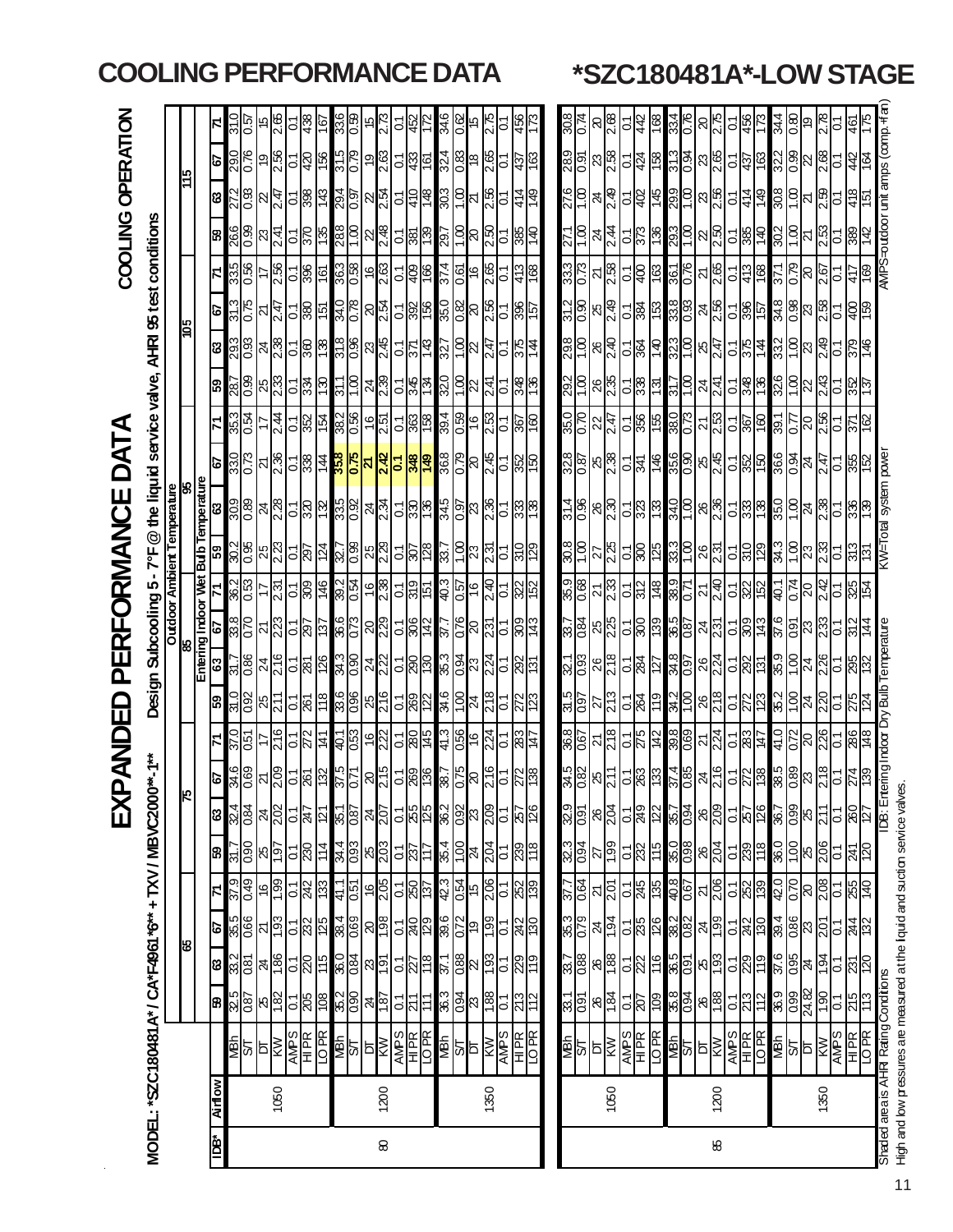|                          |              |                                                                                                                                                                                                                                          |                      |                                                                                     |                                                                                                                      |                                                                                                                                                                                                                                        |                                           | 又                                                                                                                    |                                              | 冚                                                                                                 |                                                                                                   | 문                                                              | Lĭ                                                      | RMAN                                                                                                     |                                                                                                                                                                                     |                                                                                                                                                                                                                        |                                                        |                                                                         |                                         |                                                                                                                            |                                                 | <b>COOLING</b>                                                        |                                                                         | <b>OPERATION</b>                           |                     |
|--------------------------|--------------|------------------------------------------------------------------------------------------------------------------------------------------------------------------------------------------------------------------------------------------|----------------------|-------------------------------------------------------------------------------------|----------------------------------------------------------------------------------------------------------------------|----------------------------------------------------------------------------------------------------------------------------------------------------------------------------------------------------------------------------------------|-------------------------------------------|----------------------------------------------------------------------------------------------------------------------|----------------------------------------------|---------------------------------------------------------------------------------------------------|---------------------------------------------------------------------------------------------------|----------------------------------------------------------------|---------------------------------------------------------|----------------------------------------------------------------------------------------------------------|-------------------------------------------------------------------------------------------------------------------------------------------------------------------------------------|------------------------------------------------------------------------------------------------------------------------------------------------------------------------------------------------------------------------|--------------------------------------------------------|-------------------------------------------------------------------------|-----------------------------------------|----------------------------------------------------------------------------------------------------------------------------|-------------------------------------------------|-----------------------------------------------------------------------|-------------------------------------------------------------------------|--------------------------------------------|---------------------|
|                          |              | MODEL: "SZC180481A" / CA"F4961 "6" + TXV / MBVC200                                                                                                                                                                                       |                      |                                                                                     |                                                                                                                      |                                                                                                                                                                                                                                        |                                           |                                                                                                                      |                                              |                                                                                                   | Design                                                                                            |                                                                | Subcooling 5-7°F                                        |                                                                                                          |                                                                                                                                                                                     | @ the liquid service valve,                                                                                                                                                                                            |                                                        |                                                                         |                                         | AHRI 95 test conditions                                                                                                    |                                                 |                                                                       |                                                                         |                                            |                     |
|                          |              |                                                                                                                                                                                                                                          |                      |                                                                                     |                                                                                                                      |                                                                                                                                                                                                                                        |                                           |                                                                                                                      |                                              |                                                                                                   |                                                                                                   |                                                                |                                                         |                                                                                                          | <b>Oudoor Ambient Temperature</b><br>85                                                                                                                                             |                                                                                                                                                                                                                        |                                                        |                                                                         |                                         |                                                                                                                            |                                                 |                                                                       |                                                                         |                                            |                     |
|                          |              |                                                                                                                                                                                                                                          |                      | 8                                                                                   |                                                                                                                      |                                                                                                                                                                                                                                        |                                           |                                                                                                                      |                                              |                                                                                                   |                                                                                                   |                                                                | Entering Indoor Wet                                     |                                                                                                          | <b>Bulb Temperature</b>                                                                                                                                                             |                                                                                                                                                                                                                        |                                                        |                                                                         |                                         | 105                                                                                                                        |                                                 |                                                                       |                                                                         | 94                                         |                     |
| $\mathbf{I}\mathbf{B}^*$ | <b>Mully</b> |                                                                                                                                                                                                                                          | 8                    |                                                                                     | ବା                                                                                                                   |                                                                                                                                                                                                                                        |                                           |                                                                                                                      | င                                            |                                                                                                   | ြို့                                                                                              | ြို့                                                           | ഄ                                                       |                                                                                                          | 53                                                                                                                                                                                  | S                                                                                                                                                                                                                      | ତ                                                      |                                                                         | 65                                      | S<br>ශී                                                                                                                    |                                                 | 8                                                                     | ශ                                                                       | ø                                          |                     |
|                          |              |                                                                                                                                                                                                                                          |                      |                                                                                     |                                                                                                                      |                                                                                                                                                                                                                                        |                                           |                                                                                                                      |                                              |                                                                                                   |                                                                                                   |                                                                |                                                         |                                                                                                          |                                                                                                                                                                                     |                                                                                                                                                                                                                        |                                                        |                                                                         |                                         |                                                                                                                            |                                                 |                                                                       |                                                                         |                                            |                     |
|                          |              |                                                                                                                                                                                                                                          |                      |                                                                                     |                                                                                                                      |                                                                                                                                                                                                                                        |                                           |                                                                                                                      |                                              | $\frac{150}{28}$                                                                                  |                                                                                                   |                                                                |                                                         | $\frac{26.0}{15.96}$                                                                                     |                                                                                                                                                                                     |                                                                                                                                                                                                                        |                                                        | $\frac{25}{12}$                                                         |                                         |                                                                                                                            | $\frac{235}{985}$                               |                                                                       |                                                                         |                                            | $\frac{20}{25}$     |
|                          |              |                                                                                                                                                                                                                                          |                      |                                                                                     |                                                                                                                      |                                                                                                                                                                                                                                        |                                           |                                                                                                                      |                                              |                                                                                                   |                                                                                                   |                                                                |                                                         |                                                                                                          |                                                                                                                                                                                     |                                                                                                                                                                                                                        |                                                        |                                                                         |                                         |                                                                                                                            |                                                 | $\frac{88}{108}$ $\frac{8}{14}$                                       |                                                                         | $\frac{80}{28}$ $\frac{8}{28}$             | ¦©                  |
|                          | 1050         |                                                                                                                                                                                                                                          |                      |                                                                                     |                                                                                                                      |                                                                                                                                                                                                                                        |                                           |                                                                                                                      |                                              |                                                                                                   |                                                                                                   |                                                                |                                                         |                                                                                                          |                                                                                                                                                                                     |                                                                                                                                                                                                                        |                                                        | 2.44                                                                    |                                         |                                                                                                                            |                                                 |                                                                       |                                                                         |                                            | 2.65                |
|                          |              |                                                                                                                                                                                                                                          |                      |                                                                                     |                                                                                                                      |                                                                                                                                                                                                                                        |                                           |                                                                                                                      | 88 28 28 3 26                                |                                                                                                   |                                                                                                   |                                                                |                                                         | $\frac{25}{10}$ $\frac{28}{10}$                                                                          |                                                                                                                                                                                     |                                                                                                                                                                                                                        |                                                        |                                                                         |                                         |                                                                                                                            |                                                 |                                                                       |                                                                         | <mark>င္မေနျဖန္မွာ မြန္မာ</mark>           | ।®<br>4<br>ప్       |
|                          |              |                                                                                                                                                                                                                                          |                      |                                                                                     |                                                                                                                      |                                                                                                                                                                                                                                        |                                           |                                                                                                                      |                                              |                                                                                                   |                                                                                                   |                                                                |                                                         |                                                                                                          |                                                                                                                                                                                     |                                                                                                                                                                                                                        |                                                        |                                                                         |                                         |                                                                                                                            |                                                 |                                                                       |                                                                         |                                            | Ιç                  |
|                          |              |                                                                                                                                                                                                                                          |                      |                                                                                     |                                                                                                                      |                                                                                                                                                                                                                                        |                                           |                                                                                                                      |                                              |                                                                                                   |                                                                                                   |                                                                |                                                         |                                                                                                          |                                                                                                                                                                                     |                                                                                                                                                                                                                        |                                                        |                                                                         |                                         |                                                                                                                            |                                                 |                                                                       |                                                                         |                                            |                     |
|                          |              |                                                                                                                                                                                                                                          |                      |                                                                                     |                                                                                                                      |                                                                                                                                                                                                                                        |                                           |                                                                                                                      |                                              |                                                                                                   |                                                                                                   |                                                                |                                                         |                                                                                                          |                                                                                                                                                                                     |                                                                                                                                                                                                                        |                                                        |                                                                         |                                         |                                                                                                                            |                                                 |                                                                       |                                                                         |                                            | 33 <mark>8</mark> ප |
|                          |              |                                                                                                                                                                                                                                          |                      |                                                                                     |                                                                                                                      |                                                                                                                                                                                                                                        |                                           |                                                                                                                      |                                              |                                                                                                   |                                                                                                   |                                                                |                                                         |                                                                                                          |                                                                                                                                                                                     |                                                                                                                                                                                                                        |                                                        |                                                                         |                                         |                                                                                                                            |                                                 |                                                                       |                                                                         |                                            |                     |
| 8                        | 1200         |                                                                                                                                                                                                                                          |                      |                                                                                     |                                                                                                                      |                                                                                                                                                                                                                                        |                                           |                                                                                                                      |                                              |                                                                                                   |                                                                                                   |                                                                |                                                         |                                                                                                          |                                                                                                                                                                                     |                                                                                                                                                                                                                        |                                                        |                                                                         |                                         |                                                                                                                            |                                                 |                                                                       |                                                                         |                                            |                     |
|                          |              |                                                                                                                                                                                                                                          |                      |                                                                                     |                                                                                                                      |                                                                                                                                                                                                                                        |                                           |                                                                                                                      |                                              |                                                                                                   |                                                                                                   |                                                                |                                                         |                                                                                                          |                                                                                                                                                                                     |                                                                                                                                                                                                                        |                                                        |                                                                         |                                         |                                                                                                                            |                                                 |                                                                       |                                                                         |                                            | 5                   |
|                          |              | <b>SARES SARES SARES SARES</b><br>SARES SARES SARES SARES SARES                                                                                                                                                                          |                      | 8 88 48 -88 88 46 -88 46                                                            | <u>န္ကိုင္တိုင္ကိုင္ကိုင္ကိုင္ကို အျခံခြန္း ျမန္မာျဖစ္ဖြင့္ အျခံ</u>                                                 | <u>စ္ပါတီ ေတြ မြန္မာ ေတြ ေတြ ေတြ ေတြ ေတြ ေတြ မြန္မာ</u>                                                                                                                                                                                |                                           | <b>2</b> 22 22 22 22 22 22 22 22 22 22 22 23 24 25 26 26 26 26 26 26 26 27 28 29 20 20 20 20 20 20 20 20 20 20 20 20 | ရွ <sup>မ္မ</sup>  ၁ ရွိ ဗို                 | <u>မို မိုးမြို့မြို့များဖြစ်</u>                                                                 | <u>ခ်ိန္တြိုးမွ အဖြစ္ထုတ္ထုတ္ထုတ္ထုတ္ထုတ္ထုတ္ထုတ္ထ</u>                                            | <u>င်းမြို့မျိုး မြို့မျိုးမြို့မျိုးမြို့မျိုး မြို့မျိုး</u> | <u>ိုင္ကို အတြက္ အတြက္ အတြက္ အခြ</u>                    | <u>အိုင္ဒုိမွန္တုိင္သူမွာ</u>                                                                            | $\frac{1}{28}$ $\frac{1}{28}$ $\frac{1}{28}$ $\frac{1}{28}$ $\frac{1}{28}$ $\frac{1}{28}$ $\frac{1}{28}$ $\frac{1}{28}$ $\frac{1}{28}$ $\frac{1}{28}$ $\frac{1}{28}$ $\frac{1}{28}$ | <u> ဗိုင္ကို မိုင္ကို မိုင္ကို မိုင္ကို မိုင္ကို မိုင္ကို မိုင္ကို မိုင္ကို မိုင္ကို မိုင္ကို မိုင္ကို မိုင္ကို မ</u><br>မိုင္ကို အိုင္လို ျပည္သြယ္တို သူမိုင္ကို သူမိုင္ကို မိုင္ကို မိုင္ကို မိုင္ကို မိုင္ကို မိုင္ | <u>82 2 2 8 2 8 3 <mark>8 9 2 9 2 9 2 8 4</mark> 2</u> | ငှုမှု အမြစ်ခြင်း မြစ်ခြင်း မြစ်ခြင်း<br>ငြိမ်ခြင်း မြစ်ခြင်း မြစ်ခြင်း |                                         | <u>သူမွ တြိုင္ပုိ ဆုဆိုင္ပုံ မွ ထုတ္လုိ႕ အျဖစ္ထုံး</u><br>အျပင္က ေတြ႔ေပး<br><u>38 48 5 8 8 5 8 8 4 5 5 8 4 6 6 7 8 8 8</u> | <u> မို – မြို့မြို့မျိုးမြို့ – မြို့မြို့</u> | ငြေမြို့ မျိုးပြုပြုပြုပြုပြုပြီး<br> - ငြေမြို့မျိုးပြုပြုပြုပြုပြီး |                                                                         | ୍ରାଞ୍ଜା <mark>ଚ</mark> ୍ଚ                  | 해도                  |
|                          |              |                                                                                                                                                                                                                                          |                      |                                                                                     |                                                                                                                      |                                                                                                                                                                                                                                        |                                           |                                                                                                                      |                                              |                                                                                                   |                                                                                                   |                                                                |                                                         |                                                                                                          |                                                                                                                                                                                     |                                                                                                                                                                                                                        |                                                        |                                                                         |                                         |                                                                                                                            |                                                 |                                                                       |                                                                         |                                            |                     |
|                          |              |                                                                                                                                                                                                                                          |                      |                                                                                     |                                                                                                                      |                                                                                                                                                                                                                                        |                                           |                                                                                                                      | $\overline{38}$                              | 41.3                                                                                              |                                                                                                   | 3.<br>3                                                        | <u>1 18</u>                                             | 40.3                                                                                                     |                                                                                                                                                                                     |                                                                                                                                                                                                                        |                                                        | 39.4                                                                    |                                         |                                                                                                                            | 374                                             |                                                                       | 30.3                                                                    | 324                                        | 34.6                |
|                          |              |                                                                                                                                                                                                                                          |                      |                                                                                     |                                                                                                                      |                                                                                                                                                                                                                                        |                                           |                                                                                                                      | $\overline{5}$                               | $rac{66}{16}$                                                                                     | $\frac{15}{15}$ $\frac{15}{15}$ $\frac{15}{15}$                                                   | $\frac{5}{25}$                                                 | $\frac{26}{20}$                                         | $rac{25}{16}$                                                                                            | $\frac{18}{25}$                                                                                                                                                                     |                                                                                                                                                                                                                        | $\frac{88}{368}$                                       | စြ <mark>ို့ေ</mark> မြို့                                              |                                         | $\frac{8}{8}$                                                                                                              | <u>ခြုံး</u>                                    | <u> ମ</u> ୍ବ                                                          | $\widetilde{\Xi}^{\text{ls}}$                                           | $\frac{8}{6}$                              | ရွိန                |
|                          |              |                                                                                                                                                                                                                                          |                      |                                                                                     |                                                                                                                      |                                                                                                                                                                                                                                        |                                           |                                                                                                                      |                                              |                                                                                                   |                                                                                                   |                                                                |                                                         |                                                                                                          |                                                                                                                                                                                     |                                                                                                                                                                                                                        |                                                        |                                                                         |                                         |                                                                                                                            |                                                 |                                                                       |                                                                         |                                            |                     |
|                          | 1350         |                                                                                                                                                                                                                                          |                      |                                                                                     |                                                                                                                      |                                                                                                                                                                                                                                        |                                           |                                                                                                                      | 216                                          | $\frac{24}{0.1}$                                                                                  |                                                                                                   |                                                                | 23'                                                     |                                                                                                          |                                                                                                                                                                                     | 2.36<br>$\overline{0.1}$                                                                                                                                                                                               | 2.45                                                   |                                                                         | 2.47<br>$\overline{241}$                | 2.56<br>$\overline{0}$                                                                                                     | 39.2<br>$\overline{0}$                          | 2.50<br>5                                                             | 2.56<br>5                                                               | 3.65                                       |                     |
|                          |              |                                                                                                                                                                                                                                          |                      |                                                                                     |                                                                                                                      |                                                                                                                                                                                                                                        |                                           |                                                                                                                      | $5\%$                                        |                                                                                                   |                                                                                                   |                                                                |                                                         |                                                                                                          |                                                                                                                                                                                     |                                                                                                                                                                                                                        |                                                        | $\overline{C}$                                                          | $L_{\rm O}$<br>$\overline{C}$           |                                                                                                                            |                                                 |                                                                       |                                                                         | $L_{\rm O}$                                | 5                   |
|                          |              |                                                                                                                                                                                                                                          |                      |                                                                                     |                                                                                                                      |                                                                                                                                                                                                                                        |                                           |                                                                                                                      |                                              |                                                                                                   |                                                                                                   | ပြိုင် થ્રિષ્ટિ                                                | $\frac{1}{2}$                                           | $\frac{1}{2}$ $\frac{1}{2}$ $\frac{1}{2}$ $\frac{1}{2}$                                                  | $\frac{68}{20}$                                                                                                                                                                     |                                                                                                                                                                                                                        | <u>ု မြို့မ</u>                                        | $\frac{1}{2}$                                                           |                                         | 행성                                                                                                                         | 8                                               |                                                                       | 414<br>श्चि                                                             | <u>၊ဒ္ဒါဒို</u>                            |                     |
|                          |              |                                                                                                                                                                                                                                          |                      |                                                                                     |                                                                                                                      |                                                                                                                                                                                                                                        |                                           |                                                                                                                      |                                              |                                                                                                   |                                                                                                   |                                                                |                                                         |                                                                                                          |                                                                                                                                                                                     |                                                                                                                                                                                                                        |                                                        |                                                                         |                                         |                                                                                                                            |                                                 |                                                                       |                                                                         |                                            |                     |
|                          |              |                                                                                                                                                                                                                                          |                      |                                                                                     |                                                                                                                      |                                                                                                                                                                                                                                        |                                           |                                                                                                                      |                                              |                                                                                                   |                                                                                                   |                                                                |                                                         |                                                                                                          |                                                                                                                                                                                     |                                                                                                                                                                                                                        |                                                        |                                                                         |                                         |                                                                                                                            |                                                 |                                                                       |                                                                         |                                            |                     |
|                          |              |                                                                                                                                                                                                                                          |                      |                                                                                     |                                                                                                                      |                                                                                                                                                                                                                                        |                                           |                                                                                                                      |                                              |                                                                                                   | <u>иер</u>                                                                                        |                                                                |                                                         |                                                                                                          | $\frac{30.5}{8.05}$                                                                                                                                                                 | $rac{914}{515}$                                                                                                                                                                                                        |                                                        |                                                                         |                                         | $\frac{31.2}{5.15}$<br>$\frac{00.1}{8.62}$                                                                                 |                                                 | $\frac{271}{1.00}$                                                    |                                                                         | $\frac{600}{682}$                          | $\frac{208}{10}$    |
|                          |              | <u>ङ</u> ्कान्धो<br>बु                                                                                                                                                                                                                   |                      |                                                                                     |                                                                                                                      |                                                                                                                                                                                                                                        |                                           |                                                                                                                      | နှစ္တ မ <u>ျှ</u><br>မျှ များ                | $\frac{12}{88}$                                                                                   | $\frac{27}{213}$                                                                                  | $\frac{21}{288}$                                               | $\frac{25}{38}$ $\frac{25}{38}$                         | $\frac{358}{258}$                                                                                        | $\frac{27}{25}$                                                                                                                                                                     | $\frac{8}{2}$                                                                                                                                                                                                          | $\frac{28}{328}$ 83                                    | $\frac{25}{10}$ $\frac{1}{2}$ $\frac{1}{2}$                             | $\frac{292}{188}$                       | $rac{25}{249}$<br>$\frac{8}{24}$                                                                                           | ន <mark>្លា</mark> ខ្លួ <mark>ន</mark>          |                                                                       | $\frac{18}{18}$ $\frac{18}{18}$                                         | $\frac{8}{2}$                              | $\frac{8}{20}$      |
|                          | 1050         |                                                                                                                                                                                                                                          | <u>ဗိုဒ္ဓြါမန္ဒြ</u> |                                                                                     |                                                                                                                      |                                                                                                                                                                                                                                        | $\frac{3}{8}$ $\frac{1}{8}$ $\frac{1}{8}$ | ន <mark>្លា</mark> ំឱ្យនន្ត្រី                                                                                       |                                              | $\frac{8}{218}$                                                                                   |                                                                                                   |                                                                |                                                         |                                                                                                          |                                                                                                                                                                                     |                                                                                                                                                                                                                        |                                                        |                                                                         |                                         |                                                                                                                            |                                                 | $\frac{1}{4}$                                                         |                                                                         |                                            |                     |
|                          |              |                                                                                                                                                                                                                                          |                      |                                                                                     |                                                                                                                      |                                                                                                                                                                                                                                        |                                           |                                                                                                                      |                                              |                                                                                                   |                                                                                                   |                                                                |                                                         |                                                                                                          |                                                                                                                                                                                     |                                                                                                                                                                                                                        |                                                        |                                                                         |                                         |                                                                                                                            |                                                 |                                                                       |                                                                         |                                            | 5                   |
|                          |              | <b>ANPIS SUBRES SUBRES SUBRES</b><br>THE SUBRES SUBRES SUBRES SUBRES SUBRES SUBRES SUBRES SUBRES SUBRES SUBRES SUBRES SUBRES SUBRES SUBRES SUBRES SU<br>AND SUBRES SUBRES SUBRES SUBRES SUBRES SUBRES SUBRES SUBRES SUBRES SUBRES SUBRES |                      | <u> ဗိုဗ္တိ မြို့ မြို့ မြို့ မြို့မြို့ မြို့မြို့ မြို့မြို့ မြို့မြို့ မြို့</u> | <u> 2008   2008   2009   2009   2009   2009   2009   2009   2009   2009   2009   2009   2009   2009   2009   200</u> | <u>် မြို့ပြ</u> င် မြို့ မြို့ မြို့ပြင် မြို့ပြင် မြို့ပြင် မြို့ပြင် မြို့ပြင် မြို့ပြင် မြို့ပြင် မြို့ပြင် မြို့<br>ကျွန်းပြင် မြို့ပြင် မြို့ပြင် မြို့ပြင် မြို့ပြင် မြို့ပြင် မြို့ပြင် မြို့ပြင် မြို့ပြင် မြို့ပြင် မြို့ပြင | 085 898899085 895890                      |                                                                                                                      | ြုပ္ကူး                                      | <u>이 분 등 명 이 가 있다</u><br>이 문화 이 정도                                                                | 285                                                                                               | 의ង법                                                            | 588 8845                                                | <u>이성</u>                                                                                                | <u>ြခြိုင် အခြံခြိုင်း</u>                                                                                                                                                          | <u>୍ୱାଞ୍ଜାକ</u>                                                                                                                                                                                                        | <u>၁မို မွ ဗွီမြိုးမြို့ မြို့မြို့မြို့များ</u>       | <u> 일</u> % 표                                                           | <u>다않다</u>                              | <u>ြန္က မြန္မာမွတ္ကို အမြ</u><br><u> 일</u> 입                                                                               | <u>리형의</u>                                      | $\frac{5}{8}$                                                         | 의승녀                                                                     | 의화區                                        | ¥<br>4<br>88        |
|                          |              |                                                                                                                                                                                                                                          |                      |                                                                                     |                                                                                                                      |                                                                                                                                                                                                                                        |                                           |                                                                                                                      |                                              |                                                                                                   | Z KC                                                                                              |                                                                |                                                         |                                                                                                          |                                                                                                                                                                                     |                                                                                                                                                                                                                        |                                                        |                                                                         |                                         |                                                                                                                            |                                                 | 293                                                                   |                                                                         | $\frac{313}{21}$                           |                     |
|                          |              |                                                                                                                                                                                                                                          |                      |                                                                                     |                                                                                                                      |                                                                                                                                                                                                                                        |                                           |                                                                                                                      | $\frac{1}{25}$ $\frac{1}{25}$ $\frac{1}{25}$ |                                                                                                   |                                                                                                   |                                                                |                                                         |                                                                                                          |                                                                                                                                                                                     |                                                                                                                                                                                                                        |                                                        |                                                                         |                                         | $\frac{25}{25}$                                                                                                            | $\frac{367}{108}$ $\frac{87}{108}$              |                                                                       | <u>စ္ပုဒ္ကုဒ္ကုန္</u>                                                   |                                            |                     |
|                          |              |                                                                                                                                                                                                                                          |                      |                                                                                     |                                                                                                                      |                                                                                                                                                                                                                                        |                                           |                                                                                                                      |                                              |                                                                                                   |                                                                                                   |                                                                |                                                         |                                                                                                          |                                                                                                                                                                                     |                                                                                                                                                                                                                        |                                                        |                                                                         | $\frac{8}{3}$  त्र $\frac{1}{3}$        |                                                                                                                            |                                                 | <u>୍ରା</u> ଧାର୍                                                       |                                                                         | ड <mark>ाँ</mark> श्र <mark>ी</mark> ष्ठी  | $\frac{18}{18}$     |
| $\pmb{\mathcal{S}}$      | 1200         |                                                                                                                                                                                                                                          |                      |                                                                                     |                                                                                                                      |                                                                                                                                                                                                                                        |                                           |                                                                                                                      |                                              |                                                                                                   |                                                                                                   |                                                                |                                                         |                                                                                                          |                                                                                                                                                                                     |                                                                                                                                                                                                                        |                                                        |                                                                         |                                         |                                                                                                                            |                                                 |                                                                       |                                                                         |                                            |                     |
|                          |              |                                                                                                                                                                                                                                          |                      |                                                                                     |                                                                                                                      |                                                                                                                                                                                                                                        |                                           |                                                                                                                      |                                              |                                                                                                   |                                                                                                   |                                                                |                                                         |                                                                                                          |                                                                                                                                                                                     |                                                                                                                                                                                                                        |                                                        |                                                                         |                                         |                                                                                                                            |                                                 |                                                                       |                                                                         |                                            | $\overline{c}$      |
|                          |              |                                                                                                                                                                                                                                          |                      |                                                                                     |                                                                                                                      |                                                                                                                                                                                                                                        |                                           |                                                                                                                      | $rac{1}{25}$                                 |                                                                                                   | $\frac{2}{3}$ $\frac{2}{3}$ $\frac{2}{3}$ $\frac{2}{3}$ $\frac{2}{3}$                             |                                                                | $rac{28}{28}$                                           | 80 의 의 의 원 <mark>성</mark> 정                                                                              | $\frac{1}{25}$                                                                                                                                                                      | <u>ဒိုဒ္ဒြါ မျမျိုး မြန္မျိန္မ</u>                                                                                                                                                                                     |                                                        | <u>នីដ្ឋាញនៅខ្ទុំ ខ្ទុំ ខ្ទុំ ខ្ទុំ</u>                                 | <u>ျွမ္မွုမွ ဗွိုင္ပုံၾမြိဳ႕ ဗြိုမွ</u> | $\frac{58}{28}$<br>2 2 3 3 4 3 4 3 4 3 4 4 5                                                                               | $rac{1}{100}$                                   | $rac{1}{288}$                                                         | $rac{1}{2}$ $rac{1}{2}$ $rac{1}{2}$ $rac{1}{2}$ $rac{1}{2}$ $rac{1}{2}$ | $\frac{1}{2}$                              | 8                   |
|                          |              |                                                                                                                                                                                                                                          |                      |                                                                                     |                                                                                                                      |                                                                                                                                                                                                                                        |                                           |                                                                                                                      |                                              |                                                                                                   |                                                                                                   |                                                                |                                                         |                                                                                                          |                                                                                                                                                                                     |                                                                                                                                                                                                                        |                                                        |                                                                         |                                         | 34.8                                                                                                                       | 37.1                                            | 302                                                                   |                                                                         |                                            | 34.4                |
|                          |              |                                                                                                                                                                                                                                          |                      |                                                                                     |                                                                                                                      |                                                                                                                                                                                                                                        |                                           |                                                                                                                      |                                              |                                                                                                   |                                                                                                   |                                                                | $\frac{1}{3}$ $\frac{1}{3}$ $\frac{1}{3}$ $\frac{1}{3}$ |                                                                                                          |                                                                                                                                                                                     |                                                                                                                                                                                                                        |                                                        | ြွှင့်ခြွဖြို့                                                          |                                         |                                                                                                                            |                                                 |                                                                       |                                                                         | $\frac{218}{258}$ $\approx$ $\frac{8}{25}$ |                     |
|                          |              |                                                                                                                                                                                                                                          |                      |                                                                                     |                                                                                                                      |                                                                                                                                                                                                                                        |                                           |                                                                                                                      |                                              |                                                                                                   |                                                                                                   |                                                                |                                                         |                                                                                                          |                                                                                                                                                                                     |                                                                                                                                                                                                                        |                                                        |                                                                         |                                         |                                                                                                                            | $\frac{1}{2}$ $\frac{1}{2}$                     | $\frac{1}{2}$ $\frac{1}{2}$ $\frac{1}{2}$ $\frac{1}{2}$               | $\frac{1}{2}$ $\frac{1}{2}$ $\frac{1}{2}$ $\frac{1}{2}$                 |                                            | စ္တစ္တ              |
|                          | 1350         |                                                                                                                                                                                                                                          |                      |                                                                                     |                                                                                                                      |                                                                                                                                                                                                                                        |                                           |                                                                                                                      | 88825                                        | $\frac{1}{3}$ $\frac{1}{3}$ $\frac{1}{3}$ $\frac{1}{3}$ $\frac{1}{3}$ $\frac{1}{3}$ $\frac{1}{3}$ | $\frac{1}{8}$ $\frac{1}{8}$ $\frac{1}{8}$ $\frac{1}{8}$ $\frac{1}{8}$ $\frac{1}{8}$ $\frac{1}{8}$ |                                                                |                                                         | $\frac{1}{15}$ $\frac{1}{15}$ $\frac{1}{15}$ $\frac{1}{15}$ $\frac{1}{15}$ $\frac{1}{15}$ $\frac{1}{15}$ | <u>န္တုဒ္ကုဒ္ကုဒ္ကုဒ္ကုဒ</u>                                                                                                                                                        | $\frac{15}{10}$ $\frac{1}{2}$ $\frac{1}{2}$ $\frac{1}{2}$ $\frac{1}{2}$ $\frac{1}{2}$                                                                                                                                  |                                                        |                                                                         |                                         | <u>ြိုး မြို့ မြို့</u>                                                                                                    |                                                 |                                                                       |                                                                         |                                            |                     |
|                          |              |                                                                                                                                                                                                                                          |                      |                                                                                     |                                                                                                                      |                                                                                                                                                                                                                                        |                                           |                                                                                                                      |                                              |                                                                                                   |                                                                                                   |                                                                | $\circ$                                                 |                                                                                                          |                                                                                                                                                                                     |                                                                                                                                                                                                                        | $\overline{0}$                                         |                                                                         |                                         |                                                                                                                            | ်                                               | ်                                                                     | 5                                                                       | ြ                                          | Ö                   |
|                          |              | <b>HIPR</b>                                                                                                                                                                                                                              | 113                  |                                                                                     |                                                                                                                      |                                                                                                                                                                                                                                        |                                           |                                                                                                                      |                                              |                                                                                                   |                                                                                                   |                                                                |                                                         |                                                                                                          |                                                                                                                                                                                     |                                                                                                                                                                                                                        | 355                                                    |                                                                         |                                         |                                                                                                                            | <u>ප</u>                                        | 382<br>142                                                            | 817<br>ù٥                                                               | 442<br>164                                 |                     |
|                          |              | Shaded area is AHRI Rating Conditions                                                                                                                                                                                                    |                      |                                                                                     |                                                                                                                      |                                                                                                                                                                                                                                        |                                           |                                                                                                                      |                                              |                                                                                                   | සි                                                                                                |                                                                |                                                         |                                                                                                          |                                                                                                                                                                                     | syster                                                                                                                                                                                                                 |                                                        |                                                                         |                                         |                                                                                                                            |                                                 |                                                                       |                                                                         |                                            |                     |

## **COOLING PERFORMANCE DATA \*SZC180481A\*-LOW STAGE**

11

High and bw pressures are measured at the liquid and suction service valves. High and low pressures are measured at the liquid and suction service valves.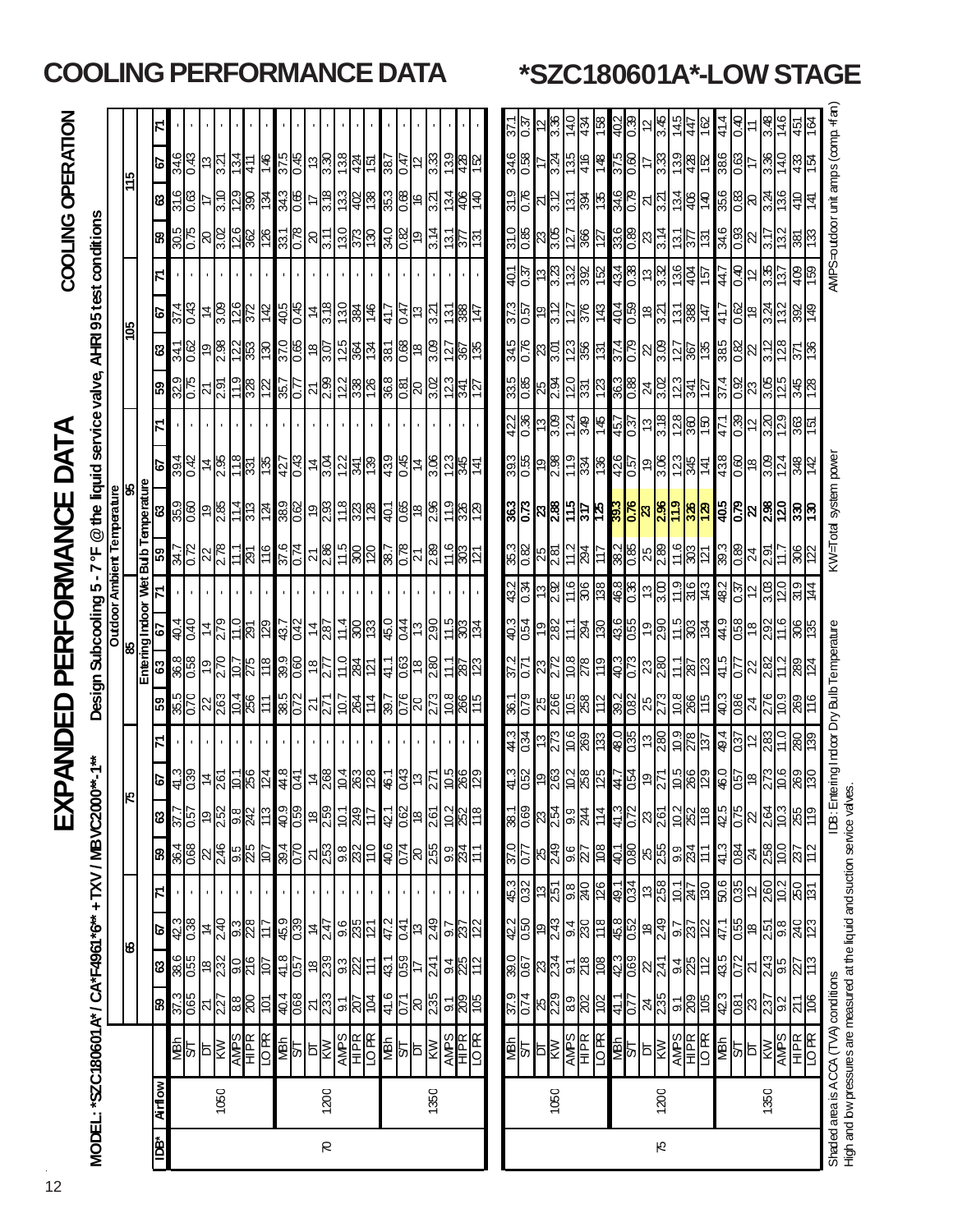# EXPANDED PERFORMANCE DATA

| COOLING OPERATION                      |                                                                          |  |
|----------------------------------------|--------------------------------------------------------------------------|--|
| $\mathbf 1$<br>XPANDED PERFORMANCE DAT | Design Subcooling 5-7 °F @ the liquid service valve, AHRI 95 test condi- |  |
|                                        | MODEL: *SZC180601A* / CA*F4961*6** + TXV / MB VC2                        |  |
|                                        |                                                                          |  |

| <b>COCO tudt YouTu Q 2002 Reserved Cliffs Quites As Colleged My Cliffs As Cliffs As A</b> | Danyo Kilo |
|-------------------------------------------------------------------------------------------|------------|
| N がAIDA BA DAN IAS コ                                                                      | $\ddotsc$  |
| Í<br>/61^6^^ + IXV / MBVCZ000^^-1^^                                                       |            |

|     |         |                                                                        |                                                                                     | ပ္စ                                                     |                                 |                                  |                                                                                                                              | Įю                                                                    |                                                                                        |                                                                                                                                                                     |                                                                       |                                                                                                  |                                                                                                                                                                                                                                                                                                                                                                                              | $\begin{array}{r l}\n & \text{85} \\  \hline\n & \text{Empring} & \text{Indop} \\  \hline\n & \text{63} & \text{67} & \text{71} & \text{F} \\  \hline\n & \text{85} & \text{87} & \text{97} & \text{10} \\  \hline\n & \text{96} & \text{100} & \text{71} & \text{F} & \text{11} \\  \hline\n & \text{11} & \text{12} & \text{13} & \text{15} & \text{16} & \text{17} \\  \hline\n & \text{13} & \text{14} & \text{15} & \text{1$ |                                                                                                                                                               |                                                                                     |                                                                       | <u>sol</u>                             |               |                                                |                                                  | $\frac{51}{11}$                    |                             |
|-----|---------|------------------------------------------------------------------------|-------------------------------------------------------------------------------------|---------------------------------------------------------|---------------------------------|----------------------------------|------------------------------------------------------------------------------------------------------------------------------|-----------------------------------------------------------------------|----------------------------------------------------------------------------------------|---------------------------------------------------------------------------------------------------------------------------------------------------------------------|-----------------------------------------------------------------------|--------------------------------------------------------------------------------------------------|----------------------------------------------------------------------------------------------------------------------------------------------------------------------------------------------------------------------------------------------------------------------------------------------------------------------------------------------------------------------------------------------|-----------------------------------------------------------------------------------------------------------------------------------------------------------------------------------------------------------------------------------------------------------------------------------------------------------------------------------------------------------------------------------------------------------------------------------|---------------------------------------------------------------------------------------------------------------------------------------------------------------|-------------------------------------------------------------------------------------|-----------------------------------------------------------------------|----------------------------------------|---------------|------------------------------------------------|--------------------------------------------------|------------------------------------|-----------------------------|
|     |         |                                                                        |                                                                                     |                                                         |                                 |                                  |                                                                                                                              |                                                                       |                                                                                        |                                                                                                                                                                     |                                                                       |                                                                                                  |                                                                                                                                                                                                                                                                                                                                                                                              |                                                                                                                                                                                                                                                                                                                                                                                                                                   |                                                                                                                                                               |                                                                                     |                                                                       |                                        |               |                                                |                                                  |                                    |                             |
| šal | Airflow |                                                                        | ඹ                                                                                   | ශ                                                       | 29                              |                                  | 65                                                                                                                           | S9                                                                    | 29                                                                                     | 65                                                                                                                                                                  |                                                                       |                                                                                                  |                                                                                                                                                                                                                                                                                                                                                                                              |                                                                                                                                                                                                                                                                                                                                                                                                                                   | S                                                                                                                                                             | 69                                                                                  | ಣ                                                                     | 49                                     |               | 8                                              | ಔ                                                | 49                                 |                             |
|     |         | ⊠ख                                                                     | $\frac{37.3}{6.05}$                                                                 | $rac{98.6}{0.55}$                                       | $rac{42.3}{0.38}$               |                                  |                                                                                                                              | 57.7                                                                  |                                                                                        |                                                                                                                                                                     |                                                                       |                                                                                                  |                                                                                                                                                                                                                                                                                                                                                                                              |                                                                                                                                                                                                                                                                                                                                                                                                                                   |                                                                                                                                                               |                                                                                     | 341<br>0.62                                                           | $\frac{374}{6}$                        |               |                                                | $\frac{316}{0.63}$                               | $\frac{346}{0.43}$                 |                             |
|     |         |                                                                        |                                                                                     |                                                         |                                 |                                  | $\frac{896}{796}$                                                                                                            | 0.57                                                                  |                                                                                        | $rac{850}{8}$<br>$rac{92}{9}$                                                                                                                                       | $\frac{960}{70}$                                                      |                                                                                                  |                                                                                                                                                                                                                                                                                                                                                                                              |                                                                                                                                                                                                                                                                                                                                                                                                                                   | 39.4                                                                                                                                                          | $\frac{32.9}{0.75}$                                                                 |                                                                       |                                        |               | $\frac{305}{0.75}$                             |                                                  |                                    |                             |
|     |         | Þ                                                                      |                                                                                     |                                                         | $\overline{\mathbf{r}}$         |                                  |                                                                                                                              |                                                                       |                                                                                        | $\overline{6}$                                                                                                                                                      |                                                                       |                                                                                                  |                                                                                                                                                                                                                                                                                                                                                                                              |                                                                                                                                                                                                                                                                                                                                                                                                                                   |                                                                                                                                                               |                                                                                     |                                                                       | 4                                      |               |                                                |                                                  |                                    |                             |
|     | 1050    | $\frac{\frac{\sqrt{100}}{\sqrt{100}}}{\frac{\sqrt{100}}{\sqrt{100}}}}$ | $ \pi _M^\infty$ $ \mathbb{S} $ $ \mathbb{S} $                                      | <u>ြို့မျှ မျှမျှ များ</u>                              |                                 |                                  | $\frac{1}{\sqrt{2}}\frac{\log\left \frac{1}{\sqrt{2}}\right }{\log\left \frac{1}{\sqrt{2}}\right }\approx\frac{1}{\sqrt{2}}$ | <mark>ၣ</mark> ႜႜႜႜၛၟႜႜၜႜၛႜႜႜၛႜ                                       |                                                                                        | $\frac{1}{28}$                                                                                                                                                      |                                                                       |                                                                                                  | $\frac{1}{2} \frac{1}{2} \frac{1}{2} \frac{1}{2} \frac{1}{2} \frac{1}{2} \frac{1}{2} \frac{1}{2} \frac{1}{2} \frac{1}{2} \frac{1}{2} \frac{1}{2} \frac{1}{2} \frac{1}{2} \frac{1}{2} \frac{1}{2} \frac{1}{2} \frac{1}{2} \frac{1}{2} \frac{1}{2} \frac{1}{2} \frac{1}{2} \frac{1}{2} \frac{1}{2} \frac{1}{2} \frac{1}{2} \frac{1}{2} \frac{1}{2} \frac{1}{2} \frac{1}{2} \frac{1}{2} \frac{$ |                                                                                                                                                                                                                                                                                                                                                                                                                                   |                                                                                                                                                               |                                                                                     |                                                                       |                                        |               |                                                |                                                  | 3.21                               |                             |
|     |         |                                                                        |                                                                                     |                                                         |                                 |                                  |                                                                                                                              |                                                                       |                                                                                        |                                                                                                                                                                     |                                                                       |                                                                                                  |                                                                                                                                                                                                                                                                                                                                                                                              |                                                                                                                                                                                                                                                                                                                                                                                                                                   |                                                                                                                                                               |                                                                                     |                                                                       |                                        |               |                                                |                                                  | 134                                |                             |
|     |         |                                                                        |                                                                                     |                                                         | $\frac{240}{98}$                |                                  |                                                                                                                              |                                                                       |                                                                                        |                                                                                                                                                                     |                                                                       |                                                                                                  |                                                                                                                                                                                                                                                                                                                                                                                              |                                                                                                                                                                                                                                                                                                                                                                                                                                   |                                                                                                                                                               |                                                                                     |                                                                       |                                        |               |                                                |                                                  | 411                                |                             |
|     |         |                                                                        |                                                                                     |                                                         | 117                             |                                  |                                                                                                                              |                                                                       |                                                                                        | $\frac{512}{1012}$<br>111                                                                                                                                           | $\frac{1}{2}$ $\frac{1}{2}$ $\frac{1}{2}$ $\frac{1}{2}$ $\frac{1}{2}$ |                                                                                                  | $rac{91}{1}$                                                                                                                                                                                                                                                                                                                                                                                 | <u>မိခြံခြံမျိုး မြို့</u>                                                                                                                                                                                                                                                                                                                                                                                                        | $\frac{48.5}{28.5}$                                                                                                                                           | $\frac{1}{2}$ $\frac{1}{2}$ $\frac{1}{2}$ $\frac{1}{2}$ $\frac{1}{2}$ $\frac{1}{2}$ | <u>ခြန္တုဒ္မုန္တုခြ</u>                                               |                                        |               | <u>   ၁  ၁  ၁  ၁  ၁</u>                        | $\frac{25}{25}$                                  | 971                                |                             |
|     |         |                                                                        |                                                                                     | 41.8                                                    | $\frac{1}{2}$                   |                                  |                                                                                                                              | $rac{1}{60}$                                                          |                                                                                        |                                                                                                                                                                     |                                                                       |                                                                                                  |                                                                                                                                                                                                                                                                                                                                                                                              |                                                                                                                                                                                                                                                                                                                                                                                                                                   |                                                                                                                                                               |                                                                                     |                                                                       |                                        |               |                                                |                                                  |                                    |                             |
|     |         |                                                                        |                                                                                     |                                                         |                                 |                                  |                                                                                                                              |                                                                       |                                                                                        |                                                                                                                                                                     |                                                                       |                                                                                                  |                                                                                                                                                                                                                                                                                                                                                                                              |                                                                                                                                                                                                                                                                                                                                                                                                                                   |                                                                                                                                                               |                                                                                     |                                                                       |                                        |               |                                                |                                                  |                                    |                             |
|     |         |                                                                        |                                                                                     |                                                         |                                 |                                  |                                                                                                                              |                                                                       |                                                                                        |                                                                                                                                                                     |                                                                       |                                                                                                  |                                                                                                                                                                                                                                                                                                                                                                                              |                                                                                                                                                                                                                                                                                                                                                                                                                                   |                                                                                                                                                               |                                                                                     |                                                                       |                                        |               |                                                |                                                  |                                    |                             |
| R   | 1200    |                                                                        |                                                                                     |                                                         |                                 |                                  |                                                                                                                              |                                                                       |                                                                                        |                                                                                                                                                                     |                                                                       |                                                                                                  |                                                                                                                                                                                                                                                                                                                                                                                              |                                                                                                                                                                                                                                                                                                                                                                                                                                   |                                                                                                                                                               |                                                                                     |                                                                       |                                        |               |                                                |                                                  |                                    |                             |
|     |         |                                                                        |                                                                                     | <mark>ြို့မ</mark> ည္လုပ္မွုမည္ဟု ဆ                     |                                 |                                  |                                                                                                                              |                                                                       |                                                                                        |                                                                                                                                                                     |                                                                       |                                                                                                  |                                                                                                                                                                                                                                                                                                                                                                                              |                                                                                                                                                                                                                                                                                                                                                                                                                                   |                                                                                                                                                               |                                                                                     |                                                                       |                                        |               |                                                |                                                  |                                    |                             |
|     |         |                                                                        |                                                                                     |                                                         | $rac{6}{28}$                    |                                  |                                                                                                                              |                                                                       |                                                                                        |                                                                                                                                                                     |                                                                       |                                                                                                  |                                                                                                                                                                                                                                                                                                                                                                                              |                                                                                                                                                                                                                                                                                                                                                                                                                                   |                                                                                                                                                               |                                                                                     |                                                                       |                                        |               |                                                |                                                  |                                    |                             |
|     |         | <b>SUBRITE</b>                                                         |                                                                                     |                                                         |                                 |                                  |                                                                                                                              | 티 <u>형 =   호</u> 리의                                                   |                                                                                        |                                                                                                                                                                     | <u> 성의 수업 중심 정도 중심 중심</u>                                             |                                                                                                  | <u>ိုင္တုိင္ကုိ ျခားသြား အတြက္ ျခား</u><br>ေတြက ေတြက ေတြက ေတြ                                                                                                                                                                                                                                                                                                                                | <u>အိုမြို့ အခြံခြံခြံခြံခြံခြံ</u>                                                                                                                                                                                                                                                                                                                                                                                               | <u> 경영 주요 영원을 중심 중</u>                                                                                                                                        | <u>န္တိုင္ကို အျခစ္က ေဆြးေဆြးေတြ</u>                                                | <u>ိမ္တိုေမြးဆြဲ များအြဲ မြေမြ</u>                                    | <u>မိခြံ မိမြံခြံမြံခြံ မြံခြံမြံ</u>  |               | <u>မ္လူမွ မျိုးမြဲမြဲ မူမြဲမြဲ မြ</u>          | <u>အိုမြိုင် မြို့မြို့မြို့မျိုး မြို့မြို့</u> | <u>မြို့ခြံမြို့ခြံခြံခြံမြို့</u> |                             |
|     |         | <b>NBN</b><br>ST                                                       | $rac{6}{45}$<br>$rac{1}{25}$                                                        | $\frac{43.1}{0.59}$                                     | $\frac{47.2}{0.41}$             |                                  |                                                                                                                              |                                                                       |                                                                                        |                                                                                                                                                                     |                                                                       |                                                                                                  |                                                                                                                                                                                                                                                                                                                                                                                              |                                                                                                                                                                                                                                                                                                                                                                                                                                   |                                                                                                                                                               |                                                                                     |                                                                       |                                        |               |                                                |                                                  |                                    |                             |
|     |         |                                                                        |                                                                                     |                                                         |                                 |                                  |                                                                                                                              |                                                                       |                                                                                        |                                                                                                                                                                     |                                                                       |                                                                                                  |                                                                                                                                                                                                                                                                                                                                                                                              |                                                                                                                                                                                                                                                                                                                                                                                                                                   |                                                                                                                                                               |                                                                                     |                                                                       |                                        |               |                                                |                                                  |                                    |                             |
|     |         | ÞГ                                                                     |                                                                                     | H                                                       | $\frac{1}{2}$                   |                                  |                                                                                                                              | $\frac{18}{2.61}$                                                     |                                                                                        |                                                                                                                                                                     |                                                                       |                                                                                                  |                                                                                                                                                                                                                                                                                                                                                                                              |                                                                                                                                                                                                                                                                                                                                                                                                                                   |                                                                                                                                                               |                                                                                     |                                                                       |                                        |               |                                                |                                                  | $\frac{12}{3.33}$                  |                             |
|     | 1350    | ⊠                                                                      |                                                                                     | 241                                                     | 249                             |                                  |                                                                                                                              |                                                                       |                                                                                        |                                                                                                                                                                     |                                                                       |                                                                                                  |                                                                                                                                                                                                                                                                                                                                                                                              |                                                                                                                                                                                                                                                                                                                                                                                                                                   |                                                                                                                                                               |                                                                                     |                                                                       |                                        |               |                                                |                                                  |                                    |                             |
|     |         |                                                                        | $\frac{1}{200}$                                                                     | $\frac{94}{25}$                                         | $\frac{5}{8}$                   |                                  | $\frac{9}{234}$                                                                                                              | $\frac{10.2}{86}$                                                     | <b>982</b>                                                                             | $\frac{1}{2}$                                                                                                                                                       | $\frac{15}{28}$                                                       |                                                                                                  |                                                                                                                                                                                                                                                                                                                                                                                              | 788                                                                                                                                                                                                                                                                                                                                                                                                                               | $rac{12.3}{345}$                                                                                                                                              |                                                                                     | $\frac{25}{26}$                                                       | $rac{58}{28}$                          |               | $\frac{151}{251}$                              | $\frac{1}{2}$                                    | 139                                |                             |
|     |         |                                                                        |                                                                                     |                                                         |                                 |                                  |                                                                                                                              |                                                                       |                                                                                        |                                                                                                                                                                     |                                                                       |                                                                                                  |                                                                                                                                                                                                                                                                                                                                                                                              |                                                                                                                                                                                                                                                                                                                                                                                                                                   |                                                                                                                                                               |                                                                                     |                                                                       |                                        |               |                                                |                                                  |                                    |                             |
|     |         | $\frac{\overline{APS}}{\overline{HPR}}$                                | 30 <sub>1</sub>                                                                     | $\frac{2}{11}$                                          |                                 |                                  | 111                                                                                                                          |                                                                       |                                                                                        |                                                                                                                                                                     |                                                                       |                                                                                                  | 121                                                                                                                                                                                                                                                                                                                                                                                          |                                                                                                                                                                                                                                                                                                                                                                                                                                   | 141                                                                                                                                                           |                                                                                     |                                                                       |                                        |               | ISL                                            | 0t l                                             | $rac{428}{152}$                    |                             |
|     |         |                                                                        |                                                                                     |                                                         |                                 |                                  |                                                                                                                              |                                                                       |                                                                                        |                                                                                                                                                                     |                                                                       |                                                                                                  |                                                                                                                                                                                                                                                                                                                                                                                              |                                                                                                                                                                                                                                                                                                                                                                                                                                   |                                                                                                                                                               |                                                                                     |                                                                       |                                        |               |                                                |                                                  |                                    |                             |
|     |         |                                                                        |                                                                                     |                                                         | 42.2                            | 45.3                             | 37.0                                                                                                                         |                                                                       |                                                                                        |                                                                                                                                                                     |                                                                       |                                                                                                  |                                                                                                                                                                                                                                                                                                                                                                                              |                                                                                                                                                                                                                                                                                                                                                                                                                                   |                                                                                                                                                               |                                                                                     |                                                                       |                                        |               |                                                |                                                  |                                    |                             |
|     |         |                                                                        | <mark>ិដ្ឋ ผ</mark> ลิ <mark>ด</mark> ส                                             | $\frac{1}{8}$ $\frac{1}{8}$ $\frac{1}{8}$ $\frac{1}{8}$ | 0.50                            |                                  | $\frac{1}{2}$                                                                                                                | $\frac{1}{8}$ $\frac{1}{8}$ $\frac{1}{8}$ $\frac{1}{8}$ $\frac{1}{8}$ |                                                                                        | $\frac{2}{3}$ $\frac{1}{2}$ $\frac{1}{2}$ $\frac{1}{2}$ $\frac{1}{2}$ $\frac{1}{2}$ $\frac{1}{2}$ $\frac{1}{2}$ $\frac{1}{2}$<br><mark>နှင့် မြို့ဖြစ်</mark> မြို့ | <u>ဒုဒ္တြခြမ္က</u>                                                    |                                                                                                  | ន <mark>្លា</mark> ន <mark>ដូ</mark> ង និង                                                                                                                                                                                                                                                                                                                                                   |                                                                                                                                                                                                                                                                                                                                                                                                                                   |                                                                                                                                                               |                                                                                     | $\frac{15}{36}$ k $\frac{15}{36}$ k $\frac{15}{36}$ k $\frac{15}{36}$ | 350 0 0 0 0 0 0 0<br>350 0 0 0 0 0 0 0 |               |                                                |                                                  | $rac{246}{388}$                    | 있 <mark>않</mark> 는          |
|     |         |                                                                        |                                                                                     |                                                         |                                 |                                  |                                                                                                                              |                                                                       |                                                                                        |                                                                                                                                                                     |                                                                       |                                                                                                  |                                                                                                                                                                                                                                                                                                                                                                                              |                                                                                                                                                                                                                                                                                                                                                                                                                                   |                                                                                                                                                               |                                                                                     |                                                                       |                                        |               |                                                |                                                  |                                    |                             |
|     | 1050    |                                                                        |                                                                                     |                                                         | 243                             |                                  |                                                                                                                              |                                                                       |                                                                                        |                                                                                                                                                                     |                                                                       |                                                                                                  |                                                                                                                                                                                                                                                                                                                                                                                              |                                                                                                                                                                                                                                                                                                                                                                                                                                   |                                                                                                                                                               |                                                                                     |                                                                       |                                        |               |                                                |                                                  | 3.24                               | 3.36<br>14.0                |
|     |         |                                                                        |                                                                                     |                                                         |                                 |                                  |                                                                                                                              |                                                                       |                                                                                        |                                                                                                                                                                     |                                                                       |                                                                                                  |                                                                                                                                                                                                                                                                                                                                                                                              |                                                                                                                                                                                                                                                                                                                                                                                                                                   |                                                                                                                                                               |                                                                                     |                                                                       |                                        |               |                                                |                                                  |                                    |                             |
|     |         |                                                                        |                                                                                     | $rac{1}{278}$                                           | $\frac{94}{280}$                |                                  | $8\frac{9}{219}$ $8\frac{1}{21}$ $8\frac{1}{21}$                                                                             | $rac{9}{244}$                                                         |                                                                                        |                                                                                                                                                                     | $\frac{11.1}{294}$                                                    |                                                                                                  |                                                                                                                                                                                                                                                                                                                                                                                              |                                                                                                                                                                                                                                                                                                                                                                                                                                   |                                                                                                                                                               |                                                                                     |                                                                       |                                        |               |                                                |                                                  | $\frac{135}{416}$                  | 434                         |
|     |         |                                                                        | 102                                                                                 | 80                                                      | $\frac{8}{118}$                 |                                  |                                                                                                                              |                                                                       |                                                                                        | 611                                                                                                                                                                 |                                                                       |                                                                                                  | 117                                                                                                                                                                                                                                                                                                                                                                                          |                                                                                                                                                                                                                                                                                                                                                                                                                                   |                                                                                                                                                               |                                                                                     |                                                                       |                                        |               |                                                |                                                  | 8+1                                | $\frac{58}{5}$              |
|     |         | <u>ङ</u> ्का⊨<br>बुध∥बङ्क                                              | 41.1                                                                                | $\frac{1}{2}$                                           | \$8<br>\$8<br>\$8<br>\$9<br>\$9 | <u>ဖြံ များဖြံ များဖြံ့ များ</u> | $rac{1}{100}$ $\frac{10}{100}$                                                                                               | 41.3                                                                  | <u>နိုင္ပြဲ ခုတ္လြိမ္က မြန္မာပြဲ ခုတ္လြိမ္က မြန္မာ</u><br>ျပည္သြား အေန ေတြ ေတြ ေတြ ေတြ | <u> ဒုံဂျွံးကျွှံးကြွှာ မြ</u><br>ၛၜၟ႞ၯၯၟ႞ၣၛၟ<br><mark>ၯၟၯၟၯၟၯၟ</mark>                                                                                              | <u>ခံ အိုမြိုခံခြံမြိုင်းမြို့</u>                                    | <u>do Longlobo a alglobo a la do</u><br><u>do Longlobo</u> a alglob <mark>o a la do</mark> la do | <mark>မ</mark> ္ကုန္တုန္တုန္တု <u>မ</u> ္ကုန္တုန္း<br>မြန္မာ့အျခင္း                                                                                                                                                                                                                                                                                                                          | <u>အိုင်အြံ့မြိုင် မြို့မြို့မြို့မြို့မြို့</u>                                                                                                                                                                                                                                                                                                                                                                                  | ႕ဝို႕မို႕မို႕ မိုင္ပုိ႕မို႕မို႔ မိုင္ပုံ<br>ျမန္မာျဖစ္တြင္ ျမန္မာျဖစ္ေတြ ျမန္မာျဖစ္<br>ၑၟ႞႘ၟ႞ၜ <u>႞ၛၟၯၟ႞ၛၟၣၛၯၯၯၟၣႍ႞ၛၟၣ</u><br>ၯၟႜႜႜႜႜႜႜႜႜႜႜႜႜႜၜ႞ၯၟၣၟၣၟၣၣၣၣၣၣၣ | <u>ဗိုဇ္ကြီးမြို့မြို့ မြို့မြို့များမြို့</u><br>ဗို <u>ဇ္ကြီးမြို့မြို့မြို့</u>  |                                                                       | <u> ဒုံမြံ့ခြံမြံ့ခြံမြိုင်</u>        |               | <u>ခိုန္တာ အခြဲခြဲခြဲခြဲခြဲခြဲခြဲခြဲခြဲခြဲ</u> | <u>ဗိုင္ကြ မြန္မြန္ကြ မြန္မြင္ကြ မြန္မြန္မြ</u>  | <u>8일</u> =13                      | 402                         |
|     |         |                                                                        | 777                                                                                 |                                                         |                                 |                                  |                                                                                                                              | 0.72                                                                  |                                                                                        |                                                                                                                                                                     |                                                                       |                                                                                                  |                                                                                                                                                                                                                                                                                                                                                                                              |                                                                                                                                                                                                                                                                                                                                                                                                                                   |                                                                                                                                                               |                                                                                     |                                                                       |                                        |               |                                                |                                                  |                                    |                             |
|     |         |                                                                        |                                                                                     |                                                         |                                 |                                  |                                                                                                                              | ၛ <mark>င</mark> ္ကုံဒုံမြန္မူေ                                       |                                                                                        |                                                                                                                                                                     |                                                                       |                                                                                                  |                                                                                                                                                                                                                                                                                                                                                                                              |                                                                                                                                                                                                                                                                                                                                                                                                                                   |                                                                                                                                                               |                                                                                     |                                                                       |                                        |               |                                                |                                                  |                                    | $\frac{1}{2}$ $\frac{1}{2}$ |
| Ю   | 1200    |                                                                        |                                                                                     |                                                         |                                 |                                  |                                                                                                                              |                                                                       |                                                                                        |                                                                                                                                                                     |                                                                       |                                                                                                  |                                                                                                                                                                                                                                                                                                                                                                                              |                                                                                                                                                                                                                                                                                                                                                                                                                                   |                                                                                                                                                               |                                                                                     |                                                                       |                                        |               |                                                |                                                  |                                    |                             |
|     |         | $\frac{\text{APSS}}{\text{BER}}$                                       |                                                                                     |                                                         | 92<br>2012                      |                                  | $\frac{11}{38}$                                                                                                              |                                                                       |                                                                                        |                                                                                                                                                                     |                                                                       |                                                                                                  |                                                                                                                                                                                                                                                                                                                                                                                              |                                                                                                                                                                                                                                                                                                                                                                                                                                   |                                                                                                                                                               |                                                                                     |                                                                       |                                        |               |                                                |                                                  |                                    | $rac{4}{36}$                |
|     |         |                                                                        |                                                                                     |                                                         |                                 |                                  |                                                                                                                              |                                                                       |                                                                                        |                                                                                                                                                                     |                                                                       |                                                                                                  |                                                                                                                                                                                                                                                                                                                                                                                              |                                                                                                                                                                                                                                                                                                                                                                                                                                   |                                                                                                                                                               |                                                                                     |                                                                       |                                        |               |                                                |                                                  |                                    |                             |
|     |         |                                                                        | $\frac{1}{8}$ $\frac{1}{8}$ $\frac{1}{8}$ $\frac{1}{8}$ $\frac{1}{8}$ $\frac{1}{8}$ | $\frac{94}{25}$                                         |                                 | $\frac{10.1}{247}$               |                                                                                                                              |                                                                       |                                                                                        |                                                                                                                                                                     |                                                                       |                                                                                                  |                                                                                                                                                                                                                                                                                                                                                                                              |                                                                                                                                                                                                                                                                                                                                                                                                                                   |                                                                                                                                                               |                                                                                     |                                                                       |                                        |               |                                                |                                                  |                                    |                             |
|     |         | $rac{1}{2}$                                                            | $\frac{423}{681}$                                                                   | $\frac{43.5}{0.72}$                                     | $\frac{47.1}{0.55}$             | 50.6<br>0.35                     | 41.3                                                                                                                         | $rac{62}{975}$                                                        |                                                                                        | $rac{12}{9}$<br>$rac{3}{1086}$                                                                                                                                      | $\frac{4.9}{0.58}$                                                    |                                                                                                  | $\frac{3}{8}$                                                                                                                                                                                                                                                                                                                                                                                |                                                                                                                                                                                                                                                                                                                                                                                                                                   |                                                                                                                                                               |                                                                                     |                                                                       | 41.7                                   |               | $\frac{346}{0.33}$                             | $\frac{356}{0.83}$                               | $\frac{38}{48}$                    | 41.4                        |
|     |         |                                                                        |                                                                                     |                                                         |                                 |                                  | 0.84                                                                                                                         |                                                                       |                                                                                        |                                                                                                                                                                     |                                                                       |                                                                                                  |                                                                                                                                                                                                                                                                                                                                                                                              |                                                                                                                                                                                                                                                                                                                                                                                                                                   |                                                                                                                                                               | $\frac{8}{3}$                                                                       |                                                                       | <b>@0</b>                              | $\frac{1}{2}$ |                                                |                                                  |                                    | $\frac{40}{2}$              |

**COOLING PERFORMANCE DATA \*SZC180601A\*-LOW STAGE**

DT 23 21 18 12 24 22 18 12 24 22 18 12 24 **22** 18 12 23 22 18 12 22 20 17 11 1350 KW 2.37 2.43 2.51 2.60 2.58 2.64 2.73 2.83 2.76 2.82 2.92 3.03 2.91 **2.98** 3.09 3.20 3.05 3.12 3.24 3.35 3.17 3.24 3.36 3.48 AMPS 9.2 9.5 9.8 10.2 10.0 10.3 10.6 11.0 10.9 11.2 11.6 12.0 11.7 **12.0** 12.4 12.9 12.5 12.8 13.2 13.7 13.2 13.6 14.0 14.6

≌

∞

Ŋ

24

 $\infty$ 

ଅ ာ်

ଧ୍ୟ

 $\frac{6}{5}$  $\frac{1}{2}$ <u>|4</u>

δű

င့် ⊇

RΩ

ር<br>ኢ

∶ٌ 355

ວ<br>⊇ 237

ກ່

S<u>dNV</u>

1350

<u>ო</u>

<u>ရွိသ</u>

KW=Total system power

IDB: Entering Indoor Dry Bulb Temperature

AMPS=outdoor unit amps (comp. +fan)

Ş  $\frac{1}{4}$ 5

 $\frac{40}{3}$  $\frac{43}{3}$ ľ¥

136  $\frac{1}{4}$ 

> 409 89

 $\frac{5}{2}$ ∣଼ œε

x<br>N

<u>უ</u><br>2 363 Iго

 $\frac{4}{2}$ 848 ₹

<u>ြီး ခြ</u> 1%

३⊈

R

R

Shaded area is ACCA (TVA) conditions Indoor Dry Bulb Temperature KW=Total System power AMPS=outdoor Dry Bulb Temperature KW=Total system power AMPS=outdoor unit amps (CDA CCA (TVA) condit amps than) High and low pressures are measured at the Iquid and suction service valves. High and low pressures are measured at the liquid and suction service valves.Shaded area is ACCA (TVA) conditions

HI P R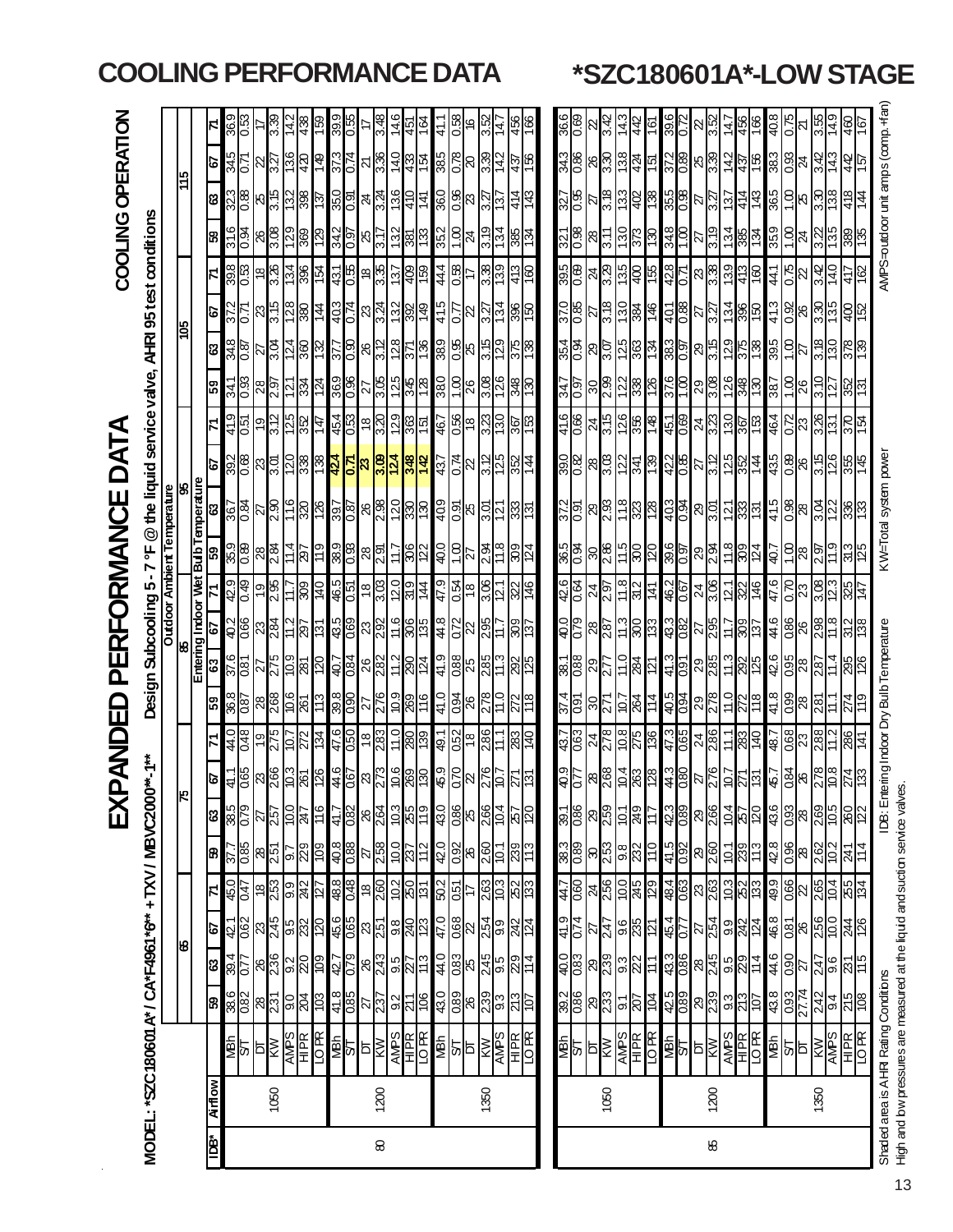|                     |                |                                                     |                                                                                       |                                                                                                    |                                                                                                                               |                                                |                                      | 又                                                                          | ラ<br><br>く<br>Δ                    | 요<br>미                    |                                                                                       | PER                                       | D                   | RMANC                    | щ                               |                                                                          | Ę                                       |                                                                       |                                                         |                                                                                     |                                     | <b>COOLING</b>                     | OPERATION                            |                                                                       |                    |
|---------------------|----------------|-----------------------------------------------------|---------------------------------------------------------------------------------------|----------------------------------------------------------------------------------------------------|-------------------------------------------------------------------------------------------------------------------------------|------------------------------------------------|--------------------------------------|----------------------------------------------------------------------------|------------------------------------|---------------------------|---------------------------------------------------------------------------------------|-------------------------------------------|---------------------|--------------------------|---------------------------------|--------------------------------------------------------------------------|-----------------------------------------|-----------------------------------------------------------------------|---------------------------------------------------------|-------------------------------------------------------------------------------------|-------------------------------------|------------------------------------|--------------------------------------|-----------------------------------------------------------------------|--------------------|
|                     |                | MODEL: "SZC180601 A* / CA*F4961 *6" + TXV / MBVC200 |                                                                                       |                                                                                                    |                                                                                                                               |                                                |                                      |                                                                            |                                    |                           |                                                                                       |                                           | Design Subcooling 5 | ٣<br>$\blacksquare$      |                                 | @ the liquid service valve,                                              |                                         |                                                                       |                                                         |                                                                                     |                                     | AHRI 95 test conditions            |                                      |                                                                       |                    |
|                     |                |                                                     |                                                                                       |                                                                                                    |                                                                                                                               |                                                |                                      |                                                                            |                                    |                           |                                                                                       |                                           | <b>Dutdoor</b>      |                          | <b>Ambient Temperature</b>      |                                                                          |                                         |                                                                       |                                                         |                                                                                     |                                     |                                    |                                      |                                                                       |                    |
|                     |                |                                                     |                                                                                       | ೪                                                                                                  |                                                                                                                               |                                                |                                      |                                                                            |                                    |                           |                                                                                       |                                           |                     |                          |                                 | ୫                                                                        |                                         |                                                                       |                                                         | ខ្ញុំ                                                                               |                                     |                                    |                                      |                                                                       |                    |
|                     |                |                                                     |                                                                                       |                                                                                                    |                                                                                                                               |                                                |                                      |                                                                            |                                    |                           |                                                                                       |                                           | Entering Indoor Wet | <u>J qne</u>             | emperature                      |                                                                          |                                         |                                                                       |                                                         |                                                                                     |                                     |                                    |                                      |                                                                       |                    |
| idã*                | <b>Airflow</b> |                                                     | <b>SS</b>                                                                             | $rac{68}{108}$                                                                                     | <u>79</u>                                                                                                                     | $\overline{\mathbf{z}}$                        | <b>B</b>                             | 85<br>885<br>89                                                            | ĉ,                                 | 71                        | 63<br>င္ဟာ                                                                            | 79                                        |                     | 59                       | ෂ                               | ତ                                                                        |                                         | 59                                                                    | 88<br>848<br>83                                         | <b>P</b>                                                                            | KI                                  | 31.6<br>ജ                          | S)                                   | ø                                                                     | 36.9<br>지          |
|                     |                | <b>SOLUTER</b><br>SOLUTER                           | <mark>ိန္ကုန္တုန္တုန္တုန္</mark> ကုန္တု                                               |                                                                                                    |                                                                                                                               | <mark>မြိုင် မြို့မြို့မြို့</mark>            | $rac{9}{2.75}$                       |                                                                            | 0.65                               | $\frac{6}{10}$            | $\frac{18}{100}$ $\frac{12}{10}$ $\frac{12}{10}$ $\frac{12}{10}$<br>$\frac{180}{895}$ | $\frac{40.2}{0.66}$                       | $rac{6}{6}$         | ್ಲಿ ಹಿ <mark>ಜಿ</mark> ಸ | $\frac{967}{196}$               | <u>မွိုင္ကို မွိုင္ကို မွ</u> ိုင္ကို မွိုင္ကို                          | 500                                     | $\frac{341}{0.93}$                                                    |                                                         | $\frac{372}{71}$                                                                    | <u>အိုင္မုိ ေမြ႕ေနြ႔</u>            | ю0.<br>Э                           | $\frac{323}{0.88}$ $\frac{15}{0.28}$ | $rac{12}{575}$                                                        | 0.53               |
|                     |                |                                                     |                                                                                       |                                                                                                    |                                                                                                                               |                                                |                                      |                                                                            |                                    |                           |                                                                                       |                                           |                     |                          |                                 |                                                                          |                                         |                                                                       |                                                         |                                                                                     |                                     |                                    |                                      |                                                                       |                    |
|                     | 1050           |                                                     |                                                                                       | $\frac{18}{10}$ $\frac{12}{10}$ $\frac{12}{10}$                                                    |                                                                                                                               |                                                | $\frac{28}{25}$                      | $\frac{25}{25}$                                                            | କ୍ଷ <mark>ୁ</mark> ଞ୍ଜାଞ୍ଜା        | $\frac{15}{25}$           | <u>ြို့အမြို့</u>                                                                     | $\frac{28}{24}$                           | ခ္∦                 |                          | $\frac{25}{28}$                 |                                                                          | $\frac{19}{3.12}$                       | $\frac{1}{2}$ $\frac{1}{2}$ $\frac{1}{2}$ $\frac{1}{2}$ $\frac{1}{2}$ | $\frac{5}{25}$                                          | $\frac{2}{3}$ $\frac{2}{3}$ $\frac{2}{3}$ $\frac{2}{3}$ $\frac{2}{3}$ $\frac{1}{4}$ |                                     | $\frac{18}{3}$                     |                                      | $\frac{1}{2}$ $\frac{1}{2}$ $\frac{1}{2}$ $\frac{1}{2}$ $\frac{1}{2}$ | 3.39<br>14.2       |
|                     |                |                                                     |                                                                                       |                                                                                                    |                                                                                                                               |                                                | $\frac{5}{28}$                       |                                                                            |                                    |                           |                                                                                       | $\mathbb{E}$ छि                           | : ;<br>=            |                          |                                 |                                                                          |                                         |                                                                       |                                                         |                                                                                     |                                     |                                    |                                      |                                                                       |                    |
|                     |                |                                                     |                                                                                       |                                                                                                    |                                                                                                                               |                                                |                                      |                                                                            |                                    |                           |                                                                                       |                                           | န္ကြ                | $\overline{25}$          |                                 |                                                                          |                                         |                                                                       |                                                         |                                                                                     |                                     | $\frac{1}{2}$                      |                                      |                                                                       | 83.                |
|                     |                |                                                     |                                                                                       |                                                                                                    |                                                                                                                               |                                                | $\overline{109}$                     | 911                                                                        | 126                                | $\overline{134}$          | 20<br>511                                                                             | <u>ist</u>                                | 014                 | 611                      | 126                             |                                                                          | $\frac{15}{28}$                         |                                                                       | $\frac{5}{25}$                                          |                                                                                     | 154                                 | <u>නු</u>                          | 137                                  | Gt L                                                                  | ය)                 |
|                     |                |                                                     |                                                                                       |                                                                                                    |                                                                                                                               |                                                | 8.0                                  | $\frac{1}{4}$                                                              | 9.11                               | 47.6                      | 40.7                                                                                  | 43.5                                      |                     | 38.9                     |                                 | 424                                                                      |                                         |                                                                       | <u>277</u>                                              | 403                                                                                 | LEV                                 | 34<br>34                           |                                      | 37.3                                                                  | တ္တ                |
|                     |                |                                                     |                                                                                       |                                                                                                    |                                                                                                                               |                                                | 0.88                                 | 0.82                                                                       |                                    | 0.50                      | $\frac{98}{60}$                                                                       | 690                                       | $\frac{465}{65}$    |                          |                                 |                                                                          |                                         | $\frac{369}{0.36}$                                                    | <b>0.90</b>                                             |                                                                                     |                                     | 0.97                               | $\frac{250}{350}$                    | <b>V.O</b>                                                            | 33.0               |
|                     |                |                                                     |                                                                                       |                                                                                                    |                                                                                                                               |                                                |                                      |                                                                            |                                    | $\frac{18}{2.83}$         | $\frac{8}{3}$ 82<br>$\frac{27}{2.76}$                                                 | ଅ $\frac{8}{2}$                           | $\frac{18}{303}$    | $\frac{8}{28}$           |                                 | $\frac{1}{2}$ ka $\frac{1}{2}$ $\frac{1}{2}$ $\frac{1}{2}$ $\frac{1}{2}$ |                                         |                                                                       | $\frac{26}{3.72}$                                       |                                                                                     | ဥ္ပူခ်ဳပ္ကြ                         | श्र $\frac{1}{2}$                  | $ \mathbb{F}_q $ ng                  | ಸ $\frac{8}{3}$                                                       |                    |
| 8                   | 1200           |                                                     |                                                                                       |                                                                                                    |                                                                                                                               |                                                |                                      |                                                                            |                                    |                           |                                                                                       |                                           |                     |                          |                                 |                                                                          |                                         |                                                                       |                                                         |                                                                                     |                                     |                                    |                                      |                                                                       | ≆<br>ಬ             |
|                     |                |                                                     |                                                                                       |                                                                                                    |                                                                                                                               |                                                |                                      |                                                                            | 10.6                               | 11.0                      | <b>6.0L</b>                                                                           | 11.6                                      | $\frac{2.0}{219}$   | $\frac{1}{2}$            |                                 |                                                                          |                                         |                                                                       |                                                         |                                                                                     | 137                                 | 132                                |                                      | 140                                                                   | 146                |
|                     |                | E FERES                                             | <mark>흑 동 정 정 정 정 정 정 정 정</mark>                                                      | င် <mark>မြို့မျှ မျှပြ</mark> ောင်                                                                | <mark>မိုမ္မိ</mark> ု ရွားခြင်းမြ                                                                                            | <mark>ို့မျှို့မျှို့မျှို့မျှို့မျှ</mark>    | $\frac{258}{258}$                    | <u>နမြီးမြီးမြီး</u>                                                       | $\frac{1}{28}$                     | 80<br>139                 | $\frac{2}{100}$ $\frac{2}{10}$<br>88                                                  | $\frac{306}{136}$                         |                     | 306                      | <mark>္ကြ</mark> ဲ ေမြေျခအြမ္ကြ |                                                                          |                                         | <u> ႗ႜႜႜႜၛၟ႞ၛၟႜႜႜၛႜ</u>                                               | $\frac{1}{2}$ $\frac{1}{2}$ $\frac{1}{2}$ $\frac{1}{2}$ | <u>င္ခုံၓျပ္ရျပ္မျပ္စုခ</u>                                                         | 육명                                  | န္ကုဒ္မ                            | 410                                  | 482<br>48                                                             | 451                |
|                     |                |                                                     |                                                                                       |                                                                                                    |                                                                                                                               |                                                |                                      |                                                                            |                                    |                           | 116<br>11                                                                             |                                           | $\frac{44}{3}$      |                          |                                 | $\frac{1}{2}$                                                            |                                         |                                                                       |                                                         |                                                                                     |                                     |                                    | $\frac{41}{3}$                       |                                                                       | ł9 I               |
|                     |                | Ч <sub>е</sub> м                                    | 43.0                                                                                  | 44.0                                                                                               | 47.0                                                                                                                          |                                                | 42.0                                 | 43.0                                                                       | 45.9                               | 49.1                      | 41.9<br>0 lt                                                                          | 8 #                                       | 6.4                 | 0.0                      | 40.9                            | 43.7                                                                     | 467                                     | 38.0                                                                  | 389                                                     | 415                                                                                 | 44.4                                | 352                                | 36.0                                 | 38.5                                                                  |                    |
|                     |                | <b>SE ESPERE</b>                                    | $\frac{1}{\sqrt{2}}\begin{bmatrix} 1 & 0 & 0 \\ 0 & 0 & 0 \\ 0 & 0 & 0 \end{bmatrix}$ | $\frac{1}{88}$ $\frac{1}{8}$ $\frac{1}{8}$ $\frac{1}{8}$ $\frac{1}{8}$ $\frac{1}{8}$ $\frac{1}{8}$ | <mark>ိမ္</mark> ကို အမွာ အမြဲ<br>မြန္မာ အမြဲ                                                                                 | $rac{2}{150}$                                  | <mark>္တု</mark> ိးမြွင့             | $\frac{1}{88}$ $\frac{1}{88}$ $\frac{1}{88}$ $\frac{1}{88}$ $\frac{1}{88}$ | 0.70                               | $rac{18}{18}$             | $rac{98}{25}$<br>$\frac{0.94}{26}$                                                    | 0.72                                      | $\frac{18}{18}$     | $rac{5}{27}$             | $\frac{5}{2}$ k $\frac{15}{2}$  | $\frac{1}{2}$ 8 $\frac{1}{2}$ $\frac{1}{2}$                              | <mark>န္တုိ မျိဳး</mark><br>မြို့       | <u>ခြိုင်းမြို့</u>                                                   | $\frac{8}{3}$ $\frac{1}{3}$                             | $\frac{1}{2}$ $\frac{1}{2}$ $\frac{1}{2}$ $\frac{1}{2}$ $\frac{1}{2}$               | $rac{28}{17}$                       | 음 $\mathbb{R}$                     | 8825                                 | <mark>ျွိုငွ</mark> ေ မြို့ကို အ                                      | 0.58               |
|                     |                |                                                     |                                                                                       |                                                                                                    |                                                                                                                               |                                                |                                      |                                                                            |                                    |                           |                                                                                       | 22                                        |                     |                          |                                 |                                                                          |                                         |                                                                       |                                                         |                                                                                     |                                     |                                    |                                      |                                                                       | 9,                 |
|                     | 1350           |                                                     |                                                                                       |                                                                                                    |                                                                                                                               | <b><u>ြို့သူ</u><br/>မြို့သူ</b>               |                                      |                                                                            | $\frac{5}{10}$                     | 286                       | 285                                                                                   | $\vec{B}$                                 | 30 E                | <u>ଅ</u>                 |                                 |                                                                          |                                         |                                                                       |                                                         |                                                                                     | $\frac{88}{139}$                    | 3.19                               |                                      |                                                                       | 35.<br>3           |
|                     |                |                                                     |                                                                                       |                                                                                                    |                                                                                                                               |                                                |                                      |                                                                            |                                    |                           |                                                                                       |                                           | ن⊴ا                 |                          | ৈ                               |                                                                          |                                         |                                                                       | ြိ                                                      |                                                                                     |                                     | l2                                 |                                      |                                                                       | 4                  |
|                     |                |                                                     |                                                                                       |                                                                                                    |                                                                                                                               |                                                | 239                                  |                                                                            |                                    | $rac{3}{40}$              | $\frac{22}{25}$                                                                       | 603                                       | 322                 | 309                      | <u>အ္တိုက</u>                   | 이술                                                                       | <u>ន្ត្រីន្</u> ទ្រ                     | 348                                                                   |                                                         | 396                                                                                 |                                     |                                    |                                      | 437                                                                   |                    |
|                     |                |                                                     |                                                                                       |                                                                                                    |                                                                                                                               |                                                |                                      |                                                                            |                                    |                           |                                                                                       |                                           |                     |                          |                                 |                                                                          |                                         |                                                                       |                                                         |                                                                                     | <u>ទ</u>                            |                                    |                                      | ∣ጅ                                                                    |                    |
|                     |                |                                                     |                                                                                       |                                                                                                    |                                                                                                                               |                                                |                                      |                                                                            |                                    |                           |                                                                                       |                                           |                     |                          |                                 |                                                                          |                                         |                                                                       |                                                         |                                                                                     |                                     |                                    |                                      |                                                                       |                    |
|                     |                | $rac{1}{2}$                                         |                                                                                       |                                                                                                    |                                                                                                                               |                                                |                                      | $\frac{1}{38}$                                                             |                                    |                           | 37.4                                                                                  |                                           | 유이<br>이             | 36.5                     |                                 | $\frac{390}{0.82}$                                                       | $\frac{416}{ }$                         |                                                                       |                                                         |                                                                                     |                                     |                                    |                                      | $rac{34.3}{0.86}$                                                     | $\frac{366}{0.68}$ |
|                     |                |                                                     |                                                                                       |                                                                                                    |                                                                                                                               |                                                |                                      |                                                                            | $rac{1}{3}$                        | ငြိ<br>$\frac{437}{0.63}$ | $\frac{2}{88}$ $\frac{8}{8}$ $\frac{8}{8}$ $\frac{1}{8}$                              | $\frac{620}{100}$                         |                     | 0.94                     | $\frac{372}{97}$                |                                                                          | $\frac{99.0}{2}$                        | $\frac{1}{2}$                                                         | $\frac{354}{0.94}$                                      | $\frac{370}{0.55}$                                                                  | $\frac{\log}{\log  \mathcal{S} }$ အ | <u>थे </u><br>थे                   | $\frac{327}{0.95}$                   |                                                                       |                    |
|                     |                | b $\overline{\mathsf{K}}$                           |                                                                                       |                                                                                                    |                                                                                                                               |                                                |                                      |                                                                            |                                    |                           | န္တ                                                                                   | <u>ଅଞ୍ଚ</u>                               | $\frac{24}{29}$     | $\frac{3}{28}$           | $\frac{28}{2}$                  |                                                                          |                                         |                                                                       |                                                         |                                                                                     |                                     |                                    |                                      |                                                                       |                    |
|                     | 1050           |                                                     |                                                                                       |                                                                                                    |                                                                                                                               |                                                |                                      |                                                                            | $\frac{8}{268}$                    | 271                       |                                                                                       |                                           |                     |                          |                                 |                                                                          |                                         |                                                                       |                                                         |                                                                                     |                                     | 3.11                               |                                      | $ 8\frac{8}{3}\rangle$                                                | 3.42               |
|                     |                | $\frac{\overline{AMPS}}{HPR}$                       | <mark>ၛႜ</mark> ၛၟၜၛၟၣၣၣၣ                                                             | <mark>္မွ</mark> ို္င္သူအို ျပည္သူ                                                                 | $\frac{1}{2}$ $\frac{1}{2}$ $\frac{1}{2}$ $\frac{1}{2}$ $\frac{1}{2}$ $\frac{1}{2}$ $\frac{1}{2}$ $\frac{1}{2}$ $\frac{1}{2}$ | 48 <u>%86%6</u>                                | <mark>န္ကုန္တု</mark> ံ႕ မွတ္လုံးတဲ့ | $\frac{101}{249}$                                                          | 288                                | $\frac{8}{218}$           | $\frac{10}{281}$<br>$\frac{15}{28}$                                                   | $\frac{3}{2}$ $\frac{1}{2}$ $\frac{1}{2}$ | 11.8                | $\frac{25}{28}$          | <u>ငှုဗွူမြို့ချွိမျှ</u>       | <u>မြို့မြို့ မြို့မြို့</u>                                             | <u>5 0 6 8 4 5 6</u><br>5 0 6 9 4 5 6 9 | <u>ြွေမျှ မျှမျှ မျှ</u>                                              |                                                         | $rac{9}{138}$<br>$rac{12}{138}$                                                     | $\frac{135}{400}$                   | $\frac{130}{373}$                  |                                      | $\frac{28}{24}$                                                       | 43<br>स            |
|                     |                |                                                     |                                                                                       |                                                                                                    |                                                                                                                               |                                                |                                      |                                                                            |                                    |                           |                                                                                       |                                           | 312                 |                          |                                 |                                                                          |                                         |                                                                       |                                                         |                                                                                     |                                     |                                    |                                      |                                                                       | 45                 |
|                     |                |                                                     |                                                                                       |                                                                                                    |                                                                                                                               |                                                |                                      |                                                                            |                                    |                           |                                                                                       |                                           | Į∄                  |                          |                                 |                                                                          |                                         |                                                                       |                                                         |                                                                                     | 55                                  | ၉                                  |                                      |                                                                       | ∣⊚                 |
|                     |                | <b>SE E SE E DR</b><br>SE E SIDER<br>SE E SIDER     | 425                                                                                   | #8824982                                                                                           | $\frac{454}{0.77}$                                                                                                            | <mark>နှင့</mark> ် အ <mark>မျှင့်</mark> များ | $\frac{41.5}{0.92}$                  | $\frac{42.3}{0.89}$                                                        | 08                                 | 47.3                      | $\frac{150}{14}$<br>$\frac{160}{900}$                                                 | $\frac{433}{082}$                         | ଏ≈<br>ବା            | $\frac{39.6}{0.97}$      |                                 |                                                                          |                                         | 37.6<br>1.00                                                          |                                                         | $\mathbb{E}^{\boxtimes}_{\mathbb{S}}$                                               | $rac{428}{0.71}$                    | $\frac{348}{1.00}$                 |                                      | 372<br>0.89                                                           | 39.6               |
|                     |                |                                                     |                                                                                       |                                                                                                    |                                                                                                                               |                                                |                                      |                                                                            |                                    |                           |                                                                                       | 22                                        |                     |                          |                                 |                                                                          |                                         |                                                                       |                                                         |                                                                                     |                                     | P.                                 |                                      |                                                                       | $\mathbb{R}$       |
| $\pmb{\mathcal{S}}$ | 1200           |                                                     |                                                                                       |                                                                                                    |                                                                                                                               |                                                | $\frac{28}{2.60}$                    | $\frac{29}{2.66}$                                                          |                                    | $\frac{24}{2.86}$         | $\frac{28}{285}$<br>$\frac{29}{2.78}$                                                 | $\frac{8}{25}$                            | $\frac{24}{300}$    | $\frac{29}{29}$          |                                 |                                                                          |                                         |                                                                       | $\frac{29}{5}$                                          |                                                                                     | $\frac{8}{3}$                       | $\frac{1}{3}$                      |                                      | $\frac{8}{3}$                                                         | $\frac{52}{3}$     |
|                     |                |                                                     | <mark> ၈ </mark> ၈  ၈  ၁                                                              |                                                                                                    | $\frac{1}{2}$ $\frac{1}{2}$ $\frac{1}{2}$ $\frac{1}{2}$ $\frac{1}{2}$ $\frac{1}{2}$                                           |                                                |                                      |                                                                            |                                    | 11.1                      |                                                                                       |                                           |                     |                          | 8 <mark>မိုင်မြီး</mark>        | <u>의 등업 정도</u>                                                           |                                         | <u>  အမြီး အမြ</u>                                                    |                                                         | $\frac{1}{2}$                                                                       |                                     |                                    | <u> ମଧୁର୍ଥି କୁଣ୍ଡ</u> ା              |                                                                       |                    |
|                     |                |                                                     |                                                                                       |                                                                                                    |                                                                                                                               |                                                | $\frac{100}{285}$                    | $\frac{104}{257}$                                                          | $\approx$                          |                           | $\frac{3}{285}$<br>$\frac{110}{272}$                                                  | <u>415</u><br>2011                        | $\frac{5}{28}$      | $\frac{28}{28}$          |                                 |                                                                          |                                         |                                                                       |                                                         |                                                                                     | $rac{13}{25}$                       | $\frac{1}{28}$                     |                                      | $rac{45}{25}$                                                         | 추월동                |
|                     |                |                                                     |                                                                                       |                                                                                                    |                                                                                                                               |                                                |                                      |                                                                            |                                    | 83                        |                                                                                       |                                           |                     |                          |                                 |                                                                          | <u>  ဒါဗါဗိုဗြ</u>                      |                                                                       | $\frac{1}{25}$                                          |                                                                                     |                                     |                                    |                                      |                                                                       |                    |
|                     |                | <b>MBN</b>                                          | 438                                                                                   | 44.6                                                                                               | 46.8                                                                                                                          | 49.9                                           | 42.8                                 | 43.6                                                                       | - 31                               | 48.7                      | 42.6<br>$\frac{4}{18}$                                                                | 9.17                                      | 47.6                | 40.7                     | 41.5                            | 43.5                                                                     | 464                                     | 387                                                                   | 395                                                     | 41.3                                                                                | 441                                 | 359                                | S <sub>0</sub> 8                     | 38.3                                                                  | 8.0#               |
|                     |                | 하지                                                  | $\frac{0.93}{27.74}$                                                                  | $\frac{0.90}{27}$                                                                                  |                                                                                                                               |                                                | $\frac{8}{68}$                       |                                                                            | 0.84                               | $\frac{8}{23}$            | $\frac{8}{8}$<br>$\frac{9}{28}$                                                       | 0.86                                      | $\overline{0.70}$   | $\frac{8}{10}$           | 0.98                            | $\frac{8}{28}$                                                           | $\frac{22}{23}$                         | $\frac{8}{10}$                                                        | 8                                                       | ୱିଞ୍ଜ                                                                               | $\frac{1}{2}$ $\frac{1}{2}$         |                                    | $\frac{8}{18}$ ន                     | $\frac{8}{6}$ र्थ                                                     | 0.75               |
|                     |                |                                                     |                                                                                       |                                                                                                    |                                                                                                                               |                                                |                                      |                                                                            |                                    |                           |                                                                                       | 82                                        | 23                  |                          | 82                              |                                                                          |                                         |                                                                       | 12                                                      |                                                                                     |                                     | $\frac{8}{5}$ र्ष                  |                                      |                                                                       |                    |
|                     | 1350           | <b>KW</b>                                           | <u>성<mark>을 성</mark>송</u><br>성식                                                       | $\frac{1}{2}$ $\frac{1}{2}$ $\frac{1}{2}$ $\frac{1}{2}$ $\frac{1}{2}$ $\frac{1}{2}$ $\frac{1}{2}$  | $\frac{1}{88}$ $\frac{1}{88}$ $\frac{1}{88}$ $\frac{1}{88}$ $\frac{1}{88}$                                                    | $\frac{1}{2}$                                  | 2.62                                 | <mark>ြို့အမြို့မျှ မြို့သူ</mark>                                         |                                    | 28 <sup>2</sup><br>288    | 2.87                                                                                  | 298                                       | 3.08                | 297                      | $\frac{1}{2}$ $\frac{1}{2}$     | 3. S                                                                     | 3.26                                    | 0r.g                                                                  | 8. S                                                    | <u>မြို့မှု မြို့</u>                                                               | 3.42                                | 3.Z                                | ®.3                                  | 3.42                                                                  | 3.55               |
|                     |                | <b>AMPS</b><br>HIPK<br>JOR                          |                                                                                       |                                                                                                    |                                                                                                                               |                                                |                                      |                                                                            | °⊙                                 | ب<br>11                   | न<br>न                                                                                | $\frac{8}{11}$                            | 12.3                |                          |                                 | 126                                                                      | $\overline{3}$                          | $\overline{12}$                                                       | 0.51                                                    |                                                                                     | 14.0                                | 135                                | 138                                  | 14.3                                                                  | 이<br>그             |
|                     |                |                                                     |                                                                                       |                                                                                                    |                                                                                                                               |                                                | $\frac{51}{14}$                      |                                                                            |                                    | 286<br>141                | 295                                                                                   | 312<br>138                                | 147<br>925          | $\frac{3}{3}$            | 836<br>133                      | 355                                                                      |                                         |                                                                       |                                                         |                                                                                     | 4<br>4                              |                                    | $\overline{48}$                      | 44<br>157                                                             | 46                 |
|                     |                |                                                     |                                                                                       |                                                                                                    |                                                                                                                               |                                                |                                      |                                                                            |                                    |                           |                                                                                       |                                           |                     |                          |                                 |                                                                          |                                         |                                                                       |                                                         |                                                                                     |                                     |                                    | l#                                   |                                                                       |                    |
|                     |                | Shaded area is AHR Rating Conditions                |                                                                                       |                                                                                                    |                                                                                                                               |                                                |                                      | IDB: Ent                                                                   | tering Indoor Dry Bulb Temperature |                           |                                                                                       |                                           |                     |                          |                                 | KW=Total system powe                                                     |                                         |                                                                       |                                                         |                                                                                     |                                     | AMPS=outdoor unit amps (comp. +far |                                      |                                                                       |                    |

## **COOLING PERFORMANCE DATA \*SZC180601A\*-LOW STAGE**

o leaded are not in the light of the light of and sudion service valves.<br>High and bw pressures are measured at the liquid and sudion service valves. High and low pressures are measured at the liquid and suction service valves.

13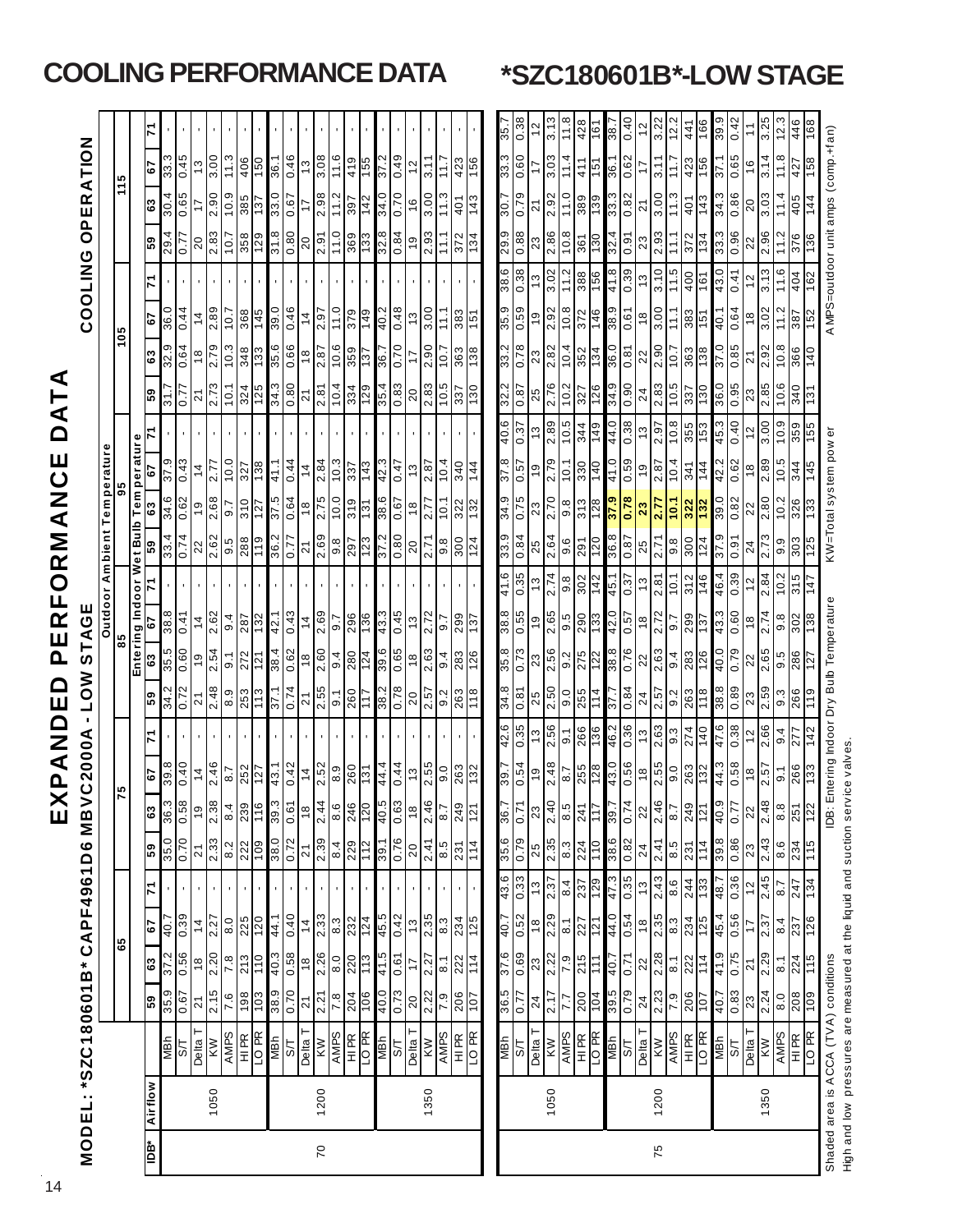|                 |         |                                                                      |                                                        |                     |                     |                                   |                                                                                                              | Ш                 | <u>ո</u>                                                                                                                                       | Z<br>K            | $\Box$<br>Ш                                               | <u>ሲ</u>                                                              | Щ<br>ER<br>L                     | R<br>O                   | Z<br>K<br>Σ                                                                                      |                       | $\mathbf \Omega$<br>ш | ⋖                                     |                                |                     |                       |                         |                        |                        |                   |
|-----------------|---------|----------------------------------------------------------------------|--------------------------------------------------------|---------------------|---------------------|-----------------------------------|--------------------------------------------------------------------------------------------------------------|-------------------|------------------------------------------------------------------------------------------------------------------------------------------------|-------------------|-----------------------------------------------------------|-----------------------------------------------------------------------|----------------------------------|--------------------------|--------------------------------------------------------------------------------------------------|-----------------------|-----------------------|---------------------------------------|--------------------------------|---------------------|-----------------------|-------------------------|------------------------|------------------------|-------------------|
|                 |         | <b>MODEL: *SZC180601B*</b>                                           |                                                        |                     |                     | <b>CAPF4961D6</b>                 |                                                                                                              | MB                | C2000A                                                                                                                                         |                   | <b>NOT</b>                                                | STAGE                                                                 |                                  |                          |                                                                                                  |                       |                       |                                       |                                |                     | COOLING               | $\frac{a}{c}$           | ER.                    | <b>NOILY</b>           |                   |
|                 |         |                                                                      |                                                        |                     |                     |                                   |                                                                                                              |                   |                                                                                                                                                |                   |                                                           |                                                                       |                                  | Outdoor Ambient          |                                                                                                  | Temperature           |                       |                                       |                                |                     |                       |                         |                        |                        |                   |
|                 |         |                                                                      |                                                        |                     | 65                  |                                   |                                                                                                              | $\overline{ }$    | ю                                                                                                                                              |                   |                                                           | 85                                                                    |                                  |                          |                                                                                                  | 95                    |                       |                                       |                                | $\frac{105}{ }$     |                       |                         | 115                    |                        |                   |
|                 |         |                                                                      |                                                        |                     |                     |                                   |                                                                                                              |                   |                                                                                                                                                |                   |                                                           |                                                                       |                                  | Entering Indoor Wet Bulb |                                                                                                  | Temperatur            | Φ                     |                                       |                                |                     |                       |                         |                        |                        |                   |
| ăai             | Airflow |                                                                      | 53                                                     | 63                  | 5                   |                                   | 53                                                                                                           | 63                | 5                                                                                                                                              |                   | 59                                                        |                                                                       |                                  |                          | 63<br>59                                                                                         | မြ                    |                       | 59                                    | 63                             | 5                   |                       | 53                      | 63                     | 5                      | ᠷ                 |
|                 |         | <b>MBN</b><br>5                                                      | 8.58<br>0.67                                           | 0.56<br>37.2        | 0.39<br>$-10.7$     |                                   | 35.0<br>0.70                                                                                                 | 0.58<br>36.       | 39.8<br>0.40                                                                                                                                   |                   | 34.2<br>0.72                                              | 3.5E<br>0.60                                                          | 38.8                             |                          | 34.6<br>0.62<br>33.4<br>0.74                                                                     | 37.9<br>0.43          |                       | 0.77<br>$\frac{1}{3}$                 | 8.28<br>0.64                   | 0.98<br>0.44        |                       | 29.4<br>77              | 0.65<br>30.4           | 33.3<br>0.45           |                   |
|                 |         | Delta                                                                | $\overline{21}$                                        | $\frac{8}{3}$       | $\frac{4}{1}$       |                                   | 21                                                                                                           | $\frac{9}{2}$     |                                                                                                                                                |                   | $\frac{1}{2}$                                             | ခြ                                                                    | $\frac{1}{4}$                    |                          | 22                                                                                               | $\frac{4}{1}$         |                       | $\frac{1}{2}$                         | $\frac{8}{18}$                 | $\frac{4}{4}$       |                       | ္လ                      | 7                      | $\frac{3}{2}$          |                   |
|                 | 1050    |                                                                      | 2.15                                                   |                     |                     |                                   |                                                                                                              |                   |                                                                                                                                                |                   |                                                           |                                                                       |                                  |                          | $\frac{19}{2.68}$                                                                                | 2.77                  |                       |                                       |                                |                     |                       |                         |                        |                        |                   |
|                 |         | <b>SHNV</b><br>WN                                                    | 7.6                                                    | $\frac{2.20}{7.8}$  | $\frac{2.27}{8.0}$  |                                   |                                                                                                              |                   |                                                                                                                                                |                   |                                                           |                                                                       |                                  |                          |                                                                                                  | $\frac{10.0}{327}$    |                       |                                       | $\frac{2.79}{10.3}$            | $\frac{2.89}{10.7}$ |                       |                         |                        | $\frac{3.00}{1.7}$     |                   |
|                 |         | HIPR<br>LO <sub>PR</sub>                                             | $\frac{501}{103}$                                      | 213                 | $\overline{225}$    |                                   | $\left \frac{33}{8}\right $ $\left \frac{2}{8}\right $ $\left \frac{2}{8}\right $ $\left \frac{2}{8}\right $ | $\frac{314}{810}$ | $\frac{2.46}{8.7}$                                                                                                                             |                   | $rac{48}{8}$<br>$rac{1}{8}$<br>$rac{1}{8}$<br>$rac{1}{8}$ | $\frac{3}{8}$ $\frac{1}{8}$ $\frac{1}{8}$ $\frac{1}{8}$ $\frac{1}{2}$ | $\frac{2.67}{2.5}$               |                          | 310<br>$\left \frac{10}{10}\right $ $\frac{10}{10}$ $\left \frac{10}{10}\right $ $\frac{10}{10}$ |                       |                       | $\frac{2.73}{10.1}$ $\frac{324}{125}$ |                                | 368                 |                       | $\frac{83}{2.07}$       | $\frac{25}{100}$       |                        |                   |
|                 |         |                                                                      |                                                        | $\frac{1}{2}$       | $\frac{120}{20}$    |                                   |                                                                                                              |                   |                                                                                                                                                |                   |                                                           |                                                                       |                                  |                          | $\frac{127}{2}$                                                                                  | 138                   |                       |                                       | $\frac{133}{2}$                |                     |                       |                         |                        | $\frac{0.91}{2}$       |                   |
|                 |         | NBh                                                                  | 38.9                                                   | 40.3                | 44.1                |                                   | 38.0                                                                                                         | 39.7              | 43.1                                                                                                                                           |                   | 37.1                                                      | 38.4                                                                  | 42.1                             |                          | 3.75<br>36.2                                                                                     | 41.1                  |                       | 34.3                                  | 35.6                           | 39.0                |                       | 31.8                    | 33.0                   | 36.1                   |                   |
|                 |         | 5/7                                                                  | 0.70                                                   | 0.58                | 0.40                |                                   | 0.72                                                                                                         | 0.6               | 0.42                                                                                                                                           |                   | 0.74                                                      | 0.62                                                                  | 0.43                             |                          | 0.64<br>777                                                                                      | 0.44                  |                       | 0.80                                  | 0.66                           | 0.46                |                       | 0.80                    | 0.67                   | 0.46                   |                   |
|                 |         | L eµəd                                                               | $\overline{z}$                                         | $\frac{8}{1}$       | $\frac{4}{4}$       |                                   | $\overline{2}$                                                                                               | 18                |                                                                                                                                                |                   | $\overline{2}$                                            | $\frac{8}{10}$                                                        | $\frac{4}{1}$                    |                          | 8 <sub>1</sub><br>$\overline{\mathcal{S}}$                                                       | $\frac{4}{4}$         |                       | $\overline{2}$ 1                      | $\overset{\circ}{\phantom{0}}$ | $\frac{4}{4}$       |                       | $\overline{20}$         | $\ddot{ }$             | $\frac{1}{2}$          |                   |
| $\overline{70}$ | 1200    | $\frac{KW}{\frac{A MPS}{H IR}}$                                      | $\sqrt{\frac{27}{18}}$                                 | $\frac{2.26}{8.0}$  | $\frac{2.33}{8.3}$  |                                   | $\frac{2.39}{8.4}$                                                                                           | $\frac{2.4}{8.6}$ | $\frac{1}{2}$ $\frac{1}{2}$ $\frac{1}{2}$ $\frac{1}{2}$ $\frac{1}{2}$ $\frac{1}{2}$ $\frac{1}{2}$                                              |                   | 2.55                                                      | $\frac{2.60}{2.80}$                                                   | 2.69                             |                          | $\frac{15}{25}$<br>$\frac{89}{29}$<br>$\frac{8}{29}$                                             | $\frac{2.84}{10.3}$   |                       | $\frac{ 5 }{2 4 }$                    | $\frac{87}{2.89}$              | 2.97                |                       | $\sqrt{\frac{51}{100}}$ | $\frac{2.98}{11.2}$    | 3.08                   |                   |
|                 |         |                                                                      |                                                        |                     |                     |                                   |                                                                                                              |                   |                                                                                                                                                |                   | $\frac{9.1}{260}$                                         |                                                                       | $\overline{9.7}$                 |                          |                                                                                                  |                       |                       |                                       |                                | 0.11                |                       |                         |                        | $\frac{611}{419}$      |                   |
|                 |         |                                                                      |                                                        |                     | 232                 |                                   | 229                                                                                                          | $\frac{246}{6}$   |                                                                                                                                                |                   |                                                           |                                                                       | 296                              |                          |                                                                                                  | 337                   |                       |                                       |                                | $\frac{82}{3}$      |                       |                         | 397                    |                        |                   |
|                 |         | LO <sub>PR</sub>                                                     |                                                        | 113                 | 124                 |                                   |                                                                                                              | 120               |                                                                                                                                                |                   | 717                                                       | 124                                                                   |                                  |                          | 131                                                                                              | 143                   |                       |                                       | 137                            | 149                 |                       |                         | 142                    | 155                    |                   |
|                 |         | NBN                                                                  | 40.0                                                   | 41.5                | 45.5                |                                   | 39.1                                                                                                         | 40.5              | 44.4                                                                                                                                           |                   | 38.2                                                      | 39.6                                                                  | 43.3                             |                          | 38.6<br>37.2                                                                                     | 42.3                  |                       | 35.4                                  | 36.7                           | 40.2                |                       | 32.8                    | 34.0                   | 37.2                   |                   |
|                 |         | ZS                                                                   | 0.73                                                   | 0.61                | 0.42                |                                   | 0.76                                                                                                         | $rac{6}{5}$       | 0.44                                                                                                                                           |                   | 82.0                                                      | 0.65                                                                  | 0.45                             |                          | 0.67<br>$\frac{0.80}{0.80}$                                                                      | 0.47                  |                       | 0.83                                  | 0.70                           | 0.48                |                       | 0.84                    | 0.70                   | 0.49                   |                   |
|                 |         | Delta T                                                              | 20                                                     | $\ddot{ }$          | $\frac{3}{2}$       |                                   | $\overline{20}$                                                                                              | $\frac{8}{18}$    |                                                                                                                                                |                   | $20\,$                                                    | $\frac{8}{2}$                                                         | 51                               |                          | $\frac{8}{18}$<br>$\overline{20}$                                                                | 13                    |                       | $20$                                  | $\ddot{ }$                     | $\frac{3}{2}$       |                       | 6 <sub>1</sub>          | $\frac{6}{5}$          | $\frac{1}{2}$          |                   |
|                 | 1350    |                                                                      |                                                        | 2.27                | $\frac{2.35}{8.3}$  |                                   |                                                                                                              | $\frac{4}{2}$     |                                                                                                                                                |                   | 2.57                                                      | 2.63                                                                  | 2.72                             |                          | 2.77<br>2.71                                                                                     | 2.87                  |                       |                                       | 2.90                           | 3.00                |                       | 2.93                    | 3.00                   | 3.11                   |                   |
|                 |         | $\frac{\frac{\text{KW}}{\text{NIPS}}}{\frac{\text{HIR}}{\text{N}}}}$ | $\frac{2.22}{7.9}$                                     | 8.1                 |                     |                                   | $\frac{2.41}{8.5}$                                                                                           | 1.8               | $\left \frac{\sigma}{\sigma}\Big _{\alpha=0}^{\infty}\right  \frac{\sigma}{\sigma}\left \frac{\sigma}{\alpha}\Big _{\alpha=0}^{\infty}\right $ |                   | $\frac{9.2}{263}$                                         | $\frac{9.4}{283}$                                                     | 1.6                              |                          | $\frac{10.1}{322}$<br>$\frac{9.8}{300}$                                                          | 40.4                  |                       | $\frac{2.83}{10.5}$                   | 7.01                           | 1.1                 |                       | 1.11                    | 11.3                   | 7.17                   |                   |
|                 |         |                                                                      | 206                                                    | 222                 | 234                 |                                   | 231                                                                                                          | 249               |                                                                                                                                                |                   |                                                           |                                                                       | 299                              |                          |                                                                                                  | 340                   |                       |                                       | 363                            | 383                 |                       | 372                     | 401                    | 423                    |                   |
|                 |         |                                                                      | 107                                                    | 114                 | 125                 |                                   | 114                                                                                                          | $\frac{1}{2}$     |                                                                                                                                                |                   | 118                                                       | 126                                                                   | 137                              |                          | 132<br>124                                                                                       | 144                   |                       | 130                                   | 138                            | 151                 |                       | 134                     | 143                    | 156                    |                   |
|                 |         |                                                                      |                                                        |                     |                     |                                   |                                                                                                              |                   |                                                                                                                                                |                   |                                                           |                                                                       |                                  |                          |                                                                                                  |                       |                       |                                       |                                |                     |                       |                         |                        |                        |                   |
|                 |         | MBh                                                                  | 36.5                                                   | 37.6                | 40.7                | 43.6                              | 35.6                                                                                                         | 36.               | <b>S9.7</b>                                                                                                                                    | 42.6              | 8.18                                                      | 35.8                                                                  | 38.8                             | 41.6                     | 34.9<br>33.9                                                                                     | 8.25                  | 40.6                  | 32.2                                  | 33.2                           | 35.9                | 38.6                  | 29.9                    | 50.7                   | 33.3                   | 35.               |
|                 |         | 5                                                                    | 0.77                                                   | 0.69                | 0.52                | 0.33                              | 0.79                                                                                                         | 0.7               | 0.54                                                                                                                                           | 0.35              | 0.81                                                      | 0.73                                                                  | 0.55                             | 0.35                     | 0.75<br>0.84                                                                                     | 0.57                  | 0.37                  | 0.87                                  | 0.78                           | 0.59                | 0.38                  | 0.88                    | 0.79                   | 0.60                   | 0.38              |
|                 |         | $\frac{NN}{1}$                                                       | $\frac{24}{2.17}$                                      | $\frac{23}{2.22}$   | $\frac{18}{2.29}$   | $\frac{13}{2.37}$                 | $\frac{25}{2.35}$                                                                                            | $\frac{23}{2.4}$  | $\frac{19}{2.48}$                                                                                                                              | $\frac{13}{2.56}$ |                                                           | $\frac{23}{2.56}$                                                     | $\frac{19}{2.65}$                | $\frac{3}{2}$            | $\frac{23}{2.70}$<br>$\frac{25}{2.64}$                                                           | $\overline{6}$        | $\frac{13}{2.89}$     | $\frac{25}{2.76}$                     | $\frac{23}{2.82}$              | $\frac{19}{2.92}$   | $\frac{13}{3.02}$     | $\frac{23}{2.86}$       | $\frac{21}{2.92}$      | $rac{17}{3.03}$        |                   |
|                 | 1050    |                                                                      |                                                        |                     |                     |                                   |                                                                                                              |                   |                                                                                                                                                |                   | $\frac{25}{2.50}$                                         |                                                                       |                                  | 2.74                     |                                                                                                  | 2.79                  |                       |                                       |                                |                     |                       |                         |                        |                        | 3.13              |
|                 |         | <b>AMPS</b>                                                          | $\frac{2}{7}$                                          | 7.9                 | $\overline{8}$ .    | 8.4                               | 8.3                                                                                                          | 8.5               | 8.7                                                                                                                                            | $\overline{9}$ .  |                                                           | 9.2                                                                   | 9.5                              | 9.8                      | $\frac{8}{9}$<br>$\frac{6}{9}$                                                                   | 10.1                  | 10.5                  | 10.2                                  | 10.4                           | 10.8                | 11.2                  | 10.8                    | 11.0                   | 11.4                   | ة.<br>11          |
|                 |         | HIPR<br>IO PR                                                        | 200                                                    | 215                 | <b>227</b><br>121   | <b>237</b><br>129                 | 224                                                                                                          | $rac{241}{117}$   | 255                                                                                                                                            | 266               | 255<br>114                                                | 275                                                                   | 290                              | 302                      | 313<br>$\frac{291}{120}$                                                                         | 330                   | 344                   | 327                                   | 352                            | 372                 | 388                   | $\frac{361}{130}$       | 889<br>139             | 411                    | 428               |
|                 |         |                                                                      | 104                                                    | $\frac{1}{11}$      |                     |                                   |                                                                                                              |                   |                                                                                                                                                |                   |                                                           |                                                                       | $\frac{13}{3}$                   | 142                      | 128                                                                                              | 140                   | $\frac{6}{149}$       |                                       |                                | 146                 |                       |                         |                        | $\frac{151}{2}$        | <u>iel</u>        |
|                 |         | NBN                                                                  | $\frac{39.5}{0.79}$                                    | 40.7                | 44.0                | 47.3                              | 38.6                                                                                                         | 39.               | $\frac{43.0}{0.56}$                                                                                                                            | 46.2              | 7.7                                                       | 38.8                                                                  | 42.0                             | 45.1                     | 37.9<br>36.8                                                                                     | 41.0                  | 44.0                  | 34.9                                  | 36.0                           | 38.9                | 8.14                  | 32.4                    | 33.3                   | 36.1                   | 38.               |
|                 |         | LS                                                                   |                                                        | 0.71                | 0.54                | $\frac{1}{0.35}$<br>$\frac{3}{2}$ | 0.82<br>$\overline{24}$                                                                                      | $\overline{0}$ .  |                                                                                                                                                | 0.36              | 0.84                                                      | $\frac{0.76}{2}$                                                      | $\frac{1}{20}$<br>$\frac{8}{18}$ | 0.37                     | 0.78<br>0.8                                                                                      | 0.59                  | 0.38                  | $\overline{0.90}$                     | 0.81                           | 0.61                | 0.39<br>$\frac{3}{2}$ | $\frac{1}{0.91}$        | 0.82<br>$\overline{2}$ | 0.62<br>$\overline{1}$ | 0.40<br>₽         |
| 75              | 1200    | $\frac{\mathsf{M}\mathsf{M}}{\mathsf{M}\mathsf{M}}$                  |                                                        |                     |                     | 2.43                              | 2.41                                                                                                         | $\frac{22}{2.4}$  |                                                                                                                                                | $\frac{13}{2.63}$ | $\frac{24}{2.57}$                                         |                                                                       | 2.72                             | $\frac{13}{2.81}$        | $\frac{23}{2.77}$<br>$\frac{25}{2.71}$                                                           | $\frac{19}{2.87}$     | $\frac{13}{2.97}$     |                                       |                                | $\frac{18}{3.00}$   | 3.10                  | $\frac{23}{2.93}$       | 3.00                   | 3.11                   | $\frac{22}{3.22}$ |
|                 |         | $\frac{\overline{AMPS}}{\overline{HIR}}$                             | $rac{24}{2!}$ $rac{23}{7}$ $rac{96}{8}$ $rac{27}{107}$ | $\frac{22}{2.28}$   | $rac{8.35}{18}$     | 8.6                               | $\frac{1}{8}$                                                                                                | 1.8               | $\left \frac{\mathfrak{G}}{\mathfrak{G}}\right _2^2$ အဆ                                                                                        | 6.6               |                                                           | $\left \frac{1}{2}\right \frac{1}{2}$                                 | $-6.7$                           | 10.1                     | $\frac{1}{10}$                                                                                   | 10.4                  | 8.0                   | $\frac{24}{2!8!}$                     | $\frac{22}{2.90}$              | 11.1                | 11.5                  | 11.1                    | 11.3                   | $\frac{11}{2}$         | 12.2              |
|                 |         |                                                                      |                                                        |                     |                     |                                   | 231                                                                                                          |                   |                                                                                                                                                |                   |                                                           |                                                                       |                                  | 312                      |                                                                                                  | 341                   |                       |                                       |                                |                     |                       |                         |                        |                        | 441               |
|                 |         |                                                                      |                                                        | 222<br>114          | 234                 | <b>244</b><br>133                 | 114                                                                                                          | $\frac{248}{121}$ |                                                                                                                                                | 274<br>140        | $rac{9}{263}$                                             |                                                                       | 299                              | 146                      | $\frac{322}{132}$<br>$\frac{8}{9}$ $\frac{8}{2}$                                                 | 144                   | 355<br>153            |                                       | 363<br>138                     | 383<br>151          | $\frac{400}{161}$     | 372<br>134              | $\frac{401}{143}$      | 423                    | 166               |
|                 |         | NBN                                                                  | 40.7                                                   | $\frac{6.19}{6.15}$ | $\frac{45.4}{0.56}$ | 48.7                              | $\frac{8}{39.8}$                                                                                             | 40.               | 44.3                                                                                                                                           | 47.6              | 38.8                                                      | 40.0                                                                  | 43.3                             | 46.4                     | 39.0<br>$\frac{37.9}{ }$                                                                         | 42.2                  | 45.3                  | 36.0                                  | 37.0                           | 40.1                | 43.0                  | 33.3                    | 34.3                   | 1.78                   | 39.9              |
|                 |         | 15                                                                   | 0.83                                                   |                     |                     | 0.36                              | 0.86                                                                                                         | ls.               | 0.58                                                                                                                                           | 0.38              | $\frac{89}{2}$                                            | $\frac{62}{10}$                                                       | 0.60                             | 0.39                     | 0.82<br>0.91                                                                                     | 0.62                  | 0.40                  | 0.95                                  | 0.85                           | 0.64                | 0.41                  | 0.96                    | 0.86                   | 0.65                   | 0.42              |
|                 |         | Delta T                                                              | $\frac{23}{2.24}$                                      | $\frac{21}{2.29}$   | $\overline{1}$      | $\frac{1}{2}$                     | 23                                                                                                           | $\frac{22}{24}$   | $\frac{18}{2.57}$                                                                                                                              | $\frac{12}{2.66}$ | $\frac{23}{2.59}$                                         | $\frac{22}{2.65}$                                                     | $\frac{8}{1}$                    | $\frac{2}{1}$            | $\frac{22}{2.80}$<br>$\overline{24}$                                                             | $\frac{18}{2.89}$     | $\frac{1}{2}$         | $\frac{23}{2.85}$                     | 21                             | $\frac{8}{18}$      | $\frac{2}{1}$         | $\frac{22}{2.96}$       | 20                     | $\frac{6}{1}$          | Ξ                 |
|                 | 1350    | $\leq$                                                               |                                                        |                     | 2.37                | $\frac{1}{2.45}$                  | 2.43                                                                                                         |                   |                                                                                                                                                |                   |                                                           |                                                                       | 2.74                             | 2.84                     | 2.73                                                                                             |                       | $\frac{1}{3.00}$      |                                       | 2.92                           | $\frac{3.02}{ }$    | 3.13                  |                         | $\frac{3.03}{2}$       | 3.14                   | 3.25              |
|                 |         |                                                                      | 0.8                                                    | $\overline{8}.1$    | 8.4                 | 8.7                               | 8.6                                                                                                          | $\frac{8}{6}$     | $rac{1}{266}$                                                                                                                                  | 9.4               | $rac{9.3}{266}$                                           | $\frac{9.5}{286}$                                                     | 9.8                              | 10.2                     | 10.2<br>9.9                                                                                      | 10.5                  | 10.9                  | 10.6                                  | 10.8                           |                     |                       | $\frac{2}{11}$          | $\frac{4}{1}$          | 11.8                   | 12.3              |
|                 |         | $\frac{\overline{AMPS}}{\overline{HIR}}$                             | 208<br>109                                             | 224<br>115          | 237<br>126          | 247<br>134                        | 234<br>115                                                                                                   | $\frac{251}{122}$ |                                                                                                                                                | $\overline{27}$   |                                                           | .<br>21                                                               | 302                              | 315<br>$\frac{4}{4}$     | 326<br>303                                                                                       | 344<br>$\frac{45}{5}$ | 359<br>155            | 340<br>131                            | 366<br>140                     | 387<br>152          | 404                   | 376                     | 405                    | 158<br>427             | 446               |
|                 |         |                                                                      |                                                        |                     |                     |                                   |                                                                                                              |                   |                                                                                                                                                |                   |                                                           |                                                                       |                                  |                          |                                                                                                  |                       |                       |                                       |                                |                     |                       |                         |                        |                        |                   |
|                 |         | Shaded area is ACCA (TVA) conditions                                 |                                                        |                     |                     |                                   |                                                                                                              | ġ                 | Entering Indoor Dry                                                                                                                            |                   |                                                           | <b>Bulb Temperature</b>                                               |                                  |                          | KW=Total system pow                                                                              |                       | $\overline{\Phi}$     |                                       |                                |                     | AMPS=outdoor unit     |                         | amps (comp.+f          |                        | an)               |
|                 |         | High and low pressures are measured at the liquid and suction ser    |                                                        |                     |                     |                                   |                                                                                                              |                   | vice valves                                                                                                                                    |                   |                                                           |                                                                       |                                  |                          |                                                                                                  |                       |                       |                                       |                                |                     |                       |                         |                        |                        |                   |

**COOLING PERFORMANCE DATA \*SZC180601B\*-LOW STAGE**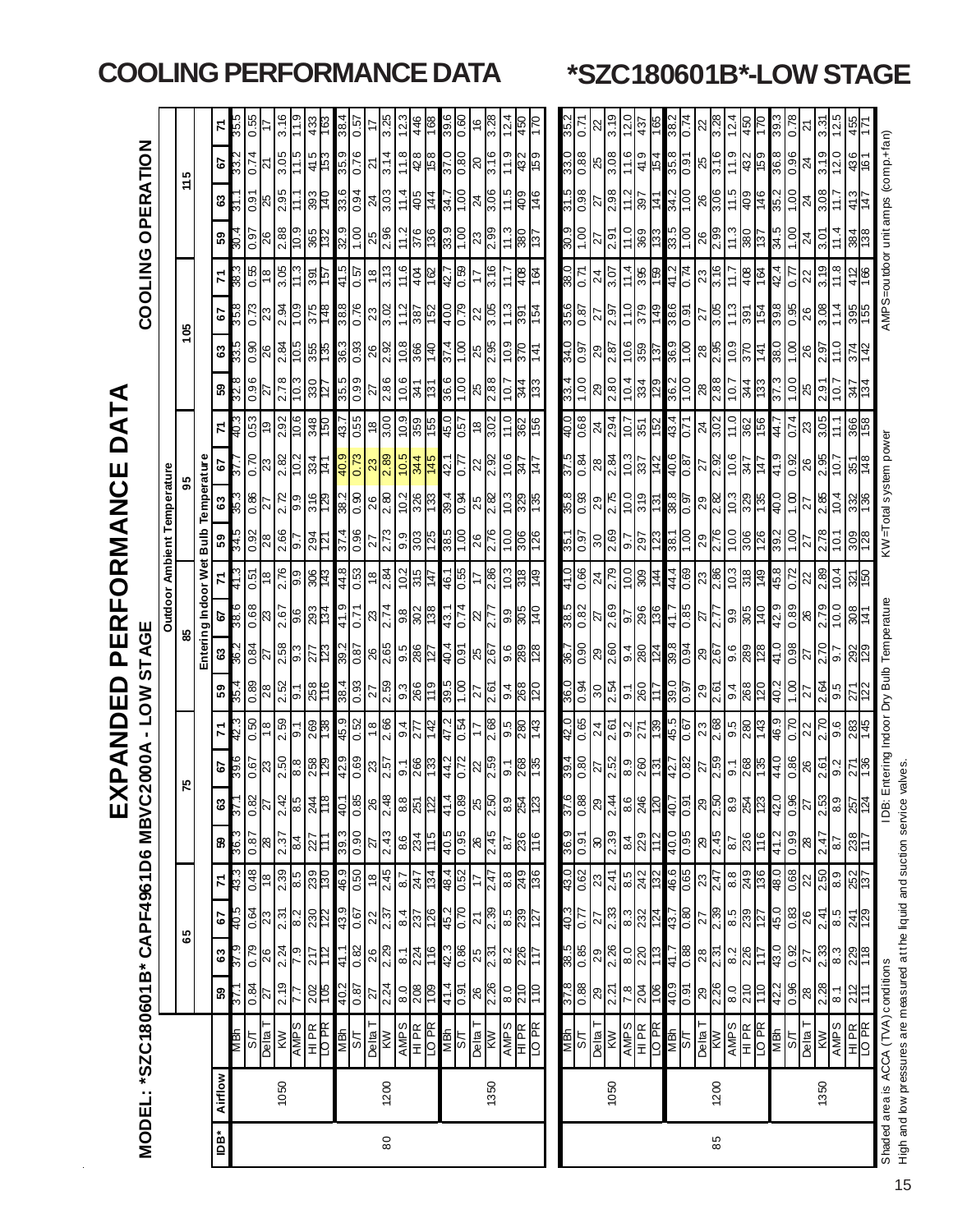|      |         |                                                 |                     |                     |                                                                        |                                            |                     | $\mathbf{\widehat{u}}$                            | Z<br>K<br><u>ِم</u>                                                                                                                                                                                                                                                                                                 | $\Box$              | Ш                                                                                               | ≃<br>Ш<br><u>n</u>                                                                                                                                                                                                                                                                                                  | O<br>Щ                                                                              | <b>IN</b>                                                                                                                                                                                                                                                                                                                                                                                                                                                                       | Ž<br>∢                                                                                                                                                                                                            | Ш                                            | DAT                               | ⋖                                        |                                                                                           |                                                                                                                 |                     |                     |                                                   |                                                         |                |
|------|---------|-------------------------------------------------|---------------------|---------------------|------------------------------------------------------------------------|--------------------------------------------|---------------------|---------------------------------------------------|---------------------------------------------------------------------------------------------------------------------------------------------------------------------------------------------------------------------------------------------------------------------------------------------------------------------|---------------------|-------------------------------------------------------------------------------------------------|---------------------------------------------------------------------------------------------------------------------------------------------------------------------------------------------------------------------------------------------------------------------------------------------------------------------|-------------------------------------------------------------------------------------|---------------------------------------------------------------------------------------------------------------------------------------------------------------------------------------------------------------------------------------------------------------------------------------------------------------------------------------------------------------------------------------------------------------------------------------------------------------------------------|-------------------------------------------------------------------------------------------------------------------------------------------------------------------------------------------------------------------|----------------------------------------------|-----------------------------------|------------------------------------------|-------------------------------------------------------------------------------------------|-----------------------------------------------------------------------------------------------------------------|---------------------|---------------------|---------------------------------------------------|---------------------------------------------------------|----------------|
|      |         | MODEL: *SZC180601B* CAPF4961D6                  |                     |                     |                                                                        |                                            |                     | MBVC                                              | 2000A                                                                                                                                                                                                                                                                                                               | <b>NOT</b>          | n                                                                                               | AGE                                                                                                                                                                                                                                                                                                                 |                                                                                     |                                                                                                                                                                                                                                                                                                                                                                                                                                                                                 |                                                                                                                                                                                                                   |                                              |                                   |                                          |                                                                                           |                                                                                                                 | <b>COOLING</b>      | $\circ$             | PERATION                                          |                                                         |                |
|      |         |                                                 |                     |                     |                                                                        |                                            |                     |                                                   |                                                                                                                                                                                                                                                                                                                     |                     |                                                                                                 |                                                                                                                                                                                                                                                                                                                     |                                                                                     | Outdoor Ambient Temperature                                                                                                                                                                                                                                                                                                                                                                                                                                                     |                                                                                                                                                                                                                   |                                              |                                   |                                          |                                                                                           |                                                                                                                 |                     |                     |                                                   |                                                         |                |
|      |         |                                                 |                     |                     | မိ                                                                     |                                            |                     |                                                   |                                                                                                                                                                                                                                                                                                                     |                     |                                                                                                 |                                                                                                                                                                                                                                                                                                                     |                                                                                     |                                                                                                                                                                                                                                                                                                                                                                                                                                                                                 |                                                                                                                                                                                                                   | 59                                           |                                   |                                          |                                                                                           | కి                                                                                                              |                     |                     | 5<br>÷                                            |                                                         |                |
|      |         |                                                 |                     |                     |                                                                        |                                            |                     |                                                   |                                                                                                                                                                                                                                                                                                                     |                     |                                                                                                 | Entering Indoor W                                                                                                                                                                                                                                                                                                   |                                                                                     | <b>Bulb</b><br>ö                                                                                                                                                                                                                                                                                                                                                                                                                                                                |                                                                                                                                                                                                                   | Temperature                                  |                                   |                                          |                                                                                           |                                                                                                                 |                     |                     |                                                   |                                                         |                |
| iDB* | Airflow |                                                 | 59                  | 3                   | 57                                                                     | 2                                          | និ                  | ෂ                                                 | 5                                                                                                                                                                                                                                                                                                                   | 71                  | 59                                                                                              | e<br>ශ                                                                                                                                                                                                                                                                                                              |                                                                                     | 59                                                                                                                                                                                                                                                                                                                                                                                                                                                                              | $\boldsymbol{\mathsf{s}}$                                                                                                                                                                                         | 5                                            | 7                                 | 8                                        |                                                                                           | 57                                                                                                              | 71                  | 53                  | 3                                                 | <b>e7</b>                                               | 지              |
|      |         | МBИ                                             | 75.                 | $rac{37.9}{0.78}$   | 40.5                                                                   |                                            |                     | $\mathbb{E}$                                      |                                                                                                                                                                                                                                                                                                                     |                     | 35.4                                                                                            |                                                                                                                                                                                                                                                                                                                     | 38.6                                                                                | 343                                                                                                                                                                                                                                                                                                                                                                                                                                                                             | 35.                                                                                                                                                                                                               |                                              | - 07                              |                                          | ន $\frac{15}{3}$ ន្ត្រី                                                                   | 35.8                                                                                                            | 88.                 | 70.Z                | ল                                                 |                                                         | 35.            |
|      |         | $rac{\text{S/T}}{\text{N}}$                     | $\frac{12}{180}$    |                     | 0.64                                                                   | $\frac{81}{80}$                            | 0.87                | $\frac{25}{27}$                                   | $rac{67}{23}$                                                                                                                                                                                                                                                                                                       | $\frac{81}{18}$     | 0.89                                                                                            | $\frac{2}{27}$                                                                                                                                                                                                                                                                                                      | $rac{81}{150}$<br>$\frac{68}{23}$                                                   | $\frac{82}{50}$                                                                                                                                                                                                                                                                                                                                                                                                                                                                 | $rac{86}{1}$                                                                                                                                                                                                      | $\frac{0.70}{23}$                            | 0.53                              | $\frac{0.96}{27}$                        |                                                                                           | $\frac{62}{23}$                                                                                                 | $\frac{8}{18}$      | $\frac{0.97}{26}$   | $\frac{92}{25}$                                   | $\frac{5}{27}$                                          | 0.55           |
|      |         |                                                 |                     |                     | $\frac{2}{3}$                                                          |                                            |                     |                                                   |                                                                                                                                                                                                                                                                                                                     |                     |                                                                                                 |                                                                                                                                                                                                                                                                                                                     |                                                                                     |                                                                                                                                                                                                                                                                                                                                                                                                                                                                                 |                                                                                                                                                                                                                   |                                              |                                   |                                          |                                                                                           |                                                                                                                 |                     |                     |                                                   |                                                         |                |
|      | 1050    | <b>KW<br/>AMPS</b>                              | 2.19                | $\frac{2.24}{7.9}$  | $2.\overline{31}$                                                      | 2.39                                       | 2.37                | 2.42                                              | 2.50                                                                                                                                                                                                                                                                                                                | 2.59                | $\frac{2.52}{9.1}$                                                                              |                                                                                                                                                                                                                                                                                                                     | $\frac{2.76}{9.9}$                                                                  | $\frac{86}{9.7}$                                                                                                                                                                                                                                                                                                                                                                                                                                                                | $\frac{6}{9.9}$                                                                                                                                                                                                   |                                              | 2.92                              | $\frac{2.78}{10.3}$                      | $\frac{2.84}{10.5}$                                                                       | $\frac{2.94}{10.9}$                                                                                             | 3.05                |                     | 11.1                                              | 3.05                                                    | 3.16           |
|      |         |                                                 | 7.7                 |                     | $\overline{82}$                                                        | $\frac{6}{8}$                              | $\frac{4}{3}$       | $\frac{8.5}{8}$                                   | $\frac{8}{250}$                                                                                                                                                                                                                                                                                                     | <u>[م</u>           |                                                                                                 | $\frac{2.58}{9.3}$                                                                                                                                                                                                                                                                                                  | $\frac{15}{26}$ $\frac{1}{8}$ $\frac{1}{8}$ $\frac{1}{24}$                          |                                                                                                                                                                                                                                                                                                                                                                                                                                                                                 |                                                                                                                                                                                                                   | $\frac{2.82}{10.2}$                          |                                   |                                          |                                                                                           |                                                                                                                 | $\frac{1}{13}$      | $\frac{88}{109}$    |                                                   | 11.5                                                    |                |
|      |         | HIPR<br>IO PR                                   | 202                 | 717<br>17           |                                                                        | 239                                        | 227<br>111          |                                                   |                                                                                                                                                                                                                                                                                                                     | <b>881</b>          | <b>258</b>                                                                                      |                                                                                                                                                                                                                                                                                                                     | 884                                                                                 | 7294                                                                                                                                                                                                                                                                                                                                                                                                                                                                            | 316                                                                                                                                                                                                               |                                              | 348                               | 330                                      |                                                                                           | 375                                                                                                             | $\frac{126}{165}$   |                     | 393<br>140                                        | 415<br>153                                              | 433            |
|      |         | MBN                                             |                     |                     | $\frac{1}{25}$                                                         |                                            |                     | $\frac{244}{118}$                                 |                                                                                                                                                                                                                                                                                                                     |                     |                                                                                                 |                                                                                                                                                                                                                                                                                                                     |                                                                                     |                                                                                                                                                                                                                                                                                                                                                                                                                                                                                 |                                                                                                                                                                                                                   |                                              | 43.7                              |                                          |                                                                                           |                                                                                                                 |                     |                     |                                                   |                                                         | $\frac{38}{3}$ |
|      |         | LS                                              | $\frac{40.2}{0.87}$ | $\frac{41.1}{0.82}$ |                                                                        | 46.9                                       | $\frac{060}{6565}$  |                                                   |                                                                                                                                                                                                                                                                                                                     | $\frac{45.9}{0.52}$ |                                                                                                 |                                                                                                                                                                                                                                                                                                                     | $\frac{44.8}{0.53}$<br>$\frac{41.9}{0.71}$                                          |                                                                                                                                                                                                                                                                                                                                                                                                                                                                                 |                                                                                                                                                                                                                   | $\frac{40.9}{0.73}$                          |                                   | $\frac{35.5}{0.99}$                      |                                                                                           |                                                                                                                 | $\frac{41.5}{0.57}$ | $\frac{32.9}{1.00}$ |                                                   | 35.9<br>0.76                                            | 0.57           |
|      |         |                                                 |                     |                     |                                                                        |                                            |                     |                                                   | $rac{42.9}{0.69}$                                                                                                                                                                                                                                                                                                   |                     | $\frac{12}{38}$ $\frac{12}{38}$ $\frac{12}{38}$ $\frac{12}{38}$ $\frac{12}{38}$ $\frac{12}{38}$ |                                                                                                                                                                                                                                                                                                                     |                                                                                     |                                                                                                                                                                                                                                                                                                                                                                                                                                                                                 |                                                                                                                                                                                                                   |                                              | $\frac{0.55}{18}$                 |                                          |                                                                                           | $\frac{38.8}{0.76}$                                                                                             | $\frac{18}{3.13}$   |                     | $\frac{6}{30}$<br>$\frac{1}{2}$<br>$\frac{1}{20}$ | $\overline{z}$                                          |                |
| 80   | 1200    | Delta T<br>KW                                   | $\frac{27}{2.24}$   | $\frac{26}{2.29}$   | $\frac{22}{2.37}$                                                      | $\frac{18}{2.45}$                          | $\frac{27}{2.43}$   | 26,48                                             |                                                                                                                                                                                                                                                                                                                     | $18 \over 2.66$     |                                                                                                 |                                                                                                                                                                                                                                                                                                                     | $\frac{ z ^2}{ z ^2}$<br>$\frac{23}{2.74}$                                          |                                                                                                                                                                                                                                                                                                                                                                                                                                                                                 |                                                                                                                                                                                                                   | $\frac{23}{2.89}$                            |                                   | $\frac{27}{2.86}$<br>$\frac{2.86}{2.81}$ |                                                                                           |                                                                                                                 |                     | $\frac{25}{2.96}$   |                                                   | 3.14                                                    | 3.25           |
|      |         | SdMV                                            | 0.8                 | $\overline{6}$      |                                                                        | $\frac{12}{347}$                           | 8.6                 |                                                   |                                                                                                                                                                                                                                                                                                                     | $rac{1}{277}$       |                                                                                                 |                                                                                                                                                                                                                                                                                                                     |                                                                                     |                                                                                                                                                                                                                                                                                                                                                                                                                                                                                 |                                                                                                                                                                                                                   | $rac{10.5}{344}$                             | $\frac{10.9}{355}$                |                                          |                                                                                           |                                                                                                                 | $\frac{11.6}{ }$    | $\frac{1}{11}$      | 11.4                                              | 11.8                                                    | $\ddot{\sim}$  |
|      |         |                                                 | $\frac{208}{109}$   |                     |                                                                        |                                            | 234                 | $rac{88}{251}$                                    |                                                                                                                                                                                                                                                                                                                     |                     |                                                                                                 |                                                                                                                                                                                                                                                                                                                     |                                                                                     |                                                                                                                                                                                                                                                                                                                                                                                                                                                                                 |                                                                                                                                                                                                                   |                                              |                                   |                                          |                                                                                           |                                                                                                                 |                     |                     |                                                   |                                                         | 446            |
|      |         |                                                 |                     | $\frac{224}{116}$   |                                                                        |                                            |                     |                                                   |                                                                                                                                                                                                                                                                                                                     | 142                 |                                                                                                 |                                                                                                                                                                                                                                                                                                                     |                                                                                     |                                                                                                                                                                                                                                                                                                                                                                                                                                                                                 |                                                                                                                                                                                                                   |                                              |                                   |                                          |                                                                                           |                                                                                                                 | $rac{404}{162}$     | 376<br>136          |                                                   | 428<br>158                                              | řŏ             |
|      |         |                                                 |                     |                     |                                                                        |                                            |                     |                                                   |                                                                                                                                                                                                                                                                                                                     |                     |                                                                                                 |                                                                                                                                                                                                                                                                                                                     |                                                                                     |                                                                                                                                                                                                                                                                                                                                                                                                                                                                                 |                                                                                                                                                                                                                   |                                              |                                   |                                          |                                                                                           |                                                                                                                 |                     |                     |                                                   |                                                         | 39.            |
|      |         | 모 <u>이 지</u> 리<br>그 모두<br>그 모두                  | $\frac{16.0}{714}$  | 42.3                | $\frac{84}{87}$<br>$\frac{237}{28}$<br>$\frac{49}{8}$<br>$\frac{2}{8}$ | 48.4<br>0.52                               | $rac{960}{500}$     | $\frac{41.4}{0.89}$                               | $\frac{1}{9}$ $\frac{1}{8}$ $\frac{1}{8}$ $\frac{1}{8}$ $\frac{1}{2}$ $\frac{1}{2}$ $\frac{1}{2}$ $\frac{1}{2}$ $\frac{1}{2}$ $\frac{1}{2}$ $\frac{1}{2}$ $\frac{1}{2}$ $\frac{1}{2}$ $\frac{1}{2}$ $\frac{1}{2}$ $\frac{1}{2}$ $\frac{1}{2}$ $\frac{1}{2}$ $\frac{1}{2}$ $\frac{1}{2}$ $\frac{1}{2}$ $\frac{1}{2}$ | $\frac{47.2}{0.54}$ | $\frac{15}{30}$ $\frac{15}{20}$ $\frac{15}{20}$ $\frac{15}{20}$ $\frac{15}{20}$                 | $\frac{1}{28}$ $\frac{1}{28}$ $\frac{1}{28}$ $\frac{1}{28}$ $\frac{1}{28}$ $\frac{1}{28}$ $\frac{1}{28}$ $\frac{1}{28}$ $\frac{1}{28}$ $\frac{1}{28}$ $\frac{1}{28}$ $\frac{1}{28}$ $\frac{1}{28}$                                                                                                                  | 46.1<br>$\frac{ 8 }{ 8 8 8}$ $\frac{8}{ 8 8 7}$ $\frac{1}{ 4 8 8}$ $\frac{1}{ 8 7}$ | $\frac{374}{396}$                                                                                                                                                                                                                                                                                                                                                                                                                                                               | $\frac{1}{8}$ $\frac{1}{8}$ $\frac{1}{8}$ $\frac{1}{8}$ $\frac{1}{8}$ $\frac{1}{8}$ $\frac{1}{8}$ $\frac{1}{8}$ $\frac{1}{8}$ $\frac{1}{8}$ $\frac{1}{8}$ $\frac{1}{8}$ $\frac{1}{8}$ $\frac{1}{8}$ $\frac{1}{8}$ | 42.1<br>0. <i>77</i>                         | $rac{205}{180}$<br>$rac{18}{150}$ | $rac{6}{100}$ $rac{8}{200}$              | $\frac{37.4}{1.00}$ $\frac{8}{2.35}$                                                      | $\frac{12}{18}$ $\frac{12}{18}$ $\frac{12}{18}$ $\frac{12}{18}$ $\frac{12}{18}$ $\frac{12}{18}$ $\frac{12}{18}$ | $\frac{42.7}{0.59}$ | $\frac{33.9}{1.00}$ | $rac{44}{14}$<br>$rac{4}{100}$                    | $\frac{80}{370}$<br>$\frac{80}{275}$                    | 0.60           |
|      |         |                                                 |                     |                     |                                                                        | 4                                          |                     |                                                   |                                                                                                                                                                                                                                                                                                                     |                     |                                                                                                 |                                                                                                                                                                                                                                                                                                                     |                                                                                     |                                                                                                                                                                                                                                                                                                                                                                                                                                                                                 |                                                                                                                                                                                                                   |                                              |                                   |                                          |                                                                                           |                                                                                                                 |                     | 3                   |                                                   |                                                         |                |
|      | 1350    | $\frac{\text{Delta}}{\text{KW}}$                | 26<br>2.26          | $\frac{25}{2.31}$   |                                                                        | $\frac{1}{2.47}$                           | 26<br>2.45          | $8\frac{1}{2}$                                    | $\frac{22}{2.59}$                                                                                                                                                                                                                                                                                                   | 2.68                |                                                                                                 |                                                                                                                                                                                                                                                                                                                     | 2.86                                                                                |                                                                                                                                                                                                                                                                                                                                                                                                                                                                                 |                                                                                                                                                                                                                   | $\frac{22}{2.92}$                            |                                   |                                          |                                                                                           |                                                                                                                 | 3.16                | $\frac{99}{2}$      | $\frac{24}{3.06}$                                 |                                                         |                |
|      |         |                                                 | 0.8                 |                     |                                                                        | 8.8                                        | 78                  |                                                   | 5.1                                                                                                                                                                                                                                                                                                                 | 9.5                 |                                                                                                 |                                                                                                                                                                                                                                                                                                                     | 0.3                                                                                 | $\frac{100}{1}$                                                                                                                                                                                                                                                                                                                                                                                                                                                                 | 5.01                                                                                                                                                                                                              | 10.6                                         |                                   | $\circ$                                  | 0.9                                                                                       |                                                                                                                 |                     |                     |                                                   | $\frac{9}{1}$                                           |                |
|      |         |                                                 | 210                 |                     |                                                                        |                                            | 236                 |                                                   | 268                                                                                                                                                                                                                                                                                                                 | 280                 |                                                                                                 |                                                                                                                                                                                                                                                                                                                     | $rac{9.9}{9.6}$                                                                     | 306                                                                                                                                                                                                                                                                                                                                                                                                                                                                             |                                                                                                                                                                                                                   | z                                            |                                   |                                          |                                                                                           |                                                                                                                 | 408                 |                     |                                                   |                                                         |                |
|      |         | AMPS<br>HIPR<br>LO PR                           | $\frac{1}{2}$       | $\frac{226}{117}$   | $\frac{1}{2\sqrt{3}}\frac{1}{8\sqrt{3}}$                               | 249<br>136                                 | $\frac{9}{10}$      |                                                   |                                                                                                                                                                                                                                                                                                                     | <u>ਤ</u>            |                                                                                                 | $rac{6}{280}$                                                                                                                                                                                                                                                                                                       |                                                                                     |                                                                                                                                                                                                                                                                                                                                                                                                                                                                                 |                                                                                                                                                                                                                   | $\overline{4}$                               |                                   |                                          | $\frac{4}{4}$                                                                             | <u>និក្រ្</u> ម                                                                                                 |                     | $rac{15}{137}$      | $\frac{9}{146}$                                   | $\frac{432}{159}$                                       |                |
|      |         |                                                 |                     |                     |                                                                        |                                            |                     |                                                   |                                                                                                                                                                                                                                                                                                                     |                     |                                                                                                 |                                                                                                                                                                                                                                                                                                                     |                                                                                     |                                                                                                                                                                                                                                                                                                                                                                                                                                                                                 |                                                                                                                                                                                                                   |                                              |                                   |                                          |                                                                                           |                                                                                                                 |                     |                     |                                                   |                                                         |                |
|      |         | $\frac{1}{2}$                                   | $\frac{88.0}{825}$  | $\frac{38.5}{0.85}$ | 40.3                                                                   | 43.0                                       | $\frac{16.0}{0.91}$ | 37.6                                              | <b>79.4</b>                                                                                                                                                                                                                                                                                                         | $\frac{42.0}{0.65}$ | $\frac{36.0}{0.36}$                                                                             | $\frac{96.7}{1.96}$                                                                                                                                                                                                                                                                                                 | $rac{10}{0.66}$<br>$\frac{28.0}{9.85}$                                              | 1.55                                                                                                                                                                                                                                                                                                                                                                                                                                                                            | $\frac{35.8}{0.33}$                                                                                                                                                                                               | $\frac{18.0}{9.25}$                          | $\frac{890}{0.00}$                | $\frac{33.4}{1.00}$                      | $\frac{16.0}{0.95}$                                                                       | $rac{18.6}{0.87}$                                                                                               | $\frac{12.0}{0.85}$ | $\frac{30.1}{6.05}$ | $rac{960}{915}$                                   | $\frac{33.0}{0.88}$                                     | $\frac{35}{3}$ |
|      |         |                                                 |                     |                     | 77                                                                     | 0.62                                       |                     | $\frac{88}{0}$                                    | 0.80                                                                                                                                                                                                                                                                                                                |                     |                                                                                                 |                                                                                                                                                                                                                                                                                                                     |                                                                                     | 0.97                                                                                                                                                                                                                                                                                                                                                                                                                                                                            |                                                                                                                                                                                                                   |                                              |                                   |                                          |                                                                                           |                                                                                                                 |                     |                     |                                                   |                                                         |                |
|      |         | Telta <sup>-</sup>                              | $\overline{8}$      | 29                  | 27                                                                     | 23                                         | œ                   | 82                                                | $\overline{z}$                                                                                                                                                                                                                                                                                                      | 24                  | 30                                                                                              | R<br>$\mathcal{R}$                                                                                                                                                                                                                                                                                                  | 24                                                                                  | 0 <sub>0</sub>                                                                                                                                                                                                                                                                                                                                                                                                                                                                  | 29                                                                                                                                                                                                                | 28                                           | $\overline{2}$                    | $\mathbb{S}^2$                           | 82                                                                                        | 77                                                                                                              | 24                  | 77                  | Ñ                                                 | 25                                                      |                |
|      | 1050    | <b>MX</b>                                       | 2.21                | 2.26                | 2.33                                                                   | 2.41                                       | 2.39                | 2.44                                              | 2.52                                                                                                                                                                                                                                                                                                                | 2.61                | 2.54                                                                                            | 2.60                                                                                                                                                                                                                                                                                                                | 2.79<br>2.69                                                                        | 2.69                                                                                                                                                                                                                                                                                                                                                                                                                                                                            | 2.75                                                                                                                                                                                                              | 2.84                                         | 2.94                              | 2.80                                     | 2.87                                                                                      | 7.97                                                                                                            | 3.07                | 2.91                | 2.98                                              | 80.8                                                    | <u>ვ. ვ</u>    |
|      |         | SdMV                                            | 7.8                 | 8.0                 | 8.3                                                                    | 8.5                                        | $\frac{84}{3}$      | 8.6                                               |                                                                                                                                                                                                                                                                                                                     | 6.6                 |                                                                                                 |                                                                                                                                                                                                                                                                                                                     |                                                                                     | $\overline{5}$                                                                                                                                                                                                                                                                                                                                                                                                                                                                  | $\frac{100}{379}$                                                                                                                                                                                                 |                                              |                                   | 10.4                                     |                                                                                           | 11.0                                                                                                            | $\frac{11.4}{1}$    | $\frac{0}{11}$      | 11.2                                              | 11.6                                                    | $\frac{1}{2}$  |
|      |         |                                                 | $\frac{204}{106}$   | 220                 |                                                                        | 242                                        | 229                 | 246                                               |                                                                                                                                                                                                                                                                                                                     | 71                  | 의임                                                                                              |                                                                                                                                                                                                                                                                                                                     | $rac{100}{90}$<br>$\frac{57}{88}$                                                   |                                                                                                                                                                                                                                                                                                                                                                                                                                                                                 |                                                                                                                                                                                                                   |                                              | $\frac{10.7}{351}$                | 334                                      | $rac{26}{150}$                                                                            | 379                                                                                                             | 395                 | 369                 | $rac{141}{1}$                                     | 419                                                     | 437            |
|      |         | 모 <mark>르 동</mark><br>그 <u>동</u>                |                     | 41.7                | $\frac{22}{124}$<br>$\frac{17}{49}$                                    |                                            | 112                 |                                                   | $\frac{1}{8}$ $\frac{1}{8}$ $\frac{1}{8}$ $\frac{1}{8}$ $\frac{1}{8}$ $\frac{1}{8}$ $\frac{1}{8}$ $\frac{1}{8}$ $\frac{1}{8}$                                                                                                                                                                                       | 139                 |                                                                                                 | $\frac{1}{9}$ $\frac{1}{8}$ $\frac{1}{8}$ $\frac{1}{8}$ $\frac{1}{8}$ $\frac{1}{8}$ $\frac{1}{8}$ $\frac{1}{8}$ $\frac{1}{8}$ $\frac{1}{8}$ $\frac{1}{8}$ $\frac{1}{8}$ $\frac{1}{8}$ $\frac{1}{8}$ $\frac{1}{8}$ $\frac{1}{8}$ $\frac{1}{8}$ $\frac{1}{8}$ $\frac{1}{8}$ $\frac{1}{8}$ $\frac{1}{8}$ $\frac{1}{8}$ |                                                                                     | $ \tilde{z} $                                                                                                                                                                                                                                                                                                                                                                                                                                                                   | 131                                                                                                                                                                                                               | $\frac{10.3}{10.8}$<br>$\frac{40.87}{40.87}$ |                                   |                                          |                                                                                           |                                                                                                                 |                     | 133                 |                                                   | $\frac{154}{35.8}$<br>$\frac{8}{37}$<br>$\frac{16}{37}$ | 38.7<br>ö      |
|      |         |                                                 | $\frac{40.9}{0.91}$ | $\frac{88}{ }$      |                                                                        | 46.6                                       | $\frac{40.0}{0.95}$ |                                                   |                                                                                                                                                                                                                                                                                                                     | 45.5<br>0.67        | $\frac{28.0}{0.97}$                                                                             |                                                                                                                                                                                                                                                                                                                     |                                                                                     |                                                                                                                                                                                                                                                                                                                                                                                                                                                                                 | 38.8<br>0.97                                                                                                                                                                                                      |                                              | $rac{43.4}{0.71}$                 |                                          |                                                                                           | $\frac{16.0}{9.86}$                                                                                             | $\frac{41.2}{0.74}$ | $\frac{33.5}{1.00}$ | 34.2                                              |                                                         |                |
|      |         |                                                 |                     |                     |                                                                        |                                            |                     |                                                   |                                                                                                                                                                                                                                                                                                                     |                     |                                                                                                 |                                                                                                                                                                                                                                                                                                                     |                                                                                     |                                                                                                                                                                                                                                                                                                                                                                                                                                                                                 |                                                                                                                                                                                                                   |                                              |                                   |                                          |                                                                                           |                                                                                                                 |                     |                     |                                                   |                                                         |                |
| 85   | 1200    | $\frac{1}{2}$ Delta T                           | 29<br>2.26          | $\frac{28}{2.31}$   | $\frac{27}{2.39}$                                                      | 23<br>2.47                                 | 29<br>245           | $rac{1}{4}$ $rac{5}{6}$ $\frac{8}{1}$ $rac{5}{1}$ |                                                                                                                                                                                                                                                                                                                     | $\frac{23}{2.68}$   | $\frac{1}{28}$                                                                                  |                                                                                                                                                                                                                                                                                                                     | $\frac{44.4}{0.69}$ $\frac{23}{2.86}$<br>$rac{17}{285}$<br>$rac{28}{277}$           |                                                                                                                                                                                                                                                                                                                                                                                                                                                                                 |                                                                                                                                                                                                                   | $\frac{27}{2.92}$                            | 24<br>3.02                        |                                          |                                                                                           | $rac{27}{3.05}$                                                                                                 | $\frac{23}{3.16}$   | $\frac{26}{2.99}$   | 26<br>3.06                                        |                                                         | $\frac{28}{3}$ |
|      |         | <b>SHNV</b>                                     | 0.8                 | 8.2                 |                                                                        |                                            | 8.7                 | 6.8                                               |                                                                                                                                                                                                                                                                                                                     | ခြိ                 |                                                                                                 |                                                                                                                                                                                                                                                                                                                     | 10.3                                                                                |                                                                                                                                                                                                                                                                                                                                                                                                                                                                                 |                                                                                                                                                                                                                   |                                              |                                   | $\frac{36.2}{1.00}$<br>$\frac{28}{2.88}$ | $\frac{36.9}{1.08}$ $\frac{8}{2}$ $\frac{8}{2}$ $\frac{1}{2}$ $\frac{1}{2}$ $\frac{1}{2}$ | 11.3                                                                                                            | 2.11                | 11.3                | $-11.5$                                           | 11.9                                                    | $\frac{1}{2}$  |
|      |         |                                                 | 210                 |                     |                                                                        |                                            |                     |                                                   |                                                                                                                                                                                                                                                                                                                     |                     |                                                                                                 |                                                                                                                                                                                                                                                                                                                     |                                                                                     |                                                                                                                                                                                                                                                                                                                                                                                                                                                                                 |                                                                                                                                                                                                                   |                                              |                                   |                                          |                                                                                           |                                                                                                                 |                     |                     |                                                   |                                                         | 450            |
|      |         | TD<br><b>DPR</b><br>NB <sub>A</sub><br>SA<br>SA | 011                 | $rac{226}{117}$     | $rac{6}{20}$<br>$rac{1}{20}$<br>$rac{1}{20}$                           | $rac{8.8}{249}$                            | 236                 | <b>34</b> 20<br>42.0<br>42.0                      | $rac{268}{288}$                                                                                                                                                                                                                                                                                                     | $\frac{280}{143}$   | $\frac{94}{268}$                                                                                |                                                                                                                                                                                                                                                                                                                     | $rac{318}{149}$<br>9.9<br>805<br>9.9<br>9.9<br>9.9<br>9.9<br>9.9<br>9.9             | $\frac{\sqrt{2}}{\sqrt{2}}\frac{\sqrt{2}}{\sqrt{2}}\frac{\sqrt{2}}{\sqrt{2}}\frac{\sqrt{2}}{\sqrt{2}}\frac{\sqrt{2}}{\sqrt{2}}\frac{\sqrt{2}}{\sqrt{2}}\frac{\sqrt{2}}{\sqrt{2}}\frac{\sqrt{2}}{\sqrt{2}}\frac{\sqrt{2}}{\sqrt{2}}\frac{\sqrt{2}}{\sqrt{2}}\frac{\sqrt{2}}{\sqrt{2}}\frac{\sqrt{2}}{\sqrt{2}}\frac{\sqrt{2}}{\sqrt{2}}\frac{\sqrt{2}}{\sqrt{2}}\frac{\sqrt{2}}{\sqrt{2}}\frac{\sqrt{2}}{\sqrt{2}}\frac{\sqrt{2}}{\sqrt{2}}\frac{\sqrt{2}}{\sqrt{2}}\frac{\sqrt$ | $\frac{88}{28720}$                                                                                                                                                                                                | $\frac{158}{25}$                             | $\frac{11.0}{362}$                | $rac{13}{133}$                           | $rac{370}{141}$                                                                           | $rac{26}{25}$                                                                                                   | $\frac{408}{164}$   | <b>137</b>          | $rac{9}{146}$                                     | $432$<br>$159$<br>$36.8$                                |                |
|      |         |                                                 | 42.2                | 43.0                |                                                                        | 48.0                                       | 41.2                |                                                   | 44.0                                                                                                                                                                                                                                                                                                                | 46.9                | $\frac{1}{40}$                                                                                  | 41.0                                                                                                                                                                                                                                                                                                                | 45.8                                                                                |                                                                                                                                                                                                                                                                                                                                                                                                                                                                                 | 40.0                                                                                                                                                                                                              | 41.9                                         | 44.7                              |                                          | 38.0                                                                                      |                                                                                                                 | 42.4                | 34.5                | 35.2                                              |                                                         |                |
|      |         |                                                 | 0.96                | 0.92                | 0.83                                                                   | 0.68                                       | 660                 |                                                   | 0.86                                                                                                                                                                                                                                                                                                                | 0.70                | $\overline{\mathbf{S}}$                                                                         | 0.98                                                                                                                                                                                                                                                                                                                | 0.72                                                                                |                                                                                                                                                                                                                                                                                                                                                                                                                                                                                 | $\frac{8}{1}$                                                                                                                                                                                                     | $\frac{92}{2}$                               | 0.74                              | $\overline{5}$                           | $\frac{100}{100}$                                                                         | 0.95                                                                                                            | に<br>0.             | 1.00                | 00.1                                              | 0.96                                                    |                |
|      |         | <u>L</u> eµəd                                   | 28                  | 27                  | 26                                                                     | $\mathbf{z}$                               | 28                  | 72                                                |                                                                                                                                                                                                                                                                                                                     |                     | 72                                                                                              | Z.                                                                                                                                                                                                                                                                                                                  | $\infty$                                                                            | 27                                                                                                                                                                                                                                                                                                                                                                                                                                                                              | 27                                                                                                                                                                                                                | 26                                           |                                   | 25                                       | 26                                                                                        | 26                                                                                                              | 22                  | 24                  | 24                                                | $\overline{2}$                                          |                |
|      | 1350    | <b>KW</b>                                       | 2.28                | $\frac{23}{8}$      | 2.41                                                                   |                                            | 2.47                | 2.53                                              | 2.61                                                                                                                                                                                                                                                                                                                | 2.70                | 2.64                                                                                            | 2.7<br>2.70                                                                                                                                                                                                                                                                                                         | 88.7                                                                                | 82.2                                                                                                                                                                                                                                                                                                                                                                                                                                                                            | 2.85                                                                                                                                                                                                              | 2.95                                         | 3.05                              | 2.9'                                     | 7.97                                                                                      | 80.8                                                                                                            |                     | .<br>მა             | 803                                               | 3.19                                                    |                |
|      |         | AMPS                                            | $\overline{8}$ .    |                     | 8.5                                                                    | $\frac{50}{8}$ $\frac{9}{8}$ $\frac{1}{8}$ | 87                  | $rac{1}{85}$                                      | 9.2                                                                                                                                                                                                                                                                                                                 | 9.6                 | 5.6                                                                                             | $\overline{5}$                                                                                                                                                                                                                                                                                                      | 10.4<br>10.0                                                                        | 10.1                                                                                                                                                                                                                                                                                                                                                                                                                                                                            | 10.4                                                                                                                                                                                                              | $\frac{1}{2}$                                |                                   | $\frac{1}{2}$                            |                                                                                           |                                                                                                                 |                     |                     |                                                   | $\frac{20}{496}$                                        |                |
|      |         | HIPR<br>IO <sub>FR</sub>                        | 212                 | 229                 | $\frac{541}{29}$                                                       |                                            | $\frac{238}{117}$   |                                                   | 22                                                                                                                                                                                                                                                                                                                  |                     | 77                                                                                              | $\frac{29}{20}$                                                                                                                                                                                                                                                                                                     | <u>ង្គ្រ</u> ៃ<br>$\frac{8}{141}$                                                   | $\frac{309}{2}$                                                                                                                                                                                                                                                                                                                                                                                                                                                                 |                                                                                                                                                                                                                   | မ္ဘ                                          |                                   | 34                                       |                                                                                           | $rac{15}{155}$                                                                                                  |                     | $\frac{384}{138}$   | $\frac{413}{147}$                                 |                                                         |                |
|      |         |                                                 |                     |                     |                                                                        |                                            |                     |                                                   |                                                                                                                                                                                                                                                                                                                     |                     |                                                                                                 |                                                                                                                                                                                                                                                                                                                     |                                                                                     |                                                                                                                                                                                                                                                                                                                                                                                                                                                                                 |                                                                                                                                                                                                                   |                                              |                                   |                                          |                                                                                           |                                                                                                                 |                     |                     |                                                   |                                                         |                |
|      |         | Shaded area is ACCA (TVA) conditions            |                     |                     |                                                                        |                                            |                     | iDB:                                              | Entering                                                                                                                                                                                                                                                                                                            | Indoor              |                                                                                                 | Dry Bulb Temperature                                                                                                                                                                                                                                                                                                |                                                                                     |                                                                                                                                                                                                                                                                                                                                                                                                                                                                                 |                                                                                                                                                                                                                   | KW=Total system power                        |                                   |                                          |                                                                                           | AMPS=outdoor                                                                                                    |                     |                     | unitamps (comp.+fan)                              |                                                         |                |

# **EYPANDED PEREORMANCE DATA**

ł,

## **COOLING PERFORMANCE DATA \*SZC180601B\*-LOW STAGE**

High and bw pressures are measured at the liquid and suction service valves. High and low pressures are measured at the liquid and suction service valves.

15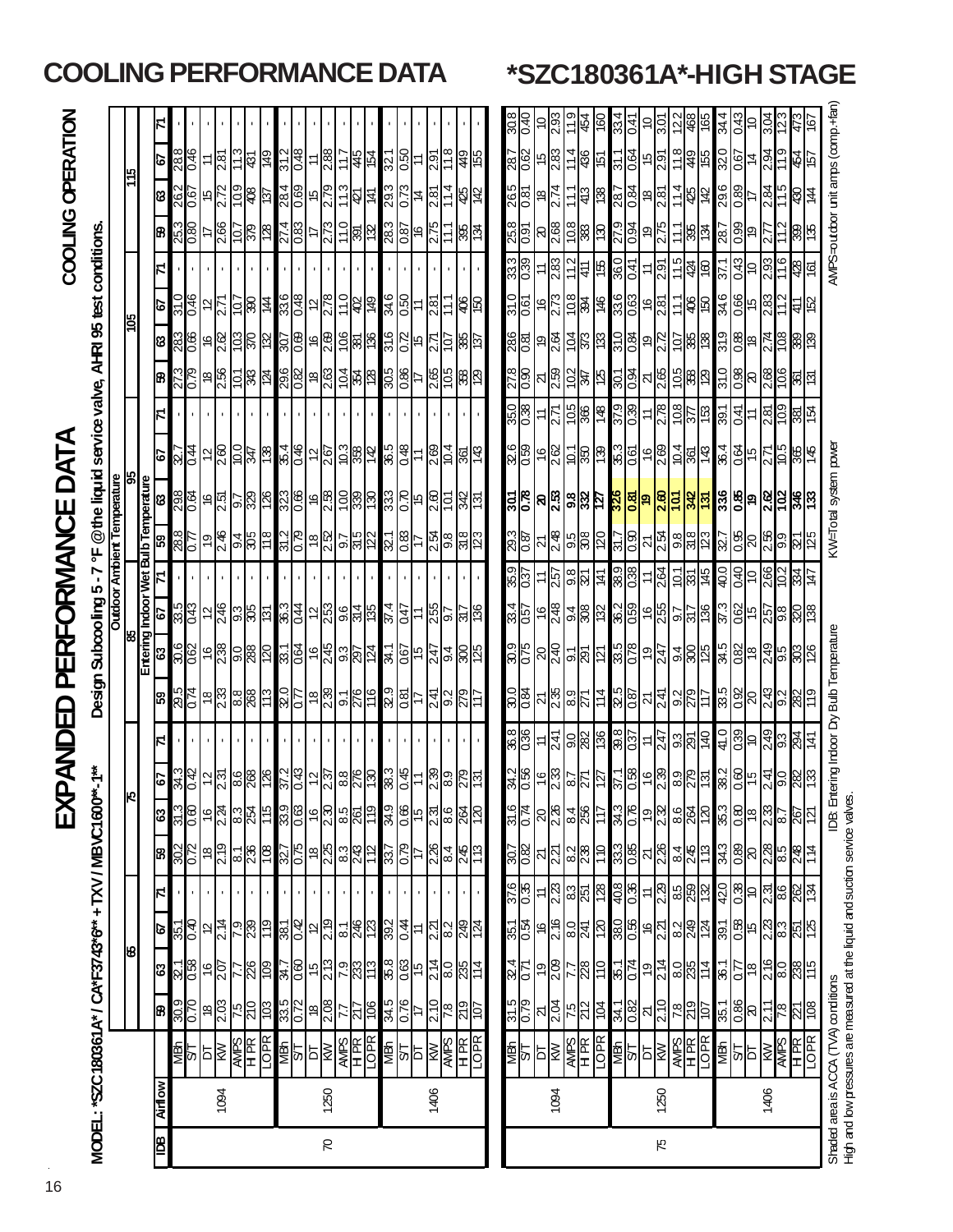|               |             |                                                                              |                         |                                                                                     |                                                                                           |                                                        |                                                                                     | 只                                                                                                                                           | മ                                 | ANDED                                                |                                                                                                                                           |                                                                                                                     |                                                                                             |                                                                                                                                                                               | PERFORMANCE                                                    |                                                                                 |                                                                                                                                                                                                                                                                                                                        |                                                      |                                                                                                                       |                                               |                                                                            | COOLING OPERATION                                                                                                                                                                                                                                                                                                              |                                             |                    |
|---------------|-------------|------------------------------------------------------------------------------|-------------------------|-------------------------------------------------------------------------------------|-------------------------------------------------------------------------------------------|--------------------------------------------------------|-------------------------------------------------------------------------------------|---------------------------------------------------------------------------------------------------------------------------------------------|-----------------------------------|------------------------------------------------------|-------------------------------------------------------------------------------------------------------------------------------------------|---------------------------------------------------------------------------------------------------------------------|---------------------------------------------------------------------------------------------|-------------------------------------------------------------------------------------------------------------------------------------------------------------------------------|----------------------------------------------------------------|---------------------------------------------------------------------------------|------------------------------------------------------------------------------------------------------------------------------------------------------------------------------------------------------------------------------------------------------------------------------------------------------------------------|------------------------------------------------------|-----------------------------------------------------------------------------------------------------------------------|-----------------------------------------------|----------------------------------------------------------------------------|--------------------------------------------------------------------------------------------------------------------------------------------------------------------------------------------------------------------------------------------------------------------------------------------------------------------------------|---------------------------------------------|--------------------|
|               |             | MODEL: "SZC180361A" / CA*F3743*6" + TXV / MBVC1600"-1"                       |                         |                                                                                     |                                                                                           |                                                        |                                                                                     |                                                                                                                                             |                                   |                                                      | Design Subcooling 5-7 °F                                                                                                                  |                                                                                                                     |                                                                                             |                                                                                                                                                                               |                                                                | @the liquid service valve, AHRI 95 test conditions.                             |                                                                                                                                                                                                                                                                                                                        |                                                      |                                                                                                                       |                                               |                                                                            |                                                                                                                                                                                                                                                                                                                                |                                             |                    |
|               |             |                                                                              |                         | 18                                                                                  |                                                                                           |                                                        |                                                                                     |                                                                                                                                             |                                   |                                                      |                                                                                                                                           |                                                                                                                     |                                                                                             |                                                                                                                                                                               | <b>Outdoor Ambient Temperature</b>                             | န္တ                                                                             |                                                                                                                                                                                                                                                                                                                        |                                                      | <b>Sol</b>                                                                                                            |                                               |                                                                            |                                                                                                                                                                                                                                                                                                                                |                                             |                    |
|               |             |                                                                              |                         |                                                                                     |                                                                                           |                                                        |                                                                                     |                                                                                                                                             |                                   |                                                      |                                                                                                                                           | 88                                                                                                                  |                                                                                             |                                                                                                                                                                               |                                                                |                                                                                 |                                                                                                                                                                                                                                                                                                                        |                                                      |                                                                                                                       |                                               |                                                                            | 위                                                                                                                                                                                                                                                                                                                              |                                             |                    |
| 阊             | <b>WOWR</b> |                                                                              | ඹ                       |                                                                                     | ত                                                                                         | N                                                      | B,                                                                                  | 63                                                                                                                                          | 79                                |                                                      |                                                                                                                                           |                                                                                                                     |                                                                                             |                                                                                                                                                                               | Entering Indoor Wet Bulb Temperature<br>63   67   71   59   63 |                                                                                 | B)                                                                                                                                                                                                                                                                                                                     | 8                                                    | <b>P</b>                                                                                                              | Z.                                            | 8                                                                          | ශ                                                                                                                                                                                                                                                                                                                              | Ø                                           |                    |
|               |             | RE<br><u>PES</u><br>RESERE                                                   | 6 DE                    | 8 8 9 9 5 5 8 9 3 9 8                                                               |                                                                                           |                                                        |                                                                                     | <u>ှုမြို့များ များများများ</u>                                                                                                             |                                   |                                                      | <mark>ြစ္မွ</mark> ု မွုျဖစ္လုပ္ကူးေတြ ျပည့္လူမွာ                                                                                         | <u>မိုမိုမြို့များ မြို့ပြုပြုပြုပြုပြုပြုပြုပြုပြုပြ</u>                                                           | <u>ှိမ္မာ မြို့များ မြို့များ မြို့များ မြို့</u>                                           |                                                                                                                                                                               |                                                                | <mark>၉ မြို့ခြင်းမြို့မျှ မြို့ခြင်းမြို့မြို့</mark>                          |                                                                                                                                                                                                                                                                                                                        | <u>ိုးဖြံ့မြို့ပြုံမြို့ဖြံ့ဖြံ့ဖြံ့ဖြံ့ဖြံ့ဖြံ့</u> | <u>ခိုင် မြိုင် မြို့ မြို့မြို့ မြို့မြို့</u>                                                                       |                                               |                                                                            | <u>ျှင် မြိုင်ခြိုင် မြိုင်ခြိုင် မြိုင်ခြိုင်</u>                                                                                                                                                                                                                                                                             | $\frac{988}{10.46}$                         |                    |
|               |             |                                                                              | $\frac{55}{20}$         |                                                                                     | <u>ဗိုဒ္ဓြို႕မွ မြန္မာမြ</u>                                                              |                                                        | $\frac{302}{20}$                                                                    |                                                                                                                                             | <u>အိုမျှ များဖြံ့ဖြံ့ဖြံ့</u>    |                                                      |                                                                                                                                           |                                                                                                                     |                                                                                             |                                                                                                                                                                               | $\frac{10}{10}$                                                |                                                                                 | $\frac{273}{108}$ $\frac{1}{8}$ $\frac{1}{8}$ $\frac{1}{8}$ $\frac{1}{8}$ $\frac{1}{8}$ $\frac{1}{8}$ $\frac{1}{8}$ $\frac{1}{8}$ $\frac{1}{8}$ $\frac{1}{8}$ $\frac{1}{8}$ $\frac{1}{8}$ $\frac{1}{8}$ $\frac{1}{8}$ $\frac{1}{8}$ $\frac{1}{8}$ $\frac{1}{8}$ $\frac{1}{8}$ $\frac{1}{8}$ $\frac{1}{8}$ $\frac{1}{8$ |                                                      |                                                                                                                       |                                               |                                                                            |                                                                                                                                                                                                                                                                                                                                |                                             |                    |
|               | 1094        |                                                                              |                         |                                                                                     |                                                                                           |                                                        |                                                                                     |                                                                                                                                             |                                   |                                                      |                                                                                                                                           |                                                                                                                     |                                                                                             |                                                                                                                                                                               |                                                                |                                                                                 |                                                                                                                                                                                                                                                                                                                        |                                                      |                                                                                                                       |                                               |                                                                            |                                                                                                                                                                                                                                                                                                                                | 281                                         |                    |
|               |             |                                                                              |                         |                                                                                     |                                                                                           |                                                        |                                                                                     |                                                                                                                                             |                                   |                                                      |                                                                                                                                           |                                                                                                                     |                                                                                             |                                                                                                                                                                               |                                                                |                                                                                 |                                                                                                                                                                                                                                                                                                                        |                                                      |                                                                                                                       |                                               |                                                                            |                                                                                                                                                                                                                                                                                                                                | 11.3                                        |                    |
|               |             |                                                                              |                         |                                                                                     |                                                                                           |                                                        |                                                                                     |                                                                                                                                             |                                   |                                                      |                                                                                                                                           |                                                                                                                     |                                                                                             |                                                                                                                                                                               |                                                                |                                                                                 |                                                                                                                                                                                                                                                                                                                        |                                                      |                                                                                                                       |                                               |                                                                            |                                                                                                                                                                                                                                                                                                                                |                                             |                    |
|               |             |                                                                              |                         |                                                                                     |                                                                                           |                                                        | $\frac{81}{88}$                                                                     |                                                                                                                                             |                                   |                                                      |                                                                                                                                           |                                                                                                                     |                                                                                             |                                                                                                                                                                               |                                                                |                                                                                 |                                                                                                                                                                                                                                                                                                                        |                                                      |                                                                                                                       |                                               |                                                                            |                                                                                                                                                                                                                                                                                                                                | $\frac{1}{2}$                               |                    |
|               |             |                                                                              | $\frac{\log 2}{\log 2}$ |                                                                                     |                                                                                           |                                                        |                                                                                     |                                                                                                                                             |                                   |                                                      |                                                                                                                                           |                                                                                                                     |                                                                                             |                                                                                                                                                                               |                                                                |                                                                                 |                                                                                                                                                                                                                                                                                                                        |                                                      |                                                                                                                       |                                               |                                                                            |                                                                                                                                                                                                                                                                                                                                | $rac{31.2}{0.48}$                           |                    |
|               |             |                                                                              |                         |                                                                                     |                                                                                           |                                                        |                                                                                     |                                                                                                                                             |                                   |                                                      |                                                                                                                                           |                                                                                                                     |                                                                                             |                                                                                                                                                                               |                                                                |                                                                                 |                                                                                                                                                                                                                                                                                                                        |                                                      |                                                                                                                       |                                               |                                                                            |                                                                                                                                                                                                                                                                                                                                |                                             |                    |
|               |             |                                                                              | $\frac{18}{2.08}$       |                                                                                     |                                                                                           |                                                        |                                                                                     |                                                                                                                                             |                                   |                                                      |                                                                                                                                           |                                                                                                                     |                                                                                             |                                                                                                                                                                               |                                                                |                                                                                 |                                                                                                                                                                                                                                                                                                                        |                                                      |                                                                                                                       |                                               |                                                                            |                                                                                                                                                                                                                                                                                                                                |                                             |                    |
| $\mathcal{R}$ | 1250        |                                                                              |                         | မြွေခြွန်မြှု                                                                       | <u>န္ကုန္တုန္ကုန္ကုန္ကုန္ကုန္ကုန္</u>                                                     |                                                        | <u>သူမြွ မြွေးမြှေ</u>                                                              | $\frac{15}{10}$                                                                                                                             | <u>မြို့ချိုင်မြို့အမြို့</u>     |                                                      | $\frac{18}{10}$ $\frac{12}{10}$ $\frac{12}{10}$                                                                                           |                                                                                                                     |                                                                                             |                                                                                                                                                                               | ၜ <u>ၛၟႜႜႜၜႜၛၟၛႜၛၛၟၣႜၛၯ</u>                                    |                                                                                 |                                                                                                                                                                                                                                                                                                                        |                                                      |                                                                                                                       |                                               |                                                                            |                                                                                                                                                                                                                                                                                                                                | $=\frac{15}{18}$                            |                    |
|               |             |                                                                              | $\frac{77}{217}$        |                                                                                     |                                                                                           |                                                        |                                                                                     |                                                                                                                                             |                                   |                                                      |                                                                                                                                           |                                                                                                                     |                                                                                             |                                                                                                                                                                               |                                                                |                                                                                 |                                                                                                                                                                                                                                                                                                                        |                                                      |                                                                                                                       |                                               |                                                                            |                                                                                                                                                                                                                                                                                                                                |                                             |                    |
|               |             |                                                                              | 90L                     |                                                                                     |                                                                                           |                                                        |                                                                                     |                                                                                                                                             |                                   |                                                      |                                                                                                                                           |                                                                                                                     |                                                                                             |                                                                                                                                                                               |                                                                |                                                                                 |                                                                                                                                                                                                                                                                                                                        |                                                      |                                                                                                                       |                                               |                                                                            |                                                                                                                                                                                                                                                                                                                                |                                             |                    |
|               |             | MBh                                                                          |                         |                                                                                     |                                                                                           |                                                        |                                                                                     |                                                                                                                                             |                                   |                                                      |                                                                                                                                           |                                                                                                                     |                                                                                             |                                                                                                                                                                               |                                                                |                                                                                 |                                                                                                                                                                                                                                                                                                                        |                                                      |                                                                                                                       |                                               |                                                                            |                                                                                                                                                                                                                                                                                                                                |                                             |                    |
|               |             |                                                                              | $\frac{34.5}{0.76}$     |                                                                                     |                                                                                           |                                                        | $rac{25}{108}$                                                                      |                                                                                                                                             | $\frac{3}{8}$<br>$\frac{4}{8}$    |                                                      |                                                                                                                                           |                                                                                                                     |                                                                                             |                                                                                                                                                                               |                                                                |                                                                                 |                                                                                                                                                                                                                                                                                                                        |                                                      |                                                                                                                       |                                               |                                                                            |                                                                                                                                                                                                                                                                                                                                | $\frac{321}{0.50}$                          |                    |
|               |             | $\frac{1}{2}$                                                                |                         | 88654885                                                                            | $\frac{1}{38}$ $\frac{1}{38}$ $\frac{1}{38}$ $\frac{1}{38}$ $\frac{1}{38}$ $\frac{1}{38}$ |                                                        |                                                                                     | ၜ႞ၜႜၜ႞ႜ႞ၛၟၜႜၛႜႜၛ<br>ႜႜႜႜႜႜၛ႞                                                                                                                |                                   |                                                      | $\frac{1}{3} \left  \frac{1}{3} \right  \ge \left  \frac{1}{2} \right  \ge \left  \frac{1}{3} \right  \ge \left  \frac{1}{3} \right  \ge$ |                                                                                                                     | $rac{21}{25}$ $rac{1}{25}$ $rac{1}{25}$ $rac{1}{25}$ $rac{1}{25}$ $rac{1}{25}$ $rac{1}{25}$ |                                                                                                                                                                               | <u>이 나이</u>                                                    | $\frac{15}{15}$ $\frac{15}{15}$ $\frac{15}{15}$ $\frac{15}{15}$ $\frac{15}{15}$ |                                                                                                                                                                                                                                                                                                                        | <u>မို့မြို့မြို့များ</u>                            | $\frac{16}{15}$ $\frac{12}{15}$ $\frac{12}{15}$ $\frac{12}{15}$ $\frac{12}{15}$                                       |                                               | $\frac{1}{88}$ $\frac{1}{88}$ $\frac{1}{88}$ $\frac{1}{88}$ $\frac{1}{88}$ |                                                                                                                                                                                                                                                                                                                                |                                             |                    |
|               | 1406        |                                                                              | 2.10                    |                                                                                     |                                                                                           |                                                        |                                                                                     |                                                                                                                                             |                                   |                                                      |                                                                                                                                           |                                                                                                                     |                                                                                             |                                                                                                                                                                               |                                                                |                                                                                 |                                                                                                                                                                                                                                                                                                                        |                                                      |                                                                                                                       |                                               |                                                                            |                                                                                                                                                                                                                                                                                                                                |                                             |                    |
|               |             |                                                                              | $\frac{20}{812}$        |                                                                                     |                                                                                           |                                                        | $\frac{28}{28}$ $\frac{12}{28}$                                                     |                                                                                                                                             | $= 89.88$                         |                                                      |                                                                                                                                           |                                                                                                                     |                                                                                             |                                                                                                                                                                               | <u>ပြီး မြို့</u>                                              |                                                                                 |                                                                                                                                                                                                                                                                                                                        |                                                      |                                                                                                                       |                                               |                                                                            |                                                                                                                                                                                                                                                                                                                                | <mark>는 일</mark> 등 용이                       |                    |
|               |             |                                                                              |                         |                                                                                     |                                                                                           |                                                        |                                                                                     |                                                                                                                                             |                                   |                                                      |                                                                                                                                           |                                                                                                                     |                                                                                             |                                                                                                                                                                               |                                                                |                                                                                 |                                                                                                                                                                                                                                                                                                                        |                                                      |                                                                                                                       |                                               |                                                                            |                                                                                                                                                                                                                                                                                                                                |                                             |                    |
|               |             | $rac{HR}{10}$                                                                |                         |                                                                                     |                                                                                           |                                                        |                                                                                     |                                                                                                                                             |                                   |                                                      |                                                                                                                                           |                                                                                                                     |                                                                                             |                                                                                                                                                                               |                                                                |                                                                                 |                                                                                                                                                                                                                                                                                                                        |                                                      |                                                                                                                       |                                               |                                                                            |                                                                                                                                                                                                                                                                                                                                |                                             |                    |
|               |             |                                                                              |                         |                                                                                     |                                                                                           |                                                        |                                                                                     |                                                                                                                                             |                                   |                                                      |                                                                                                                                           |                                                                                                                     |                                                                                             |                                                                                                                                                                               |                                                                |                                                                                 |                                                                                                                                                                                                                                                                                                                        |                                                      |                                                                                                                       |                                               |                                                                            |                                                                                                                                                                                                                                                                                                                                |                                             |                    |
|               |             |                                                                              | $\frac{31.5}{0.79}$     | $\frac{24}{12}$                                                                     |                                                                                           |                                                        |                                                                                     |                                                                                                                                             |                                   |                                                      |                                                                                                                                           |                                                                                                                     |                                                                                             |                                                                                                                                                                               |                                                                |                                                                                 |                                                                                                                                                                                                                                                                                                                        |                                                      |                                                                                                                       |                                               |                                                                            |                                                                                                                                                                                                                                                                                                                                |                                             | $rac{8}{20}$       |
|               |             |                                                                              |                         |                                                                                     |                                                                                           |                                                        |                                                                                     |                                                                                                                                             |                                   |                                                      |                                                                                                                                           |                                                                                                                     |                                                                                             |                                                                                                                                                                               |                                                                |                                                                                 |                                                                                                                                                                                                                                                                                                                        |                                                      |                                                                                                                       |                                               |                                                                            |                                                                                                                                                                                                                                                                                                                                |                                             | 04.0               |
|               |             | 횡의설                                                                          | $\frac{1}{\sqrt{2}}$ মু | $\frac{9}{20}$                                                                      |                                                                                           |                                                        |                                                                                     |                                                                                                                                             |                                   |                                                      |                                                                                                                                           |                                                                                                                     |                                                                                             |                                                                                                                                                                               |                                                                |                                                                                 |                                                                                                                                                                                                                                                                                                                        |                                                      |                                                                                                                       |                                               |                                                                            | $\frac{265}{281}$                                                                                                                                                                                                                                                                                                              |                                             | $\varepsilon$ ကြီး |
|               | 1094        |                                                                              |                         |                                                                                     |                                                                                           |                                                        |                                                                                     |                                                                                                                                             |                                   |                                                      |                                                                                                                                           |                                                                                                                     |                                                                                             |                                                                                                                                                                               |                                                                |                                                                                 |                                                                                                                                                                                                                                                                                                                        |                                                      |                                                                                                                       |                                               |                                                                            |                                                                                                                                                                                                                                                                                                                                |                                             |                    |
|               |             | <b>SER SERVER</b>                                                            | $\frac{5}{25}$          | 778                                                                                 | <u>ဗိုဇ္ဓိုေဒြ မြန္မာမြန္မာမြန္မာမြန္မာမြန္မာ</u>                                         | <u>ိမ္ကို – တိုဆိုင္ကို မြန္မိုမို – တိုဆိုမိုမို </u> | <u>ြို့မျှ များများများ</u>                                                         | $\frac{1}{2}$ $\frac{1}{2}$ $\frac{1}{2}$ $\frac{1}{2}$ $\frac{1}{2}$ $\frac{1}{2}$ $\frac{1}{2}$ $\frac{1}{2}$ $\frac{1}{2}$ $\frac{1}{2}$ | ၛၟႜၛၟႝၜႜၛၟၣႜႜႜႜႜႜႜႜႍ႞ႜၛၟၜၛၟၜၛၟၯၟႜ |                                                      | 88 <u>22892558826986</u>                                                                                                                  |                                                                                                                     | <u>အိုင္တြို႕ေမွ မြန္မာမြန္မာမြန္မာမြန္မာမြန္မာ</u>                                         |                                                                                                                                                                               | <u>ဖြစ္တြို႔မွာ အမြန္အျခားအျခစ္အျခား</u>                       | <u>ိုင္ပိုင္ပိုင္ပိုင္ကိုင္ကိုင္ကိုင္ကိုင္ကိုင္ကိုင္ကိုင္</u>                   | <u>ိုင္ကို တြင္လုပ္သည္ အတြက္ အတြက္လည္း</u><br>အခ်ိဳ႕ အတြက္ အခ်ိဳ႕ အခ်ိဳ႕ အခ်ိဳ႕ အခ်ိဳ႕ အခ်ိဳ႕ အခ်ိဳ႕ အခ်ိဳ႕ အခ်ိဳ႕ အခ်ိဳ႕ အခ်ိဳ႕ အခ်ိဳ႕ အခ်ိဳ႕ အခ်ိဳ႕ အခ်ိဳ႕                                                                                                                                                           | <u>ဖွစ်ခြင်းခြင်းမြစ်ခြင်းမြစ်</u> ခြင်းမြစ်         |                                                                                                                       | <u>88 = 8 전부 8 영원 = 인정화 8</u>                 |                                                                            |                                                                                                                                                                                                                                                                                                                                | $\frac{14}{15}$                             | ္                  |
|               |             |                                                                              |                         |                                                                                     |                                                                                           |                                                        |                                                                                     |                                                                                                                                             |                                   |                                                      |                                                                                                                                           |                                                                                                                     |                                                                                             |                                                                                                                                                                               |                                                                |                                                                                 |                                                                                                                                                                                                                                                                                                                        |                                                      |                                                                                                                       |                                               |                                                                            |                                                                                                                                                                                                                                                                                                                                |                                             | $rac{160}{150}$    |
|               |             |                                                                              |                         |                                                                                     |                                                                                           |                                                        |                                                                                     |                                                                                                                                             |                                   |                                                      |                                                                                                                                           |                                                                                                                     |                                                                                             |                                                                                                                                                                               |                                                                |                                                                                 |                                                                                                                                                                                                                                                                                                                        |                                                      |                                                                                                                       |                                               |                                                                            |                                                                                                                                                                                                                                                                                                                                | 31.1                                        |                    |
|               |             |                                                                              | $rac{24.1}{0.82}$       | $\frac{220}{1.35}$                                                                  |                                                                                           |                                                        | $rac{933}{0.85}$                                                                    |                                                                                                                                             |                                   |                                                      |                                                                                                                                           |                                                                                                                     |                                                                                             |                                                                                                                                                                               |                                                                |                                                                                 |                                                                                                                                                                                                                                                                                                                        |                                                      |                                                                                                                       |                                               |                                                                            |                                                                                                                                                                                                                                                                                                                                |                                             | 33.41<br>0.41      |
|               |             |                                                                              |                         |                                                                                     |                                                                                           |                                                        |                                                                                     |                                                                                                                                             |                                   |                                                      |                                                                                                                                           |                                                                                                                     |                                                                                             |                                                                                                                                                                               |                                                                |                                                                                 |                                                                                                                                                                                                                                                                                                                        |                                                      |                                                                                                                       |                                               |                                                                            |                                                                                                                                                                                                                                                                                                                                |                                             |                    |
| 75            | 1250        |                                                                              | $\frac{21}{2.10}$       |                                                                                     |                                                                                           |                                                        |                                                                                     |                                                                                                                                             |                                   |                                                      |                                                                                                                                           |                                                                                                                     |                                                                                             |                                                                                                                                                                               |                                                                |                                                                                 |                                                                                                                                                                                                                                                                                                                        |                                                      |                                                                                                                       |                                               |                                                                            |                                                                                                                                                                                                                                                                                                                                |                                             | $\frac{10}{3.07}$  |
|               |             |                                                                              | $\frac{56}{25}$         | $\frac{1}{2}$ $\frac{1}{2}$ $\frac{1}{2}$ $\frac{1}{2}$ $\frac{1}{2}$ $\frac{1}{2}$ |                                                                                           |                                                        | $\frac{1}{2}$ $\frac{1}{2}$ $\frac{1}{2}$ $\frac{1}{2}$ $\frac{1}{2}$ $\frac{1}{2}$ | ျွိုင္ပိုုခ္နယ္တြိုုင္တုုပ္ကုု                                                                                                              |                                   |                                                      |                                                                                                                                           |                                                                                                                     |                                                                                             |                                                                                                                                                                               |                                                                |                                                                                 |                                                                                                                                                                                                                                                                                                                        |                                                      |                                                                                                                       |                                               |                                                                            |                                                                                                                                                                                                                                                                                                                                |                                             | $\frac{2}{9}$      |
|               |             |                                                                              |                         |                                                                                     |                                                                                           |                                                        |                                                                                     |                                                                                                                                             |                                   |                                                      |                                                                                                                                           |                                                                                                                     |                                                                                             |                                                                                                                                                                               |                                                                |                                                                                 |                                                                                                                                                                                                                                                                                                                        |                                                      |                                                                                                                       |                                               |                                                                            |                                                                                                                                                                                                                                                                                                                                |                                             |                    |
|               |             |                                                                              |                         | l 36                                                                                | 391                                                                                       | 420                                                    |                                                                                     |                                                                                                                                             |                                   | <u>မိမိခြင်း မြို့မြို့များ မြို့မြို့မြို့မြို့</u> |                                                                                                                                           | <u>ခိုင္တုိင္တုိင္ ျမန္မာျခင္း ျမန္မာျဖစ္ ျမန္မာျဖစ္ထား</u><br>ခ်က္တင္တုိ႔ ျမန္မာျခင္း ျမန္မာျခင္း ျမန္မာျဖစ္ေတြ အေ |                                                                                             | <u>807 - 21 804 - 809 - 800 - 80 - 800 - 800 - 800 - 80</u><br>807 - 21 800 - 800 - 800 - 800 - 800 - 800 - 800 - 800 - 800 - 800 - 800 - 800 - 800 - 800 - 800 - 800 - 800 - |                                                                |                                                                                 |                                                                                                                                                                                                                                                                                                                        |                                                      | <u>ြို့ငွံ မြို့ပြီး မြို့ပြီး မြို့ပြီး မြို့ပြီး မြို့ပြီး မြို့ပြီး မြို့ပြီး မြို့ပြီး မြို့ပြီး မြို့ပြီး မြ</u> | <b>LZE</b>                                    |                                                                            | $\left  \frac{1}{2} \right $ $\frac{1}{2}$ $\frac{1}{2}$ $\frac{1}{2}$ $\frac{1}{2}$ $\frac{1}{2}$ $\frac{1}{2}$ $\frac{1}{2}$ $\frac{1}{2}$ $\frac{1}{2}$ $\frac{1}{2}$ $\frac{1}{2}$ $\frac{1}{2}$ $\frac{1}{2}$ $\frac{1}{2}$ $\frac{1}{2}$ $\frac{1}{2}$ $\frac{1}{2}$ $\frac{1}{2}$ $\frac{1}{2}$ $\frac{1}{2}$ $\frac{1$ | <u>ခြိုချိုင်ခြံခြံမြို့မြိုင်ခြံမြိုင်</u> | 165                |
|               |             | MBh                                                                          | <b>1</b> 92             |                                                                                     |                                                                                           |                                                        | 34.3                                                                                | 35.3                                                                                                                                        |                                   |                                                      |                                                                                                                                           |                                                                                                                     |                                                                                             |                                                                                                                                                                               |                                                                |                                                                                 |                                                                                                                                                                                                                                                                                                                        |                                                      |                                                                                                                       |                                               |                                                                            |                                                                                                                                                                                                                                                                                                                                |                                             | 34.4               |
|               |             |                                                                              |                         |                                                                                     |                                                                                           |                                                        |                                                                                     |                                                                                                                                             |                                   |                                                      |                                                                                                                                           |                                                                                                                     |                                                                                             |                                                                                                                                                                               |                                                                |                                                                                 |                                                                                                                                                                                                                                                                                                                        |                                                      |                                                                                                                       |                                               | $\frac{28}{89}$                                                            |                                                                                                                                                                                                                                                                                                                                |                                             | 0.43               |
|               | 1406        |                                                                              |                         |                                                                                     |                                                                                           |                                                        |                                                                                     |                                                                                                                                             |                                   |                                                      |                                                                                                                                           |                                                                                                                     |                                                                                             |                                                                                                                                                                               |                                                                |                                                                                 |                                                                                                                                                                                                                                                                                                                        |                                                      |                                                                                                                       |                                               |                                                                            |                                                                                                                                                                                                                                                                                                                                |                                             | $\mathbb{R}$       |
|               |             | $\frac{1}{\sqrt{\frac{1}{2}}\cdot\frac{1}{2}}$                               | $\frac{1}{2}$           | <mark>ြို့မှု မြို့မှု မြို့</mark>                                                 | <mark>္ထြ</mark> ို့ေတြ အတြက္<br>မြန္မာ အတြက္                                             | <u>မြို့မြို့မြို့</u>                                 | 8888982                                                                             | $\frac{1}{2}$ $\frac{1}{2}$ $\frac{1}{2}$ $\frac{1}{2}$ $\frac{1}{2}$ $\frac{1}{2}$ $\frac{1}{2}$                                           | <u>ိမ္ကိုဒ္တိုင္က ဘြန္ကုန္ကု</u>  |                                                      | <u>န္ကုန္တုန္ထုန္ထုန္ထု</u>                                                                                                               |                                                                                                                     | <u>မိုးခြိုင် ဗြို့ချိုမ်း</u>                                                              |                                                                                                                                                                               | <u>8  8  8  8  8  8  8  8  </u>                                | $\frac{126}{84}$                                                                | <u>္ဗိုဒ္တိုဒ္က မြွံ့ဆြန္</u>                                                                                                                                                                                                                                                                                          | <u>ှိ မြို့များ မြို့များ</u>                        |                                                                                                                       | $\frac{1}{3}$ = $\frac{1}{3}$ $\frac{1}{3}$ = |                                                                            |                                                                                                                                                                                                                                                                                                                                |                                             |                    |
|               |             | $\frac{R}{1}$                                                                |                         |                                                                                     |                                                                                           |                                                        |                                                                                     |                                                                                                                                             |                                   |                                                      |                                                                                                                                           |                                                                                                                     |                                                                                             |                                                                                                                                                                               |                                                                |                                                                                 |                                                                                                                                                                                                                                                                                                                        |                                                      |                                                                                                                       | 87                                            |                                                                            | 总与                                                                                                                                                                                                                                                                                                                             |                                             |                    |
|               |             | <b>DBE</b>                                                                   | <u>ଧ୍ୟ</u><br>ଜା        |                                                                                     |                                                                                           |                                                        |                                                                                     |                                                                                                                                             |                                   |                                                      |                                                                                                                                           |                                                                                                                     |                                                                                             |                                                                                                                                                                               |                                                                | $rac{365}{145}$                                                                 |                                                                                                                                                                                                                                                                                                                        |                                                      |                                                                                                                       |                                               | ဖွဲ့ဖြ                                                                     |                                                                                                                                                                                                                                                                                                                                | 원                                           |                    |
|               |             | Shaded area is ACCA (TVA) conditions                                         |                         |                                                                                     |                                                                                           |                                                        |                                                                                     | 108. Ent                                                                                                                                    |                                   |                                                      | ering Indoor Dry Bulb Temperature                                                                                                         |                                                                                                                     |                                                                                             |                                                                                                                                                                               |                                                                | W-Total system power                                                            |                                                                                                                                                                                                                                                                                                                        |                                                      |                                                                                                                       |                                               |                                                                            | WIPS=outdoor unit amps (comp.+fan                                                                                                                                                                                                                                                                                              |                                             |                    |
|               |             | High and low pressures are measured at the liquid and suction service valves |                         |                                                                                     |                                                                                           |                                                        |                                                                                     |                                                                                                                                             |                                   |                                                      |                                                                                                                                           |                                                                                                                     |                                                                                             |                                                                                                                                                                               |                                                                |                                                                                 |                                                                                                                                                                                                                                                                                                                        |                                                      |                                                                                                                       |                                               |                                                                            |                                                                                                                                                                                                                                                                                                                                |                                             |                    |

## **COOLING PERFORMANCE DATA \*SZC180361A\*-HIGH STAGE**

16

 $\hat{\mathcal{L}}$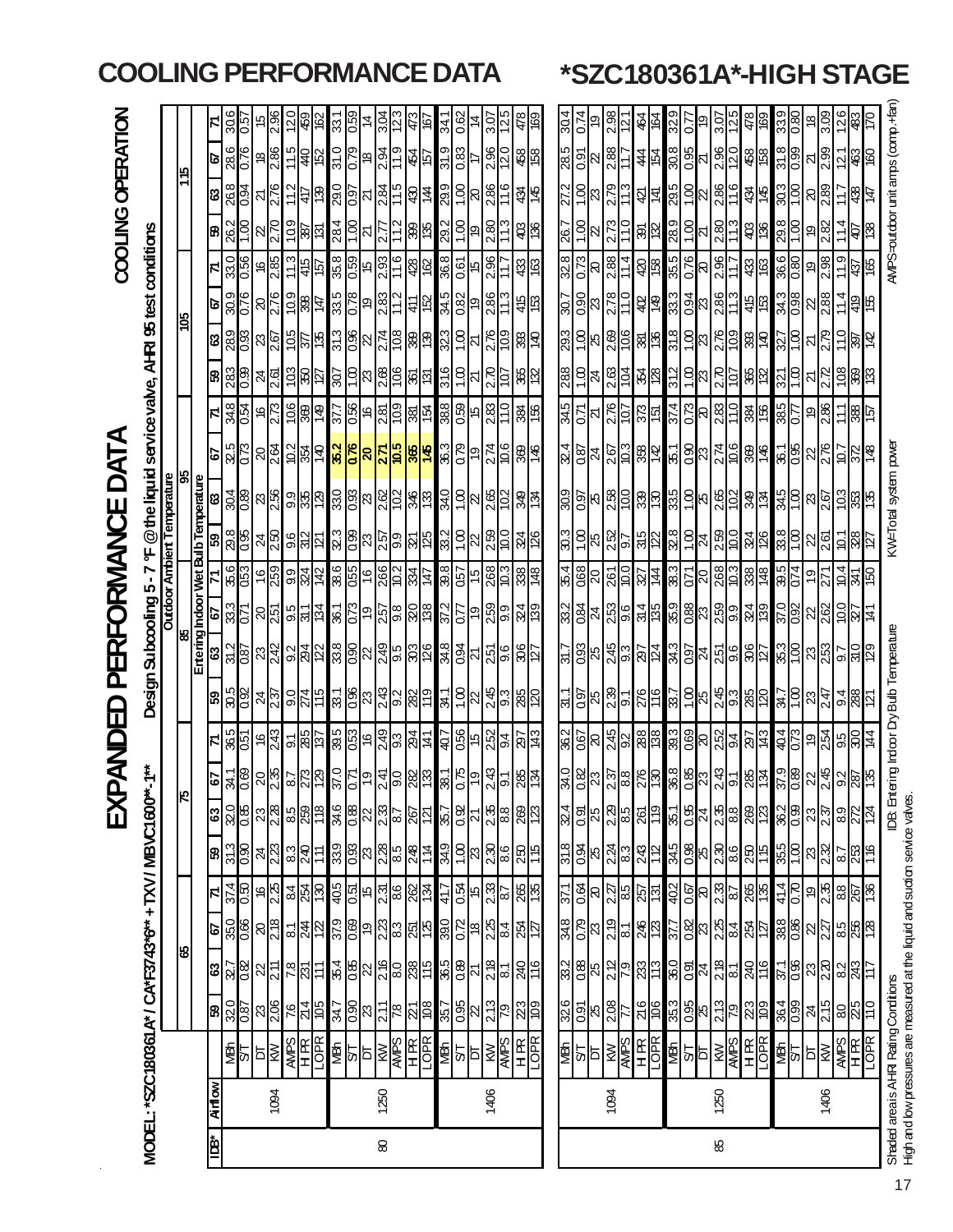|                                                                              |              |                                 |                                                                                                                                                                                                                                                                                                       |                                                                                                                  |                                                 |                                                         |                                                                                                   | 区                                           |                                                                           | OBONDED                                            |                                                                                     | PERFORMANCE                                |                                                            |                                     |                                    |                                                                                                                                                                                                                                                                                                                     | DATA                                                       |                          |                                                                                                                             |                                      |                                      |                                                 |                                                       | COOLING OPERATION                                                                                 |                         |  |
|------------------------------------------------------------------------------|--------------|---------------------------------|-------------------------------------------------------------------------------------------------------------------------------------------------------------------------------------------------------------------------------------------------------------------------------------------------------|------------------------------------------------------------------------------------------------------------------|-------------------------------------------------|---------------------------------------------------------|---------------------------------------------------------------------------------------------------|---------------------------------------------|---------------------------------------------------------------------------|----------------------------------------------------|-------------------------------------------------------------------------------------|--------------------------------------------|------------------------------------------------------------|-------------------------------------|------------------------------------|---------------------------------------------------------------------------------------------------------------------------------------------------------------------------------------------------------------------------------------------------------------------------------------------------------------------|------------------------------------------------------------|--------------------------|-----------------------------------------------------------------------------------------------------------------------------|--------------------------------------|--------------------------------------|-------------------------------------------------|-------------------------------------------------------|---------------------------------------------------------------------------------------------------|-------------------------|--|
| MODEL: *SZC180361 A* / CA*F3743*6** + TXV / MBVC1600*                        |              |                                 |                                                                                                                                                                                                                                                                                                       |                                                                                                                  |                                                 |                                                         |                                                                                                   |                                             | <b>**1</b>                                                                |                                                    |                                                                                     |                                            |                                                            |                                     |                                    | Design Subcooling 5-7 °F @the liquid service valve, AHRI 95 test conditions                                                                                                                                                                                                                                         |                                                            |                          |                                                                                                                             |                                      |                                      |                                                 |                                                       |                                                                                                   |                         |  |
|                                                                              |              |                                 |                                                                                                                                                                                                                                                                                                       |                                                                                                                  |                                                 |                                                         |                                                                                                   |                                             |                                                                           |                                                    |                                                                                     |                                            |                                                            |                                     |                                    | <b>Outdoor Ambiert Temperature</b><br>95                                                                                                                                                                                                                                                                            |                                                            |                          |                                                                                                                             |                                      |                                      |                                                 |                                                       |                                                                                                   |                         |  |
|                                                                              |              |                                 |                                                                                                                                                                                                                                                                                                       | ४                                                                                                                |                                                 |                                                         |                                                                                                   | ⊮                                           |                                                                           |                                                    |                                                                                     | Entering Indoor Wet Bulb Temperature<br>।୫ |                                                            |                                     |                                    |                                                                                                                                                                                                                                                                                                                     |                                                            |                          |                                                                                                                             | <u>ggr</u>                           |                                      |                                                 |                                                       | <u>di</u>                                                                                         |                         |  |
| ≹¤l                                                                          | <b>Airik</b> |                                 |                                                                                                                                                                                                                                                                                                       |                                                                                                                  |                                                 |                                                         | ශි                                                                                                |                                             |                                                                           |                                                    |                                                                                     |                                            | 5                                                          |                                     | 65                                 |                                                                                                                                                                                                                                                                                                                     |                                                            | FI                       |                                                                                                                             |                                      |                                      |                                                 | ଞ                                                     | ø                                                                                                 |                         |  |
|                                                                              |              | 화의형                             |                                                                                                                                                                                                                                                                                                       | <mark>ଞ୍ଚାଧୁଞ୍</mark> ଜାଧାଧ୍ୟ                                                                                    | <mark>ႄ</mark> ႞္ကိုမ္ယူေဆြ                     | $\frac{374}{50}$                                        | $\frac{31.3}{0.80}$                                                                               | <mark>အ</mark> ခြစ္ကြုပ္သူမွု               |                                                                           |                                                    | <mark>ြို့အမြှုံး အမြှုံး</mark>                                                    | $\frac{2}{3}$ $\frac{2}{3}$ $\frac{2}{3}$  | <u>အိုင်ခြင်းမြို့မျှနေ မြို့မြို့မြို့မျှမျှမျှ မြို့</u> | <u>န္ကုဒ္မုန္ကုဒ္</u> က             | $\frac{88}{15}$                    | $\frac{1}{2}$ $\frac{1}{2}$ $\frac{1}{2}$ $\frac{1}{2}$ $\frac{1}{2}$ $\frac{1}{2}$ $\frac{1}{2}$ $\frac{1}{2}$ $\frac{1}{2}$ $\frac{1}{2}$ $\frac{1}{2}$ $\frac{1}{2}$ $\frac{1}{2}$ $\frac{1}{2}$ $\frac{1}{2}$ $\frac{1}{2}$ $\frac{1}{2}$ $\frac{1}{2}$ $\frac{1}{2}$ $\frac{1}{2}$ $\frac{1}{2}$ $\frac{1}{2}$ | <mark>ၟ</mark> ၣၛၟ <mark>ၟၣၛၛၟၣၛၟႜႜၛၟႜၛၟႜၛၟႜၛၟႜၛၟႜၛ</mark> | $\frac{348}{356}$        | <mark>ଞ୍ଜ</mark> ାଞ୍ଜାଣ୍ଡା ସାସ୍ଥା ସାକ୍ଷ୍ମା ସାକ୍ଷ୍ମା ସାକ୍ଷ୍ମା ସାକ୍ଷ୍ମା ସାକ୍ଷ୍ମା ସାକ୍ଷ୍ମା ସାକ୍ଷ୍ମା ସାକ୍ଷ୍ମା ସାକ୍ଷ୍ମା ସାକ୍ଷ୍ମା | 8 <u>8 8 8 8 5 8 8 8 8 8 8 8 8 8</u> | $\frac{68}{28}$                      | <mark>္ကြ</mark> စ္ယူေဆြ                        | $\frac{268}{0.34}$<br><mark>କ</mark> ୍ଷାସ୍ଥିତ୍ରା ଧାରା | 28.6                                                                                              | 30.6<br>$\overline{50}$ |  |
|                                                                              |              |                                 |                                                                                                                                                                                                                                                                                                       |                                                                                                                  |                                                 |                                                         |                                                                                                   |                                             |                                                                           |                                                    |                                                                                     |                                            |                                                            |                                     |                                    |                                                                                                                                                                                                                                                                                                                     |                                                            |                          |                                                                                                                             |                                      |                                      |                                                 |                                                       |                                                                                                   |                         |  |
|                                                                              | 1094         |                                 |                                                                                                                                                                                                                                                                                                       |                                                                                                                  |                                                 |                                                         | $\frac{1}{2}$                                                                                     |                                             |                                                                           |                                                    |                                                                                     |                                            |                                                            |                                     | $\frac{1}{25}$                     |                                                                                                                                                                                                                                                                                                                     |                                                            |                          |                                                                                                                             |                                      | $\frac{2.76}{5}$                     |                                                 | $\frac{276}{2}$                                       | $\frac{8}{2.86}$                                                                                  | $\frac{15}{2.96}$       |  |
|                                                                              |              | <b>ARES</b>                     |                                                                                                                                                                                                                                                                                                       |                                                                                                                  |                                                 |                                                         |                                                                                                   |                                             |                                                                           |                                                    |                                                                                     |                                            |                                                            |                                     |                                    |                                                                                                                                                                                                                                                                                                                     |                                                            |                          |                                                                                                                             |                                      |                                      |                                                 |                                                       |                                                                                                   | $\frac{20}{2}$          |  |
|                                                                              |              |                                 | $\frac{5}{14}$                                                                                                                                                                                                                                                                                        | $\frac{1}{28}$                                                                                                   |                                                 |                                                         | 있습는                                                                                               | <u>အခြံခြ</u>                               |                                                                           |                                                    | $\frac{15}{25}$                                                                     |                                            |                                                            |                                     | $\frac{1}{25}$                     |                                                                                                                                                                                                                                                                                                                     |                                                            |                          |                                                                                                                             |                                      |                                      |                                                 | $\frac{5}{18}$                                        | 저렴하                                                                                               | 38                      |  |
|                                                                              |              |                                 |                                                                                                                                                                                                                                                                                                       |                                                                                                                  |                                                 |                                                         |                                                                                                   |                                             |                                                                           |                                                    |                                                                                     |                                            |                                                            |                                     |                                    |                                                                                                                                                                                                                                                                                                                     |                                                            |                          |                                                                                                                             |                                      |                                      |                                                 |                                                       |                                                                                                   |                         |  |
|                                                                              |              | <u>पश</u> ्च<br>बा              |                                                                                                                                                                                                                                                                                                       |                                                                                                                  |                                                 |                                                         |                                                                                                   |                                             |                                                                           |                                                    |                                                                                     |                                            |                                                            |                                     |                                    |                                                                                                                                                                                                                                                                                                                     |                                                            |                          |                                                                                                                             |                                      |                                      | င်းခြစ် မြို့<br>မြို့သူ မြို့ခြင်း             | $\frac{1}{28}$ $\frac{1}{28}$ $\frac{1}{27}$          | $\frac{1}{2}$ $\frac{1}{2}$ $\frac{1}{2}$ $\frac{1}{2}$ $\frac{1}{2}$ $\frac{1}{2}$ $\frac{1}{2}$ | 331                     |  |
|                                                                              |              |                                 |                                                                                                                                                                                                                                                                                                       |                                                                                                                  |                                                 |                                                         |                                                                                                   |                                             |                                                                           |                                                    |                                                                                     |                                            |                                                            |                                     |                                    |                                                                                                                                                                                                                                                                                                                     |                                                            |                          |                                                                                                                             |                                      |                                      |                                                 |                                                       |                                                                                                   | $\frac{6}{25}$          |  |
|                                                                              |              |                                 |                                                                                                                                                                                                                                                                                                       |                                                                                                                  |                                                 |                                                         |                                                                                                   |                                             |                                                                           |                                                    |                                                                                     |                                            |                                                            |                                     |                                    |                                                                                                                                                                                                                                                                                                                     |                                                            |                          |                                                                                                                             |                                      |                                      |                                                 |                                                       |                                                                                                   |                         |  |
| $\pmb{\otimes}$                                                              | 1250         | <b>ANS</b><br>ANS<br>ANS<br>ANS | $\frac{1}{3}$ $\frac{1}{3}$ $\frac{1}{3}$ $\frac{1}{3}$ $\frac{1}{3}$ $\frac{1}{3}$ $\frac{1}{3}$ $\frac{1}{3}$ $\frac{1}{3}$ $\frac{1}{3}$ $\frac{1}{3}$ $\frac{1}{3}$ $\frac{1}{3}$ $\frac{1}{3}$ $\frac{1}{3}$ $\frac{1}{3}$ $\frac{1}{3}$ $\frac{1}{3}$ $\frac{1}{3}$ $\frac{1}{3}$ $\frac{1}{3}$ | $\frac{1}{36}$ $\frac{1}{8}$ $\frac{1}{8}$ $\frac{1}{8}$ $\frac{1}{8}$ $\frac{1}{8}$ $\frac{1}{8}$ $\frac{1}{8}$ | <u>ႜႃ႞ၛၟႜၛၟၛၟႜၛၟႜၛၛၟႜႜႜႜၛႜ</u>                  |                                                         | 38888988                                                                                          | ន <u>្លុ</u> ឌីន្ត្ <mark>ទី នូង និង</mark> |                                                                           |                                                    | <u>န္က မွုတ္တုိင္ကုိ မြန္မာ</u>                                                     | <u>ျွေရွာ မွာ မြို့သူ မြို့မျှ မြို့</u>   |                                                            | <u>이외동 영</u> 업 이 영 <mark>성 설</mark> | <u>ងន្ទ្រីនន្ទ្រីនន្ទ្រីន្ទ្រី</u> |                                                                                                                                                                                                                                                                                                                     |                                                            |                          |                                                                                                                             |                                      | 008 4 5 6 6 6 6 6 7 5 6              |                                                 | <u>ျှံ႕ မြွှူဒ္ဓါတ္တ မြွှူင် မြို့န</u>               |                                                                                                   | 123<br>3.O4             |  |
|                                                                              |              |                                 |                                                                                                                                                                                                                                                                                                       |                                                                                                                  |                                                 |                                                         |                                                                                                   |                                             |                                                                           |                                                    |                                                                                     |                                            |                                                            |                                     |                                    |                                                                                                                                                                                                                                                                                                                     |                                                            |                          |                                                                                                                             |                                      |                                      |                                                 |                                                       |                                                                                                   | 473                     |  |
|                                                                              |              |                                 |                                                                                                                                                                                                                                                                                                       |                                                                                                                  |                                                 |                                                         |                                                                                                   |                                             |                                                                           |                                                    |                                                                                     |                                            |                                                            |                                     |                                    |                                                                                                                                                                                                                                                                                                                     |                                                            |                          |                                                                                                                             |                                      |                                      | $rac{26}{10}$                                   | <u>는 영</u> 원                                          | <u>이화</u><br>하다                                                                                   | 167                     |  |
|                                                                              |              |                                 |                                                                                                                                                                                                                                                                                                       |                                                                                                                  |                                                 | 41.7                                                    |                                                                                                   |                                             |                                                                           |                                                    |                                                                                     |                                            |                                                            |                                     |                                    |                                                                                                                                                                                                                                                                                                                     |                                                            |                          |                                                                                                                             |                                      |                                      |                                                 |                                                       |                                                                                                   | 34.1                    |  |
|                                                                              |              |                                 |                                                                                                                                                                                                                                                                                                       |                                                                                                                  |                                                 |                                                         |                                                                                                   |                                             |                                                                           |                                                    |                                                                                     |                                            |                                                            |                                     |                                    |                                                                                                                                                                                                                                                                                                                     |                                                            |                          |                                                                                                                             |                                      |                                      |                                                 |                                                       | $\frac{1}{2}$ $\frac{1}{2}$ $\frac{1}{2}$                                                         | 0.62                    |  |
|                                                                              |              | 활일                              | $\frac{15}{35}$                                                                                                                                                                                                                                                                                       | $\frac{15}{36}$                                                                                                  | $\frac{1}{28}$                                  | <u>여</u> 년 3 <mark>일</mark><br> 일 <mark>일 3</mark> 일    | <mark>ျှေဒ</mark> ါအဆြီး                                                                          |                                             |                                                                           |                                                    | <u>ଆରୁ ମଧ୍ୟ</u> ଅ                                                                   |                                            |                                                            |                                     | <u>အခြံများ</u>                    | $\frac{1}{3}$ $\frac{1}{3}$ $\frac{1}{3}$ $\frac{1}{3}$ $\frac{1}{3}$ $\frac{1}{3}$ $\frac{1}{3}$ $\frac{1}{3}$ $\frac{1}{3}$ $\frac{1}{3}$                                                                                                                                                                         | $\frac{1}{28}$                                             | မ္ကြင္ခြင္ခြင့္အျမင္ဆုံး | $\frac{15}{10}$                                                                                                             | <u>အခြံမြိုင်း</u>                   | <u>ងន<mark>្ទ</mark>ី ១ ន្ទ្រី :</u> | $rac{368}{150}$                                 | $\frac{6}{10}$                                        |                                                                                                   | ź                       |  |
|                                                                              | 1406         | <b>KW</b><br>AVIPS              |                                                                                                                                                                                                                                                                                                       |                                                                                                                  |                                                 |                                                         |                                                                                                   |                                             |                                                                           |                                                    |                                                                                     |                                            |                                                            |                                     |                                    |                                                                                                                                                                                                                                                                                                                     |                                                            |                          |                                                                                                                             |                                      |                                      | 2.96                                            | 2.80                                                  |                                                                                                   | 3.07                    |  |
|                                                                              |              |                                 |                                                                                                                                                                                                                                                                                                       |                                                                                                                  |                                                 |                                                         |                                                                                                   |                                             |                                                                           |                                                    |                                                                                     |                                            |                                                            |                                     |                                    |                                                                                                                                                                                                                                                                                                                     |                                                            |                          |                                                                                                                             |                                      |                                      |                                                 |                                                       | $\frac{2.96}{12.0}$                                                                               | $\mathsf{N}$            |  |
|                                                                              |              | $\frac{H}{10R}$                 | $\frac{279}{278}$                                                                                                                                                                                                                                                                                     | 240                                                                                                              | $rac{25}{127}$                                  | $\frac{265}{136}$                                       | $rac{250}{15}$                                                                                    | <u>မြို့ချီး မြို့ချီမြို့</u>              | 8여                                                                        | <u>ခုံမြွှေများများ</u>                            | 85                                                                                  | <u>နှိုဒွိုzှင်းမြို့မြို့</u>             | <u>မျှငျှိချီမျှမျှမျှ</u>                                 | 338                                 | $\frac{34}{26}$                    | $rac{1}{86}$                                                                                                                                                                                                                                                                                                        | 8点                                                         | $\frac{385}{150}$        | $\frac{1}{28}$                                                                                                              | $\frac{1}{28}$                       | $rac{45}{60}$                        | \$                                              | $rac{48}{5}$<br>$\frac{1}{2}$                         | 458                                                                                               | 478                     |  |
|                                                                              |              |                                 |                                                                                                                                                                                                                                                                                                       |                                                                                                                  |                                                 |                                                         |                                                                                                   |                                             |                                                                           |                                                    |                                                                                     |                                            |                                                            |                                     |                                    |                                                                                                                                                                                                                                                                                                                     |                                                            |                          |                                                                                                                             |                                      |                                      |                                                 |                                                       |                                                                                                   | 69                      |  |
|                                                                              |              | <b>MBN</b>                      | 326                                                                                                                                                                                                                                                                                                   |                                                                                                                  |                                                 | 37.1                                                    |                                                                                                   |                                             |                                                                           |                                                    | $\frac{1}{2}$                                                                       | $\frac{12}{5}$                             |                                                            |                                     | $\frac{3}{2}$                      |                                                                                                                                                                                                                                                                                                                     |                                                            |                          |                                                                                                                             |                                      | $\overline{307}$                     | 26.7<br>328                                     | $\frac{27.2}{ }$                                      |                                                                                                   | 30.4                    |  |
|                                                                              |              |                                 |                                                                                                                                                                                                                                                                                                       |                                                                                                                  |                                                 |                                                         |                                                                                                   |                                             |                                                                           |                                                    |                                                                                     |                                            |                                                            |                                     |                                    |                                                                                                                                                                                                                                                                                                                     | $\frac{324}{087}$                                          | $\frac{345}{0.71}$       |                                                                                                                             |                                      |                                      | 0.73                                            | 1.00                                                  |                                                                                                   | 0.74                    |  |
|                                                                              |              | 일의                              |                                                                                                                                                                                                                                                                                                       |                                                                                                                  |                                                 | $\frac{8}{10}$                                          | $\frac{25}{10}$                                                                                   |                                             |                                                                           |                                                    | $\frac{58}{25}$                                                                     |                                            |                                                            |                                     |                                    |                                                                                                                                                                                                                                                                                                                     | z                                                          |                          |                                                                                                                             |                                      |                                      | ଟ                                               |                                                       | $\frac{15}{80}$ $\frac{15}{80}$<br>$\tilde{\mathbb{S}}^{[2]}$                                     |                         |  |
|                                                                              | 1094         |                                 | $\frac{5}{3}$ 8 $\frac{8}{3}$                                                                                                                                                                                                                                                                         | <u>အိုမ္အေမြ႕ေမြ႕ေမြ</u>                                                                                         | <u>န္တုင္ထုမျိဳင္ပုံ</u>                        |                                                         |                                                                                                   | <mark>န</mark> ှို့အမြစ်မြို့               |                                                                           |                                                    | 230                                                                                 |                                            |                                                            |                                     | <u>ခြံများများ</u>                 |                                                                                                                                                                                                                                                                                                                     |                                                            |                          |                                                                                                                             |                                      | 388                                  | 2.88                                            | 2.79<br>2.73                                          | 2.88                                                                                              | 2.98                    |  |
|                                                                              |              |                                 |                                                                                                                                                                                                                                                                                                       |                                                                                                                  |                                                 |                                                         |                                                                                                   |                                             |                                                                           |                                                    |                                                                                     |                                            |                                                            |                                     |                                    |                                                                                                                                                                                                                                                                                                                     |                                                            |                          |                                                                                                                             |                                      |                                      | $\frac{14}{1}$                                  | 8 L L                                                 |                                                                                                   |                         |  |
|                                                                              |              | <b>SEER</b>                     | $rac{6}{100}$                                                                                                                                                                                                                                                                                         |                                                                                                                  | $\frac{46}{123}$                                | $\frac{2}{3}$ $\frac{1}{3}$ $\frac{1}{3}$ $\frac{1}{2}$ | $\frac{23}{8}$ $\frac{24}{8}$ $\frac{12}{12}$                                                     |                                             |                                                                           |                                                    | $\frac{1}{25}$                                                                      |                                            |                                                            |                                     |                                    |                                                                                                                                                                                                                                                                                                                     |                                                            | $\frac{25}{25}$          |                                                                                                                             |                                      |                                      | <u>ଞ୍ଜାଙ୍</u><br>$\frac{1}{2}$                  |                                                       | $rac{4}{5}$                                                                                       | र्द्धैदि                |  |
|                                                                              |              |                                 |                                                                                                                                                                                                                                                                                                       |                                                                                                                  |                                                 |                                                         |                                                                                                   |                                             |                                                                           |                                                    |                                                                                     |                                            |                                                            |                                     |                                    |                                                                                                                                                                                                                                                                                                                     |                                                            |                          |                                                                                                                             |                                      |                                      |                                                 |                                                       |                                                                                                   |                         |  |
|                                                                              |              |                                 | 35.3                                                                                                                                                                                                                                                                                                  |                                                                                                                  |                                                 |                                                         |                                                                                                   | 135                                         |                                                                           |                                                    |                                                                                     |                                            |                                                            |                                     |                                    |                                                                                                                                                                                                                                                                                                                     |                                                            | 374                      |                                                                                                                             |                                      |                                      |                                                 |                                                       | $\frac{8}{20}$                                                                                    | 329                     |  |
|                                                                              |              | 확실                              | $\frac{0.95}{25}$                                                                                                                                                                                                                                                                                     | <u>မ္လုချိဳ႕မွ ထို</u>                                                                                           | $\frac{25}{25}$ $\frac{25}{25}$ $\frac{25}{25}$ | $\frac{1}{3}$                                           | <mark>ಭ</mark> ್ರತಿ <mark>ಗಳ</mark> ಬೆಜೆ                                                          | 828282                                      | <u>မြို့အမြို့အမြို့မျှ အမြို့အမြို့</u><br>မြို့အမြို့အမြို့အမြို့အမြို့ | <u>မြို့မြို့များမြို့များ မြို့မြို့များမြို့</u> | <u>ង ၁ ၂၂၂၂၁ </u>                                                                   | 8236249                                    | <u>ဖြံ့ခြီး ဖြံ့ခြီး မြံ့ခြံ့ခြံ့ခြံ</u>                   | <u> ୡୗୡୗଌୗଵୗଌୗଽୄୄୄଌ୲ଌୗ୰</u>         | <u> 예정설 없음</u>                     | <u>ြို့ချိုးများများများများများများ</u>                                                                                                                                                                                                                                                                            | <u>ြိုင္ပုံ အမြန္မွု ျခင္သြားသြား ဆြန္</u> မြ              | $\frac{288}{281}$        |                                                                                                                             | <u>ြိုဒ္ကြံရခြံခြံရခြံခြံရခြံခြံ</u> | <mark>င္ခုခြန္ မျခန္း</mark> မျခန္း  | $\frac{15}{35}$ $\frac{15}{35}$ $\frac{15}{35}$ | <u> 최후 이승에 있습</u><br><u>이 이 시 이 다</u><br>이 이 시 이 시 다  | $\frac{5}{20}$                                                                                    | ღ<br>$\overline{0.7}$   |  |
| 88                                                                           | 1250         | 图图                              | $\frac{2.13}{7.9}$                                                                                                                                                                                                                                                                                    |                                                                                                                  |                                                 |                                                         |                                                                                                   |                                             |                                                                           |                                                    |                                                                                     |                                            |                                                            | 268<br>10.3                         |                                    |                                                                                                                                                                                                                                                                                                                     |                                                            |                          |                                                                                                                             |                                      |                                      |                                                 |                                                       | 2.96                                                                                              | 3.07                    |  |
|                                                                              |              |                                 |                                                                                                                                                                                                                                                                                                       |                                                                                                                  |                                                 |                                                         |                                                                                                   |                                             |                                                                           |                                                    |                                                                                     |                                            |                                                            |                                     |                                    |                                                                                                                                                                                                                                                                                                                     |                                                            |                          |                                                                                                                             |                                      | 11.7                                 |                                                 |                                                       |                                                                                                   | 57                      |  |
|                                                                              |              | $\frac{H}{10R}$                 | $\frac{23}{109}$                                                                                                                                                                                                                                                                                      | 240                                                                                                              | 정도                                              | 265                                                     | $rac{250}{15}$                                                                                    |                                             | $rac{18}{36}$                                                             |                                                    | 88                                                                                  |                                            | $\frac{84}{139}$                                           | 338                                 | 324                                |                                                                                                                                                                                                                                                                                                                     |                                                            | 384                      | 382                                                                                                                         | 88点                                  | 45                                   | \$8                                             | 34<br>\$8                                             | 458                                                                                               | 478                     |  |
|                                                                              |              |                                 |                                                                                                                                                                                                                                                                                                       |                                                                                                                  |                                                 |                                                         |                                                                                                   |                                             |                                                                           |                                                    |                                                                                     |                                            |                                                            |                                     |                                    |                                                                                                                                                                                                                                                                                                                     |                                                            |                          |                                                                                                                             |                                      |                                      |                                                 |                                                       |                                                                                                   | 89                      |  |
|                                                                              |              | $\frac{1.6}{140}$               | $\frac{364}{0.99}$                                                                                                                                                                                                                                                                                    | $rac{371}{0.86}$                                                                                                 | $\frac{388}{0.86}$                              | $\frac{q+1}{p+1}$                                       | $\frac{355}{1.00}$                                                                                |                                             |                                                                           |                                                    | <u>ाः १</u>                                                                         |                                            |                                                            | $rac{305}{0.74}$                    | $\frac{388}{100}$                  |                                                                                                                                                                                                                                                                                                                     | $\frac{361}{136}$                                          | $\frac{285}{0.7}$        | $\frac{321}{1.00}$                                                                                                          |                                      |                                      | $\frac{366}{0.80}$                              | $rac{303}{1.00}$<br>$\frac{8}{29}$                    | $\frac{31.8}{0.99}$                                                                               | $\frac{0.80}{0.80}$     |  |
|                                                                              |              |                                 |                                                                                                                                                                                                                                                                                                       |                                                                                                                  |                                                 |                                                         |                                                                                                   |                                             |                                                                           |                                                    |                                                                                     |                                            |                                                            |                                     |                                    |                                                                                                                                                                                                                                                                                                                     |                                                            |                          |                                                                                                                             |                                      |                                      |                                                 |                                                       |                                                                                                   |                         |  |
|                                                                              | 1406         | 히                               | $\frac{24}{2.15}$                                                                                                                                                                                                                                                                                     |                                                                                                                  |                                                 |                                                         |                                                                                                   |                                             |                                                                           |                                                    |                                                                                     |                                            |                                                            | $\frac{1}{2}$                       | $\frac{22}{261}$                   |                                                                                                                                                                                                                                                                                                                     |                                                            | $\frac{9}{2.86}$         |                                                                                                                             |                                      |                                      | $\frac{9}{2.38}$                                | $\frac{8}{2.89}$                                      | $\frac{2.39}{2.39}$                                                                               | <u>ူ</u> ချွိ           |  |
|                                                                              |              |                                 |                                                                                                                                                                                                                                                                                                       |                                                                                                                  |                                                 |                                                         |                                                                                                   |                                             |                                                                           |                                                    |                                                                                     |                                            |                                                            |                                     |                                    |                                                                                                                                                                                                                                                                                                                     |                                                            |                          |                                                                                                                             |                                      |                                      |                                                 | $\ddot{1}$                                            |                                                                                                   |                         |  |
|                                                                              |              | <b>ANES</b><br>RESER            | $\frac{10}{100}$                                                                                                                                                                                                                                                                                      | $ z _{\infty}^2$                                                                                                 | ရွည္ကုန္မႈမွု<br>မြန္မာ့                        | ၜ <mark>ႜႜႜႜ</mark> ၛၜၟႜႜၛၟႜ                            | $\frac{1}{2}$ $\frac{1}{2}$ $\frac{1}{2}$ $\frac{1}{2}$ $\frac{1}{2}$ $\frac{1}{2}$ $\frac{1}{2}$ | <mark>န</mark> ္ကုန္တုန္ကုန္စုန္ကုန္က       | <u>ိုးမျှ မျိုးမျိုးမျိုး</u>                                             | <u> 축임하품 원명 주</u>                                  | $\frac{1}{2}$ $\frac{1}{2}$ $\frac{1}{2}$ $\frac{1}{2}$ $\frac{1}{2}$ $\frac{1}{2}$ | <u> ဗွိုချွိုးမြို့မြို့</u>               | <u>မိုမြို့မျှမျှခြွမျှန</u>                               | $\frac{1}{2}$                       | $\frac{58}{2}$                     | <u>နှိုဒ္ဒုံ မူမြိုဒ္ဒုံမှုမှု</u>                                                                                                                                                                                                                                                                                  | 36/26                                                      | 회総는                      | <u>z  </u> င္ဂူဒ္တြဲ  မွန္တ                                                                                                 | <u>ဗြိုငျ် မမြိုင်မြိုင်</u>         | <u>အိုမ္တို႔မွိုင္ကုံဆုံး</u>        | 437                                             | ခ   <u>ဗျို -</u> ခြုံမြွ                             | <b>26</b>                                                                                         |                         |  |
|                                                                              |              |                                 |                                                                                                                                                                                                                                                                                                       |                                                                                                                  |                                                 |                                                         |                                                                                                   |                                             |                                                                           |                                                    |                                                                                     |                                            |                                                            |                                     |                                    |                                                                                                                                                                                                                                                                                                                     |                                                            |                          |                                                                                                                             |                                      |                                      | 8                                               | 总区                                                    |                                                                                                   | 04                      |  |
| Shaded area is AHRI Rating Conditions                                        |              |                                 |                                                                                                                                                                                                                                                                                                       |                                                                                                                  |                                                 |                                                         |                                                                                                   | <b>DB:</b> Ent                              |                                                                           |                                                    | ering Indoor Dry Bulb Temperature                                                   |                                            |                                                            |                                     |                                    | <td></td> <td></td> <td></td> <td></td> <td></td> <td></td> <td></td> <td>AMPS-outdoor unit amps (comp.+fan</td> <td></td> <td></td>                                                                                                                                                                                |                                                            |                          |                                                                                                                             |                                      |                                      |                                                 |                                                       | AMPS-outdoor unit amps (comp.+fan                                                                 |                         |  |
| High and bw pressures are measured at the liquid and sudtion service valves. |              |                                 |                                                                                                                                                                                                                                                                                                       |                                                                                                                  |                                                 |                                                         |                                                                                                   |                                             |                                                                           |                                                    |                                                                                     |                                            |                                                            |                                     |                                    |                                                                                                                                                                                                                                                                                                                     |                                                            |                          |                                                                                                                             |                                      |                                      |                                                 |                                                       |                                                                                                   |                         |  |

### **COOLING PERFORMANCE DATA \*SZC180361A\*-HIGH STAGE**

17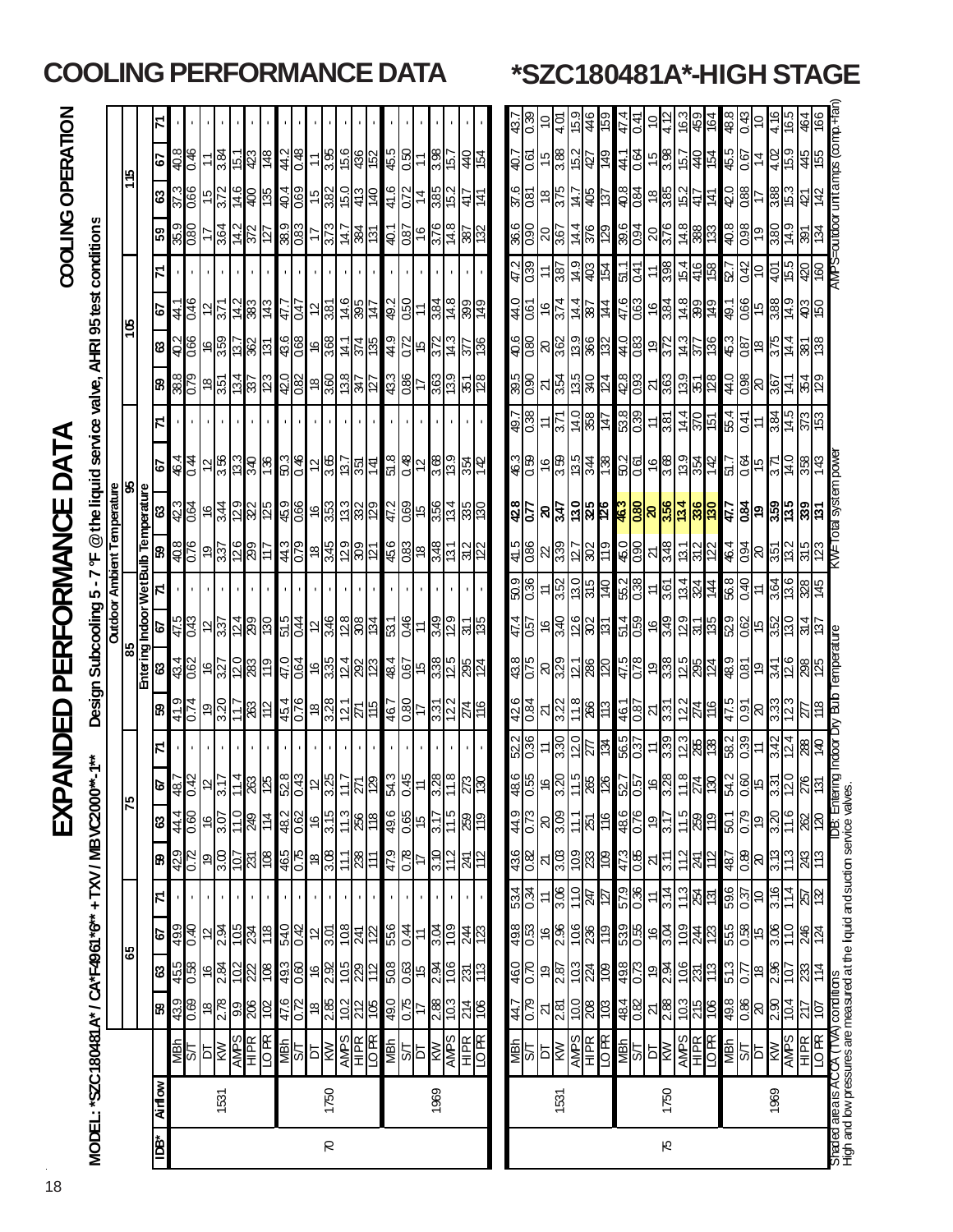|                   |                                                                               |                                    |              |                                                                            |                     |                     |               |      |                                                                                                                                             |     |                    |                            |      |             |                                                                                     |            |                    |                       |                                         |                                                                                              |                   |      | $rac{1}{38}$        |                   | <br>4.01                     | 15.9                                                                                              | 46                   | 69              |                   |                  | $\frac{41}{44}$ $\frac{1}{2}$ $\frac{1}{2}$ $\frac{1}{2}$ |                      | $\frac{1}{6}$ $\frac{1}{6}$ $\frac{1}{6}$ $\frac{1}{6}$ $\frac{1}{6}$ $\frac{1}{6}$ $\frac{1}{6}$ $\frac{1}{6}$                                                                                                                                                                                             |                     |                                            |    | $\frac{4.16}{ }$ | 3 9 p | 466                                                                                                                                                                                                                                                                                                                                                                                          |                      |                                                                                                                     |
|-------------------|-------------------------------------------------------------------------------|------------------------------------|--------------|----------------------------------------------------------------------------|---------------------|---------------------|---------------|------|---------------------------------------------------------------------------------------------------------------------------------------------|-----|--------------------|----------------------------|------|-------------|-------------------------------------------------------------------------------------|------------|--------------------|-----------------------|-----------------------------------------|----------------------------------------------------------------------------------------------|-------------------|------|---------------------|-------------------|------------------------------|---------------------------------------------------------------------------------------------------|----------------------|-----------------|-------------------|------------------|-----------------------------------------------------------|----------------------|-------------------------------------------------------------------------------------------------------------------------------------------------------------------------------------------------------------------------------------------------------------------------------------------------------------|---------------------|--------------------------------------------|----|------------------|-------|----------------------------------------------------------------------------------------------------------------------------------------------------------------------------------------------------------------------------------------------------------------------------------------------------------------------------------------------------------------------------------------------|----------------------|---------------------------------------------------------------------------------------------------------------------|
| COOLING OPERATION |                                                                               |                                    |              | 5                                                                          | $rac{8}{3}$         | 9 + 0               |               | 3.84 | 6 <mark>성 효 경</mark> 송                                                                                                                      |     |                    | 11                         |      |             | <u>နှိုင်မြီး</u>                                                                   | 45.5       | $rac{50}{1}$       |                       | $\frac{3.38}{15.7}$                     |                                                                                              | 124<br>10         |      |                     | $\frac{407}{160}$ |                              | ခု <mark>မြ</mark> ို့ အဖြ                                                                        |                      | 640             |                   |                  |                                                           |                      |                                                                                                                                                                                                                                                                                                             |                     |                                            |    |                  |       |                                                                                                                                                                                                                                                                                                                                                                                              | unit amps (comp.+fai |                                                                                                                     |
|                   |                                                                               |                                    |              | 63                                                                         |                     | $\frac{37.3}{0.66}$ | $\frac{5}{3}$ |      |                                                                                                                                             |     |                    |                            |      |             | <u>ဖွံ့ (ချွံ့) မြံ့ခြံ့မြံ့မြံ့မြံ့ (</u><br>မြို့မြံ့မြံ့မြံ့မြံ့မြံ့မြံ့မြံ့မြံ့ | 41.6       | 0.72               |                       |                                         | $\frac{4}{385}$<br>$\frac{4}{12}$                                                            |                   | - 41 | $\frac{37.6}{0.81}$ |                   |                              | $\frac{18}{12}$ $\frac{12}{12}$ $\frac{12}{12}$                                                   |                      |                 |                   |                  |                                                           |                      |                                                                                                                                                                                                                                                                                                             |                     |                                            |    |                  |       | <u> 하음 = 영</u> 업 - 경우<br>경우 - 영 <mark>성</mark> - 경우                                                                                                                                                                                                                                                                                                                                          |                      |                                                                                                                     |
|                   |                                                                               |                                    |              | ြို့                                                                       |                     | $\frac{35.9}{0.80}$ |               |      | $\frac{1}{28}$ $\frac{1}{28}$ $\frac{1}{28}$ $\frac{1}{28}$ $\frac{1}{28}$ $\frac{1}{28}$ $\frac{1}{28}$                                    |     |                    |                            | 373  |             | $rac{14.7}{884}$                                                                    | 40.1       |                    |                       |                                         | <u>ခြင်းမြို့များ</u>                                                                        |                   |      | $\frac{6}{8}$       |                   |                              | $\frac{25}{25}$                                                                                   |                      | 129             |                   |                  | 8848                                                      |                      | $rac{88}{28}$                                                                                                                                                                                                                                                                                               |                     |                                            |    |                  |       | <u> 승리능 영국 원</u> 출                                                                                                                                                                                                                                                                                                                                                                           | autdoor              |                                                                                                                     |
|                   |                                                                               |                                    |              |                                                                            |                     |                     |               |      |                                                                                                                                             |     |                    |                            |      |             |                                                                                     |            |                    |                       |                                         |                                                                                              |                   |      | $rac{47.2}{0.39}$   |                   |                              | <u>= % ㅎ 8 </u>                                                                                   |                      | 154             |                   | 일의               |                                                           |                      |                                                                                                                                                                                                                                                                                                             |                     |                                            |    |                  |       | <u>မျိုင်ခြင်းမြို့ မြို့မြို့ မြို့</u><br>မြို့သို့ မြို့မြို့                                                                                                                                                                                                                                                                                                                             |                      |                                                                                                                     |
|                   |                                                                               |                                    | 105          | 79                                                                         |                     | $rac{41}{15}$       |               |      |                                                                                                                                             |     |                    |                            |      |             | <u>일주 중 출입 이 원 주 정부</u>                                                             | 49.2       |                    |                       |                                         | <u>ခြို မြို့ချိန်မြို့</u>                                                                  |                   |      | $\frac{44.0}{0.61}$ |                   |                              | $\frac{1}{2}$ $\frac{1}{2}$ $\frac{1}{2}$ $\frac{1}{2}$ $\frac{1}{2}$ $\frac{1}{2}$ $\frac{1}{2}$ |                      |                 |                   |                  |                                                           |                      |                                                                                                                                                                                                                                                                                                             |                     |                                            |    |                  |       |                                                                                                                                                                                                                                                                                                                                                                                              |                      |                                                                                                                     |
|                   |                                                                               |                                    |              | ଞ                                                                          |                     | $rac{2}{0.66}$      |               |      |                                                                                                                                             |     |                    |                            |      |             | $\frac{4.1}{25}$                                                                    | 44.9       |                    | $rac{072}{15}$        |                                         | <u> 정치 이 정</u>                                                                               |                   |      |                     | $rac{6}{180}$     |                              | $\frac{8}{36}$ ခြို့                                                                              |                      | $^{132}$        |                   |                  | $\frac{4}{3}$ $\frac{1}{3}$ $\frac{1}{3}$                 |                      |                                                                                                                                                                                                                                                                                                             |                     |                                            |    |                  |       | $rac{1}{2}$ $rac{1}{2}$ $rac{1}{2}$ $rac{1}{2}$ $rac{1}{2}$ $rac{1}{2}$ $rac{1}{2}$ $rac{1}{2}$ $rac{1}{2}$ $rac{1}{2}$ $rac{1}{2}$ $rac{1}{2}$ $rac{1}{2}$ $rac{1}{2}$ $rac{1}{2}$ $rac{1}{2}$ $rac{1}{2}$ $rac{1}{2}$ $rac{1}{2}$ $rac{1}{2}$ $rac{1}{2}$ $rac{1}{2}$ $rac{1}{2}$ $rac{1}{2}$ $rac{1}{$                                                                                    |                      |                                                                                                                     |
|                   |                                                                               |                                    |              | B)                                                                         | 38.8                | 820                 |               |      |                                                                                                                                             |     |                    |                            |      |             | <u>ချီဗိုင်္မြိုင်္မြိုင်္ဂျီမြိုင်္မြိုင်္မြိုင်္</u>                              | 43.3       |                    |                       |                                         | <mark>န္တုိ ဗုဒ္ဓုဒ္ဓု</mark><br>မြန္မာမျ                                                    |                   |      | $\frac{39.5}{0.90}$ |                   |                              | $\frac{1}{2\sqrt{2}}\frac{1}{2\sqrt{2}}$                                                          |                      | 124             |                   |                  |                                                           |                      |                                                                                                                                                                                                                                                                                                             |                     |                                            |    |                  |       | <u>များပြီး အမြန်မြို့ မြို့မြို့ မြို့များ</u>                                                                                                                                                                                                                                                                                                                                              |                      |                                                                                                                     |
|                   |                                                                               |                                    |              | Z                                                                          |                     |                     |               |      |                                                                                                                                             |     |                    |                            |      |             |                                                                                     |            |                    |                       |                                         |                                                                                              |                   |      | $rac{1}{48}$        |                   | <u> 라이</u>                   |                                                                                                   | $\frac{10}{388}$     | $\overline{47}$ |                   |                  | $\frac{18}{36}$ $\approx$ $\frac{12}{36}$                 |                      |                                                                                                                                                                                                                                                                                                             |                     |                                            |    |                  |       | $\frac{1}{4} \frac{1}{8} \frac{1}{8} \frac{1}{8} \frac{1}{8} \frac{1}{8} \frac{1}{8} \frac{1}{8} \frac{1}{8} \frac{1}{8} \frac{1}{8} \frac{1}{8} \frac{1}{8} \frac{1}{8} \frac{1}{8} \frac{1}{8} \frac{1}{8} \frac{1}{8} \frac{1}{8} \frac{1}{8} \frac{1}{8} \frac{1}{8} \frac{1}{8} \frac{1}{8} \frac{1}{8} \frac{1}{8} \frac{1}{8} \frac{1}{8} \frac{1}{8} \frac{1}{8} \frac{1}{8} \frac{$ |                      |                                                                                                                     |
| DAT               |                                                                               |                                    | 8            | 5                                                                          |                     | $\frac{464}{4}$     |               |      |                                                                                                                                             |     |                    |                            |      |             | <u> ၁ မိုမြို့မျိုး  မျိုး  မျိုး  မျိုး  မျိုး</u>                                 | 8 19       |                    |                       |                                         | $\frac{1}{\sqrt{2}}\frac{1}{\sqrt{2}}\frac{1}{\sqrt{2}}\frac{1}{\sqrt{2}}\frac{1}{\sqrt{2}}$ |                   | 142  | $\frac{46.3}{0.59}$ |                   |                              | $rac{6}{8}$ $rac{1}{8}$ $rac{1}{8}$ $rac{1}{8}$ $rac{1}{8}$                                       |                      |                 |                   |                  |                                                           |                      |                                                                                                                                                                                                                                                                                                             |                     |                                            |    |                  |       | <u>일이 이 일</u> 리 2015<br>일이 이 일이 없다.                                                                                                                                                                                                                                                                                                                                                          | WeTotal system powe  |                                                                                                                     |
| Щ<br>( )          |                                                                               |                                    |              |                                                                            | $\frac{42.3}{0.64}$ |                     | ∣≌            |      |                                                                                                                                             |     |                    |                            |      |             | <u>မျိုးများ မြို့များများများ</u>                                                  | 47.2       |                    |                       |                                         | $rac{66}{66}$                                                                                |                   |      |                     |                   |                              |                                                                                                   |                      |                 |                   |                  |                                                           |                      |                                                                                                                                                                                                                                                                                                             |                     |                                            |    |                  |       | <mark>ြိုင် မြည်ဆြံမြင် <mark>ဒုဒ္ဓါဒမြိုင် မြိုင်</mark> ခြံခြံ မြိုင် မြိုင် မြိုင်</mark>                                                                                                                                                                                                                                                                                                 |                      |                                                                                                                     |
|                   |                                                                               |                                    |              |                                                                            | 40.8                | 076                 |               |      | <u>ခြင်းမြို့</u>                                                                                                                           |     | $rac{4}{3}$        |                            |      |             | <u>ြို့မျှ အခြား</u>                                                                | 45.6       |                    |                       |                                         | <u>အခြံခြံခြံခြံ</u>                                                                         |                   |      | $\frac{41.5}{0.86}$ |                   |                              | <u>ងន្ទ្រីន្ទ្រីន្ទ្រ</u>                                                                         |                      | 611             |                   |                  |                                                           |                      |                                                                                                                                                                                                                                                                                                             |                     |                                            |    |                  |       | <u>ခုိပ္တုိ႔မွာမြန္မာတြံ႔ မြန္မာတြံ႔ မြန္မာ</u>                                                                                                                                                                                                                                                                                                                                              |                      |                                                                                                                     |
| FORMAN            | Design Subcooling 5 - 7 °F @the liquid service valve, AHRI 95 test conditions | <b>Outdoor Ambient Temperature</b> |              | ing Indoor Wet Bulb Temperature<br>__     67         71      59         63 |                     |                     |               |      |                                                                                                                                             |     |                    |                            |      |             |                                                                                     |            |                    |                       |                                         |                                                                                              |                   |      | 50.36               |                   |                              | $\pm \frac{25}{125}$                                                                              |                      | $\overline{0}$  |                   |                  | $\frac{12}{15}$                                           |                      |                                                                                                                                                                                                                                                                                                             |                     |                                            |    |                  |       | ခြုံမျှ <u>န</u> ္တ မြို့သူမြို့အမြို့<br> မျိုး  န္တ မြို့သူမြို့                                                                                                                                                                                                                                                                                                                           |                      |                                                                                                                     |
|                   |                                                                               |                                    |              |                                                                            |                     | $rac{47.5}{0.43}$   |               |      | $\frac{1}{2}$ $\frac{1}{2}$ $\frac{1}{2}$ $\frac{1}{2}$ $\frac{1}{2}$ $\frac{1}{2}$ $\frac{1}{2}$ $\frac{1}{2}$ $\frac{1}{2}$ $\frac{1}{2}$ |     |                    |                            |      |             | <u>ြမ္မျိဳင္ကုမ္ထူး</u>                                                             | 53.1       | $rac{46}{11}$      |                       |                                         | <u>명이다</u><br>영 <mark>의</mark>                                                               |                   | 98)  | $\frac{47.4}{0.57}$ |                   |                              | <mark>ေမြို့ချိန</mark> ္တ                                                                        |                      | 131             |                   |                  |                                                           |                      |                                                                                                                                                                                                                                                                                                             |                     |                                            |    |                  |       | <u>စုခြံ မြေမြန်မြို့မြို့မြို့မြို့မြို့မြို့</u>                                                                                                                                                                                                                                                                                                                                           |                      |                                                                                                                     |
| PER               |                                                                               |                                    | 85<br>Enteri | ଞ                                                                          |                     |                     |               |      |                                                                                                                                             |     |                    |                            |      |             |                                                                                     | 48.4       |                    |                       |                                         | <u>၉ြံမှု မြို့ပြီး မြို့</u>                                                                |                   |      | 43.8                |                   |                              | <u>ଅଧିଧ୍ୟ</u> ଞ୍ଚ                                                                                 |                      | $\overline{20}$ |                   |                  |                                                           |                      |                                                                                                                                                                                                                                                                                                             |                     |                                            |    |                  |       | <u>များ မြို့သူများ အခြံချိုင်းမြို့</u><br>များ မြို့ပါ များ မြို့သူများ                                                                                                                                                                                                                                                                                                                    | emperature           |                                                                                                                     |
|                   |                                                                               |                                    |              | ြု့က                                                                       | $\frac{9}{41}$      | 0.74                | စ္            |      |                                                                                                                                             |     |                    |                            |      |             | <u>2015 2014 2015 2016 20</u>                                                       | 46.7       | $\frac{20}{17}$    |                       |                                         | $\frac{37}{228}$                                                                             |                   |      | $\frac{426}{0.84}$  |                   |                              | $\frac{1}{2}\frac{1}{2}\left \frac{1}{2}\frac{1}{2}\right $                                       |                      | 113             |                   |                  | $rac{467}{98}$                                            |                      |                                                                                                                                                                                                                                                                                                             |                     |                                            |    |                  |       |                                                                                                                                                                                                                                                                                                                                                                                              |                      |                                                                                                                     |
|                   |                                                                               |                                    |              | Z                                                                          |                     |                     |               |      |                                                                                                                                             |     |                    |                            |      |             |                                                                                     |            |                    |                       |                                         |                                                                                              |                   |      | 52.2                |                   |                              | $\pm \frac{35}{25}$                                                                               |                      | 1ষ্ট            |                   |                  | $\frac{155}{155} = \frac{155}{155}$                       |                      | $\frac{1}{28}$ $\frac{1}{88}$ $\frac{1}{88}$ $\frac{1}{88}$ $\frac{1}{88}$ $\frac{1}{88}$ $\frac{1}{88}$ $\frac{1}{88}$ $\frac{1}{88}$ $\frac{1}{88}$ $\frac{1}{88}$ $\frac{1}{88}$ $\frac{1}{88}$ $\frac{1}{88}$ $\frac{1}{88}$ $\frac{1}{88}$ $\frac{1}{88}$ $\frac{1}{88}$ $\frac{1}{88}$ $\frac{1}{88}$ |                     |                                            |    |                  |       | <u>" 중국 (</u><br><u> </u>                                                                                                                                                                                                                                                                                                                                                                    |                      |                                                                                                                     |
| <u>द</u>          | **<br>0**                                                                     |                                    |              | ।ञ                                                                         |                     |                     |               |      |                                                                                                                                             |     |                    |                            |      |             | <u> 용성 이 가을 이 정도 이 정도 이 정도 같</u>                                                    | 54.3       |                    |                       | $\frac{d^2x}{dx^2} = \frac{d^2x}{dx^2}$ |                                                                                              | $\frac{8}{25}$    |      | $\frac{48.6}{0.55}$ |                   |                              |                                                                                                   |                      |                 |                   |                  |                                                           |                      |                                                                                                                                                                                                                                                                                                             |                     |                                            |    |                  |       | $\frac{1}{8}$ $\frac{1}{8}$ $\frac{1}{8}$ $\frac{1}{8}$ $\frac{1}{8}$ $\frac{1}{8}$ $\frac{1}{8}$ $\frac{1}{8}$ $\frac{1}{8}$ $\frac{1}{8}$ $\frac{1}{8}$ $\frac{1}{8}$ $\frac{1}{8}$ $\frac{1}{8}$ $\frac{1}{8}$ $\frac{1}{8}$ $\frac{1}{8}$ $\frac{1}{8}$ $\frac{1}{8}$ $\frac{1}{8}$ $\frac{1}{8}$ $\frac{1}{8}$                                                                          | DB: Entering Indoor  |                                                                                                                     |
| 区                 |                                                                               |                                    | 57           | ශ                                                                          |                     | $rac{444}{160}$     |               | 3.07 | 11.0                                                                                                                                        | 8 년 | 48.2               | $\hat{\mathbf{e}}$         | 3.15 | 11.3        | 332<br>$\frac{8}{3}$                                                                | 49.6       | 0.65               | 9,                    | $\frac{3.17}{11.5}$                     |                                                                                              |                   |      | $\frac{620}{1000}$  |                   | $\frac{8}{300}$              | 11.1                                                                                              | 251                  | 91              | $\frac{920}{987}$ |                  | $\frac{9}{5}$                                             | 11.5                 | $\frac{1}{28}$                                                                                                                                                                                                                                                                                              | $\frac{50.1}{0.79}$ |                                            | Ġ, | 3.20             | 11.6  | <u>ଞ୍ଜାସ</u>                                                                                                                                                                                                                                                                                                                                                                                 |                      |                                                                                                                     |
|                   |                                                                               |                                    |              | 8                                                                          | 429                 | R<br>O              | စ္            |      | $\frac{1}{2}$ ន៍  $\frac{1}{2}$ ន៍                                                                                                          |     | $\frac{465}{0.75}$ | $\overset{\circ}{\approx}$ | 3.08 | 111         | 8<br>$\ddot{ }$                                                                     | 47.9       | $rac{1}{\sqrt{2}}$ |                       | $\frac{3.10}{11.2}$                     |                                                                                              | $\frac{24}{12}$   |      | $\frac{436}{0.82}$  |                   |                              | $\frac{1}{2} \frac{1}{2} \frac{1}{2} \frac{1}{2}$ ମ୍ମ                                             |                      | 80              |                   | $rac{473}{0.85}$ | $\overline{\mathcal{N}}$                                  | 112<br>$\frac{1}{3}$ | <u> 정</u>                                                                                                                                                                                                                                                                                                   | 48.7                | <u>ଞ୍</u> ଜି                               |    | 3.13             | 113   | 243<br>113                                                                                                                                                                                                                                                                                                                                                                                   |                      |                                                                                                                     |
|                   |                                                                               |                                    |              | Σ                                                                          |                     |                     |               |      |                                                                                                                                             |     |                    |                            |      |             |                                                                                     |            |                    |                       |                                         |                                                                                              |                   |      | $rac{9}{1554}$      |                   | ≍∣ຮ                          | 11.0                                                                                              | 14Z                  | ľд              | $rac{9.0}{6.75}$  |                  | $\dot{=}$                                                 | 113<br>3.14          | ষ্ট্ৰীভ়                                                                                                                                                                                                                                                                                                    | $\frac{60}{369}$    |                                            |    | 3.16             | 114   | <u>ଅଧି</u>                                                                                                                                                                                                                                                                                                                                                                                   |                      |                                                                                                                     |
|                   |                                                                               |                                    | 59           | <u>p</u>                                                                   | 49.9                | ञ<br>               |               |      | 인 <mark>앞</mark> 이 없는                                                                                                                       |     | 54.0               |                            |      |             | <u> ဗ ချ္တချိန်  ၁</u>                                                              | 556        |                    | $rac{1}{4}$ $\approx$ | $\frac{3.04}{10.9}$                     |                                                                                              | $rac{54}{125}$    |      | $rac{98}{105}$      |                   |                              | $\frac{68}{288}$                                                                                  |                      | $\overline{E}$  |                   |                  | 88862<br>888                                              | <b>60L</b>           | <u> အျိုးအခြံ မြိုင်</u>                                                                                                                                                                                                                                                                                    |                     |                                            |    |                  |       | 246<br>124                                                                                                                                                                                                                                                                                                                                                                                   |                      |                                                                                                                     |
|                   |                                                                               |                                    |              | ශ                                                                          | 455                 | 8.0                 |               |      | <u>မုန္တုဒ္မုန္တုန္တုန္တု</u>                                                                                                               |     |                    |                            |      |             | <u>ေမြို့မျှ များ</u>                                                               | 508        |                    |                       |                                         |                                                                                              | 231               | 113  | $\frac{460}{0.70}$  |                   |                              | କ <mark>୍ଷ</mark> ୁସ୍ଥିଷ୍                                                                         |                      | <u>80</u>       |                   |                  | <u>များ</u><br>များ                                       |                      |                                                                                                                                                                                                                                                                                                             |                     |                                            |    |                  |       | <u>ခြံဗြံး မြိုင်မြိုင်မြိုင်</u>                                                                                                                                                                                                                                                                                                                                                            |                      |                                                                                                                     |
|                   |                                                                               |                                    |              | B)                                                                         | 439                 | ස 0                 |               |      | $\frac{1}{2}$ $\frac{1}{2}$ $\frac{1}{2}$ $\frac{1}{2}$ $\frac{1}{2}$ $\frac{1}{2}$                                                         |     | $\frac{476}{0.72}$ |                            |      |             | ူများပြုပြီး                                                                        | 0'67       | $rac{1}{\sqrt{2}}$ |                       | $\frac{2.88}{10.3}$                     |                                                                                              | $\frac{214}{106}$ |      | $\frac{620}{277}$   |                   | ম $\left \frac{1}{2}\right $ |                                                                                                   | $\frac{8}{100}$      | 80 L            |                   |                  | $rac{48}{38}$ $rac{1}{28}$                                | 10.3                 | $rac{215}{106}$                                                                                                                                                                                                                                                                                             |                     | $\frac{8}{8}$ $\frac{8}{8}$ $\frac{8}{12}$ |    |                  |       | 이주                                                                                                                                                                                                                                                                                                                                                                                           |                      |                                                                                                                     |
|                   |                                                                               |                                    |              |                                                                            |                     | 을                   | Б             |      | $\frac{\frac{1}{100}}{\frac{1}{100}}$                                                                                                       |     | $\frac{1}{15}$     | ЪŢ                         | ŠЙ   | <b>AMPS</b> | $\frac{1}{10}$ PR                                                                   | <b>MBN</b> |                    |                       | $\frac{ST}{NT}$<br>AMPS                 |                                                                                              | HIPR<br>IO PR     |      | $\frac{MPV}{S}$     |                   | 하                            |                                                                                                   | <b>AMPS</b><br>HI FR | <b>NO PR</b>    |                   |                  | <b>SHA</b>                                                | <b>AMPS</b>          | $\frac{H}{2R}$                                                                                                                                                                                                                                                                                              | <b>MBN</b>          | $\frac{1}{\sqrt{2}}\frac{1}{\sqrt{2}}$     |    |                  |       | ES<br>ES<br>ES                                                                                                                                                                                                                                                                                                                                                                               |                      |                                                                                                                     |
|                   | MODEL: "SZC180481A" / CA"F4961"6" + TXV / MBVC200                             |                                    |              | <b>Airflow</b>                                                             |                     |                     |               | 1531 |                                                                                                                                             |     |                    |                            | 1750 |             |                                                                                     |            |                    |                       | 1969                                    |                                                                                              |                   |      |                     |                   | 1531                         |                                                                                                   |                      |                 |                   |                  |                                                           | 1750                 |                                                                                                                                                                                                                                                                                                             |                     |                                            |    | 1969             |       |                                                                                                                                                                                                                                                                                                                                                                                              |                      | Shaded area is ACCA (TVA) conditions<br>High and bw pressures are measured at the liquid and sudion service valves. |
|                   |                                                                               |                                    |              | ₿                                                                          |                     |                     |               |      |                                                                                                                                             |     |                    |                            | R    |             |                                                                                     |            |                    |                       |                                         |                                                                                              |                   |      |                     |                   |                              |                                                                                                   |                      |                 |                   |                  |                                                           | Ю                    |                                                                                                                                                                                                                                                                                                             |                     |                                            |    |                  |       |                                                                                                                                                                                                                                                                                                                                                                                              |                      |                                                                                                                     |

# **COOLING PERFORMANCE DATA \*SZC180481A\*-HIGH STAGE**

18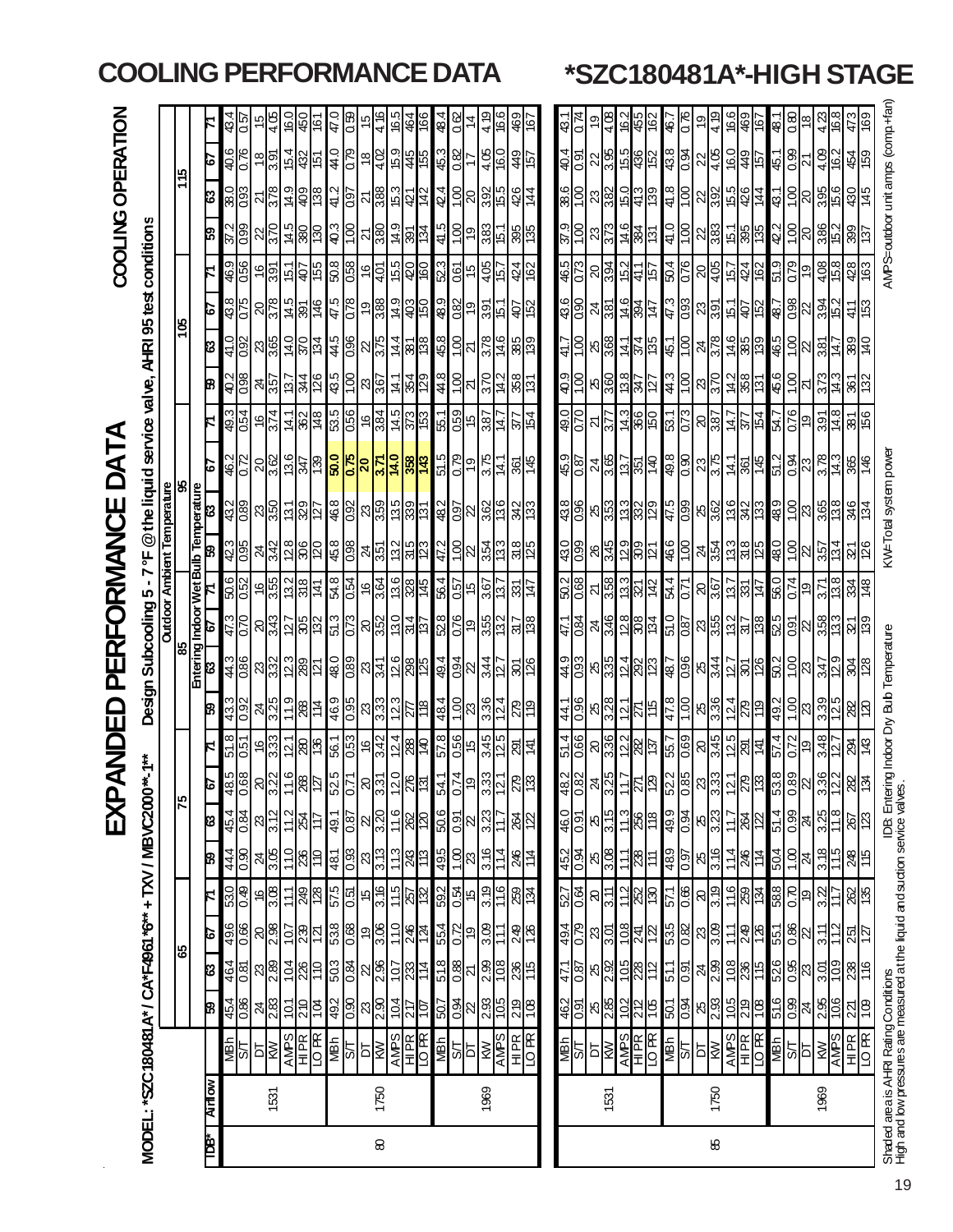|    |               |                                                                                                                       |                          |                     |                           |                    |                   | EXP                 |                                                                                                        | <b>Q<br/>RXX</b>                                                                | G                                                      | PERFORMANCE                                      |                                                                       |                                                                                                   |                                                                       |                                           | DATA                                                     |                                                                                                   |                                                                                                                                |                               |                                                                                                                                             |                                        |                               | COOLING OPERATION                |                                                                       |                        |
|----|---------------|-----------------------------------------------------------------------------------------------------------------------|--------------------------|---------------------|---------------------------|--------------------|-------------------|---------------------|--------------------------------------------------------------------------------------------------------|---------------------------------------------------------------------------------|--------------------------------------------------------|--------------------------------------------------|-----------------------------------------------------------------------|---------------------------------------------------------------------------------------------------|-----------------------------------------------------------------------|-------------------------------------------|----------------------------------------------------------|---------------------------------------------------------------------------------------------------|--------------------------------------------------------------------------------------------------------------------------------|-------------------------------|---------------------------------------------------------------------------------------------------------------------------------------------|----------------------------------------|-------------------------------|----------------------------------|-----------------------------------------------------------------------|------------------------|
|    |               | MODEL: "SZC180481 A* / CA*F4961 *6" + TXV / MBVC200                                                                   |                          |                     |                           |                    |                   |                     | $0^{***}$ -1**                                                                                         |                                                                                 | Design:                                                |                                                  | Subcooling                                                            | M<br>5                                                                                            | ٣                                                                     |                                           | @the liquid service valve, AHRI 95 test conditions       |                                                                                                   |                                                                                                                                |                               |                                                                                                                                             |                                        |                               |                                  |                                                                       |                        |
|    |               |                                                                                                                       |                          |                     |                           |                    |                   |                     |                                                                                                        |                                                                                 |                                                        |                                                  | <b>Outdoor</b>                                                        |                                                                                                   |                                                                       | <b>Ambient Temperature</b>                |                                                          |                                                                                                   |                                                                                                                                |                               |                                                                                                                                             |                                        |                               |                                  |                                                                       |                        |
|    |               |                                                                                                                       |                          | 65                  |                           |                    |                   | 75                  |                                                                                                        |                                                                                 |                                                        | 85<br>Entering Indoor Wet Bulb Temperature       |                                                                       |                                                                                                   |                                                                       |                                           |                                                          |                                                                                                   |                                                                                                                                | 90 L                          |                                                                                                                                             |                                        |                               | 115                              |                                                                       |                        |
| È  | <b>Airlow</b> |                                                                                                                       | ඹ                        | ශ                   | s                         |                    | ඹ                 | ಣ                   | ø                                                                                                      |                                                                                 | β                                                      | 8                                                | 6                                                                     |                                                                                                   | 8                                                                     |                                           | င်                                                       |                                                                                                   | B                                                                                                                              | ខេ                            | ۰ō                                                                                                                                          |                                        | င္ပာ                          | 83                               | 6                                                                     |                        |
|    |               | <u>NSI</u>                                                                                                            | 45.4                     | 464                 | 967                       | 530<br>0.49        | 44.4              | $\frac{45.4}{0.84}$ | 48.5                                                                                                   | $\frac{51.8}{0.51}$                                                             | $\frac{43.3}{0.92}$                                    | $rac{980}{2*5}$                                  | <u>070</u>                                                            | 50.6                                                                                              | $rac{42.3}{0.95}$                                                     | 432                                       |                                                          | 49.3                                                                                              | $rac{10}{208}$                                                                                                                 | $rac{41.0}{0.92}$             | $\frac{43.8}{0.75}$                                                                                                                         | 46.9                                   | 37.2                          | $rac{80}{0.85}$                  | $rac{10}{\sqrt{10}}$                                                  | $\frac{434}{65}$       |
|    |               |                                                                                                                       | 0.86                     | 0.81                | 0.66                      | 9                  | 0.90<br>শ্ৰ       |                     |                                                                                                        | $\frac{1}{2}$                                                                   |                                                        |                                                  |                                                                       |                                                                                                   |                                                                       |                                           |                                                          |                                                                                                   |                                                                                                                                |                               |                                                                                                                                             |                                        | 860<br>$\approx$              | ম                                |                                                                       |                        |
|    | 1531          | 하                                                                                                                     | $\frac{1}{2}$            | $\frac{1}{2}$       | $\frac{8}{2}$             | 3.08               | 3.05              | $\frac{3.12}{ }$    | $8\frac{1}{2}\frac{1}{2}\frac{1}{2}\frac{1}{2}\frac{1}{2}\frac{1}{2}\frac{1}{2}\frac{1}{2}\frac{1}{2}$ | $\frac{33}{3}$                                                                  | $ x _2^2$ 이 지역                                         |                                                  | မျို့ချို့ချိန်မြို့                                                  | $\frac{16}{35}$                                                                                   | $\frac{1}{2\sqrt{2}}$                                                 | <u>အမြို့ချီများ မြို့မျ</u>              |                                                          | $\frac{1}{2}$ $\frac{1}{2}$ $\frac{1}{2}$ $\frac{1}{2}$ $\frac{1}{2}$ $\frac{1}{2}$ $\frac{1}{2}$ | $ x $ $\frac{1}{2}$ $ x $ $\frac{1}{2}$ $ x $ $\frac{1}{2}$                                                                    | <u> 예정 취임 호</u>               | <u> 잉승 중 원</u>                                                                                                                              | $\frac{6}{35}$                         | 370                           | 378                              | $\frac{1}{2}$                                                         | ধ<br>4                 |
|    |               |                                                                                                                       | 10.1                     | 10.4                | 10.7                      | $\frac{11}{11}$    | 110               | 11.2                |                                                                                                        |                                                                                 |                                                        |                                                  |                                                                       |                                                                                                   |                                                                       |                                           |                                                          |                                                                                                   |                                                                                                                                |                               |                                                                                                                                             |                                        |                               |                                  |                                                                       |                        |
|    |               | $\frac{\text{APS}}{\text{HIR}}$                                                                                       | $\frac{1}{20}$           | $\frac{88}{10}$     | <u>ଅଧି</u>                |                    | 8 P               | <u>정</u><br>177     |                                                                                                        | $\frac{218}{88}$                                                                |                                                        |                                                  |                                                                       | $\frac{13.2}{318}$                                                                                |                                                                       |                                           |                                                          |                                                                                                   |                                                                                                                                |                               |                                                                                                                                             | 한성이                                    | $rac{2}{38}$                  | $\frac{498}{480}$                | $\frac{15}{25}$                                                       | <u>ီမြိုင်</u>         |
|    |               | LO <sub>PR</sub>                                                                                                      | $\frac{1}{2}$            |                     |                           | 881                |                   |                     |                                                                                                        |                                                                                 |                                                        |                                                  |                                                                       | $\frac{141}{3}$                                                                                   | $\frac{28}{28}$                                                       |                                           |                                                          |                                                                                                   |                                                                                                                                |                               |                                                                                                                                             |                                        |                               |                                  |                                                                       |                        |
|    |               | $\frac{1}{2}$<br>$\frac{1}{2}$                                                                                        | 49.2                     | $\frac{503}{0.84}$  | 53.8                      | $rac{15}{9.56}$    | 48.1              | $rac{49.1}{0.87}$   |                                                                                                        | $\frac{56.1}{0.53}$                                                             |                                                        |                                                  | $rac{2}{5}$                                                           | 54.8                                                                                              |                                                                       |                                           |                                                          |                                                                                                   |                                                                                                                                |                               | $rac{2.2}{9.45}$                                                                                                                            | 50.8                                   | 40.3                          |                                  | $rac{1}{4}$ $rac{1}{8}$                                               | 47.0                   |
|    |               |                                                                                                                       | $\frac{80}{2}$           |                     |                           |                    | 0.93              |                     |                                                                                                        |                                                                                 |                                                        |                                                  |                                                                       |                                                                                                   |                                                                       |                                           |                                                          |                                                                                                   |                                                                                                                                |                               |                                                                                                                                             |                                        |                               | $\frac{160}{0.97}$               |                                                                       | 8<br> 3                |
|    |               | 히                                                                                                                     | $\frac{8}{25}$           | $\frac{88.5}{28.5}$ | $\frac{9}{36}$            | 49                 | ଅ                 | $\frac{2}{3.20}$    | <u>မြည့်ခြိုင်မြ</u>                                                                                   | $rac{16}{3.42}$                                                                 | <u> မိုဓ္ဓို မျွှိုင်း မြ</u>                          | အ <mark>မြို့ချွန်  အမြို့ချွန်  အမြို့</mark>   | <u>မြည့်ခြိုင်းမြ</u>                                                 | $\frac{16}{3.64}$                                                                                 | <u>န္မွ မြွှုများမြှုပ</u> ်                                          | အ <mark>မြို့ချိန် </mark> ချို့          | 이 <mark>아 하는 <mark>  영 이 이 아 보다 하</mark>는</mark>         | <u>အိုင္တြို မုန္တို ဒုိင္ကုတ္ထ</u>                                                               | <u> မံခြံမြံခြံခြံမြိုင်</u>                                                                                                   |                               | <mark>ခံမြို့ချိန်ခြ</mark>                                                                                                                 | $\frac{6}{5}$                          | ခြို့ <u>zမြို့ချိန်မြို့</u> | $ z $ ္ဏိုင္ပုံခ်က္ကြ            | <mark>ံခြေ ခြံခြံခြံ</mark>                                           | $\frac{5}{1}$          |
| 8  | 1750          |                                                                                                                       | 10.4                     |                     | 11.0                      | 3.16<br>11.5       | 5.5<br>113        | 11.6                |                                                                                                        |                                                                                 |                                                        |                                                  |                                                                       |                                                                                                   |                                                                       |                                           |                                                          |                                                                                                   |                                                                                                                                |                               |                                                                                                                                             | 4.01                                   |                               |                                  |                                                                       | 16.5<br>$\frac{1}{6}$  |
|    |               | AMPS<br>HIPR                                                                                                          | 717                      |                     |                           |                    |                   |                     |                                                                                                        |                                                                                 |                                                        |                                                  |                                                                       |                                                                                                   |                                                                       |                                           |                                                          |                                                                                                   |                                                                                                                                |                               |                                                                                                                                             |                                        |                               |                                  |                                                                       | 797                    |
|    |               | LO PR                                                                                                                 | 20 L                     |                     | $\frac{48}{12}$           | <u>খে</u>          | 243               | 88                  |                                                                                                        | $\frac{124}{28}$                                                                |                                                        |                                                  |                                                                       | $\frac{58}{28}$                                                                                   |                                                                       |                                           |                                                          |                                                                                                   |                                                                                                                                |                               |                                                                                                                                             | $\frac{155}{200}$                      |                               |                                  |                                                                       | 166                    |
|    |               | <b>NBN</b>                                                                                                            | :05                      | 518                 | 55.4                      | 592                | 49.5              | 50.6                |                                                                                                        | 8.75                                                                            | 48.4                                                   | 49.4                                             | 52.8                                                                  | 56.4                                                                                              | 47.2                                                                  |                                           |                                                          |                                                                                                   | 44.8                                                                                                                           | 45.8                          |                                                                                                                                             | 52.3                                   | 41.5                          | 42.4                             | 45.3                                                                  | ்த                     |
|    |               |                                                                                                                       | 0.94                     | 0.88                | 0.72                      | 0.54               | 1.00              | 0.91                | 0.74                                                                                                   | 0.56                                                                            |                                                        |                                                  | 0.76                                                                  | 0.57                                                                                              |                                                                       |                                           |                                                          |                                                                                                   |                                                                                                                                |                               | $\frac{48.9}{0.82}$                                                                                                                         | 0.61                                   | 1.00                          |                                  | 0.82                                                                  | <u>ପ</u>               |
|    |               | 이                                                                                                                     | $\overline{\mathcal{Z}}$ | R                   | ö                         | 10                 | <b>Z</b>          | R                   |                                                                                                        | 45                                                                              | $\frac{20}{20}$                                        | $\frac{24}{2}$                                   | er                                                                    | 10                                                                                                | $\frac{20}{2}$                                                        | $\frac{1}{\sqrt{2}}$                      | $\frac{615}{515}$                                        | 550<br>059                                                                                        | <u>ទី </u> ភ                                                                                                                   | <u>ទី </u> ភ                  | <u>ဝ</u>                                                                                                                                    | 45                                     | <u>ဝ</u>                      | $rac{2}{20}$                     |                                                                       |                        |
|    | 1969          |                                                                                                                       |                          | $2.\overline{9}$    | 3.09                      | 3.19               | 3.16              | 3.23                | $\frac{9}{3.33}$                                                                                       | 3.45                                                                            | $\frac{3.36}{12.4}$                                    |                                                  | 355                                                                   | 367                                                                                               | 354                                                                   |                                           |                                                          | 387                                                                                               | 370                                                                                                                            | 378                           |                                                                                                                                             | 4.05                                   | 383                           |                                  | 4.05                                                                  | ५<br>प                 |
|    |               | <b>KW</b><br>AMPS                                                                                                     | $\frac{2.93}{10.5}$      | 801                 | 11.1                      | 911                | 11.4              | 117                 | 2.1                                                                                                    | <b>S7</b>                                                                       |                                                        | $\frac{347}{127}$                                | 13.2                                                                  | $\overline{3}$                                                                                    | 5.51                                                                  | $\frac{36}{26}$                           | $\frac{3.75}{14.1}$                                      | $\overline{14}$ .                                                                                 | 14.2                                                                                                                           | 14.6                          | $rac{391}{151}$                                                                                                                             | - 91                                   | r 91                          | $\frac{392}{155}$                | 0.9                                                                   | 16.6                   |
|    |               | <b>HPK</b>                                                                                                            | 219                      | 236                 | $\frac{28}{18}$           | ඹු <mark>න</mark>  | $\frac{1}{2}$     | 정 <mark>집</mark>    | <u>ଅକ</u>                                                                                              | ଷ                                                                               | $\frac{2}{10}$                                         | $\frac{25}{26}$                                  | $\overline{317}$                                                      | ଛା                                                                                                | 318                                                                   | $\frac{342}{13}$                          | 361                                                      | $\overline{37}$                                                                                   | 358                                                                                                                            | 385                           | $\overline{407}$                                                                                                                            | 424                                    | 395                           | 426                              | 49                                                                    | 469                    |
|    |               | LO PR                                                                                                                 | $rac{108}{100}$          | $rac{4}{5}$         |                           |                    |                   |                     |                                                                                                        | 141                                                                             |                                                        |                                                  | $\frac{88}{2}$                                                        | 47                                                                                                | 125                                                                   |                                           | 45<br>145                                                | 154                                                                                               | 131                                                                                                                            | 68                            | $\frac{52}{3}$                                                                                                                              | 162                                    | 135                           | $\frac{44}{5}$                   | 157                                                                   | <u>نې</u>              |
|    |               |                                                                                                                       |                          |                     |                           |                    |                   |                     |                                                                                                        |                                                                                 |                                                        |                                                  |                                                                       |                                                                                                   |                                                                       |                                           |                                                          |                                                                                                   |                                                                                                                                |                               |                                                                                                                                             |                                        |                               |                                  |                                                                       |                        |
|    |               | $\frac{1}{100}$                                                                                                       | 46.2<br>$\frac{5}{10}$   | 47.1<br>0.87        | 49.4<br>$\frac{62}{6}$    | $rac{527}{0.64}$   | 45.2<br><u>हा</u> | $\frac{46.0}{0.91}$ | $\frac{22}{38}$ $\frac{22}{35}$                                                                        | $\frac{51.4}{0.66}$                                                             | $rac{4}{36}$ $\frac{1}{8}$ $\frac{1}{8}$ $\frac{1}{8}$ |                                                  | $\frac{1}{4}$ $\frac{1}{8}$ $\frac{1}{8}$ $\frac{1}{8}$ $\frac{1}{8}$ | $\frac{2}{5}$ $\frac{1}{2}$ $\frac{1}{2}$ $\frac{1}{2}$ $\frac{1}{2}$ $\frac{1}{2}$ $\frac{1}{2}$ | $\frac{1}{3}$                                                         | $\frac{438}{0.96}$                        |                                                          | $\frac{10}{100}$                                                                                  | 40.9                                                                                                                           | 41.7                          | $\frac{15}{36}$                                                                                                                             | မှု<br>များ<br>များ                    |                               | 38.6                             | $\frac{1}{3}$ $\frac{1}{2}$ $\frac{1}{2}$ $\frac{1}{2}$ $\frac{1}{2}$ | ΓĀ<br>$\ddot{a}$       |
|    |               |                                                                                                                       |                          |                     |                           |                    |                   |                     |                                                                                                        |                                                                                 |                                                        |                                                  |                                                                       |                                                                                                   |                                                                       |                                           |                                                          |                                                                                                   | ချွိန္မျမ္တု                                                                                                                   | <u>ခြုံမျွံ့</u>              |                                                                                                                                             |                                        | $\frac{2}{3}$                 | <u>ခြုံ အိုမ္အ</u>               |                                                                       | 6Ļ                     |
|    | 1531          | 회회                                                                                                                    | $\frac{28}{25}$          | $rac{28}{2}$        | $\frac{1}{2}$ ମ୍ମ         | $R_{\overline{5}}$ | $\frac{18}{3}$    | $\frac{25}{3.15}$   |                                                                                                        | $\frac{8}{3}$                                                                   |                                                        |                                                  |                                                                       |                                                                                                   |                                                                       |                                           |                                                          | $\frac{27}{27}$                                                                                   |                                                                                                                                |                               |                                                                                                                                             |                                        |                               |                                  |                                                                       | ধ<br>4                 |
|    |               | <b>AMPS</b>                                                                                                           | 10.2                     | 10.5                | 10.8                      | 112                | 111               | 11.3                | 11.7                                                                                                   |                                                                                 |                                                        |                                                  |                                                                       |                                                                                                   |                                                                       |                                           |                                                          |                                                                                                   |                                                                                                                                |                               |                                                                                                                                             | 15.2                                   | 14.6                          | 15.0                             |                                                                       | $\tilde{6}$            |
|    |               | <b>HIPR</b>                                                                                                           | 212                      | $\frac{28}{12}$     | $\frac{241}{125}$         | 82                 | 88                | $\frac{25}{10}$     |                                                                                                        |                                                                                 | $rac{12}{271}$                                         |                                                  |                                                                       |                                                                                                   | $\frac{1}{2}$ $\frac{1}{2}$ $\frac{1}{2}$ $\frac{1}{2}$ $\frac{1}{2}$ |                                           |                                                          |                                                                                                   |                                                                                                                                |                               |                                                                                                                                             |                                        | $rac{384}{131}$               | $rac{4}{130}$<br>$rac{6}{15}$    |                                                                       | <u>နှုင် မြီ</u>       |
|    |               | <b>DO PR</b>                                                                                                          | $\frac{9}{2}$            |                     |                           |                    | 111               |                     |                                                                                                        |                                                                                 |                                                        |                                                  |                                                                       |                                                                                                   |                                                                       |                                           |                                                          |                                                                                                   |                                                                                                                                |                               |                                                                                                                                             |                                        |                               |                                  |                                                                       |                        |
|    |               | И <sub>В</sub> М                                                                                                      | 50.1                     | 51.1                |                           | 571                | 687               | 6.67                |                                                                                                        |                                                                                 |                                                        |                                                  |                                                                       |                                                                                                   |                                                                       |                                           |                                                          |                                                                                                   |                                                                                                                                |                               |                                                                                                                                             |                                        | 41.0                          |                                  |                                                                       |                        |
|    |               | 57                                                                                                                    | 0.94                     | 0.91                |                           | $\frac{0.66}{2}$   | <u>ର</u><br>୧     | 0.94                |                                                                                                        |                                                                                 |                                                        |                                                  |                                                                       |                                                                                                   |                                                                       |                                           |                                                          |                                                                                                   |                                                                                                                                |                               |                                                                                                                                             |                                        |                               |                                  |                                                                       | $\frac{8}{2}$          |
| 88 | 1750          | 하                                                                                                                     | $\frac{25}{23}$          | $\frac{8}{2}$       | မ <mark>္က</mark> ု မျိုး | $R_{3.9}^{\circ}$  | $\frac{25}{3.16}$ | $\frac{25}{3.23}$   |                                                                                                        | $\frac{28}{18}$ $\frac{15}{15}$ $\frac{13}{15}$ $\frac{13}{15}$ $\frac{13}{15}$ | $rac{8}{3.36}$                                         |                                                  | <u>င္တုဗ္ကုဒ္မွု ငွုမ္တုံများ</u>                                     | <u>မြို့မြို့ မြို့မြို့မြို့</u>                                                                 | $\frac{100}{25}$                                                      | <u> မျိုးပြီးပြီး မြို့မြို့မြို့များ</u> | <u>မံခြံ 4 မြံ ၃ မြံ – မံ မံ မံ မံ မံ မံ မံ မံ မံ မံ</u> | <u>ဒုံနှုံးမြှုပ် မြို့</u>                                                                       | $\frac{5}{12}$ $\frac{1}{2}$ $\frac{1}{2}$ $\frac{1}{2}$ $\frac{1}{2}$ $\frac{1}{2}$ $\frac{1}{2}$ $\frac{1}{2}$ $\frac{1}{2}$ | <u> 추업 중 중 중 없</u>            | $\frac{1}{2}$ $\frac{1}{2}$ $\frac{1}{2}$ $\frac{1}{2}$ $\frac{1}{2}$ $\frac{1}{2}$ $\frac{1}{2}$ $\frac{1}{2}$ $\frac{1}{2}$ $\frac{1}{2}$ | <u>4 0 4 0 0 4 0</u><br>4 0 10 0 0 4 0 | ခဲ့သူမှူ                      | $\frac{2}{3}$                    | <u>င်္ဂနာမြွ မြွံခြံကြိုင်</u>                                        | 4.19<br>$\overline{6}$ |
|    |               | AMPS                                                                                                                  | 10.5                     | 10.8                | 111                       | 11.6               | 11.4              | 11.7                |                                                                                                        |                                                                                 |                                                        |                                                  |                                                                       | 13.7                                                                                              |                                                                       |                                           |                                                          |                                                                                                   |                                                                                                                                |                               |                                                                                                                                             |                                        |                               |                                  | 6.0                                                                   | 16.6                   |
|    |               | $\frac{HPR}{SR}$                                                                                                      | $\frac{2}{18}$           | $\frac{236}{15}$    | $\frac{18}{18}$           | $\frac{1}{2}$      | $\frac{28}{11}$   | <u>ଞ୍ଜ୍ଞା</u>       | $\frac{5}{2}$ $\frac{8}{3}$                                                                            | $\frac{15}{28}$                                                                 | $\frac{24}{28}$                                        |                                                  | $\frac{2}{5}$ $\frac{1}{2}$ $\frac{1}{2}$                             | <u>원년</u>                                                                                         | $\frac{3}{25}$                                                        |                                           |                                                          | $\frac{12}{215}$                                                                                  | $\frac{2}{38}$                                                                                                                 | $\frac{48}{80}$               | 전함                                                                                                                                          | $\frac{157}{462}$                      | 한 <u>이 없</u>                  | $\frac{158}{25}$                 |                                                                       | <u> 167</u>            |
|    |               |                                                                                                                       |                          |                     |                           |                    |                   |                     |                                                                                                        |                                                                                 |                                                        |                                                  |                                                                       |                                                                                                   |                                                                       |                                           |                                                          |                                                                                                   |                                                                                                                                |                               |                                                                                                                                             |                                        |                               |                                  | $rac{45}{15}$                                                         |                        |
|    |               | <b>MBh</b>                                                                                                            | 51.G                     | 52.6                | 551                       | 588                | 504               | $\frac{514}{5}$     |                                                                                                        | $rac{57.4}{0.72}$                                                               |                                                        |                                                  |                                                                       | 56.0                                                                                              | 48.0                                                                  |                                           |                                                          | 견                                                                                                 | 45.6                                                                                                                           | 46.5                          |                                                                                                                                             | 51 হ                                   | 이<br>이                        | 43.1                             |                                                                       | - 8                    |
|    |               | 양                                                                                                                     | $\frac{8}{2}$            | $\frac{8}{8}$       | $\frac{8}{2}$             | $\alpha$           | $rac{8}{5}$       | 0.99                | <u> 88N 321</u>                                                                                        |                                                                                 |                                                        |                                                  |                                                                       | 0.74                                                                                              |                                                                       | $\frac{15}{36}$                           | ်အအဖြစ်<br>ျွန်ဆြီ                                       | $rac{16}{19}$                                                                                     | <u>୍ରା</u>                                                                                                                     | $\frac{2}{3}$ N $\frac{2}{3}$ | $\frac{48.7}{0.98}$                                                                                                                         | 0.79                                   | $rac{5}{20}$                  | $rac{5}{20}$                     | $\frac{451}{98}$                                                      | <u>ය</u>               |
|    |               |                                                                                                                       |                          |                     |                           | စ္                 |                   | ∣৯                  |                                                                                                        | စ္                                                                              |                                                        |                                                  |                                                                       | စ္                                                                                                |                                                                       |                                           |                                                          |                                                                                                   |                                                                                                                                |                               |                                                                                                                                             | er                                     |                               |                                  |                                                                       |                        |
|    | 1969          | KW                                                                                                                    | 2.95                     | 3.01                | 3.11                      | 3.22               | 3.18              | 3.25                |                                                                                                        | 3.48                                                                            |                                                        |                                                  |                                                                       | 3.71                                                                                              |                                                                       |                                           |                                                          | 391                                                                                               | 373                                                                                                                            |                               | 394                                                                                                                                         | 4.08                                   | 386                           | 395                              | 4.09                                                                  |                        |
|    |               | SdNV                                                                                                                  | 90F                      | ္ပိ                 | ب<br>—                    |                    |                   |                     |                                                                                                        | N                                                                               |                                                        |                                                  |                                                                       |                                                                                                   |                                                                       |                                           |                                                          |                                                                                                   |                                                                                                                                |                               | $\ddot{\circ}$                                                                                                                              | 15.9                                   | īο                            | i5.6                             | 7.9I                                                                  | ق                      |
|    |               | LO <sub>PR</sub><br><b>HIPR</b>                                                                                       | <u>ភ្</u> កូខ            | $\frac{88}{16}$     | ম্ৰ $\frac{5}{2}$         | රිලි<br>නි         | $\frac{48}{15}$   | <u>କ୍ଷ୍</u>         | 옚                                                                                                      | श्चैक्ष                                                                         | <mark>ျှိဒ္ဌိုအမြို့မျှ မျှ မျှ</mark>                 | ခြံပြီး မြန္မျခစ္တြင္က ေမြးေမြးေမြးေမြးေမြးေမြးေ | <u>မှုခြံမြှုမှုမြို့မျှမ</u>                                         | $\frac{1}{2}$ $\frac{1}{2}$ $\frac{1}{2}$                                                         | <u>ទ្យី។ ដូច្នៃ ខ្លាំង</u>                                            | $\frac{368}{368}$                         | 칅쒾놂                                                      | $\frac{48}{28}$                                                                                   | ခဲ့ခြင်                                                                                                                        | 취쐶술                           | $rac{411}{153}$                                                                                                                             | $rac{428}{63}$                         | 137                           | $rac{430}{145}$                  | 454                                                                   | 473<br>169             |
|    |               |                                                                                                                       |                          |                     |                           |                    |                   |                     |                                                                                                        |                                                                                 |                                                        |                                                  |                                                                       |                                                                                                   |                                                                       |                                           |                                                          |                                                                                                   |                                                                                                                                |                               |                                                                                                                                             |                                        |                               |                                  |                                                                       |                        |
|    |               | Sheded area is AHRI Rating Conditions<br>High and bw pressures are measured at the liquid and suction service valves. |                          |                     |                           |                    |                   |                     |                                                                                                        |                                                                                 |                                                        |                                                  |                                                                       |                                                                                                   |                                                                       | W-Total system power                      |                                                          |                                                                                                   |                                                                                                                                |                               |                                                                                                                                             |                                        |                               | AMPS autoor unit amps (comp.+fan |                                                                       |                        |

# **COOLING PERFORMANCE DATA \*SZC180481A\*-HIGH STAGE**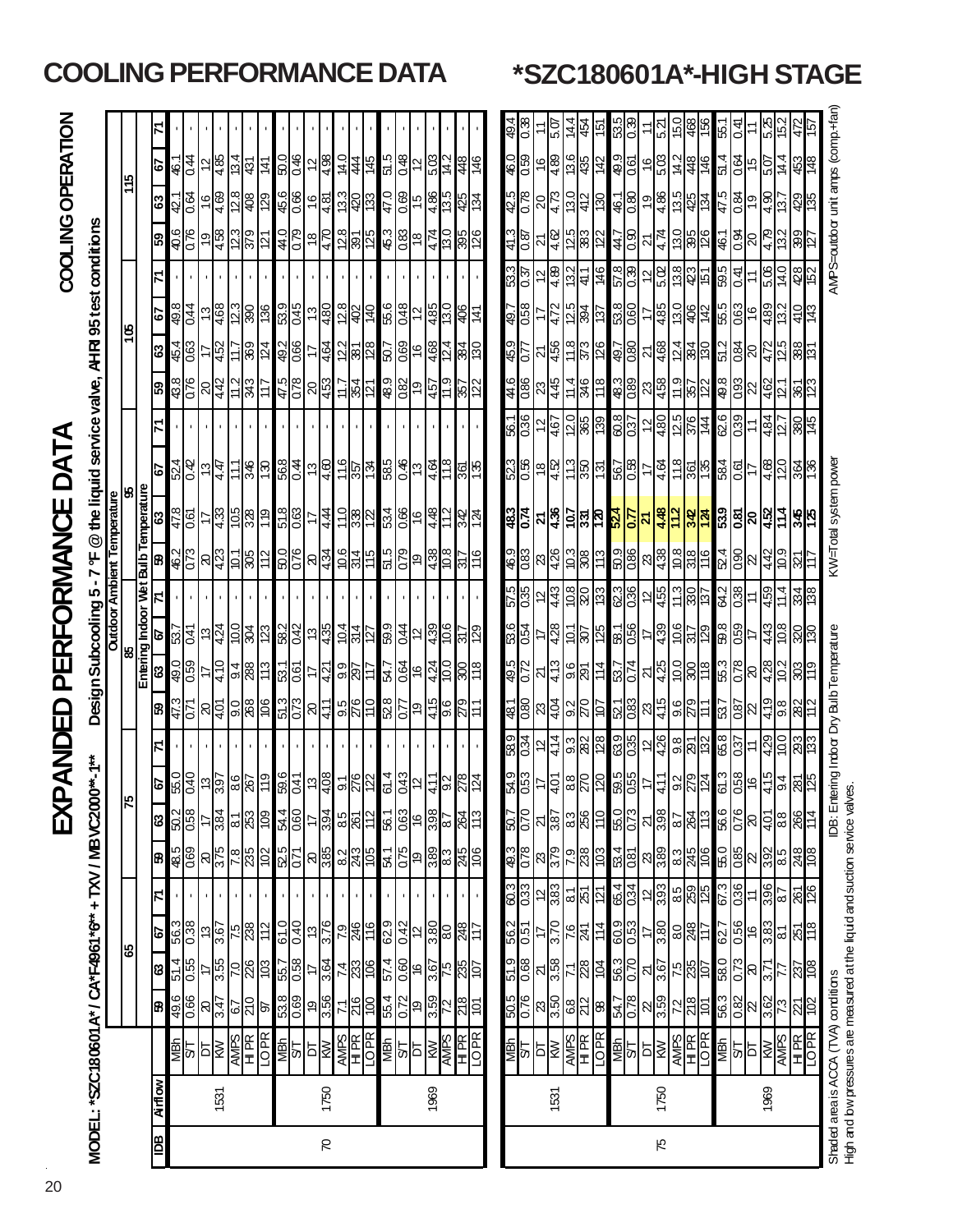# EXPANDED PERFORMANCE DATA

# COOLING OPERATION

| $\frac{1}{40}$<br>ସ<br> ஐ<br>$0^{**}$ -1**<br><u>ଅର୍ଥି</u><br>$\frac{6}{11}$<br>$\frac{58}{8}$<br>ဗု<br>$\overline{35}$<br>$\overline{5}$<br>ତ<br>MODEL: "SZC180601 A" / CA"F4961 "6" + TXV / MBVC200<br>F<br>$\frac{1}{20}$<br>အ<br>$rac{1}{88}$<br>န္တု<br>$\frac{25}{28}$<br>29<br>85<br> ಙ <br>$rac{66}{96}$ $8\frac{1}{3}$<br>$\frac{67}{210}$<br>8<br>চ্চ |                |                                                                                                                                        |                                                                                                                                                                                                                                                                                                                            |                                                                                                         |                                                                                                                                                                                                                                                                                                                                                                                                                                                                                                                                                           |                                          |                                                                                                                                                                                       |                                                                                                                                                                                                                                                                                                                                                                                                                                                                     |                                                                  | $\frac{49.0}{0.59}$<br>410<br>$\overline{12}$<br>88<br>53.1<br>9.4<br>0.61<br>ଞ<br>∣≒<br>t,                                               | 58.2<br>0.01<br>$\frac{42}{1}$<br>4.24<br>304<br>123<br>$\frac{257}{150}$<br>$\frac{1}{2}$<br>s |                                                                | $\frac{46.2}{0.73}$<br>50.0<br>0.76<br>٣<br> ସ୍ପ୍ର<br>305<br>112<br>Ľ01     | 51.8<br>$rac{478}{0.61}$<br>4.33<br>$-10.5$<br>119<br>328<br>ෙ 0<br>17<br>63 | <u> 일종</u> 리<br>346<br>$\overline{130}$<br>4.47<br>111<br>79                                            |                                                                                                                                                                             | $rac{8}{10}$<br>$rac{475}{5}$<br>0.78<br>343<br>4.42<br>117<br>ြို့<br>$\Omega$ | $rac{492}{0.66}$<br>$\frac{454}{0.63}$<br>124<br>369<br>63<br>4.52<br>17 | 53.9<br>$\frac{498}{644}$<br>4.68<br><b>S.ZI</b><br>န္တြ<br>98<br>$\frac{3}{2}$<br>Δ9              |                                                                    | <u>ଣ୍ଣ</u><br>E ZI<br>$\frac{44.0}{78}$<br>ခုန္တြ<br>$\frac{22}{3}$<br>121<br>ြို့                      | 45.6<br>8.7<br>0.66<br>युद्धि<br>बाह<br>4.69<br>408<br>129<br>63<br>$\overset{\circ}{\tau}$ | $\frac{1}{3}$<br>$\frac{1}{4}$<br>50.0<br>$\frac{46}{5}$<br>$\frac{1}{4}$<br>13.4<br>431<br>141<br>Δ9        |
|-----------------------------------------------------------------------------------------------------------------------------------------------------------------------------------------------------------------------------------------------------------------------------------------------------------------------------------------------------------------|----------------|----------------------------------------------------------------------------------------------------------------------------------------|----------------------------------------------------------------------------------------------------------------------------------------------------------------------------------------------------------------------------------------------------------------------------------------------------------------------------|---------------------------------------------------------------------------------------------------------|-----------------------------------------------------------------------------------------------------------------------------------------------------------------------------------------------------------------------------------------------------------------------------------------------------------------------------------------------------------------------------------------------------------------------------------------------------------------------------------------------------------------------------------------------------------|------------------------------------------|---------------------------------------------------------------------------------------------------------------------------------------------------------------------------------------|---------------------------------------------------------------------------------------------------------------------------------------------------------------------------------------------------------------------------------------------------------------------------------------------------------------------------------------------------------------------------------------------------------------------------------------------------------------------|------------------------------------------------------------------|-------------------------------------------------------------------------------------------------------------------------------------------|-------------------------------------------------------------------------------------------------|----------------------------------------------------------------|-----------------------------------------------------------------------------|------------------------------------------------------------------------------|---------------------------------------------------------------------------------------------------------|-----------------------------------------------------------------------------------------------------------------------------------------------------------------------------|---------------------------------------------------------------------------------|--------------------------------------------------------------------------|----------------------------------------------------------------------------------------------------|--------------------------------------------------------------------|---------------------------------------------------------------------------------------------------------|---------------------------------------------------------------------------------------------|--------------------------------------------------------------------------------------------------------------|
|                                                                                                                                                                                                                                                                                                                                                                 |                |                                                                                                                                        |                                                                                                                                                                                                                                                                                                                            |                                                                                                         |                                                                                                                                                                                                                                                                                                                                                                                                                                                                                                                                                           |                                          | ္တ<br>$\overline{a}$<br>41<br>R<br>တ                                                                                                                                                  |                                                                                                                                                                                                                                                                                                                                                                                                                                                                     | 52.8<br>4.15<br>372<br>011<br>$rac{6}{279}$<br>9.5<br>0.77<br>61 | 0.64<br><u>ြ</u><br>4.24<br>9.9<br>.<br>ম<br>562<br>9ł<br>Ξ                                                                               | $\frac{98}{130}$<br>59.9<br>0.44<br>10.4<br>314<br>127                                          |                                                                | 10.6<br>0.79<br>515<br><u>စန္ဒြာ</u><br>18 <sub>1</sub><br>$\frac{5}{10}$   | 534<br>4.48<br>11.0<br>0.66<br>332<br>342<br>91                              | $rac{92}{196}$<br>11.6<br>$\frac{6}{6}$ $\frac{1}{6}$ $\frac{4}{6}$<br>198                              |                                                                                                                                                                             | 48.9<br>$rac{9}{9}$ $rac{1}{2}$<br>ង្គ $\frac{1}{2}$<br>71<br>7<br>မြ           | 0.69<br>$\frac{2}{8}$ $\frac{8}{8}$<br>4.68<br>384<br>50.7<br>91         | $\frac{28}{492}$<br>9.99<br>0.48<br>$\frac{485}{13.0}$<br>$\frac{140}{1}$<br>¦ই<br>$\overline{12}$ |                                                                    | $\frac{28}{8}$ $\frac{8}{25}$<br>45.3<br>$rac{8}{18}$<br>$4\overline{74}$<br>$rac{68}{395}$             | 13.3<br>47.0<br>0.69<br>$rac{4.86}{1.36}$<br>07<br>133                                      | 51.5<br>14.0<br>0.48<br>5.03<br>974<br>.<br>그<br>48<br>444<br>$\overline{12}$                                |
| 활일절                                                                                                                                                                                                                                                                                                                                                             |                |                                                                                                                                        |                                                                                                                                                                                                                                                                                                                            |                                                                                                         |                                                                                                                                                                                                                                                                                                                                                                                                                                                                                                                                                           |                                          | $\frac{8}{20}$<br>4.01                                                                                                                                                                | $rac{589}{0.34}$<br>4.14<br>ား<br>အဆ<br>$\overline{2}$                                                                                                                                                                                                                                                                                                                                                                                                              | $\frac{48.1}{0.80}$<br>$\frac{1}{2}$<br>$\frac{2}{20}$<br>ļΞ     | $\frac{495}{0.72}$<br>413<br><u>္တရ</u><br>I±<br>ম                                                                                        | $\frac{536}{0.54}$<br>4.28<br>$rac{10}{207}$<br><u>125</u><br>₽                                 | 57 S<br>0.35<br>$\frac{8}{20}$<br>443<br>133<br>$\overline{a}$ | ုဒ္ဒါန<br>$rac{46.9}{0.83}$<br>$\frac{8}{4}$                                | $\frac{1}{287}$<br>$\frac{5}{4.36}$<br><mark>려</mark> 입                      | $\frac{523}{0.56}$<br>$\frac{13}{350}$<br>$\frac{1}{2}$<br><u>हि</u>                                    | $\frac{51}{136}$<br>$\frac{20}{365}$<br>39<br>$\frac{2}{467}$                                                                                                               | $rac{4}{8}$<br>11 4<br>$\frac{2}{45}$<br>9Æ                                     | $rac{36}{10}$<br>11.8<br>4.56<br>373<br>26<br>$\overline{21}$            | $rac{1}{1.64}$<br>$\frac{5}{84}$<br>472<br>∣ల                                                      | ಜ <mark>ನಿ</mark><br>ಜನ<br>$\frac{22}{41}$<br>$\frac{2}{4}$<br>146 | $\frac{4}{2}$ $\frac{6}{2}$<br>$\frac{25}{383}$<br>∣≌<br>$\overline{2}$<br>$\overline{21}$              | $\frac{42.5}{0.78}$<br>$\frac{20}{4}$<br>$\frac{13}{42}$<br>$\overline{30}$                 | 46.0<br>0.59<br>$\frac{136}{435}$<br>$\frac{6}{4}$<br>146<br>$\frac{42}{3}$                                  |
|                                                                                                                                                                                                                                                                                                                                                                 |                |                                                                                                                                        |                                                                                                                                                                                                                                                                                                                            |                                                                                                         |                                                                                                                                                                                                                                                                                                                                                                                                                                                                                                                                                           |                                          | $\frac{2}{20}$<br>$\frac{1}{4}$                                                                                                                                                       | $\frac{12}{4.26}$<br>ားများ<br>မြန်မြည်                                                                                                                                                                                                                                                                                                                                                                                                                             | 415<br>$rac{6}{279}$<br>$\mathbb{Z}$                             | 10.0<br>$\overline{074}$<br>4.25<br>300<br>81<br>37<br>R                                                                                  | 10.6<br>4.39<br><b>9ZI</b><br><u>ZIS</u><br>¢                                                   | 86<br>11.3<br>455<br>$\frac{35}{37}$<br>$\overline{2}$         | 50.9<br>980<br>10.8<br>$\frac{8}{43}$<br>$\frac{318}{2}$<br>$\frac{16}{16}$ | 87.48<br>112<br>$\overline{21}$                                              | 11.8<br>4.64<br>199<br>17                                                                               | $\frac{60.8}{60.37}$<br>12.5<br>4.80<br>$\frac{376}{144}$<br>$\tilde{c}$                                                                                                    | 11.9<br>$rac{48.3}{0.89}$<br>4.58<br>23<br>원성                                   | 4.68<br>$\frac{54}{28}$<br>$\overline{21}$                               | $\frac{1}{2}$ $\frac{1}{2}$<br>4.85<br>17                                                          | 6.06<br>$rac{6}{5}$<br>$\tilde{c}$                                 | 4.74<br>$\overline{2}$                                                                                  | 13.5<br>4.86<br>$\frac{80}{2}$<br>46.1<br>$rac{425}{134}$<br>$\frac{0}{2}$                  | 49.9<br>5.03<br>14.2<br>$rac{448}{46}$<br>0.61<br>$\frac{6}{5}$                                              |
|                                                                                                                                                                                                                                                                                                                                                                 |                |                                                                                                                                        |                                                                                                                                                                                                                                                                                                                            |                                                                                                         |                                                                                                                                                                                                                                                                                                                                                                                                                                                                                                                                                           |                                          | 415<br>64<br>9Ļ                                                                                                                                                                       | ļΘ<br>677<br>ଞ୍ଜି                                                                                                                                                                                                                                                                                                                                                                                                                                                   | 419<br>9.8<br>22<br>$rac{87}{2}$                                 | 5.3<br>$\overline{078}$<br>4.28<br>ļ5<br>န္တ<br>R                                                                                         | 86<br>0.59<br>$\frac{8}{9}$<br>87.P                                                             | 84.2<br>0.38<br>$\frac{1}{11}$<br>697                          | 52.4<br>$\frac{8}{8}$<br>$rac{442}{109}$<br> ଧି                             |                                                                              | <u> 2</u><br>4.68                                                                                       | <b>62.6</b><br>$\frac{484}{127}$                                                                                                                                            | 8.6<br>$rac{3}{2}$<br>462<br>آغا                                                | 51.2<br>$rac{1}{20}$<br>4.72                                             | 535<br>$rac{16}{16}$<br>$rac{5.51}{13.2}$                                                          | $\frac{1}{40}$<br>5.06                                             | $\frac{5}{20}$<br>13.2                                                                                  | 47.5<br>$rac{6}{19}$<br>4.90<br>$-51$                                                       | 51.4<br>$rac{64}{15}$<br>14.4<br>总点<br>20.S                                                                  |
|                                                                                                                                                                                                                                                                                                                                                                 | <b>Airflow</b> | AMPS<br>TOPE ST ST RES<br><b>ARANGE DE REAL EST</b><br>ARANGE DE REAL EST<br>ARANGE DE REAL EST<br>ARANGE DE REAL EST<br><b>SURVER</b> | Shaded area is ACCA (TVA) conditions<br><u>အိုစ္တို ခုနှ</u> ြ<br>$\frac{92.0}{505}$<br>8 3 3 3 3 3 3 3 3 3 3 3 4<br>$\frac{1}{2}$ $\frac{1}{2}$ $\frac{1}{2}$ $\frac{1}{2}$ $\frac{1}{2}$ $\frac{1}{2}$ $\frac{1}{2}$ $\frac{1}{2}$<br>$\begin{array}{c}\n 88 \\  87 \\  10\n \end{array}$<br>$\frac{71}{216}$ 554<br>102 | $\frac{890}{615}$<br><u>ြိုင်းမြို့</u><br>မြို့<br>7.884<br>574<br>$\frac{27}{3.58}$<br>$\frac{4}{28}$ | $\frac{1}{2}$ $\frac{1}{2}$ $\frac{1}{2}$ $\frac{1}{2}$ $\frac{1}{2}$ $\frac{1}{2}$ $\frac{1}{2}$ $\frac{1}{2}$ $\frac{1}{2}$ $\frac{1}{2}$ $\frac{1}{2}$ $\frac{1}{2}$ $\frac{1}{2}$ $\frac{1}{2}$ $\frac{1}{2}$ $\frac{1}{2}$<br>$\frac{27}{100}$ $\frac{100}{100}$ $\frac{100}{100}$ $\frac{100}{100}$ $\frac{100}{100}$ $\frac{100}{100}$<br><mark>99</mark> 95<br>629<br>$\frac{7}{3.70}$<br>$rac{91}{246}$<br>$\frac{1}{2}$ $\frac{1}{2}$ $\frac{1}{2}$ $\frac{1}{2}$ $\frac{1}{2}$ $\frac{1}{2}$ $\frac{1}{2}$ $\frac{1}{2}$<br>$\frac{562}{0.51}$ | <u>ၛၟႍၯၟၣၛၟၣၣၣၣၛၯၟၣၛၟၛၛၯၟႜၛၟၣၛၟၣၛၛၯၟ</u> | <mark>မ္မာ့ေမြးေမြးေမြးေမြးေ</mark><br>  이성  10<br>  이성  20 <br>  이성 <br>$\frac{ 5 }{ 2 8 8 8 8 8 8 8 8 }$<br>$\frac{493}{0.78}$<br><u> </u>  အ <mark>မြို့မျှ မျှ မျှ မျှ မျှ</mark> | 6<br>ದ<br>39.5<br>0.55<br>$\frac{40}{5}$<br><b>DB:Ent</b><br>$\frac{25}{10}$<br>$\frac{1}{2}\left\ \frac{1}{2}\right\ _2^2\left\ \frac{1}{2}\right\ _2^2\left\ \frac{1}{2}\right\ _2^2\left\ \frac{1}{2}\right\ _2^2\left\ \frac{1}{2}\right\ _2^2\left\ \frac{1}{2}\right\ _2^2\left\ \frac{1}{2}\right\ _2^2$<br>$\frac{88}{88}$ = $\frac{8}{8}$<br>$\frac{25}{4}$ $\frac{10}{10}$ $\frac{10}{10}$ $\frac{10}{10}$<br>$\frac{1}{36}$<br> မ <mark>္မာများ</mark> ၂ | 133<br>$\frac{54.9}{0.53}$<br>$\frac{658}{2}$                    | 51.3<br>$\frac{521}{0.83}$<br>0.73<br>$\frac{90}{268}$<br><u>je</u><br>$\frac{47.3}{0.71}$<br>$\frac{1}{4}$<br>65.0<br>8.37<br><b>635</b> | $\frac{1}{2}$<br><u>:</u>                                                                       | 58.1<br>$\frac{13}{435}$<br>ရွင္ကြ<br>88                       | <u>ଅ</u><br>ഥ<br><b>Design Subcooling</b><br>Entering Indoor<br>Outdoor     | $\frac{8}{3}$<br>Wet<br>ering Indoor Dry Bulb Temperature                    | <mark>႕ေမွ</mark> ာ မွာ မြန္မာ<br>4.44<br>$\frac{27}{155}$<br>$\frac{1}{4}$ $\frac{1}{8}$ $\frac{1}{8}$ | $\frac{268}{341}$ $\frac{1}{2}$ $\frac{4}{69}$<br>$rac{28}{36}$<br>KW=Total system powe<br>$\frac{567}{58}$<br><b>Bulb Temperature</b><br>မြေ<br><b>Ambient Temperature</b> | <u> 왕성</u>                                                                      | $\frac{20}{45}$<br>اڭ.<br>.<br><u>မြို့</u>                              | $\frac{497}{180}$<br>4.64<br>$\frac{58}{28}$<br>ခြ                                                 | 53.8<br>$\frac{13}{480}$<br>113<br>4<br><u>a)</u>                  | $\frac{1}{3}$ $\frac{1}{3}$ $\frac{1}{3}$ $\frac{1}{3}$ $\frac{1}{3}$ $\frac{1}{3}$ $\frac{1}{3}$<br>28 | ဒါ <mark>ဗွန္ဓု</mark> မွ<br>$\frac{18}{4}$<br>$\frac{447}{1.90}$<br>126<br>   이 기          | SL L<br>$\frac{16}{4.81}$<br>$\frac{29}{5}$<br>134<br>AHRI 95 test conditions<br>@ the liquid service valve, |

**COOLING PERFORMANCE DATA \*SZC180601A\*-HIGH STAGE**

High and bw pressures are measured at the liquid and suction service valves. High and low pressures are measured at the liquid and suction service valves.

### 20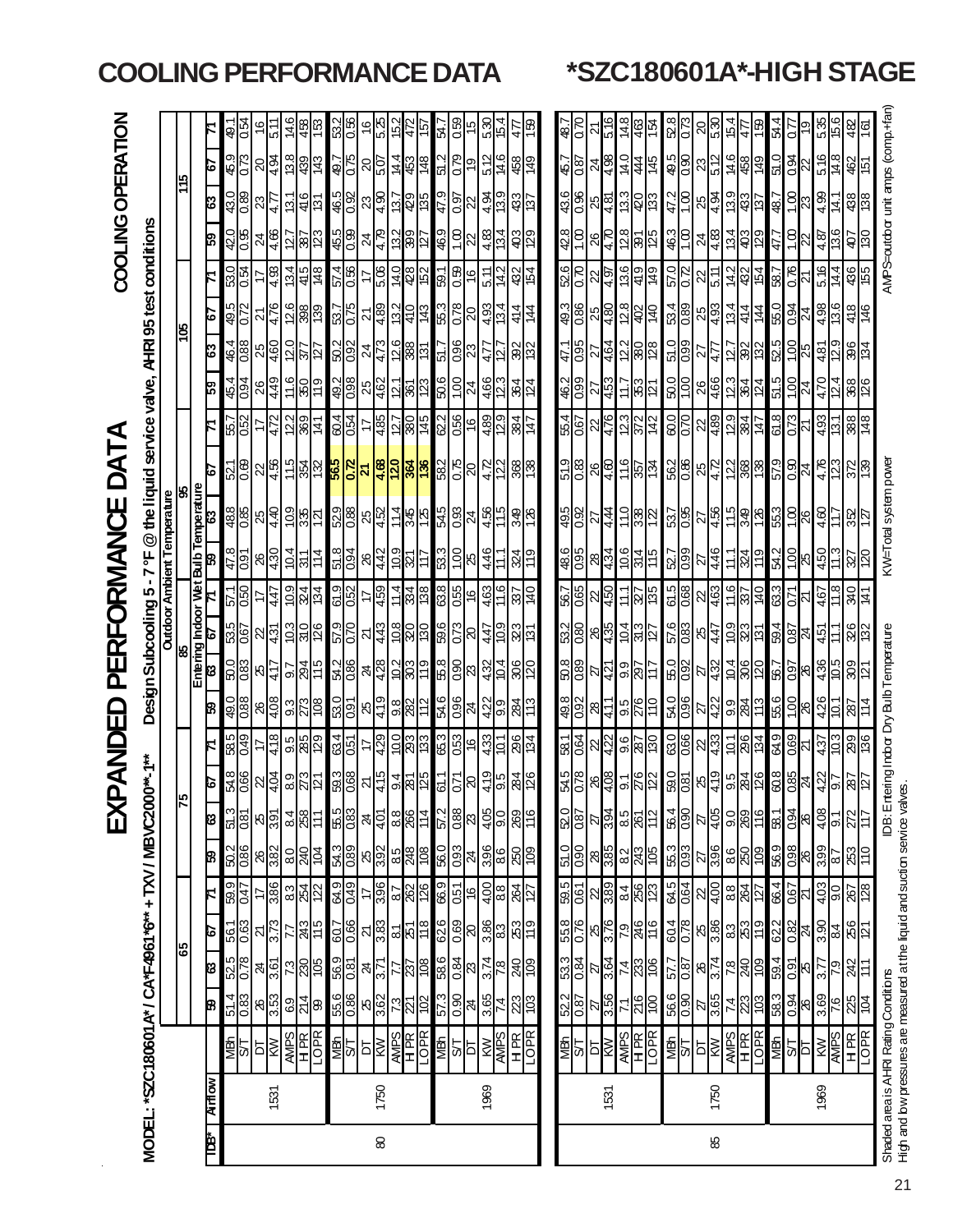|    |               |                                                                           |                                                 |                                                |                    |                                                                                               |                                                         | 区                               | <b>Z</b>                          | $\mathbf{H}$                                      |                                                     | PER                              | 叿                | ORMAN                    |                                      |                                                                                                                                                                                                                                                                                                                                                                                              | ЪŽ                                                                    |                   |                                           |                                  |                    | <b>COOLING</b>                                          |                                           | OPERATION                |                                    |
|----|---------------|---------------------------------------------------------------------------|-------------------------------------------------|------------------------------------------------|--------------------|-----------------------------------------------------------------------------------------------|---------------------------------------------------------|---------------------------------|-----------------------------------|---------------------------------------------------|-----------------------------------------------------|----------------------------------|------------------|--------------------------|--------------------------------------|----------------------------------------------------------------------------------------------------------------------------------------------------------------------------------------------------------------------------------------------------------------------------------------------------------------------------------------------------------------------------------------------|-----------------------------------------------------------------------|-------------------|-------------------------------------------|----------------------------------|--------------------|---------------------------------------------------------|-------------------------------------------|--------------------------|------------------------------------|
|    |               | MODEL: *SZC180601 A* / CA*F4961 *6** + TXV / MBVC200                      |                                                 |                                                |                    |                                                                                               |                                                         |                                 | $1**-1***$                        |                                                   |                                                     |                                  |                  |                          |                                      | Design Subcooling 5-7°F @ the liquid service valve, AHRI 95 test conditions                                                                                                                                                                                                                                                                                                                  |                                                                       |                   |                                           |                                  |                    |                                                         |                                           |                          |                                    |
|    |               |                                                                           |                                                 |                                                |                    |                                                                                               |                                                         |                                 |                                   |                                                   |                                                     |                                  |                  |                          | <b>Outdoor Ambient Temperature</b>   |                                                                                                                                                                                                                                                                                                                                                                                              |                                                                       |                   |                                           |                                  |                    |                                                         |                                           |                          |                                    |
|    |               |                                                                           |                                                 | န့                                             |                    |                                                                                               |                                                         | ≍                               |                                   |                                                   |                                                     | မွှ                              |                  |                          |                                      | မွ                                                                                                                                                                                                                                                                                                                                                                                           |                                                                       |                   |                                           | క్ల                              |                    |                                                         |                                           | Ļ۴                       |                                    |
| È  | <b>Airlow</b> |                                                                           |                                                 |                                                | Ø                  |                                                                                               |                                                         |                                 |                                   | B                                                 | 8                                                   |                                  |                  | 8                        | Entering Indoor Wet Bulb Temperature | ιō                                                                                                                                                                                                                                                                                                                                                                                           |                                                                       | ឌ                 | ន                                         | ŀо                               |                    | ၉၅                                                      | း                                         | ŀб                       |                                    |
|    |               |                                                                           | B                                               | ß                                              |                    |                                                                                               | B                                                       | ଞା                              | ιδ                                |                                                   |                                                     | စ                                |                  |                          |                                      |                                                                                                                                                                                                                                                                                                                                                                                              |                                                                       |                   |                                           |                                  |                    |                                                         |                                           |                          |                                    |
|    |               | 활의성                                                                       | $\frac{514}{0.83}$                              | $rac{52.5}{0.78}$                              | $\frac{561}{0.63}$ | ၜ႞ၟၣၛၟၜ႞ၛၟၣၛၟၣ<br>ၜ႞ၣၣၛၟၜ႞ၛၣ႞ၣ႞ၣ႞ၣ႞ၣ႞ၣ႞ၣ႞<br>ၜ႞ၣၣၣၣၣၣၣၣၣၣၣၣၣၣၣၣၣၣၣ                            | $\frac{2}{3}$ $\frac{8}{3}$ $\frac{8}{3}$ $\frac{2}{3}$ | <mark>ြို့အ</mark> မြန်မြို့    | $rac{54.8}{0.66}$                 | 58.5<br>0.49                                      | <u>esses</u><br><u>ခ်ိန္ကြို မြန္မို ျပင္ဆုန္</u> က | ន <mark>ិទ្ធ</mark> ិនន្ទ្រី     | $\frac{250}{12}$ | $\frac{47.8}{0.91}$      | $rac{488}{0.85}$                     | $rac{521}{0.68}$                                                                                                                                                                                                                                                                                                                                                                             | 원입                                                                    | $rac{464}{100}$   |                                           | $\frac{49.5}{0.72}$              | $\frac{530}{0.54}$ | $rac{6}{10}$                                            | $\frac{1}{3}$                             | $\frac{459}{073}$        | $\frac{49.1}{1.94}$                |
|    |               |                                                                           |                                                 |                                                |                    |                                                                                               |                                                         |                                 |                                   | 17                                                |                                                     |                                  |                  |                          | 25                                   |                                                                                                                                                                                                                                                                                                                                                                                              |                                                                       | 26                |                                           | $\overline{2}$                   |                    |                                                         |                                           |                          | $\frac{6}{5}$                      |
|    | 1531          |                                                                           | $\frac{26}{3.53}$                               | $\frac{24}{3.61}$                              | $\frac{2}{3.73}$   |                                                                                               |                                                         |                                 |                                   | 4.18                                              |                                                     |                                  | 4.47             | $rac{26}{4.30}$          | 4.40                                 | $\frac{22}{4.56}$                                                                                                                                                                                                                                                                                                                                                                            | 4.72                                                                  | 4.49              |                                           | 4.76                             | 4.93               | $rac{24}{4.66}$                                         | $rac{23}{47}$                             | $rac{5}{10}$             | 5.11                               |
|    |               |                                                                           |                                                 |                                                |                    |                                                                                               |                                                         |                                 |                                   |                                                   |                                                     |                                  |                  |                          |                                      |                                                                                                                                                                                                                                                                                                                                                                                              |                                                                       |                   |                                           |                                  | 13.4               |                                                         |                                           |                          |                                    |
|    |               | <b>AVES</b><br>HERE                                                       | $\frac{1}{2}$                                   |                                                |                    |                                                                                               | 이성호                                                     | $rac{25}{258}$                  | $ s _2^2$ $ s _2^2$               | 9882                                              | $rac{2}{8}$<br>$rac{2}{15}$                         | $\frac{1}{2}$                    | $rac{1}{28}$     | $\frac{104}{311}$        | $\frac{1}{2}$                        |                                                                                                                                                                                                                                                                                                                                                                                              | $\frac{28}{36}$                                                       | $rac{6}{180}$     | $\frac{12}{25}$                           | $\frac{88}{28}$                  |                    | $\frac{25}{28}$                                         | $rac{13.1}{416}$                          |                          |                                    |
|    |               |                                                                           |                                                 | $\frac{13}{28}$                                | $rac{54}{245}$     |                                                                                               |                                                         |                                 |                                   |                                                   |                                                     |                                  |                  | 114                      |                                      | င်းမြို့မှ <mark>အိုင်းမြို့</mark>                                                                                                                                                                                                                                                                                                                                                          |                                                                       |                   |                                           |                                  | $rac{415}{148}$    |                                                         | <u>lë</u>                                 | $ \tilde{\omega} $ အံဆြံ | $rac{6}{48}$ $rac{8}{12}$          |
|    |               | <b>SHORES</b><br>SHORES                                                   | 55.6                                            | 56.9                                           | $\frac{607}{0.66}$ |                                                                                               | 54.3                                                    | 55.5                            | 59.3                              |                                                   | 54.2<br>$\frac{60}{100}$                            | 070<br>070                       |                  |                          |                                      |                                                                                                                                                                                                                                                                                                                                                                                              |                                                                       |                   |                                           |                                  |                    |                                                         |                                           |                          |                                    |
|    |               |                                                                           |                                                 |                                                |                    |                                                                                               |                                                         |                                 |                                   | <b>84</b><br>951                                  |                                                     |                                  | 61.9             | $\frac{51.8}{0.94}$      | 529                                  |                                                                                                                                                                                                                                                                                                                                                                                              | 604                                                                   | 492               | 50.2                                      | 53.7<br>0.75                     | $rac{96}{12}$      | $rac{60}{9}$                                            | 46.5                                      | <u>270</u>               | 53.2<br>0.56                       |
|    |               |                                                                           |                                                 | $rac{24}{3.71}$                                | $\frac{25}{36}$    |                                                                                               |                                                         |                                 |                                   | 4                                                 |                                                     | 인                                |                  |                          |                                      |                                                                                                                                                                                                                                                                                                                                                                                              |                                                                       |                   | $\overline{24}$                           | ম                                |                    | $\frac{4}{3}$                                           |                                           | $\frac{50}{25}$          | $\frac{6}{2}$                      |
| 8  | 1750          |                                                                           |                                                 |                                                |                    |                                                                                               |                                                         | $\frac{1}{2}$                   |                                   |                                                   |                                                     | $\frac{43}{2}$                   | 459              | $\frac{26}{442}$         |                                      |                                                                                                                                                                                                                                                                                                                                                                                              | 485                                                                   | $\frac{25}{462}$  |                                           |                                  | 5.06               |                                                         |                                           |                          | 5.25                               |
|    |               |                                                                           | 8.82782                                         | $\frac{5}{25}$                                 | $rac{2}{8}$        |                                                                                               |                                                         | $\frac{88}{14}$                 | <u> 외침액성</u>                      | <mark>ချွင</mark> ့္တစ္ခု<br>မူရွိဆို             | 제승리 이 비<br><mark>န</mark> ေဖြစ္ပြား                 | $rac{8}{28}$                     | 11.4             | $\frac{10}{221}$         | 성 <mark>형 국왕 정</mark>                | <mark>क्ष विशिष्ट</mark><br>इंडि <mark>क</mark> ्                                                                                                                                                                                                                                                                                                                                            | 28/45                                                                 | $\frac{5}{8}$     | <br> -<br> မြို့သူ  အမြ                   | <u> 예약</u><br> 19 <mark>6</mark> | $\frac{4.0}{48}$   | $\frac{2}{3}$ $\frac{2}{3}$ $\frac{2}{3}$ $\frac{2}{3}$ | အ <mark>ခြံခြံခြံခြ</mark>                | $rac{4}{3}$ $rac{4}{3}$  | 15.2                               |
|    |               |                                                                           |                                                 |                                                |                    |                                                                                               |                                                         |                                 |                                   |                                                   |                                                     |                                  | 334              |                          |                                      |                                                                                                                                                                                                                                                                                                                                                                                              |                                                                       |                   |                                           |                                  |                    |                                                         |                                           |                          | $\frac{472}{157}$                  |
|    |               |                                                                           |                                                 |                                                |                    |                                                                                               |                                                         |                                 |                                   |                                                   |                                                     |                                  |                  | ₩                        |                                      |                                                                                                                                                                                                                                                                                                                                                                                              |                                                                       |                   |                                           | $\frac{43}{5}$                   |                    |                                                         |                                           |                          |                                    |
|    |               |                                                                           |                                                 |                                                |                    |                                                                                               |                                                         |                                 | 61.                               | 65.3                                              | 58<br>54.6                                          | 59.6                             | 63.8             | 53.3                     |                                      | 58.2                                                                                                                                                                                                                                                                                                                                                                                         | 62.2                                                                  | 50.6              | 51.7                                      | 55.3                             | 59.1               | 46.9                                                    | 47.9                                      | 51.2                     | 1.<br>Ra                           |
|    |               |                                                                           |                                                 |                                                |                    |                                                                                               |                                                         |                                 | $\overline{0}$                    | 0.53                                              | 0.90<br>0.96                                        | 0.73                             | 0.55             | $\overline{\frac{1}{2}}$ | $rac{545}{0.33}$                     |                                                                                                                                                                                                                                                                                                                                                                                              | 0.56                                                                  |                   |                                           |                                  |                    | 1.00                                                    | $\frac{50}{20}$                           |                          | <u>ඹ</u>                           |
|    |               | 화일                                                                        | $rac{57.3}{0.90}$                               |                                                | $\frac{68}{100}$   |                                                                                               | <mark>ន</mark> ្លួន នូ <mark>ន</mark>                   |                                 | $\infty$                          |                                                   |                                                     | $\infty$                         | 9                | ಸಿ                       | $\overline{24}$                      | $\frac{1}{2}$                                                                                                                                                                                                                                                                                                                                                                                | $\frac{6}{5}$                                                         | $rac{5}{24}$      | $\frac{8}{23}$                            | $\frac{8}{20}$                   | 88<br>0.50         |                                                         | ଅ                                         | $\frac{6}{6}$            | 40                                 |
|    | 1969          |                                                                           | 3.65                                            |                                                |                    |                                                                                               |                                                         |                                 | 419                               | $\frac{43}{3}$                                    | $\frac{33}{21}$<br>$rac{22}{9.9}$                   | 447                              | 463              | 446                      | 4.56                                 |                                                                                                                                                                                                                                                                                                                                                                                              | $\frac{2}{3}$                                                         | 4.66              | 47                                        | 4.93                             | 5.11               | $\frac{4}{3}$                                           |                                           | 512                      | 5.30                               |
|    |               | <b>KINES</b><br>AMPS<br>LOPR                                              |                                                 | $\frac{18}{88}$                                |                    | <mark>ၜ</mark> ႜၜ႞ၛႍႜၛႜၛႜႜၛၣ                                                                  |                                                         | ၛၟႜၜ <mark>ၟၛ</mark> ႜၟႜၛႜၛၟႜႜၛ | ω,                                | Ö                                                 |                                                     | 60                               |                  |                          |                                      |                                                                                                                                                                                                                                                                                                                                                                                              |                                                                       | 0.2               | $\sim$                                    |                                  | ्<br>य             |                                                         | $\frac{4}{9}$ $\frac{5}{9}$               | 971                      | r 91                               |
|    |               |                                                                           | $\frac{23}{10}$                                 | $rac{240}{109}$                                | 253                |                                                                                               | $\frac{250}{109}$                                       |                                 | 284                               | $\frac{85}{3}$                                    | $\frac{1}{28}$                                      | $\frac{23}{21}$<br>$\frac{8}{3}$ | 337              | $\frac{34}{10}$          | $\frac{3}{28}$                       | $\frac{88}{18}$                                                                                                                                                                                                                                                                                                                                                                              | $\frac{384}{147}$                                                     | <u> श्लेय</u>     | $\frac{2}{2}$                             | 414                              | $\frac{432}{54}$   | 읪                                                       | $\frac{33}{2}$                            | $rac{458}{49}$           | $\overline{47}$                    |
|    |               |                                                                           |                                                 |                                                |                    |                                                                                               |                                                         |                                 |                                   |                                                   |                                                     | 02                               | $\frac{40}{5}$   |                          |                                      |                                                                                                                                                                                                                                                                                                                                                                                              |                                                                       |                   |                                           | 44                               |                    | 29                                                      | ļ5                                        |                          | 63                                 |
|    |               |                                                                           |                                                 |                                                |                    |                                                                                               |                                                         |                                 |                                   |                                                   |                                                     |                                  |                  |                          |                                      |                                                                                                                                                                                                                                                                                                                                                                                              |                                                                       |                   |                                           |                                  |                    |                                                         |                                           |                          |                                    |
|    |               |                                                                           |                                                 |                                                | 558<br>0.76        |                                                                                               | $\frac{51.0}{0.90}$                                     |                                 | $\frac{54.5}{0.78}$               | $\frac{58.1}{0.64}$                               | 880<br>49.8                                         | 53.2                             |                  |                          |                                      |                                                                                                                                                                                                                                                                                                                                                                                              |                                                                       |                   |                                           |                                  |                    |                                                         |                                           |                          | $\frac{187}{18}$                   |
|    |               |                                                                           | $\frac{522}{0.87}$                              | $\frac{53.3}{0.84}$                            |                    |                                                                                               |                                                         |                                 |                                   |                                                   |                                                     |                                  | 56.7             | $\frac{48.6}{0.95}$      | $rac{495}{98}$                       | $rac{20}{10}$                                                                                                                                                                                                                                                                                                                                                                                | $\frac{554}{0.67}$                                                    | $\frac{462}{100}$ | $rac{471}{0.95}$                          | $rac{3}{26}$                     | <u>ଅଟ</u>          | $rac{8}{10}$                                            | $rac{6}{10}$                              | $\frac{457}{180}$        |                                    |
|    |               |                                                                           |                                                 |                                                |                    |                                                                                               |                                                         |                                 |                                   |                                                   |                                                     |                                  | $\frac{22}{450}$ | $\frac{8}{434}$          |                                      | $\frac{26}{4.60}$                                                                                                                                                                                                                                                                                                                                                                            | 22                                                                    | $\frac{27}{453}$  | $\frac{27}{4.64}$                         | $rac{25}{4.80}$                  | $\frac{22}{4.97}$  | $rac{26}{4.70}$                                         | $rac{25}{481}$                            | $\frac{24}{480}$         | $\frac{21}{5.16}$                  |
|    | 1531          |                                                                           | $\frac{27}{3.56}$                               | $\frac{27}{3.64}$                              |                    |                                                                                               |                                                         |                                 |                                   | $\frac{22}{42}$                                   | $\frac{27}{42}$                                     | $rac{26}{4.35}$                  |                  |                          | $\frac{44}{4}$                       |                                                                                                                                                                                                                                                                                                                                                                                              |                                                                       |                   |                                           |                                  |                    |                                                         |                                           |                          |                                    |
|    |               |                                                                           |                                                 |                                                |                    |                                                                                               |                                                         |                                 |                                   |                                                   |                                                     |                                  |                  |                          |                                      |                                                                                                                                                                                                                                                                                                                                                                                              |                                                                       | 117               |                                           |                                  |                    |                                                         |                                           |                          |                                    |
|    |               | <b>SARIA SARIE</b><br>SARIE SARIE<br>SARIE SARIE                          | $rac{56}{17}$                                   | $\frac{1}{2}$ $\frac{1}{2}$                    | 8.8288             | <mark>ိုင်</mark> မြစ္ဆို အမြင့                                                               | ႜၜႜ <mark>ႜ</mark> ၛၟႜႝၛၟႜႜၛၟ                           | 88 2 3 3 2 3 3 4 5              | <u>န္တခြိုင္ရည္တြ</u>             | $rac{66}{80}$                                     | $\frac{150}{150}$<br>$R = 882$                      | $\frac{25}{25}$                  | $\frac{25}{25}$  | $rac{5}{25}$             | $\frac{2}{3}$ $\frac{2}{3}$          | $rac{26}{25}$                                                                                                                                                                                                                                                                                                                                                                                | $\frac{3}{2}$                                                         | 쒾호                | $\frac{2}{2}$ $\frac{2}{2}$ $\frac{2}{2}$ | $\frac{1}{2}$ $\frac{1}{2}$      | $rac{6}{26}$       | $\frac{28}{28}$                                         | <u>ဒုံမြ</u> ိုး                          | $\frac{4}{3}$ द्वीक़     | ຈັສຮ້                              |
|    |               |                                                                           |                                                 |                                                |                    |                                                                                               |                                                         |                                 |                                   |                                                   |                                                     |                                  |                  |                          |                                      |                                                                                                                                                                                                                                                                                                                                                                                              |                                                                       |                   |                                           |                                  |                    |                                                         |                                           |                          |                                    |
|    |               | NBh<br>S/T                                                                | 56.6                                            | 57.7<br>3.0                                    | $\frac{604}{0.78}$ | 64.5                                                                                          | 55.3                                                    | 56.4                            | $\frac{59.0}{0.81}$               | 88                                                | 54.0                                                | $\frac{57.6}{0.83}$<br>502       | 61.5             | 52.7                     | 537                                  | 56.2                                                                                                                                                                                                                                                                                                                                                                                         | 60.0                                                                  | $rac{10}{100}$    | 51.0                                      | $\frac{534}{0.89}$               | $rac{2}{10}$       | $\frac{46.3}{1.00}$                                     | $rac{47.2}{1.00}$                         | $\frac{45}{9}$           | 52.8                               |
|    |               |                                                                           |                                                 |                                                |                    |                                                                                               |                                                         |                                 |                                   |                                                   |                                                     |                                  | 0.68             |                          |                                      |                                                                                                                                                                                                                                                                                                                                                                                              |                                                                       |                   | 0.99                                      |                                  |                    |                                                         |                                           |                          | 0.73                               |
|    |               | FSEER<br>PSEER                                                            | $\frac{25}{365}$ $\frac{4}{28}$ $\frac{23}{25}$ | $\frac{8}{3.74}$ $\frac{8}{28}$ $\frac{1}{29}$ | 88.8000            | $\frac{1}{2} \left\  \frac{1}{2} \right\ _2^2 = \frac{1}{2} \left\  \frac{1}{2} \right\ _2^2$ | $\frac{1}{28}$                                          | $8\frac{105}{988}$              | $8\frac{19}{49}$ $8\frac{19}{80}$ | ရ <mark>္ကား</mark> ျဖစ္သူမ်ား<br>$\frac{2}{433}$ | $\frac{5}{432}$                                     | $\frac{25}{447}$                 | $\frac{2}{4}$    | <u>ដ</u>                 | $\frac{27}{45}$                      | $\frac{1}{2} \frac{1}{2} \frac{1}{2} \frac{1}{2} \frac{1}{2} \frac{1}{2} \frac{1}{2} \frac{1}{2} \frac{1}{2} \frac{1}{2} \frac{1}{2} \frac{1}{2} \frac{1}{2} \frac{1}{2} \frac{1}{2} \frac{1}{2} \frac{1}{2} \frac{1}{2} \frac{1}{2} \frac{1}{2} \frac{1}{2} \frac{1}{2} \frac{1}{2} \frac{1}{2} \frac{1}{2} \frac{1}{2} \frac{1}{2} \frac{1}{2} \frac{1}{2} \frac{1}{2} \frac{1}{2} \frac{$ | $\frac{22}{4.89}$                                                     | 26                | ଘ                                         | $\frac{25}{43}$                  | $\approx$          | $\frac{24}{48}$                                         | $\frac{25}{4.34}$                         | $\frac{23}{5}$           | $\frac{20}{5}$                     |
| 98 | 1750          |                                                                           |                                                 |                                                |                    |                                                                                               |                                                         |                                 |                                   |                                                   |                                                     |                                  |                  | 4.46                     |                                      |                                                                                                                                                                                                                                                                                                                                                                                              |                                                                       |                   | 477                                       |                                  | 5.11               |                                                         |                                           |                          |                                    |
|    |               |                                                                           |                                                 |                                                |                    |                                                                                               |                                                         |                                 |                                   | $\frac{1}{2}$ $\frac{1}{2}$                       | $\frac{104}{100}$                                   | $\frac{1}{2}$ $\frac{1}{2}$      | 11.6             | $\frac{1}{11}$           |                                      |                                                                                                                                                                                                                                                                                                                                                                                              | $\frac{1}{2}$ $\frac{1}{2}$ $\frac{1}{2}$ $\frac{1}{2}$ $\frac{1}{2}$ | $\frac{23}{8}$    | 282                                       | 13.4                             | 14.2               | 13.4                                                    | $ \tilde{\mathbb{S}} \tilde{\mathbb{S}} $ | $\frac{1}{2}$            | 15.4                               |
|    |               |                                                                           |                                                 |                                                |                    |                                                                                               |                                                         |                                 |                                   |                                                   |                                                     |                                  | 337              | $\frac{324}{119}$        | 349                                  |                                                                                                                                                                                                                                                                                                                                                                                              |                                                                       |                   |                                           | 414                              | 432                | 403                                                     |                                           |                          | 입크                                 |
|    |               |                                                                           |                                                 |                                                |                    |                                                                                               |                                                         |                                 |                                   |                                                   |                                                     |                                  | $\frac{40}{5}$   |                          |                                      |                                                                                                                                                                                                                                                                                                                                                                                              |                                                                       |                   |                                           |                                  |                    |                                                         |                                           |                          |                                    |
|    |               | 할인                                                                        | $\frac{1}{2}$                                   | 59.4                                           | $\frac{22}{38}$    | $\frac{4}{100}$                                                                               | 569<br>0.98                                             | 58.1                            | 60.8                              | 64.9                                              | .<br>36<br>55.6                                     | $\frac{1}{38}$                   | 63               | 54.2                     | 55.3                                 | 57.9                                                                                                                                                                                                                                                                                                                                                                                         | 61.8                                                                  | $\frac{5}{2}$     | 575                                       | 55.0                             | 58.7               | 47.7                                                    | 48.7                                      | 51.0                     | স্ব<br>প                           |
|    |               |                                                                           |                                                 | $\frac{91}{25}$                                |                    |                                                                                               |                                                         | $rac{94}{25}$                   | $\frac{0.85}{24}$                 | $\frac{50}{20}$                                   | $\frac{92}{20}$<br>$\frac{90}{20}$                  |                                  | 0.71             | $rac{5}{25}$             | $\frac{8}{1}$                        | 0.90                                                                                                                                                                                                                                                                                                                                                                                         | 0.73                                                                  | 100               | $\frac{25}{25}$                           | $rac{54}{24}$                    | $rac{1}{2}$        | $\frac{8}{1}$                                           | $\frac{62}{100}$                          | $\frac{1}{2}$            |                                    |
|    |               |                                                                           |                                                 |                                                |                    |                                                                                               |                                                         |                                 |                                   |                                                   |                                                     |                                  | ಸ                |                          | 97                                   | $\frac{4}{3}$                                                                                                                                                                                                                                                                                                                                                                                | <u>ير</u>                                                             | 24                |                                           |                                  |                    | ನ                                                       |                                           | Ŋ                        | <u>ဝ</u>                           |
|    | 1969          |                                                                           | $\frac{3.69}{7.6}$                              |                                                |                    |                                                                                               | $\frac{3.99}{8.7}$                                      | $\frac{4.08}{9.1}$              | $\frac{422}{97}$                  | 437                                               | 4.36<br>$\frac{4.26}{10.1}$                         | 4.51                             | 4.67             | 4.50                     | 4.60                                 | 4.76                                                                                                                                                                                                                                                                                                                                                                                         | 4.93                                                                  | 470               | 4.81                                      | 4.98                             | 5.16               | 4.87                                                    | 4.99                                      | 516                      | 5.35                               |
|    |               | <b>SURISE</b><br>AVES                                                     |                                                 | $rac{277}{7.9}$                                | $\frac{3.90}{84}$  | $\frac{13}{100}$                                                                              |                                                         |                                 |                                   | $\frac{3}{2}$                                     | $\frac{50}{3}$                                      | 11.1                             | 11.8             | $\overline{11}$          | Ξ                                    | $\overline{123}$                                                                                                                                                                                                                                                                                                                                                                             | ۱3.1                                                                  | 12.4              | 12.9                                      | $\frac{13.6}{ }$                 | 14.4               | 9.81                                                    | Ľ. t                                      | 8 11                     | 9 91                               |
|    |               |                                                                           | $\frac{25}{25}$                                 | 242                                            | <b>256</b><br>121  |                                                                                               | $\frac{35}{10}$                                         | $\frac{272}{117}$               | 82                                | 299                                               | 309<br>$\frac{287}{14}$                             | $\frac{8}{25}$                   | $rac{340}{141}$  | 327                      | 있다                                   | <u>있다</u>                                                                                                                                                                                                                                                                                                                                                                                    | 388                                                                   | 368               | 861                                       | $\frac{418}{146}$                | $\frac{46}{5}$     | $rac{15}{15}$                                           | $\frac{28}{36}$                           | <u> 총이</u>               | 亂호                                 |
|    |               |                                                                           |                                                 |                                                |                    |                                                                                               |                                                         |                                 |                                   |                                                   |                                                     |                                  |                  | <u>ରୁ</u>                |                                      |                                                                                                                                                                                                                                                                                                                                                                                              |                                                                       |                   |                                           |                                  |                    |                                                         |                                           |                          |                                    |
|    |               | Shaded area is AHRI Rating Conditions                                     |                                                 |                                                |                    |                                                                                               |                                                         | <b>IDB:</b> Ent                 | ering Indoor Dry Bulb Temperature |                                                   |                                                     |                                  |                  |                          |                                      | KW=Total system power                                                                                                                                                                                                                                                                                                                                                                        |                                                                       |                   |                                           |                                  |                    |                                                         |                                           |                          | AMPS authoor unit amps (comp.+fan) |
|    |               | High and low pressures are measured at the liquid and sudion service valv |                                                 |                                                |                    |                                                                                               |                                                         |                                 | 8                                 |                                                   |                                                     |                                  |                  |                          |                                      |                                                                                                                                                                                                                                                                                                                                                                                              |                                                                       |                   |                                           |                                  |                    |                                                         |                                           |                          |                                    |

### **COOLING PERFORMANCE DATA \*SZC180601A\*-HIGH STAGE**

21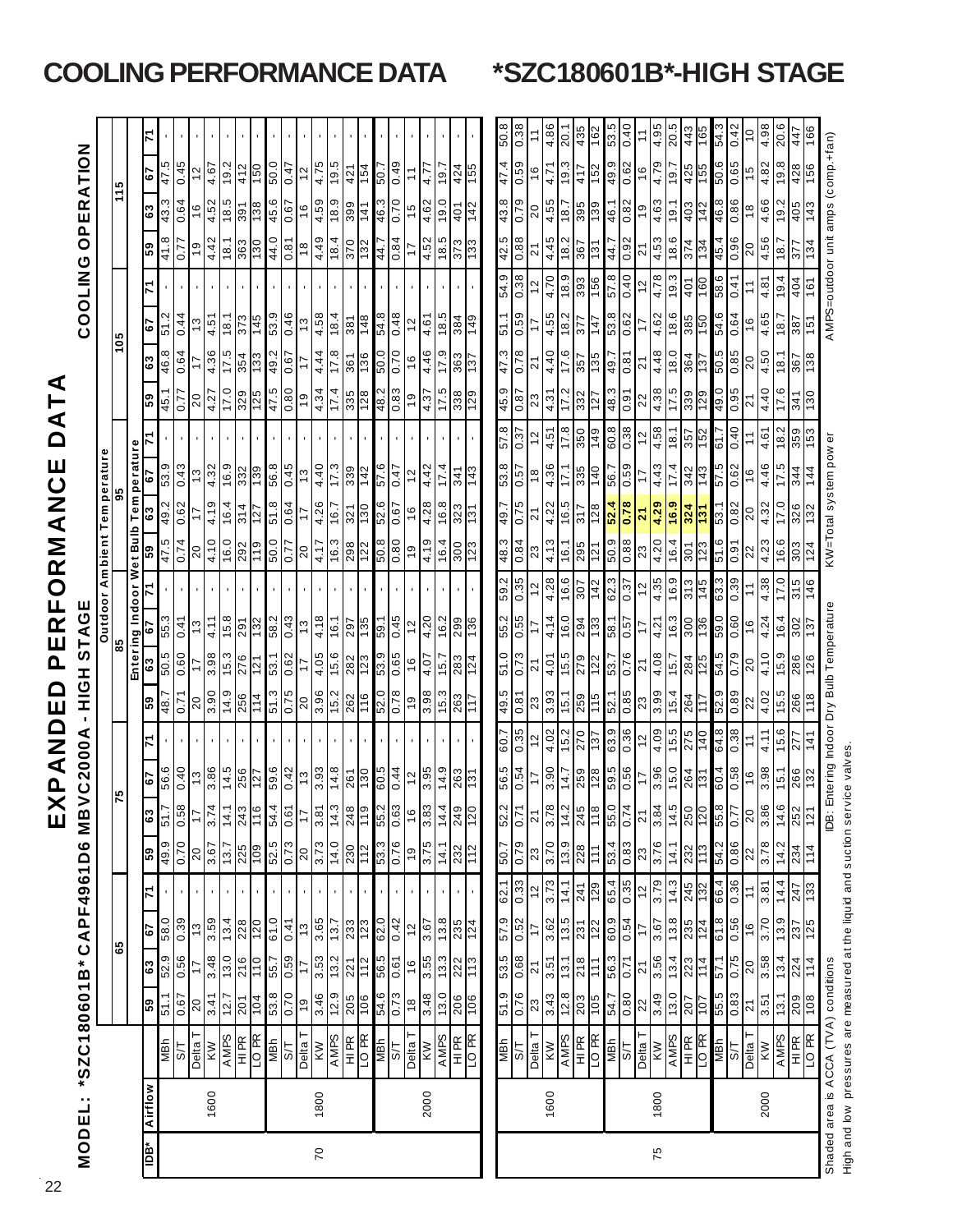| <b>MODEL:</b>                                                     |         | *SZC180601B*CAPF4961D6                   |                    |                                                               |                   |                    |                                               | MB<br>Ш                          | <b>VC2000A</b><br>으<br>X                                                            | ٠<br>Q<br>NA       | HQIH<br>$\Box$<br>Ш                     |                   | PERE<br>STAGE       | <b>ORM</b>                           | ⋖                       | Z                       | ш                                   | _<br>∆                         |                                                     |                      | COOLING           | O                              | PERATION                |                        |                 |
|-------------------------------------------------------------------|---------|------------------------------------------|--------------------|---------------------------------------------------------------|-------------------|--------------------|-----------------------------------------------|----------------------------------|-------------------------------------------------------------------------------------|--------------------|-----------------------------------------|-------------------|---------------------|--------------------------------------|-------------------------|-------------------------|-------------------------------------|--------------------------------|-----------------------------------------------------|----------------------|-------------------|--------------------------------|-------------------------|------------------------|-----------------|
|                                                                   |         |                                          |                    |                                                               |                   |                    |                                               |                                  |                                                                                     |                    |                                         |                   |                     | Outdoor Ambient Temperature          |                         |                         |                                     |                                |                                                     |                      |                   |                                |                         |                        |                 |
|                                                                   |         |                                          |                    | 65                                                            |                   |                    |                                               |                                  | 75                                                                                  |                    |                                         | 85                |                     |                                      |                         | 95                      |                                     |                                |                                                     | 105                  |                   |                                |                         | 115                    |                 |
|                                                                   |         |                                          |                    |                                                               |                   |                    |                                               |                                  |                                                                                     |                    |                                         |                   |                     | Entering Indoor Wet Bulb Temperature |                         |                         |                                     |                                |                                                     |                      |                   |                                |                         |                        |                 |
| ăal                                                               | Airflow | NBh                                      | 51.1<br>69         | 52.9<br>63                                                    | 58.0<br>5         |                    | 49.9<br>69                                    | $\frac{63}{2}$<br>51.            | 56.6<br>79                                                                          |                    | င္ပြ<br>48.                             | 5.03<br>ස         | 55.3<br>قة          |                                      | 59<br>47                | 49.2<br>63              | 53.9<br>ؘڡ                          | - 15                           | 46.8<br>63<br>69                                    | 2.15<br>79           |                   | 41.8<br>69                     | 43.3<br>63              | 47.5<br>79             |                 |
|                                                                   |         | LS                                       | 0.67               | 0.56                                                          | 0.39              |                    | 0.70                                          | 0.5                              | 0.40                                                                                |                    | 0.71                                    | 0.60              | 0.41                |                                      | 0.74                    | 0.6                     | 0.43                                | 77                             | 0.64                                                | 0.44                 |                   | 77                             | 0.64                    | 0.45                   |                 |
|                                                                   |         | I <sup>e</sup> iləd                      | $\overline{20}$    | $\ddot{ }$                                                    | $\frac{3}{2}$     |                    | 20                                            | $\overline{1}$                   |                                                                                     |                    | $\overline{20}$                         | $\overline{17}$   | $\frac{3}{2}$       |                                      | $20$                    |                         | $\frac{3}{2}$                       |                                | 17                                                  | $\frac{3}{2}$        |                   | $\frac{6}{5}$                  | 16                      | $\frac{2}{3}$          |                 |
|                                                                   | 1600    |                                          | 3.41               | 3.48                                                          |                   |                    | 3.67                                          | 3.7 <sup>2</sup>                 | $\frac{13}{3.86}$                                                                   |                    | 3.90                                    |                   | 4.11                |                                      |                         | 4.19                    |                                     |                                | 4.36<br>$\frac{20}{4.27}$                           |                      |                   | 4.42                           | 4.52                    | 4.67                   |                 |
|                                                                   |         | KW<br>AMPS                               | 12.7               | 0.61                                                          | $3.59$<br>$13.4$  |                    | 13.7                                          | $-14.$                           | 14.5                                                                                |                    | 14.9                                    | 3.98              | 15.8                |                                      | $\frac{4.10}{16.0}$     | 16.4                    | $4.32$<br>$16.9$                    |                                | 17.5<br>0.21                                        | $\frac{4.51}{18.1}$  |                   | 18.1                           | $-18.5$                 | 19.2                   |                 |
|                                                                   |         | HI <sub>PR</sub>                         | 201                | 216                                                           | 228               |                    | 225                                           | 243                              | 256                                                                                 |                    | 256                                     | 276               | 291                 |                                      | 292                     | 314                     | 332                                 |                                | 354<br>329                                          | 373                  |                   | 363                            | 391                     | 412                    |                 |
|                                                                   |         | LO <sub>PR</sub>                         | 104                | $\frac{1}{10}$                                                | $\frac{120}{20}$  |                    |                                               | F۴                               | $\frac{127}{2}$                                                                     |                    | 114                                     | $\frac{121}{2}$   | $\frac{132}{2}$     |                                      | $\frac{1}{2}$           | $\frac{127}{2}$         | $\frac{66}{120}$                    |                                | 133<br>125                                          | 145                  |                   | 130                            | $\frac{8}{36}$          | $\frac{0.91}{1}$       |                 |
|                                                                   |         | NBh<br>$5\overline{1}$                   | 53.8<br>0.70       | 0.59<br>55.7                                                  | 0.19<br>0.41      |                    | 52.5<br>0.73                                  | 0.6<br>54.                       | 59.6<br>0.42                                                                        |                    | 51.3<br>0.75                            | 0.62<br>53.1      | 58.2<br>0.43        |                                      | 50.0<br>77              | 51.8<br>0.64            | 56.8<br>0.45                        |                                | 49.2<br>0.67<br>47.5<br>0.80                        | 53.9<br>0.46         |                   | 44.0<br>0.81                   | 45.6<br>0.67            | 50.0<br>0.47           |                 |
|                                                                   |         | Delta T                                  | $\frac{6}{5}$      | $\overline{17}$                                               | $\frac{3}{2}$     |                    | 20                                            | $\overline{1}$                   |                                                                                     |                    | $20$                                    | 11                | 13                  |                                      | 20                      | $\ddot{ }$              | E L                                 |                                | $\ddot{ }$<br>$\frac{6}{7}$                         | $\frac{3}{2}$        |                   | $\overset{\circ}{\phantom{a}}$ | $\frac{6}{1}$           | $\tilde{c}$            |                 |
| $\overline{C}$                                                    | 1800    | KW                                       |                    |                                                               | 3.65              |                    |                                               | 3.8                              |                                                                                     |                    |                                         |                   |                     |                                      | $\frac{7}{4}$           |                         | 4.40                                |                                | 4.44<br>4.34                                        |                      |                   |                                |                         |                        |                 |
|                                                                   |         | $\frac{\text{AMPS}}{\text{HIR}}$         | $rac{46}{12.9}$    | $\left \frac{5}{3}\right \frac{2}{3}\left \frac{1}{2}\right $ | $\frac{7}{233}$   |                    | $\left \frac{1}{3}\frac{1}{2}\right ^{2}_{2}$ | $\frac{14.3}{248}$               | $\frac{1}{2}$ $\frac{1}{2}$ $\frac{1}{2}$ $\frac{1}{2}$ $\frac{1}{2}$               |                    | $\frac{96}{362}$                        | $\frac{166}{168}$ | $rac{4.18}{16.1}$   |                                      |                         | $\frac{4.26}{16.7}$     | $rac{65}{17.3}$                     |                                | $\frac{17.8}{361}$                                  | $\frac{4.58}{1.814}$ |                   | $rac{0.25}{184}$               | $\frac{68}{18.9}$       | $\frac{4.75}{19.5}$    |                 |
|                                                                   |         |                                          |                    |                                                               |                   |                    |                                               |                                  |                                                                                     |                    |                                         |                   |                     |                                      | $\frac{16.3}{298}$      |                         |                                     |                                | $\frac{17.4}{335}$                                  |                      |                   |                                |                         |                        |                 |
|                                                                   |         |                                          |                    |                                                               |                   |                    |                                               | $\frac{51}{2}$                   | $\frac{130}{2}$                                                                     |                    |                                         |                   | 135                 |                                      |                         | 130                     | 142                                 |                                | 136                                                 |                      |                   | $\overline{132}$               | 141                     | 154                    |                 |
|                                                                   |         | <b>VIBN</b>                              | 54.6               | 5.63                                                          | 62.0              |                    | 53.3                                          | 55.                              | 60.5                                                                                |                    | 52.0                                    | 53.9              | 59.1                |                                      | 50.8                    | 52.6                    | 9.75                                |                                | 50.0<br>48.2                                        | 54.8                 |                   | 44.7                           | 46.3                    | $-0.5$                 |                 |
|                                                                   |         | 57                                       | 0.73               | 0.61                                                          | 0.42              |                    | 0.76                                          | 0.6                              | 0.44                                                                                |                    | 0.78                                    | 0.65              | 0.45                |                                      | 0.80                    | 0.67                    | 0.47                                |                                | 0.70<br>0.83                                        | 0.48                 |                   | 0.84                           | 0.70                    | 0.49                   |                 |
|                                                                   |         | T shed                                   | $\frac{8}{3}$      | $\frac{6}{1}$                                                 | $\frac{2}{3}$     |                    | e,                                            | $\frac{6}{1}$                    |                                                                                     |                    | $\overline{6}$                          | $\frac{6}{7}$     | 2 <sub>1</sub>      |                                      | $\frac{6}{1}$           | $\frac{8}{1}$           | 2 <sub>1</sub>                      |                                | $\frac{6}{7}$<br>$\frac{6}{7}$                      | 51                   |                   | 17                             | 15                      |                        |                 |
|                                                                   | 2000    | KW                                       |                    |                                                               | 3.67              |                    | 3.75                                          | $\frac{8}{3}$                    |                                                                                     |                    |                                         | 4.07              | 4.20                |                                      | 4.19                    |                         | 4.42                                |                                | 4.46<br>4.37                                        |                      |                   |                                |                         | 4.7<br>4               |                 |
|                                                                   |         | $\frac{\angle AMES}{\angle HER}$         | $\frac{48}{130}$   | $\frac{55}{132}$                                              | $\frac{8}{135}$   | $\mathbf{r}$ .     | $\frac{14.1}{232}$                            | $\frac{1}{4}$ $\frac{1}{2}$      | $\frac{1}{2}$ $\frac{1}{2}$ $\frac{1}{2}$ $\frac{1}{2}$ $\frac{1}{2}$ $\frac{1}{2}$ |                    | $\frac{3.98}{15.3}$                     | 15.7              | $\frac{16.2}{2.99}$ |                                      | $\frac{16.4}{300}$      | $\frac{4.28}{16.8}$     | $\frac{17.4}{ }$<br>$\frac{1}{341}$ |                                | $rac{17.9}{363}$<br>$\frac{17.5}{ }$                | $\frac{4.61}{18.5}$  |                   | $rac{62}{18.5}$                | $\frac{4.62}{19.0}$     | 1.61                   |                 |
|                                                                   |         |                                          | $\frac{106}{1}$    | $\frac{1}{13}$                                                | 124               | $\blacksquare$     |                                               | $\overline{2}$                   | $\frac{5}{1}$                                                                       |                    | 117                                     | 283<br>124        | 136                 |                                      | 123                     | $\frac{5}{12}$          | 143                                 |                                | $\frac{137}{2}$<br>$\overline{\frac{8}{33}}$<br>129 | 149                  |                   | 133                            | 142                     | 424                    |                 |
|                                                                   |         |                                          |                    |                                                               |                   |                    |                                               |                                  |                                                                                     |                    |                                         |                   |                     |                                      |                         |                         |                                     |                                |                                                     |                      |                   |                                |                         |                        |                 |
|                                                                   |         | ИВИ                                      | 6.15               | 53.5                                                          | 57.9              | 62.1               | 50.7                                          | $rac{52}{0.7}$                   | 56.5                                                                                | 60.                | 49.5                                    | 51.0              | 55.2                |                                      | 48.3                    | $-64$                   | 5<br>53.8                           | $\frac{4}{5}$<br>$\frac{8}{1}$ | $\frac{1}{4}$                                       | 1.16<br>بن           | თ.<br>4<br>LÒ.    | 42.5                           | 43.8                    | 47.4                   | $10^{10}$       |
|                                                                   |         | ZЗ                                       | 0.76               | 0.68                                                          | 0.52              | 0.33               | 0.79                                          |                                  | 0.54                                                                                | 0.35               | 0.81                                    | 0.73              | 0.55                | 0.35                                 | 0.84                    | 0.75                    | <b>LS:0</b>                         | 0.37                           | 0.78<br>6.67                                        | 0.59                 | 0.38              | 0.88                           | 0.79                    | 0.59                   | 0.38            |
|                                                                   |         | $\frac{Delta T}{KN}$                     |                    | ম                                                             | $\ddot{ }$        | $\frac{2}{3}$      | 23                                            | $\tilde{\mathsf{S}}$             |                                                                                     | $\frac{12}{4.02}$  | $\frac{23}{3.93}$                       | ন                 |                     |                                      | 23                      | ন                       | $\frac{8}{1}$                       | 12                             | ম<br>$\frac{23}{4.31}$                              |                      | $\tilde{c}$       | ಸ                              | $\overline{c}$          | $\frac{6}{1}$          |                 |
|                                                                   | 1600    |                                          | 3.43               | 3.51                                                          | 3.62              | 3.73               | $\frac{1}{3.70}$                              | ∞∣∾<br>3.7                       | 3.90                                                                                |                    |                                         | 4.01              | 4.14                | 4.28                                 | 4.13                    | 4.22                    | 4.36                                | 4.51                           | 4.40                                                | 4.55                 | 4.70              | $4.45$<br>18.2                 | 4.55                    | 4.71                   | 4.86            |
|                                                                   |         | <b>AMPS</b>                              | $\frac{12.8}{203}$ | 13.1                                                          | 13.5              | 14.1               | 13.9                                          | $\frac{4}{3}$                    | 14.7                                                                                | 5.2                | 15.1                                    | 15.5              | 16.0                | 16.6                                 | 16.1                    | 16.5                    | 17.1                                | 17.8                           | 17.6<br>17.2                                        | 18.2                 | 18.9              |                                | 7.81                    | 19.3                   | 20.             |
|                                                                   |         | HI PR<br>LO <sub>PR</sub>                | $rac{105}{105}$    | 218<br>111                                                    | <b>231</b><br>122 | 241<br>129         | $\frac{228}{111}$                             | $\frac{5}{245}$<br>$\frac{1}{2}$ | 259<br>128                                                                          | 270<br>187         | 259<br>115                              | 279<br>122        | 294<br>133          | $\frac{1}{307}$<br>142               | 295<br>$\frac{2}{12}$   | 128<br><b>LLE</b>       | 335<br>140                          | 350<br>149                     | 135<br>357<br>332                                   | 377<br>147           | 393<br>156        | 367<br>$\frac{1}{3}$           | 395<br>139              | 417<br>152             | 435<br>301      |
|                                                                   |         | <b>VIBN</b>                              | 54.7               | 56.3                                                          | 6.03              | 65.4               | 53.4                                          | 55.                              | 5.95                                                                                | 63.9               | 52.1                                    | 53.7              | 58.1                | 62.3                                 | 50.9                    | 52.4                    | 56.7                                | 60.8                           | 49.7<br>48.3                                        | 53.8                 | 57.8              | 44.7                           | 46.1                    | 49.9                   | 53.5            |
|                                                                   |         | ļδ                                       | <b>SSO</b>         | 0.71                                                          | 0.54              | $\frac{35}{2}$     | 0.83                                          | 4<br>$\overline{0.7}$            | 0.56                                                                                | 0.36               | $\frac{85}{0.85}$                       | 0.76              | 0.57                | 0.37                                 | 0.88                    | 0.78                    | 0.59                                | 0.38                           | 0.81<br>0.91                                        | 0.62                 | 0.40              | 0.92                           | 0.82                    | 0.62                   | 0.40            |
|                                                                   |         | Delta T $\frac{1}{N}$                    |                    | $\frac{21}{3.56}$                                             | 17                | $\frac{12}{3.79}$  | 23<br>3.76                                    | $\frac{21}{3.84}$                | $\ddot{ }$                                                                          | $\frac{12}{4.09}$  |                                         | $\overline{2}$    | 17                  | $12$                                 | $\frac{23}{4.20}$       | $\overline{\mathbf{a}}$ |                                     | $\frac{12}{4.58}$              | ম<br>$\frac{22}{4.38}$                              | Ţ                    | 51                | ম                              | $\frac{6}{1}$           | $\frac{6}{1}$          | Ξ               |
| 75                                                                | 1800    |                                          | $\frac{22}{3.49}$  |                                                               | 3.67              |                    |                                               |                                  | 3.96                                                                                |                    | $\frac{23}{3.99}$<br>$\frac{15.4}{264}$ | 4.08              | 4.21                | 4.35                                 |                         | 4.29                    | 4.43                                |                                | 4.48                                                | 4.62                 | 4.78              | 4.53                           | 4.63                    | 4.79                   | 4.95            |
|                                                                   |         | <b>AMPS</b>                              |                    | 13.4                                                          |                   |                    | 14.1                                          | LO                               |                                                                                     |                    |                                         |                   | 16.3                | 16.9                                 | 16.4                    | 16.9                    | $\frac{1}{17.4}$                    | 18.1                           | 18.0<br>17.5                                        | 18.6                 | 19.3              | 18.6                           | 19.1                    | 7.61                   | 20.5            |
|                                                                   |         | HI PR                                    | $\frac{207}{107}$  | 223                                                           | $\frac{8}{13.85}$ | $\frac{14.3}{245}$ | 232                                           | $rac{14.5}{250}$                 | $\frac{150}{284}$                                                                   | $\frac{15.5}{275}$ |                                         | 284               | 300                 | 313                                  | 301                     | 324<br>$\frac{1}{2}$    | 342                                 | $rac{357}{152}$                | 364<br>339                                          | 385                  | $\frac{401}{160}$ | 374<br>134                     | 403                     | 425                    | $rac{443}{165}$ |
|                                                                   |         | LO <sub>PR</sub><br><b>VIBN</b>          | 55.5               | 1.19                                                          | 61.8              | 66.4               | 54.2                                          | 55.8                             | 60.4                                                                                | 64.8               | 52.9                                    | 54.5              | 59.0                | 63.3<br>145                          | 9.16<br>$\overline{23}$ | 53.1                    | 5.75                                | 61.7                           | 5.05<br>49.0                                        | 54.6                 | 58.6              | 45.4                           | 46.8<br>$\frac{142}{3}$ | 50.6                   | 54.3            |
|                                                                   |         | $5\frac{1}{2}$                           | 0.83               | 0.75                                                          | 0.56              | 0.36               | 0.86                                          | 7.0                              | 0.58                                                                                | 0.38               | 0.89                                    | 0.79              | 0.60                | .39<br>ö                             | 0.91                    | 0.82                    | 0.62                                | 0.40                           | 0.85<br>0.95                                        | 0.64                 | 0.41              | 96.0                           | 0.86                    | 0.65                   | 0.42            |
|                                                                   |         | Delta T                                  |                    |                                                               |                   | $\tilde{t}$        |                                               |                                  |                                                                                     | $\tilde{t}$        |                                         | $\overline{20}$   | $\frac{6}{5}$       |                                      |                         | 20                      | 9 <sub>l</sub>                      |                                | $\overline{21}$                                     |                      | $\tilde{=}$       |                                |                         |                        | $\frac{0}{1}$   |
|                                                                   | 2000    | <b>MX</b>                                | $\frac{21}{3.51}$  | $\frac{20}{3.58}$                                             | $\frac{16}{3.70}$ | 3.81               | $\frac{22}{3.78}$                             | $\frac{20}{3.86}$                | $\frac{16}{3.98}$                                                                   | 4.11               | $\frac{22}{4.02}$                       | 4.10              | 4.24                | 4.38                                 | $\frac{22}{4.23}$       | 4.32                    | 4.46                                | 4.61                           | $\frac{20}{4.50}$<br>4.40                           | $\frac{16}{4.65}$    | 4.81              | $\frac{20}{4.56}$              | $\frac{18}{4.66}$       | $\frac{15}{4.82}$      | 4.98            |
|                                                                   |         |                                          |                    | 13.4                                                          | 13.9              |                    | 14.2                                          |                                  | 15.1                                                                                | 15.6               | $\frac{15.5}{266}$                      | 15.9              | 16.4                | 17.0                                 | 16.6                    | 17.0                    | 17.5                                | 18.2                           | 18.1<br>17.6                                        | 18.7                 | 19.4              | $\frac{18.7}{ }$               | 19.2                    | 19.8                   | 20.6            |
|                                                                   |         | $\frac{\overline{AMPS}}{\overline{HIR}}$ | $\frac{1}{208}$    | $\frac{224}{114}$                                             | $\frac{237}{125}$ | $rac{14.4}{247}$   | 234<br>$\frac{1}{14}$                         | $\frac{14.6}{252}$               | 266                                                                                 | 72                 |                                         | 286               | 302                 | G<br>146<br>$\frac{1}{3}$            | $\overline{303}$        | 326                     | 344                                 | 359<br>ြိ                      | $rac{267}{138}$<br>$\frac{341}{120}$                | 387<br>ė,            | 404               | 377<br>134                     | $\frac{405}{ }$<br>143  | 428<br>$\frac{156}{2}$ | 99<br>447       |
|                                                                   |         |                                          |                    |                                                               |                   |                    |                                               | ë                                |                                                                                     |                    |                                         |                   |                     |                                      |                         |                         |                                     |                                |                                                     |                      | AMPS=outdoor unit |                                |                         |                        |                 |
| High and low pressures are measured at the liquid and suction ser |         | Shaded area is ACCA (TVA) conditions     |                    |                                                               |                   |                    |                                               |                                  | vice valves                                                                         |                    | Entering Indoor Dry Bulb Temperature    |                   |                     |                                      | KW=Total system pow     |                         |                                     | ō                              |                                                     |                      |                   |                                | amps (comp.+fan)        |                        |                 |

## **COOLING PERFORMANCE DATA \*SZC180601B\*-HIGH STAGE**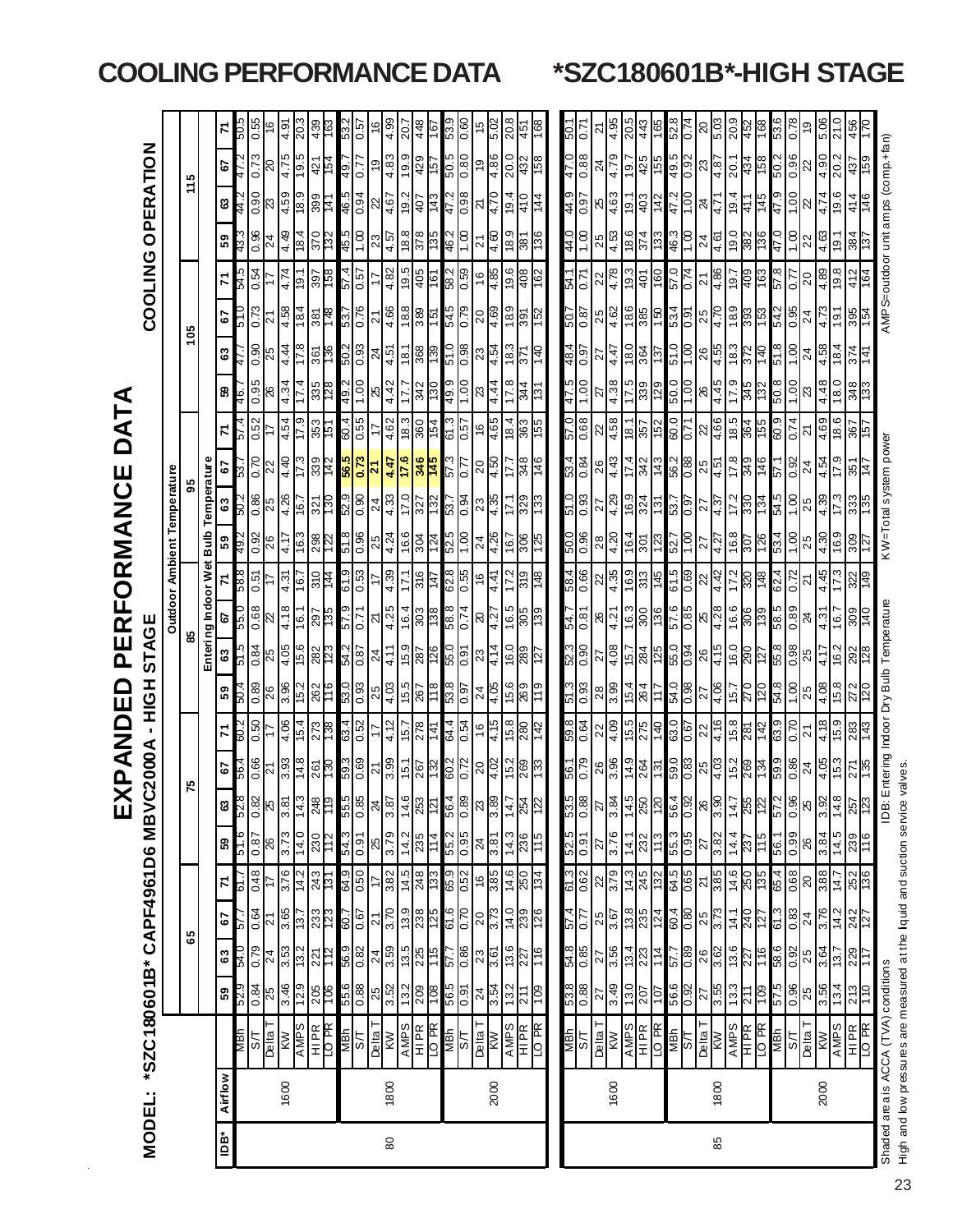|     |         |                                                                           |                   |                           |                            |                          |                                     | <u>іп</u>                               | ءِ<br>پ                                                                                                   | ONA<br>A            | $\Box$<br>ш         | ER<br>L<br><u>ሲ</u>         | $\mathsf O$<br>Щ                                 | RMANC                       |                           | Ш                                                                                                                                             | DAT                | ⋖                                                       |                          |                                         |                                                         |                        |                                                                                              |                    |              |
|-----|---------|---------------------------------------------------------------------------|-------------------|---------------------------|----------------------------|--------------------------|-------------------------------------|-----------------------------------------|-----------------------------------------------------------------------------------------------------------|---------------------|---------------------|-----------------------------|--------------------------------------------------|-----------------------------|---------------------------|-----------------------------------------------------------------------------------------------------------------------------------------------|--------------------|---------------------------------------------------------|--------------------------|-----------------------------------------|---------------------------------------------------------|------------------------|----------------------------------------------------------------------------------------------|--------------------|--------------|
|     | MODEL:  | *SZC180601B*CAPF4961D6                                                    |                   |                           |                            |                          |                                     | <b>MBV</b>                              | <b>C2000A</b>                                                                                             | 인<br>도<br>٠         | I                   | <b>STAGE</b>                |                                                  |                             |                           |                                                                                                                                               |                    |                                                         |                          | COOLING                                 |                                                         |                        | OPERATION                                                                                    |                    |              |
|     |         |                                                                           |                   |                           |                            |                          |                                     |                                         |                                                                                                           |                     |                     |                             |                                                  | Outdoor Ambient Temperature |                           |                                                                                                                                               |                    |                                                         |                          |                                         |                                                         |                        |                                                                                              |                    |              |
|     |         |                                                                           |                   |                           | 65                         |                          |                                     |                                         |                                                                                                           |                     |                     | 83                          |                                                  |                             |                           |                                                                                                                                               |                    |                                                         | 105                      |                                         |                                                         |                        | ю<br>ż                                                                                       |                    |              |
|     |         |                                                                           |                   |                           |                            |                          |                                     |                                         |                                                                                                           |                     |                     | Enteri                      | ng Indoor Wet                                    | Bulb                        |                           | Temperature                                                                                                                                   |                    |                                                         |                          |                                         |                                                         |                        |                                                                                              |                    |              |
| ådl | Airflow |                                                                           | ន                 | $\boldsymbol{\mathsf{s}}$ | 57                         | Z                        | 59                                  | ଞ                                       | 2                                                                                                         | 7                   | 59                  | ෂ                           | 5                                                | 59                          | $\boldsymbol{\mathsf{s}}$ | 5                                                                                                                                             | 7                  | ္က                                                      | <u>အ</u>                 | 5                                       | ᠷ                                                       | $\frac{5}{9}$          | ଞ                                                                                            | 5                  | 7            |
|     |         | иви                                                                       | 67S               | 0. bG                     | 79                         | - 19                     | 9.LG                                | 3.Z3                                    |                                                                                                           |                     |                     |                             | 889<br>n 39                                      | 49.                         |                           |                                                                                                                                               |                    | 46.                                                     |                          |                                         | 79                                                      |                        | #                                                                                            |                    |              |
|     |         | $rac{5\pi}{25}$                                                           | $\frac{84}{15}$   | 0.79                      | 0.64                       | 0.48                     | $rac{92}{18.0}$                     | $\frac{88}{5}$                          | $rac{66}{21}$                                                                                             | 0.50                | $rac{8}{26}$        |                             | 15.0<br>$\frac{68}{22}$                          | $rac{32}{26}$               | $rac{25}{2}$              | $rac{70}{22}$                                                                                                                                 | 0.52               | $rac{95}{26}$                                           | $rac{90}{25}$            | 0.73                                    | 0.54                                                    | $\frac{8}{0.36}$       | $rac{60}{20}$                                                                                | 0.73               | $rac{9}{16}$ |
|     |         |                                                                           |                   | $\overline{24}$           | <u>년</u>                   |                          |                                     |                                         |                                                                                                           |                     |                     | $\frac{1}{108}$             |                                                  |                             |                           |                                                                                                                                               |                    |                                                         |                          | న్                                      |                                                         | $\overline{4}$         |                                                                                              | ାର                 |              |
|     | 1600    | KW                                                                        | 3.46              | 3.53                      | 3.65                       | 3.76                     | 3.73                                | 3.81                                    | $\frac{3.93}{14.8}$                                                                                       | 4.06                | 3.96                |                             | 4.31<br>$\frac{4.18}{16.1}$                      | $rac{1}{16.3}$              | $\frac{4.26}{16.7}$       | $rac{17}{17.3}$                                                                                                                               | 4.54               | 4.34                                                    | $\frac{4.78}{17.8}$      | $\frac{4.58}{18.4}$                     | 4.74                                                    | 4.49                   |                                                                                              | 4.75               | 4.91         |
|     |         | <b>AMPS</b>                                                               | $\frac{129}{20}$  | $\frac{13.2}{2}$          | $\frac{13.7}{ }$           | 14.2                     | 14.0                                | 14.3                                    |                                                                                                           | 15.4                |                     |                             | $\frac{167}{16}$                                 |                             |                           |                                                                                                                                               | $\frac{6}{17}$     | 17.4                                                    |                          |                                         | $\frac{1}{9}$                                           | 18.4                   | $\frac{460}{159}$ $\frac{1}{29}$ $\frac{1}{29}$ $\frac{1}{29}$ $\frac{1}{29}$ $\frac{1}{29}$ | $\frac{19.5}{ }$   |              |
|     |         | <b>HIPR</b><br><b>RIPR</b>                                                | $rac{205}{100}$   | $\frac{27}{12}$           |                            | <b>243</b>               | $\frac{230}{112}$                   | 248                                     | $\frac{55}{13}$                                                                                           | $\frac{273}{138}$   | 262<br>116          | 282<br>T23                  | $rac{210}{144}$<br>$\frac{5}{135}$               | $\frac{298}{122}$           | $\frac{27}{130}$          |                                                                                                                                               | $rac{151}{151}$    | $rac{335}{128}$                                         | $ \tilde{\mathbb{S}} _2$ | $rac{381}{148}$                         | $rac{1}{185}$                                           | 370                    |                                                                                              | $\frac{421}{154}$  |              |
|     |         | <b>MBN</b>                                                                |                   |                           | 33<br>2005<br>2006<br>2009 |                          |                                     |                                         |                                                                                                           |                     |                     |                             | 6.75                                             |                             |                           | $334$ $\frac{5}{32}$                                                                                                                          |                    |                                                         |                          |                                         |                                                         |                        | 49.                                                                                          |                    |              |
|     |         | 55                                                                        | $\frac{880}{955}$ | $rac{56.9}{0.82}$         |                            | 64.9<br>0.50             | $\frac{6.0}{6.75}$                  | $\frac{555}{0.85}$                      | 59.3<br>0.69                                                                                              | 63.4<br>0.52        | $\frac{53.0}{0.93}$ | $\frac{54.2}{0.87}$         | $\frac{61.9}{0.53}$<br>0.71                      | $rac{86}{618}$              | $rac{652}{0.90}$          |                                                                                                                                               | 60.4               | $\frac{49.2}{1.00}$                                     | $\frac{50.2}{0.93}$      | 53.7<br>0.76                            | $\frac{15.0}{v^{2}}$                                    | $\frac{45.5}{1.00}$    | $-2.0$                                                                                       |                    | ة.<br>O      |
|     |         | L <sup>e</sup> lləd                                                       | 25                | 24                        | $\overline{2}$             | t,                       | 25                                  | 24                                      | $\overline{z}$                                                                                            |                     | 25                  | 24                          | 24                                               | 25                          | 24                        | $\overline{21}$                                                                                                                               | 77                 | 25                                                      | 24                       | $\overline{21}$                         |                                                         | 23                     | $\mathbb{Z}$                                                                                 | $\overline{6}$     |              |
| 80  | 1800    | <b>MX</b>                                                                 | 3.52              | 3.59                      | 3.70                       | 3.82                     | 3.79                                | 3.87                                    |                                                                                                           | 4.12                | 4.03                | 4.11                        | 4.39<br>4.25                                     | 4.24                        | 4.33                      | 4.47                                                                                                                                          | 4.62               | 4.42                                                    | 4.51                     | 4.66                                    | 4.82                                                    | 4.57                   | 4.67                                                                                         | 4.83               | 4.99         |
|     |         | <b>AMPS</b>                                                               | 13.2              | 13.5                      |                            | 14.5                     | 14.2                                | 14.6                                    |                                                                                                           | 7.51                | 15.5                |                             | 171                                              | 16.6                        | 17.0                      | 0.71                                                                                                                                          |                    | 17.                                                     | 18.1                     |                                         | <b>G</b> <sup>6</sup>                                   | 18.8                   | 19.2                                                                                         | 19.9               | 20.          |
|     |         | $\frac{HPR}{10}$                                                          | $\frac{208}{108}$ | $\frac{225}{115}$         |                            | $\frac{248}{133}$        | 235                                 | $\frac{253}{121}$                       |                                                                                                           | $\frac{278}{2}$     | 267<br>118          | $rac{287}{287}$             | $rac{316}{147}$                                  |                             | $rac{27}{132}$            | 346                                                                                                                                           | $\frac{18.3}{360}$ |                                                         | $rac{86}{139}$           | $rac{188}{180}$                         | $\frac{405}{161}$                                       | $\frac{378}{135}$      | $\frac{1}{43}$                                                                               | $\frac{429}{157}$  | 448          |
|     |         |                                                                           |                   |                           |                            |                          |                                     |                                         |                                                                                                           | 141                 |                     |                             |                                                  |                             |                           |                                                                                                                                               |                    |                                                         |                          |                                         |                                                         |                        |                                                                                              |                    |              |
|     |         |                                                                           |                   |                           |                            |                          |                                     |                                         |                                                                                                           |                     |                     |                             |                                                  |                             | 53.7                      |                                                                                                                                               | 61.3<br>ნ          |                                                         |                          | 54.5                                    | 58.2                                                    |                        |                                                                                              |                    |              |
|     |         | $\frac{1/5}{2}$                                                           | $rac{16.0}{9.30}$ | $\frac{98.0}{2.75}$       | 38666<br>2896              | 65.9                     | $rac{55.2}{0.95}$                   | $\frac{6.6}{0.88}$                      | $\frac{3.98}{1.51}$ $\frac{2.78}{1.51}$ $\frac{2.72}{1.51}$                                               | 64.4                | $rac{26.0}{8.85}$   | $rac{16.0}{0.35}$           | 62.8<br>$\frac{16.4}{303}$<br>$\frac{88.8}{303}$ | $\frac{304}{124}$           | $\frac{1}{94}$            | $rac{2}{5.75}$                                                                                                                                | $\frac{1}{2}$      | $\frac{342}{130}$<br>$\frac{99}{100}$<br>$\frac{1}{28}$ | $rac{6}{10}$             | 65.0                                    | 0.59                                                    | $\frac{46.2}{1.00}$    | $rac{17.2}{0.98}$                                                                            | $\frac{0.8}{9.05}$ | ତ<br>୦       |
|     |         | $\frac{DeltaT}{KNV}$                                                      | $\frac{24}{3.54}$ | $\frac{23}{3.61}$         |                            | $\frac{1}{2}$            | 24<br>3.81                          | $\mathbb{S}$                            |                                                                                                           | $\overline{0}$      | $\frac{24}{4.05}$   | 23                          | $\frac{1}{6}$                                    | 24                          | 23                        | 20                                                                                                                                            | $\overline{a}$     |                                                         | $\frac{23}{4.54}$        | 20                                      | $\frac{8}{1}$                                           | $\overline{21}$        | Z                                                                                            | $\frac{1}{2}$      |              |
|     | 2000    |                                                                           |                   |                           | $\frac{20}{3.73}$          | 3.85                     |                                     | 3.89                                    |                                                                                                           | 4.15                |                     | $\frac{20}{4.2}$<br>4.14    | 4.41                                             | $\frac{4.26}{ }$            | 4.35                      | 4.50                                                                                                                                          | 4.65               | $\frac{4.44}{4}$                                        |                          | $\frac{1}{4}$                           | 4.85                                                    | 4.60                   | 4.70                                                                                         | 4.86               |              |
|     |         |                                                                           | 13.2              | 13.6                      |                            |                          | 14.3                                | 14.7                                    | $\frac{20}{4.02}$                                                                                         | 15.8                | 15.6                | 16.0                        | 17.2<br>$rac{202}{590}$                          | $rac{26}{100}$              |                           |                                                                                                                                               |                    |                                                         | 18.3                     | 18.9                                    | 19.6                                                    |                        | 19.4                                                                                         | 20.0               |              |
|     |         |                                                                           |                   | 227<br>116                |                            | 14.6<br>250<br>134       | 236<br>115                          | $\frac{1}{2}$                           |                                                                                                           | 280<br>142          | 269<br>119          | $\frac{289}{127}$           | 8th<br>148                                       |                             |                           | 348                                                                                                                                           | $rac{68}{85}$      | $rac{344}{131}$                                         | $\frac{371}{140}$        | 391<br>152                              | $rac{408}{162}$                                         | $rac{96}{186}$         | 41 4<br>40                                                                                   | 432<br>158         |              |
|     |         | AMPS<br>HIPR<br>LO PR                                                     | $rac{11}{100}$    |                           | $\frac{14.0}{239}$         |                          |                                     |                                         |                                                                                                           |                     |                     |                             |                                                  |                             | $\frac{28}{133}$          |                                                                                                                                               |                    |                                                         |                          |                                         |                                                         |                        |                                                                                              |                    | õ            |
|     |         |                                                                           |                   |                           |                            |                          |                                     |                                         |                                                                                                           |                     |                     |                             |                                                  |                             |                           |                                                                                                                                               |                    |                                                         |                          |                                         |                                                         |                        |                                                                                              |                    |              |
|     |         | MBh                                                                       | 53.8              | 8.15                      | 57.4                       | E 19                     | 52.5                                | 53.5                                    | - 99                                                                                                      | 8.69                | 51.3                | 52.3                        | 58.4<br>54.7                                     | 50.0                        | 0.19                      | 53.4                                                                                                                                          | 57.0               | 5.7 <sub>b</sub>                                        | 48.4                     | 50.7                                    | 54.1                                                    | 0.77                   | 44.9                                                                                         | 47.0               | 50.1         |
|     |         | ISБ                                                                       | 88.0              | 0.85                      | $\frac{1}{2}$              | 0.62                     | 16.0                                | 88.0                                    | 62.0                                                                                                      | 0.64                | 0.93                | $-8.0$<br>0.90              | 0.66                                             | 0.96                        | 0.93                      | 0.84                                                                                                                                          | 890                | 00'L                                                    | $16^{+0}$                | /8°                                     | 0.71                                                    | 00.1                   | 6.0                                                                                          | 88.0               |              |
|     |         | Delta                                                                     | 72                | 27                        | 25                         | $\overline{\mathcal{Z}}$ | 72                                  | $\overline{z}$                          | 26                                                                                                        | 22                  | 28                  | 27                          | 26                                               | 28                          | 27                        | 26                                                                                                                                            |                    | Ñ                                                       | Ñ                        | 25                                      |                                                         | $\frac{25}{4.53}$      |                                                                                              |                    |              |
|     | 1600    | KW                                                                        | 3.49              | 3.56                      | 3.67                       | 3.79                     | 3.76                                | 3.84                                    | 3.96                                                                                                      | 4.09                | 3.99                | 4.08                        | 4.35<br>4.21                                     | 4.20                        | 4.29                      | 4.43                                                                                                                                          | 4.58               | 4.38                                                    | 4.47                     | 4.62                                    | 4.78                                                    |                        | 4.63                                                                                         | 4.79               | 9.<br>95     |
|     |         | $\frac{\angle AMPS}{\angle HPR}$                                          | 13.0              | 13.4                      | $\frac{38}{28}$            | $\frac{14.3}{245}$       | $rac{1}{2}$ $rac{1}{2}$ $rac{1}{2}$ | $\frac{14.5}{250}$                      | $\frac{14.9}{264}$                                                                                        | $\frac{55}{25}$     | $rac{154}{284}$     | $\frac{15.7}{284}$          | $\frac{16.9}{373}$<br>$\frac{16.3}{300}$         | $\frac{16.4}{301}$          | $rac{9}{324}$             | $\frac{1}{2}$ $\frac{1}{3}$ $\frac{1}{3}$ $\frac{1}{6}$ $\frac{1}{6}$ $\frac{1}{8}$ $\frac{1}{8}$ $\frac{1}{8}$ $\frac{1}{10}$ $\frac{1}{10}$ | $\frac{25}{85}$    | $\frac{5}{28}$                                          | $\frac{20}{36}$          | $rac{66}{385}$                          | $\frac{1}{2}$ $\frac{1}{2}$ $\frac{1}{2}$ $\frac{1}{2}$ | $\frac{18.6}{374}$     | 희승녀                                                                                          | 19.7               | 203          |
|     |         |                                                                           | 207<br>407        | $\frac{223}{114}$         |                            |                          |                                     | $\overline{\mathbb{Z}}$                 |                                                                                                           |                     |                     | $\frac{5}{25}$              | 145<br>$\frac{136}{2}$                           |                             | င်္                       |                                                                                                                                               |                    |                                                         | 3                        | $\frac{150}{2}$                         |                                                         |                        |                                                                                              | 425<br>155         | 443          |
|     |         |                                                                           |                   | 57.7                      |                            |                          |                                     |                                         |                                                                                                           |                     |                     |                             |                                                  |                             |                           |                                                                                                                                               | 0.09               |                                                         |                          |                                         | 0.79                                                    |                        | 47.2                                                                                         | 49.5               |              |
|     |         | $\frac{1}{2}$<br>$\frac{2}{2}$                                            | $\frac{26}{9.99}$ | $\frac{88}{0.89}$         | 60.4                       | 64.5<br>0.65             | $rac{55.3}{0.95}$                   | 56.4                                    | $\frac{55}{36}$ $\frac{8}{36}$ $\frac{1}{36}$ $\frac{1}{36}$ $\frac{1}{36}$ $\frac{1}{36}$ $\frac{1}{36}$ | $\frac{63.0}{0.67}$ | 54.0<br>0.98        | 55.0                        | 61.5<br>57.6                                     | $\frac{527}{1.00}$          | 53.7                      |                                                                                                                                               | 0.71               | 50.0                                                    | $\frac{00}{1.00}$        | $\frac{534}{0.91}$                      | 0.74                                                    | $rac{10}{1.00}$        | $\frac{00}{1}$                                                                               | 0.92               |              |
|     |         | Delta T                                                                   | $\frac{27}{3.55}$ | $\frac{26}{3.62}$         | $\frac{25}{3.73}$          | $\frac{21}{3.85}$        | 27<br>3.82                          | $\frac{26}{3.90}$                       |                                                                                                           | 22                  | $rac{27}{4.06}$     | 26                          | $22\,$                                           |                             | 27                        |                                                                                                                                               | $\frac{22}{4.66}$  | 26<br>4.45                                              | 26<br>4.55               | $\frac{25}{4.70}$                       | $\frac{21}{4.86}$                                       | $\frac{24}{4.61}$      | $\frac{1}{2}$                                                                                | $\frac{23}{4.87}$  | ର            |
| 85  | 1800    | <b>MX</b>                                                                 |                   |                           |                            |                          |                                     |                                         |                                                                                                           | 4.16                |                     | 4.15                        | 4.42                                             |                             | 4.37                      |                                                                                                                                               |                    |                                                         |                          |                                         |                                                         |                        | 4.71                                                                                         |                    |              |
|     |         | AMPS<br>HIPR<br>LO PR                                                     | 13.3              | $\frac{13.6}{227}$        | $\frac{14.1}{240}$         | $\frac{4.6}{250}$        | $\frac{14.4}{237}$                  | $rac{1}{4}$ $\frac{1}{8}$ $\frac{1}{8}$ |                                                                                                           | $\frac{15.8}{281}$  | $\frac{57}{200}$    | $rac{160}{290}$             | 17.2<br>320<br>$\frac{8}{36}$                    | $\frac{27}{4.27}$           | $\frac{1}{17}$ .2         | $rac{91}{15}$<br>$rac{1}{15}$                                                                                                                 | $rac{98}{155}$     | $\frac{17.9}{345}$                                      | 18.3                     | $rac{25}{100}$                          | $rac{20}{100}$                                          | $rac{9.0}{382}$        | $rac{41}{145}$                                                                               | $\frac{20.1}{434}$ | 30<br>20     |
|     |         |                                                                           | 211               |                           |                            |                          |                                     |                                         |                                                                                                           |                     |                     |                             |                                                  |                             | 330                       |                                                                                                                                               |                    |                                                         |                          |                                         |                                                         |                        |                                                                                              |                    | 452          |
|     |         |                                                                           | ခြ                |                           |                            |                          |                                     |                                         |                                                                                                           |                     |                     |                             | ¦≆                                               | 126                         | l≌                        |                                                                                                                                               |                    |                                                         | ਉ                        |                                         |                                                         |                        |                                                                                              |                    |              |
|     |         | <b>VIBN</b>                                                               | 57.5              | 58.6                      | 61.3                       | 65.4                     | 56.1                                | 57.2                                    | 59.9                                                                                                      | 63.9                | 54.8                | 55.8                        | 62.4<br>58.5                                     | 53.4                        | 54.5                      | - 25                                                                                                                                          | 6.03               | 50.8                                                    | 8.16                     | 54.2                                    | 57.8                                                    | 47.0                   | 47.9                                                                                         | 50.2               |              |
|     |         | ZЗ                                                                        | 0.96              | 0.92                      | 0.83                       | 0.68                     | 660                                 | 0.96                                    | 0.86                                                                                                      | 0.70                | 1.00                | 860                         | 680                                              | 00.1                        | 00.1                      | 0.92                                                                                                                                          | 0.74               | 00'                                                     | 00.1                     | 0.95                                    | 5<br>07                                                 | 1.00                   | $00^{1}$                                                                                     | 96'0               |              |
|     |         | Delta T                                                                   | 82                | 25                        | $\overline{2}$             | $\bowtie$                | 26                                  | 8                                       | $\frac{24}{4.05}$                                                                                         | $\overline{2}$      | 25                  | 82                          | 2<br>$\overline{\mathcal{A}}$                    | 25                          | 25                        | $^{24}$                                                                                                                                       | 2                  | $\mathbbm{S}$                                           | $\overline{24}$          | $\overline{2}$                          | $\overline{0}$                                          | $\frac{2}{4}$          | $\beta$                                                                                      | $\frac{22}{4.90}$  |              |
|     | 2000    |                                                                           | $\frac{1}{3}$     | 3.64                      | 3.76                       | 3.88                     | 3.84                                | $\frac{3.92}{ }$                        |                                                                                                           | 4.18                | 4.08                | 4.3<br>4.17                 | 4.45                                             | $\frac{30}{4}$              | 4.39                      | 4.54                                                                                                                                          | 4.69               | 4.48                                                    | 4.58                     | 82.7                                    | 4.89                                                    |                        | 4.74                                                                                         |                    | <u>ლი</u>    |
|     |         |                                                                           | 13.4              | 13.7                      |                            | 7.14.7                   | 14.5                                | 14.8                                    | 15.3                                                                                                      | 15.9                | 15.8                | $\frac{16.2}{292}$          | $\frac{16.7}{309}$                               | $\frac{16.9}{309}$          | 17.3                      | 17.9                                                                                                                                          | $\frac{18.6}{367}$ | 18.0                                                    | 18.4                     |                                         | 19.8                                                    | $\frac{19.1}{384}$     | 19.6                                                                                         | 20.2               |              |
|     |         | $\frac{\frac{\text{KW}}{\text{AMP S}}}{\frac{\text{HIPR}}{\text{HPI}}}\,$ | 213               | 229                       | $rac{14.2}{242}$           | 252                      | 239                                 | 257                                     | 271                                                                                                       | $\frac{8}{2}$       | 27                  |                             | 322                                              |                             | 333                       | $\overline{35}$                                                                                                                               |                    | 848                                                     | 374                      | $rac{2}{2}$ $\frac{8}{8}$ $\frac{5}{2}$ | 412                                                     |                        | 414                                                                                          | $rac{15}{159}$     |              |
|     |         |                                                                           | 011               |                           |                            |                          |                                     |                                         |                                                                                                           |                     |                     |                             |                                                  |                             |                           |                                                                                                                                               |                    |                                                         |                          |                                         |                                                         |                        | 4                                                                                            |                    |              |
|     |         | Shaded area is ACCA (TVA) conditions                                      |                   |                           |                            |                          |                                     | l<br>≌                                  | Entering                                                                                                  |                     |                     | Indoor Dry Bulb Temperature |                                                  |                             |                           | KW=Total system power                                                                                                                         |                    |                                                         |                          |                                         |                                                         | AMPS=outdoor unit amps |                                                                                              | $(comp + fan)$     |              |

# DATA DEDEODMANCE EVDANDED

# **COOLING PERFORMANCE DATA \*SZC180601B\*-HIGH STAGE**

High and bw pressures are measured at the liquid and suction service valves. High and low pressures are measured at the liquid and suction service valves.

23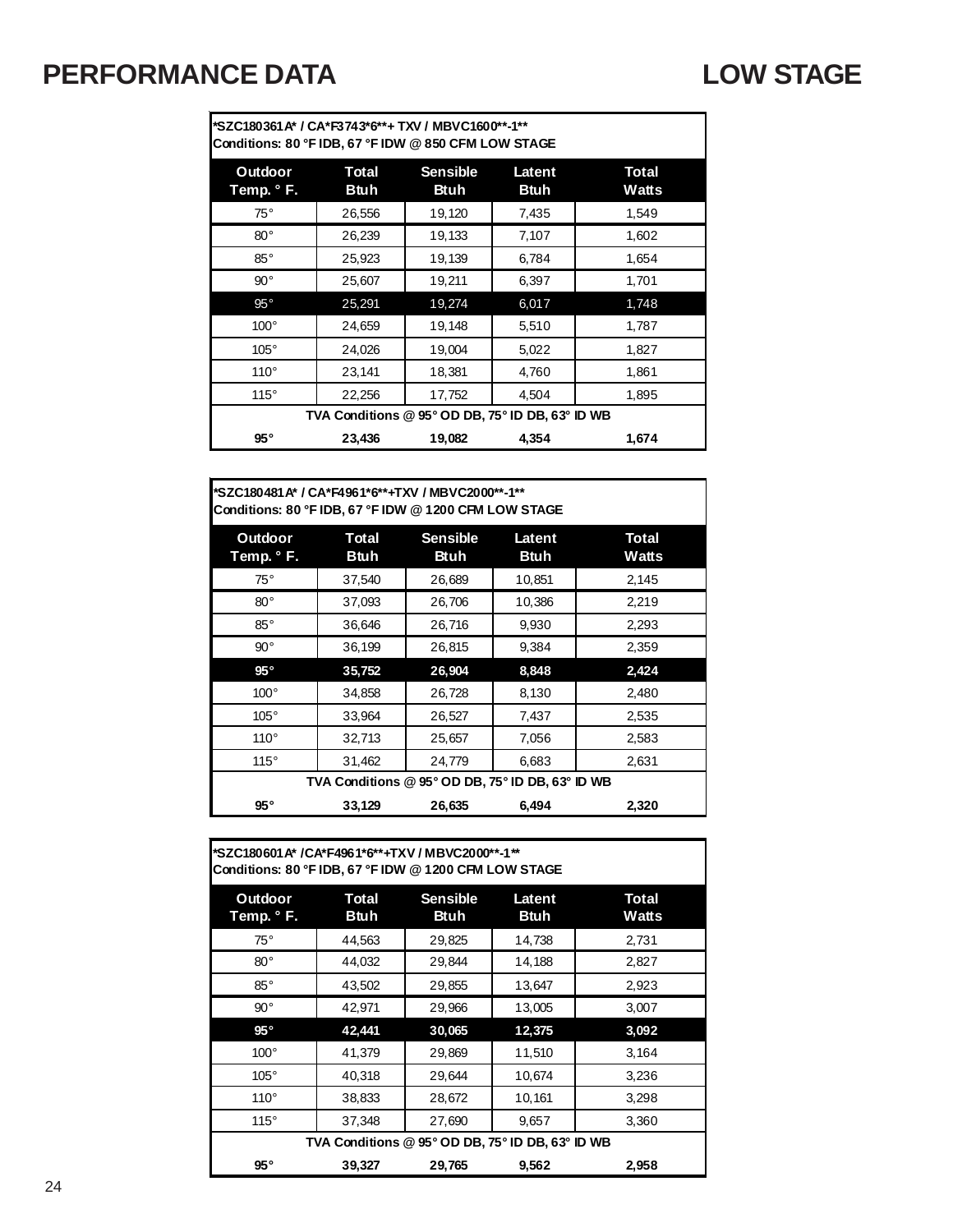### **PERFORMANCE DATA LOW STAGE**

**\*SZC180361A\* / CA\*F3743\*6\*\*+ TXV / MBVC1600\*\*-1\*\* Conditions: 80 °F IDB, 67 °F IDW @ 850 CFM LOW STAGE** 

| Outdoor<br>Temp. ° F. | Total<br>Btuh                                    | <b>Sensible</b><br>Btuh | Latent<br><b>Btuh</b> | Total<br>Watts |
|-----------------------|--------------------------------------------------|-------------------------|-----------------------|----------------|
| $75^\circ$            | 26,556                                           | 19,120                  | 7,435                 | 1,549          |
| $80^{\circ}$          | 26.239                                           | 19,133                  | 7,107                 | 1,602          |
| $85^\circ$            | 25,923                                           | 19,139                  | 6.784                 | 1.654          |
| $90^{\circ}$          | 25,607                                           | 19,211                  | 6,397                 | 1,701          |
| $95^{\circ}$          | 25,291                                           | 19,274                  | 6,017                 | 1,748          |
| $100^\circ$           | 24,659                                           | 19,148                  | 5,510                 | 1,787          |
| $105^\circ$           | 24,026                                           | 19,004                  | 5,022                 | 1,827          |
| $110^\circ$           | 23,141                                           | 18,381                  | 4,760                 | 1,861          |
| 115°                  | 22,256                                           | 17,752                  | 4,504                 | 1,895          |
|                       | TVA Conditions @ 95° OD DB, 75° ID DB, 63° ID WB |                         |                       |                |
| $95^{\circ}$          | 23,436                                           | 19,082                  | 4,354                 | 1,674          |

**Outdoor Temp. ° F. Total Btuh Sensible Btuh Latent Btuh Total Watts** 75° 37,540 26,689 10,851 2,145 80°  $\begin{array}{|c|c|c|c|c|c|c|c|c|} \hline 37,093 & 26,706 & 10,386 & 2,219 \hline \end{array}$ 85° 36,646 26,716 9,930 2,293 90° 36,199 26,815 9,384 2,359 **95° 35,752 26,904 8,848 2,424** 100°  $\begin{array}{|c|c|c|c|c|c|c|c|} \hline \end{array}$  34,858 26,728 8,130 3,130 2,480 105° | 33,964 | 26,527 | 7,437 | 2,535 110°  $\begin{array}{|c|c|c|c|c|c|c|c|} \hline 32,713 & 25,657 & 7,056 & 2,583 \ \hline \end{array}$ 115° | 31,462 | 24,779 | 6,683 | 2,631 **95° 33,129 26,635 6,494 2,320 \*SZC180481A\* / CA\*F4961\*6\*\*+TXV / MBVC2000\*\*-1\*\* Conditions: 80 °F IDB, 67 °F IDW @ 1200 CFM LOW STAGE TVA Conditions @ 95° OD DB, 75° ID DB, 63° ID WB**

| Conditions: 80 °F IDB, 67 °F IDW @ 1200 CFM LOW STAGE |                                                  |                                |                |                       |
|-------------------------------------------------------|--------------------------------------------------|--------------------------------|----------------|-----------------------|
| Outdoor<br>Temp. ° F.                                 | Total<br><b>Btuh</b>                             | <b>Sensible</b><br><b>Btuh</b> | Latent<br>Btuh | <b>Total</b><br>Watts |
| $75^{\circ}$                                          | 44,563                                           | 29,825                         | 14,738         | 2,731                 |
| $80^{\circ}$                                          | 44,032                                           | 29,844                         | 14,188         | 2,827                 |
| $85^{\circ}$                                          | 43,502                                           | 29,855                         | 13,647         | 2,923                 |
| $90^{\circ}$                                          | 42,971                                           | 29,966                         | 13,005         | 3,007                 |
| $95^{\circ}$                                          | 42,441                                           | 30,065                         | 12,375         | 3,092                 |
| $100^\circ$                                           | 41,379                                           | 29,869                         | 11,510         | 3,164                 |
| $105^\circ$                                           | 40,318                                           | 29,644                         | 10,674         | 3,236                 |
| $110^\circ$                                           | 38,833                                           | 28,672                         | 10,161         | 3,298                 |
| 115°                                                  | 37,348                                           | 27,690                         | 9,657          | 3,360                 |
|                                                       | TVA Conditions @ 95° OD DB, 75° ID DB, 63° ID WB |                                |                |                       |
| $95^{\circ}$                                          | 39,327                                           | 29,765                         | 9,562          | 2,958                 |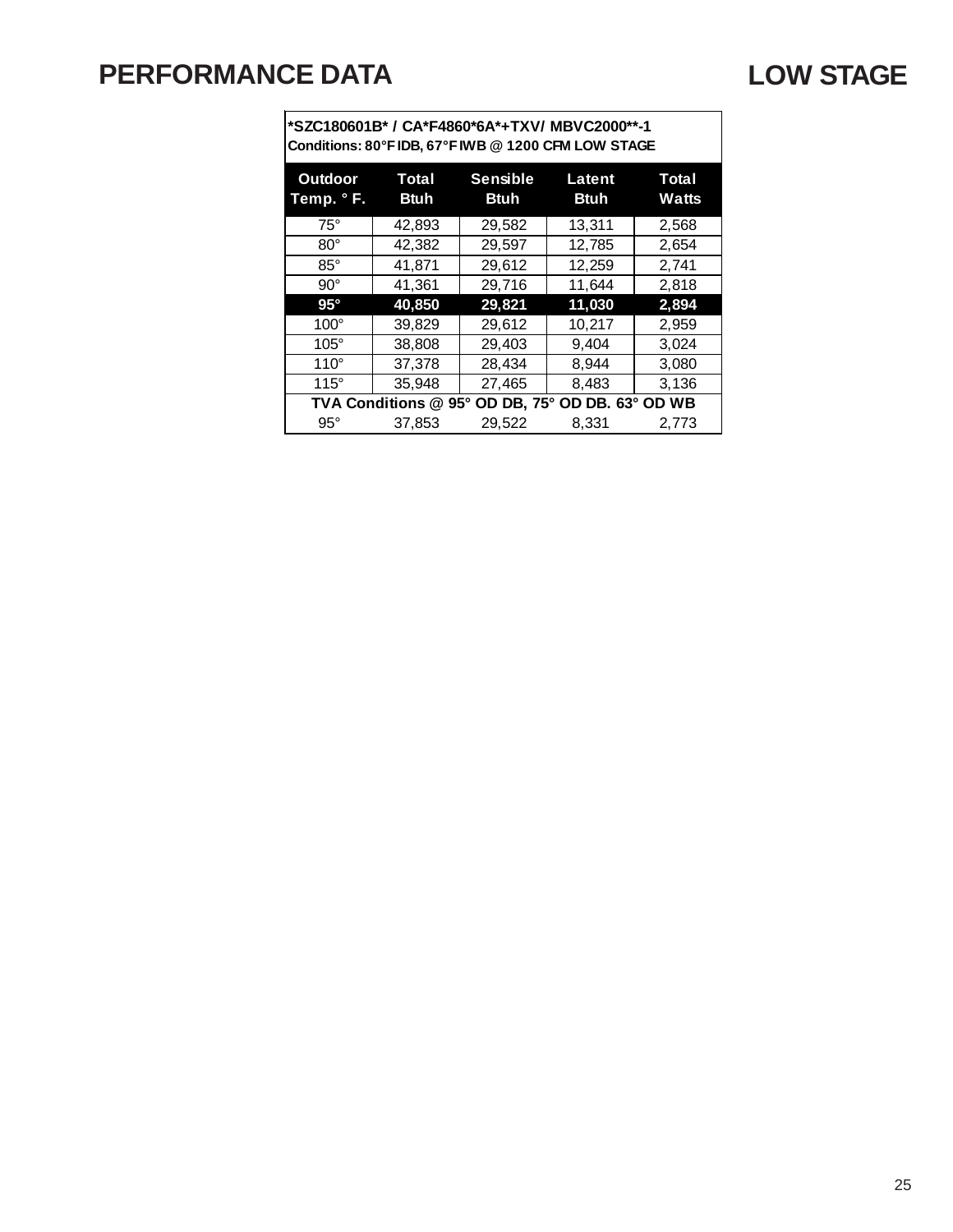## **PERFORMANCE DATA LOW STAGE**

| Conditions: 80°F IDB, 67°F IWB @ 1200 CFM LOW STAGE |  |
|-----------------------------------------------------|--|

| <b>Outdoor</b><br>Temp. ° F. | Total<br><b>Btuh</b> | <b>Sensible</b><br><b>Btuh</b> | Latent<br><b>Btuh</b>       | Total<br><b>Watts</b> |
|------------------------------|----------------------|--------------------------------|-----------------------------|-----------------------|
| $75^\circ$                   | 42,893               | 29,582                         | 13,311                      | 2,568                 |
| $80^\circ$                   | 42,382               | 29,597                         | 12,785                      | 2,654                 |
| $85^\circ$                   | 41,871               | 29,612                         | 12,259                      | 2,741                 |
| $90^\circ$                   | 41,361               | 29,716                         | 11,644                      | 2,818                 |
| $95^\circ$                   | 40,850               | 29,821                         | 11,030                      | 2,894                 |
| $100^\circ$                  | 39,829               | 29,612                         | 10,217                      | 2,959                 |
| $105^\circ$                  | 38,808               | 29,403                         | 9,404                       | 3.024                 |
| $110^\circ$                  | 37,378               | 28,434                         | 8,944                       | 3,080                 |
| $115^\circ$                  | 35,948               | 27,465                         | 8,483                       | 3,136                 |
|                              | TVA Conditions @ 95° |                                | OD DB, 75° OD DB. 63° OD WB |                       |
| $95^\circ$                   | 37,853               | 29.522                         | 8,331                       | 2,773                 |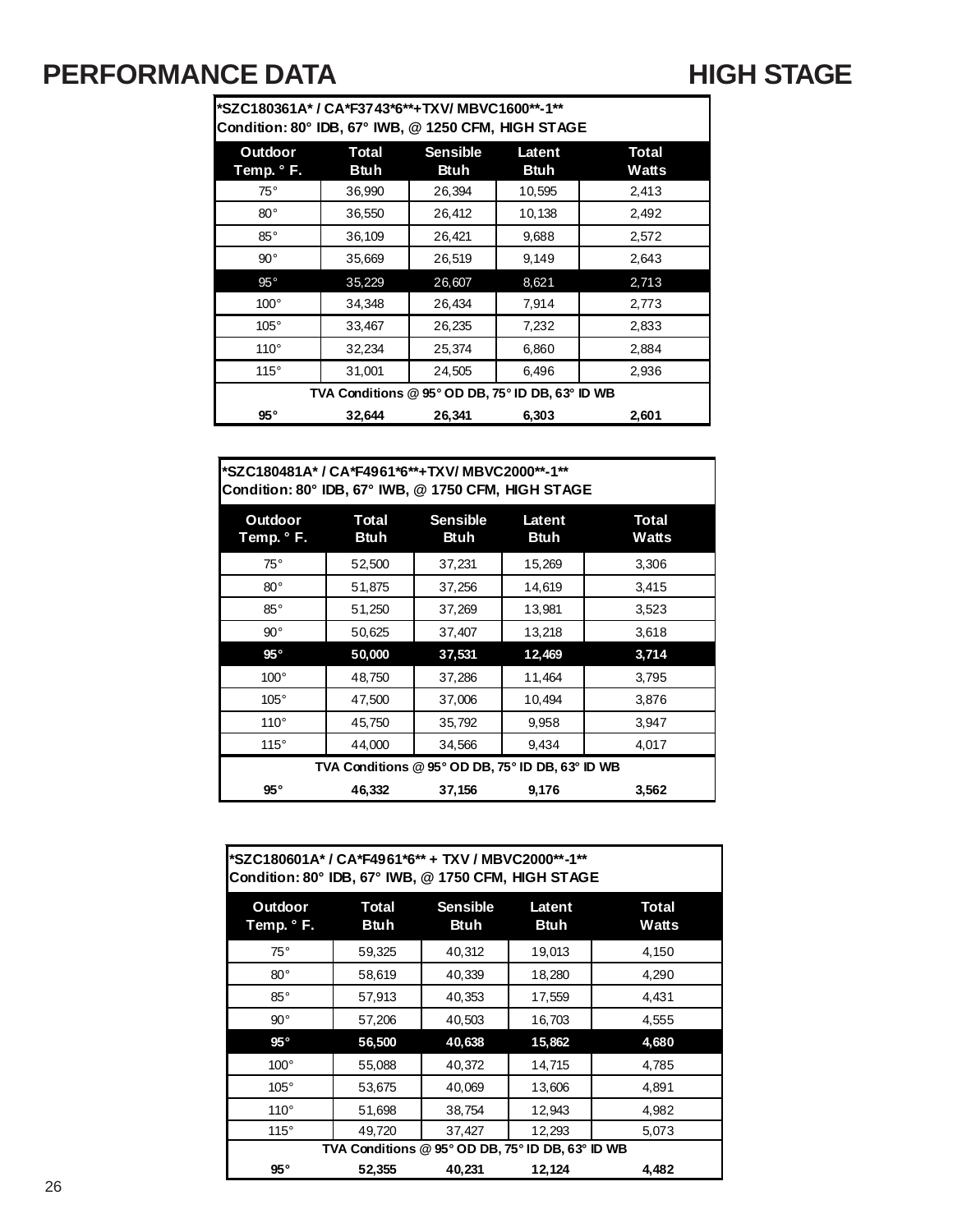### **PERFORMANCE DATA HIGH STAGE**

**\*SZC180361A\* / CA\*F3743\*6\*\*+TXV/ MBVC1600\*\*-1\*\* Condition: 80° IDB, 67° IWB, @ 1250 CFM, HIGH STAGE**

| Outdoor<br>Temp. ° F. | Total<br><b>Btuh</b>                             | <b>Sensible</b><br><b>Btuh</b> | Latent<br><b>Btuh</b> | <b>Total</b><br>Watts |
|-----------------------|--------------------------------------------------|--------------------------------|-----------------------|-----------------------|
| $75^{\circ}$          | 36,990                                           | 26,394                         | 10,595                | 2.413                 |
| $80^{\circ}$          | 36,550                                           | 26,412                         | 10,138                | 2,492                 |
| $85^\circ$            | 36,109                                           | 26,421                         | 9,688                 | 2,572                 |
| $90^{\circ}$          | 35,669                                           | 26,519                         | 9,149                 | 2,643                 |
| $95^{\circ}$          | 35,229                                           | 26,607                         | 8,621                 | 2,713                 |
| $100^\circ$           | 34.348                                           | 26,434                         | 7,914                 | 2,773                 |
| $105^\circ$           | 33,467                                           | 26,235                         | 7,232                 | 2,833                 |
| $110^\circ$           | 32,234                                           | 25,374                         | 6,860                 | 2,884                 |
| 115°                  | 31,001                                           | 24,505                         | 6,496                 | 2,936                 |
|                       | TVA Conditions @ 95° OD DB, 75° ID DB, 63° ID WB |                                |                       |                       |
| $95^{\circ}$          | 32,644                                           | 26,341                         | 6,303                 | 2,601                 |

**\*SZC180481A\* / CA\*F4961\*6\*\*+TXV/ MBVC2000\*\*-1\*\* Condition: 80° IDB, 67° IWB, @ 1750 CFM, HIGH STAGE**

| Outdoor<br>Temp. ° F. | Total<br><b>Btuh</b>                             | <b>Sensible</b><br><b>Btuh</b> | Latent<br><b>Btuh</b> | Total<br>Watts |
|-----------------------|--------------------------------------------------|--------------------------------|-----------------------|----------------|
| $75^{\circ}$          | 52,500                                           | 37,231                         | 15,269                | 3,306          |
| $80^{\circ}$          | 51,875                                           | 37,256                         | 14,619                | 3,415          |
| $85^\circ$            | 51,250                                           | 37,269                         | 13,981                | 3,523          |
| $90^{\circ}$          | 50,625                                           | 37,407                         | 13,218                | 3,618          |
| $95^{\circ}$          | 50,000                                           | 37,531                         | 12,469                | 3,714          |
| $100^\circ$           | 48,750                                           | 37,286                         | 11,464                | 3,795          |
| $105^\circ$           | 47,500                                           | 37,006                         | 10,494                | 3,876          |
| $110^{\circ}$         | 45,750                                           | 35,792                         | 9,958                 | 3,947          |
| 115°                  | 44,000                                           | 34,566                         | 9,434                 | 4,017          |
|                       | TVA Conditions @ 95° OD DB, 75° ID DB, 63° ID WB |                                |                       |                |
| $95^{\circ}$          | 46,332                                           | 37,156                         | 9,176                 | 3,562          |

| *SZC180601A* / CA*F4961*6** + TXV / MBVC2000**-1**<br>Condition: 80° IDB, 67° IWB, @ 1750 CFM, HIGH STAGE |                      |                                                  |                       |                       |
|-----------------------------------------------------------------------------------------------------------|----------------------|--------------------------------------------------|-----------------------|-----------------------|
| Outdoor<br>Temp. ° F.                                                                                     | Total<br><b>Btuh</b> | <b>Sensible</b><br><b>Btuh</b>                   | Latent<br><b>Btuh</b> | <b>Total</b><br>Watts |
| $75^\circ$                                                                                                | 59,325               | 40,312                                           | 19,013                | 4,150                 |
| $80^{\circ}$                                                                                              | 58,619               | 40,339                                           | 18,280                | 4,290                 |
| $85^\circ$                                                                                                | 57,913               | 40,353                                           | 17,559                | 4,431                 |
| $90^{\circ}$                                                                                              | 57,206               | 40,503                                           | 16,703                | 4,555                 |
| $95^{\circ}$                                                                                              | 56,500               | 40,638                                           | 15,862                | 4,680                 |
| $100^\circ$                                                                                               | 55,088               | 40,372                                           | 14,715                | 4,785                 |
| $105^\circ$                                                                                               | 53,675               | 40,069                                           | 13,606                | 4,891                 |
| $110^\circ$                                                                                               | 51,698               | 38,754                                           | 12,943                | 4,982                 |
| $115^\circ$                                                                                               | 49,720               | 37,427                                           | 12,293                | 5,073                 |
|                                                                                                           |                      | TVA Conditions @ 95° OD DB, 75° ID DB, 63° ID WB |                       |                       |
| $95^{\circ}$                                                                                              | 52,355               | 40,231                                           | 12,124                | 4,482                 |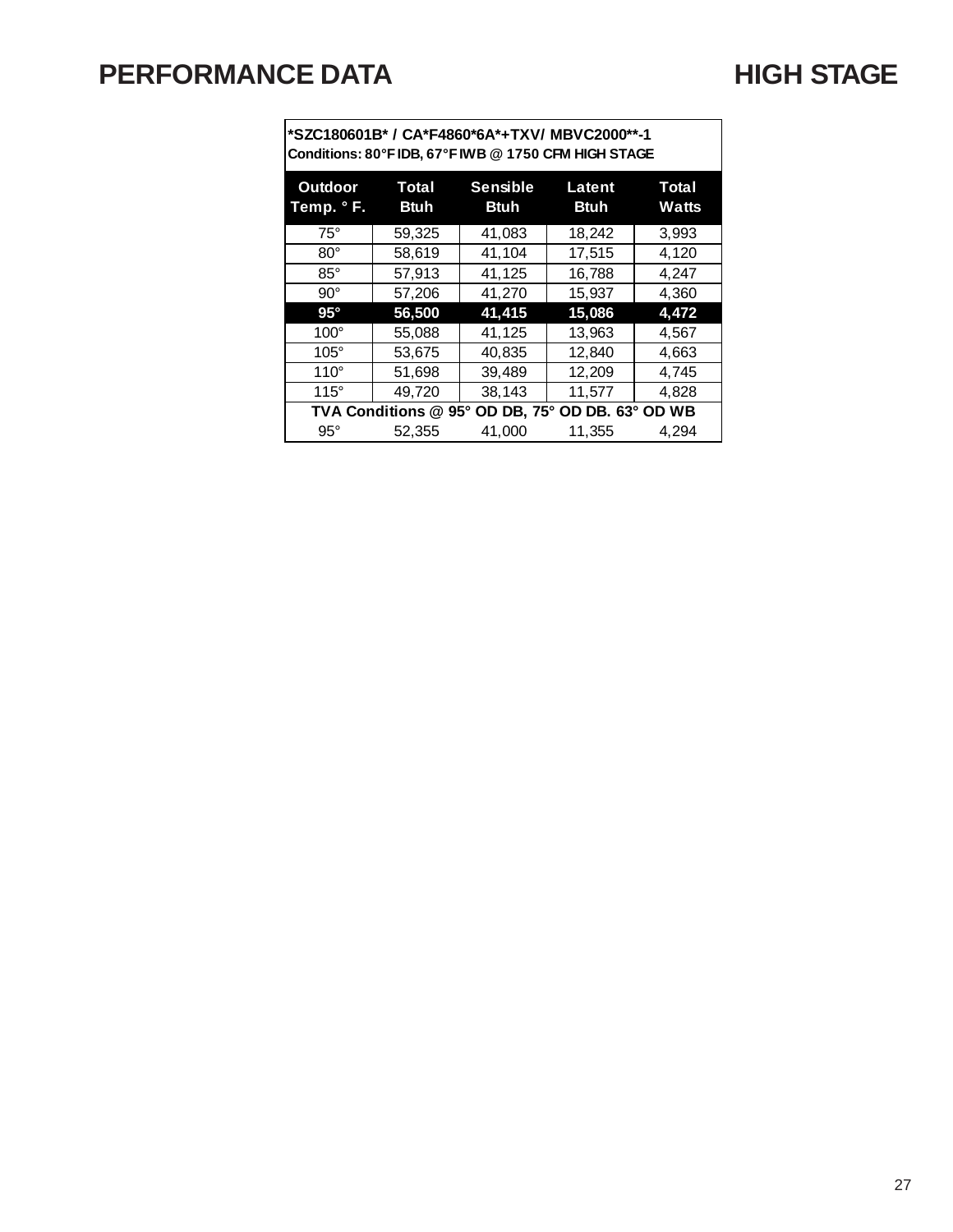**\*SZC180601B\* / CA\*F4860\*6A\*+TXV/ MBVC2000\*\*-1 Conditions: 80°F IDB, 67°F IWB @ 1750 CFM HIGH STAGE**

| <b>Outdoor</b><br>Temp. °F. | Total<br><b>Btuh</b> | <b>Sensible</b><br><b>Btuh</b> | Latent<br><b>Btuh</b>       | Total<br><b>Watts</b> |
|-----------------------------|----------------------|--------------------------------|-----------------------------|-----------------------|
| $75^\circ$                  | 59,325               | 41,083                         | 18,242                      | 3,993                 |
| $80^\circ$                  | 58,619               | 41,104                         | 17,515                      | 4,120                 |
| $85^\circ$                  | 57,913               | 41,125                         | 16,788                      | 4,247                 |
| $90^\circ$                  | 57,206               | 41,270                         | 15,937                      | 4,360                 |
| $95^\circ$                  | 56,500               | 41,415                         | 15,086                      | 4,472                 |
| $100^\circ$                 | 55,088               | 41,125                         | 13,963                      | 4,567                 |
| $105^\circ$                 | 53,675               | 40,835                         | 12,840                      | 4,663                 |
| $110^\circ$                 | 51,698               | 39,489                         | 12,209                      | 4,745                 |
| $115^\circ$                 | 49,720               | 38,143                         | 11,577                      | 4,828                 |
|                             | TVA Conditions @ 95° |                                | OD DB, 75° OD DB. 63° OD WB |                       |
| $95^\circ$                  | 52,355               | 41,000                         | 11,355                      | 4.294                 |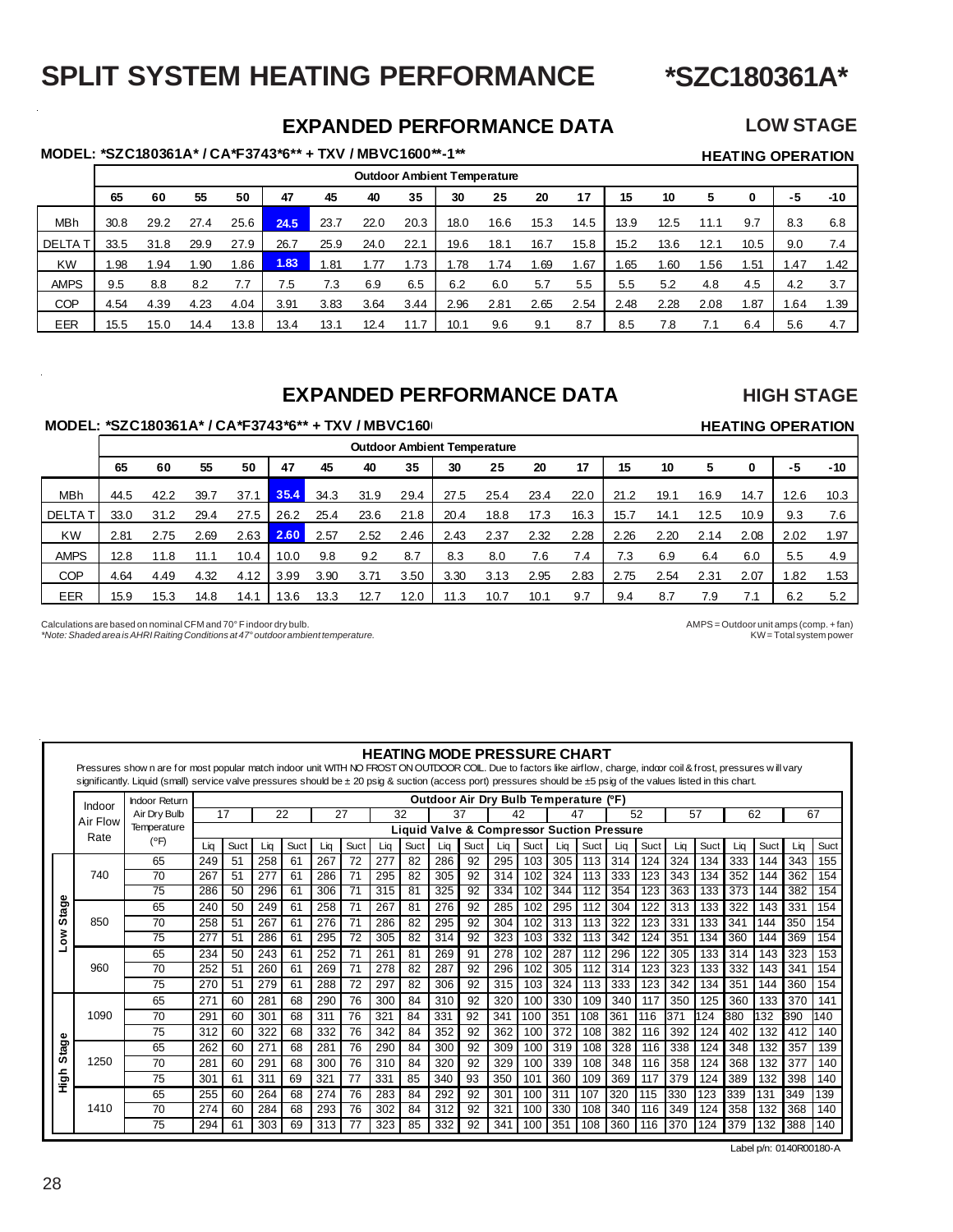### **\*SZC180361A\***

### **SPLIT SYSTEM HEATING PERFORMANCE**

### **EXPANDED PERFORMANCE DATA LOW STAGE**

### **MODEL: \*SZC180361A\* / CA\*F3743\*6\*\* + TXV / MBVC1600\*\*-1\*\* HEATING OPERATION**

|               |      |      |      |      |      |      |      |      | <b>Outdoor Ambient Temperature</b> |      |      |      |      |      |      |      |      |      |
|---------------|------|------|------|------|------|------|------|------|------------------------------------|------|------|------|------|------|------|------|------|------|
|               | 65   | 60   | 55   | 50   | 47   | 45   | 40   | 35   | 30                                 | 25   | 20   | 17   | 15   | 10   |      | 0    | -5   | -10  |
| MBh           | 30.8 | 29.2 | 27.4 | 25.6 | 24.5 | 23.7 | 22.0 | 20.3 | 18.0                               | 16.6 | 15.3 | 14.5 | 13.9 | 12.5 | 11.1 | 9.7  | 8.3  | 6.8  |
| <b>DELTAT</b> | 33.5 | 31.8 | 29.9 | 27.9 | 26.7 | 25.9 | 24.0 | 22.1 | 19.6                               | 18.1 | 16.7 | 15.8 | 15.2 | 13.6 | 12.1 | 10.5 | 9.0  | 7.4  |
| <b>KW</b>     | .98  | .94  | 1.90 | .86  | 1.83 | 1.81 | 1.77 | .73  | .78،                               | .74  | . 69 | .67  | .65  | .60  | .56  | . 51 | .47  | 1.42 |
| <b>AMPS</b>   | 9.5  | 8.8  | 8.2  | 7.7  | 7.5  | 7.3  | 6.9  | 6.5  | 6.2                                | 6.0  | 5.7  | 5.5  | 5.5  | 5.2  | 4.8  | 4.5  | 4.2  | 3.7  |
| <b>COP</b>    | 4.54 | 4.39 | 4.23 | 4.04 | 3.91 | 3.83 | 3.64 | 3.44 | 2.96                               | 2.81 | 2.65 | 2.54 | 2.48 | 2.28 | 2.08 | 87،، | 1.64 | 1.39 |
| <b>EER</b>    | 15.5 | 15.0 | 14.4 | 13.8 | 13.4 | 13.1 | 12.4 |      | 10.1                               | 9.6  | 9.1  | 8.7  | 8.5  | 7.8  |      | 6.4  | 5.6  | 4.7  |

### **EXPANDED PERFORMANCE DATA**

### **HIGH STAGE**

**HEATING OPERATION**

### **MODEL: \*SZC180361A\* / CA\*F3743\*6\*\* + TXV / MBVC1600**

|                |      |      |      |      |      |      |      |      |      | <b>Outdoor Ambient Temperature</b> |      |      |      |      |      |      |      |       |
|----------------|------|------|------|------|------|------|------|------|------|------------------------------------|------|------|------|------|------|------|------|-------|
|                | 65   | 60   | 55   | 50   | 47   | 45   | 40   | 35   | 30   | 25                                 | 20   | 17   | 15   | 10   | 5    |      | -5   | $-10$ |
| <b>MBh</b>     | 44.5 | 42.2 | 39.7 | 37.1 | 35.4 | 34.3 | 31.9 | 29.4 | 27.5 | 25.4                               | 23.4 | 22.0 | 21.2 | 19.1 | 16.9 | 14.7 | 12.6 | 10.3  |
| <b>DELTA T</b> | 33.0 | 31.2 | 29.4 | 27.5 | 26.2 | 25.4 | 23.6 | 21.8 | 20.4 | 18.8                               | 17.3 | 16.3 | 15.7 | 14.1 | 12.5 | 10.9 | 9.3  | 7.6   |
| <b>KW</b>      | 2.81 | 2.75 | 2.69 | 2.63 | 2.60 | 2.57 | 2.52 | 2.46 | 2.43 | 2.37                               | 2.32 | 2.28 | 2.26 | 2.20 | 2.14 | 2.08 | 2.02 | 1.97  |
| <b>AMPS</b>    | 12.8 | 11.8 | 11.1 | 10.4 | 10.0 | 9.8  | 9.2  | 8.7  | 8.3  | 8.0                                | 7.6  | 7.4  | 7.3  | 6.9  | 6.4  | 6.0  | 5.5  | 4.9   |
| <b>COP</b>     | 4.64 | 4.49 | 4.32 | 4.12 | 3.99 | 3.90 | 3.71 | 3.50 | 3.30 | 3.13                               | 2.95 | 2.83 | 2.75 | 2.54 | 2.31 | 2.07 | .82  | 1.53  |
| EER            | 15.9 | 15.3 | 14.8 | 14.1 | 13.6 | 13.3 | 12.7 | 12.0 | 11.3 | 10.7                               | 10.1 | 9.7  | 9.4  | 8.7  | 7.9  | 7.1  | 6.2  | 5.2   |

Calculations are based on nominal CFM and 70° F indoor dry bulb.<br>AMPS = Outdoor unit amps (comp. + fan) More: Shaded area is AHRI Raiting Conditions at 47° outdoor ambient temperature.

*\*Note: Shaded area is AHRI Raiting Conditions at 47° outdoor ambient temperature.* 

|       |          | Pressures show n are for most popular match indoor unit WITH NO FROST ON OUTDOOR COIL. Due to factors like airflow, charge, indoor coil & frost, pressures will vary<br>significantly. Liquid (small) service valve pressures should be ± 20 psig & suction (access port) pressures should be ±5 psig of the values listed in this chart. |     |      |                 |      |     |      |     |      |     |      |     |      |                                                       |      |     |      |     |      |     |      |     |      |
|-------|----------|-------------------------------------------------------------------------------------------------------------------------------------------------------------------------------------------------------------------------------------------------------------------------------------------------------------------------------------------|-----|------|-----------------|------|-----|------|-----|------|-----|------|-----|------|-------------------------------------------------------|------|-----|------|-----|------|-----|------|-----|------|
|       | Indoor   | <b>Indoor Return</b><br>Air Dry Bulb                                                                                                                                                                                                                                                                                                      |     | 17   | 22              |      |     | 27   |     | 32   |     | 37   |     | 42   | Outdoor Air Dry Bulb Temperature (°F)                 | 47   |     | 52   |     | 57   |     | 62   |     | 67   |
|       | Air Flow | Temperature                                                                                                                                                                                                                                                                                                                               |     |      |                 |      |     |      |     |      |     |      |     |      | <b>Liquid Valve &amp; Compressor Suction Pressure</b> |      |     |      |     |      |     |      |     |      |
|       | Rate     | $(^{\circ}F)$                                                                                                                                                                                                                                                                                                                             | Lia | Suct | Lig             | Suct | Lig | Suct | Lig | Suct | Lig | Suct | Lig | Suct | Lig                                                   | Suct | Lig | Suct | Lig | Suct | Lig | Suct | Lig | Suct |
|       |          | 65                                                                                                                                                                                                                                                                                                                                        | 249 | 51   | 258             | 61   | 267 | 72   | 277 | 82   | 286 | 92   | 295 | 103  | 305                                                   | 113  | 314 | 124  | 324 | 134  | 333 | 144  | 343 | 155  |
|       | 740      | 70                                                                                                                                                                                                                                                                                                                                        | 267 | 51   | 277             | 61   | 286 | 71   | 295 | 82   | 305 | 92   | 314 | 102  | 324                                                   | 113  | 333 | 123  | 343 | 134  | 352 | 144  | 362 | 154  |
|       | 75<br>65 |                                                                                                                                                                                                                                                                                                                                           | 286 | 50   | 296             | 61   | 306 | 71   | 315 | 81   | 325 | 92   | 334 | 102  | 344                                                   | 112  | 354 | 123  | 363 | 133  | 373 | 144  | 382 | 154  |
| Stage |          |                                                                                                                                                                                                                                                                                                                                           | 240 | 50   | 249             | 61   | 258 | 71   | 267 | 81   | 276 | 92   | 285 | 102  | 295                                                   | 112  | 304 | 122  | 313 | 133  | 322 | 143  | 331 | 154  |
|       | 850      | 70                                                                                                                                                                                                                                                                                                                                        | 258 | 51   | 267             | 61   | 276 | 71   | 286 | 82   | 295 | 92   | 304 | 102  | 313                                                   | 113  | 322 | 123  | 331 | 133  | 341 | 144  | 350 | 154  |
| No⊿   |          | 75                                                                                                                                                                                                                                                                                                                                        | 277 | 51   | 286             | 61   | 295 | 72   | 305 | 82   | 314 | 92   | 323 | 103  | 332                                                   | 113  | 342 | 124  | 351 | 134  | 360 | 144  | 369 | 154  |
|       |          | 65                                                                                                                                                                                                                                                                                                                                        | 234 | 50   | 243             | 61   | 252 | 71   | 261 | 81   | 269 | 91   | 278 | 102  | 287                                                   | 112  | 296 | 122  | 305 | 133  | 314 | 143  | 323 | 153  |
|       | 960      | 70                                                                                                                                                                                                                                                                                                                                        | 252 | 51   | 260             | 61   | 269 | 71   | 278 | 82   | 287 | 92   | 296 | 102  | 305                                                   | 112  | 314 | 123  | 323 | 133  | 332 | 143  | 341 | 154  |
|       |          | 75                                                                                                                                                                                                                                                                                                                                        | 270 | 51   | 279             | 61   | 288 | 72   | 297 | 82   | 306 | 92   | 315 | 103  | 324                                                   | 113  | 333 | 123  | 342 | 134  | 351 | 144  | 360 | 154  |
|       |          | 65                                                                                                                                                                                                                                                                                                                                        | 271 | 60   | 281             | 68   | 290 | 76   | 300 | 84   | 310 | 92   | 320 | 100  | 330                                                   | 109  | 340 | 117  | 350 | 125  | 360 | 133  | 370 | 141  |
|       | 1090     | 70                                                                                                                                                                                                                                                                                                                                        | 291 | 60   | 301             | 68   | 311 | 76   | 321 | 84   | 331 | 92   | 341 | 100  | 351                                                   | 108  | 361 | 116  | 371 | 124  | 380 | 132  | 390 | 140  |
|       |          | 75                                                                                                                                                                                                                                                                                                                                        | 312 | 60   | 322             | 68   | 332 | 76   | 342 | 84   | 352 | 92   | 362 | 100  | 372                                                   | 108  | 382 | 116  | 392 | 124  | 402 | 132  | 412 | 140  |
| Stage |          | 65                                                                                                                                                                                                                                                                                                                                        | 262 | 60   | 27 <sup>1</sup> | 68   | 281 | 76   | 290 | 84   | 300 | 92   | 309 | 100  | 319                                                   | 108  | 328 | 116  | 338 | 124  | 348 | 132  | 357 | 139  |
|       | 1250     | 70                                                                                                                                                                                                                                                                                                                                        | 281 | 60   | 291             | 68   | 300 | 76   | 310 | 84   | 320 | 92   | 329 | 100  | 339                                                   | 108  | 348 | 116  | 358 | 124  | 368 | 132  | 377 | 140  |
| High  |          | 75                                                                                                                                                                                                                                                                                                                                        | 301 | 61   | 311             | 69   | 321 | 77   | 331 | 85   | 340 | 93   | 350 | 101  | 360                                                   | 109  | 369 | 117  | 379 | 124  | 389 | 132  | 398 | 140  |
|       |          | 65                                                                                                                                                                                                                                                                                                                                        | 255 | 60   | 264             | 68   | 274 | 76   | 283 | 84   | 292 | 92   | 301 | 100  | 311                                                   | 107  | 320 | 115  | 330 | 123  | 339 | 131  | 349 | 139  |
|       | 1410     | 70                                                                                                                                                                                                                                                                                                                                        | 274 | 60   | 284             | 68   | 293 | 76   | 302 | 84   | 312 | 92   | 321 | 100  | 330                                                   | 108  | 340 | 116  | 349 | 124  | 358 | 132  | 368 | 140  |
|       |          | 75                                                                                                                                                                                                                                                                                                                                        | 294 | 61   | 303             | 69   | 313 | 77   | 323 | 85   | 332 | 92   | 341 | 100  | 351                                                   | 108  | 360 | 116  | 370 | 124  | 379 | 132  | 388 | 140  |

Label p/n: 0140R00180-A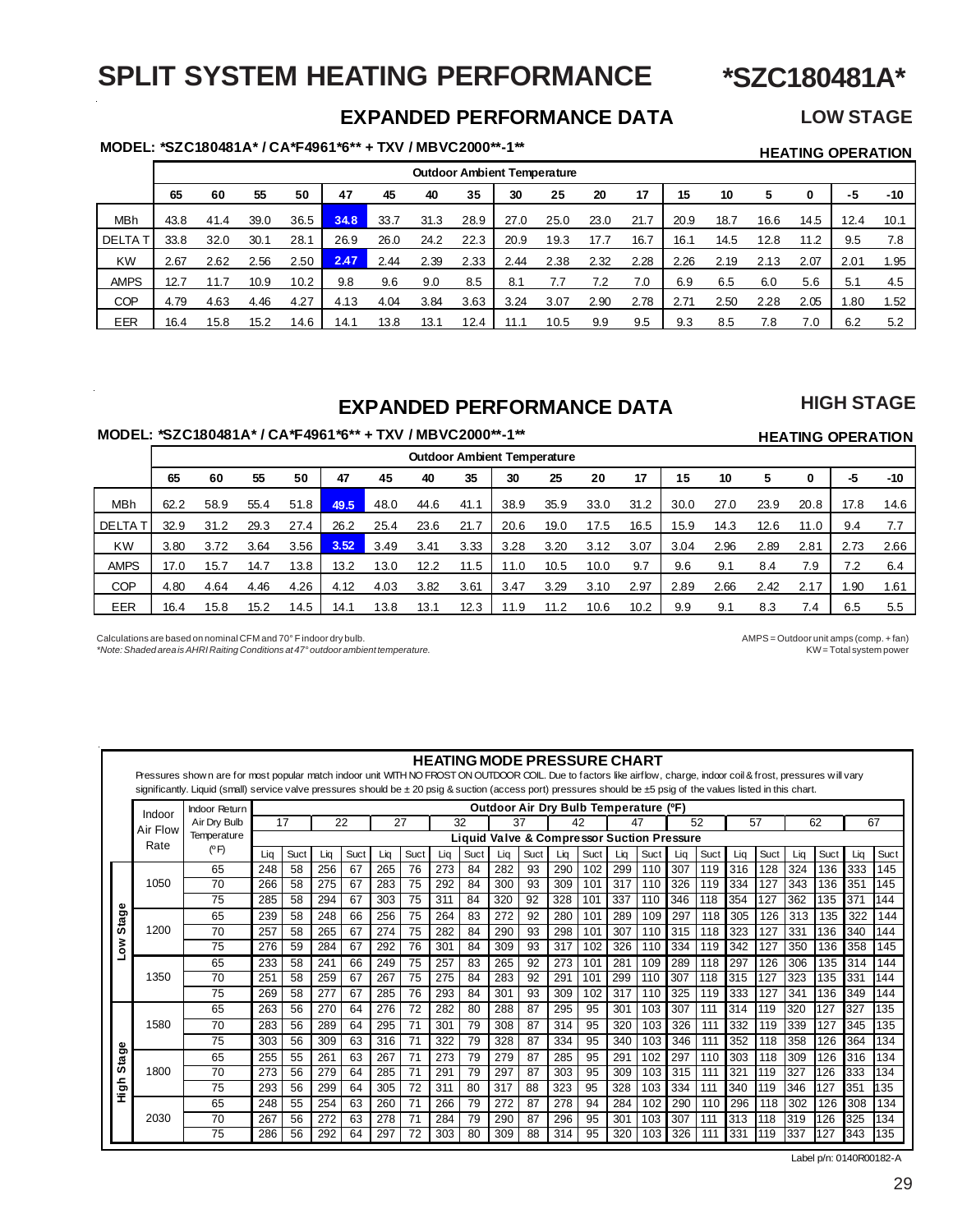### **SPLIT SYSTEM HEATING PERFORMANCE**

**\*SZC180481A\***

### **EXPANDED PERFORMANCE DATA**

### **LOW STAGE**

**HIGH STAGE**

**MODEL: \*SZC180481A\* / CA\*F4961\*6\*\* + TXV / MBVC2000\*\*-1\*\* HEATING OPERATION**

|              |      |      |      |      |      |      |      |      |      | <b>Outdoor Ambient Temperature</b> |      |      |      |      |      |      |      |       |
|--------------|------|------|------|------|------|------|------|------|------|------------------------------------|------|------|------|------|------|------|------|-------|
|              | 65   | 60   | 55   | 50   | 47   | 45   | 40   | 35   | 30   | 25                                 | 20   | 17   | 15   | 10   | 5    | 0    | -5   | $-10$ |
| <b>MBh</b>   | 43.8 | 41.4 | 39.0 | 36.5 | 34.8 | 33.7 | 31.3 | 28.9 | 27.0 | 25.0                               | 23.0 | 21.7 | 20.9 | 18.7 | 16.6 | 14.5 | 12.4 | 10.1  |
| <b>DELTA</b> | 33.8 | 32.0 | 30.1 | 28.1 | 26.9 | 26.0 | 24.2 | 22.3 | 20.9 | 19.3                               | 17.7 | 16.7 | 16.1 | 14.5 | 12.8 | 11.2 | 9.5  | 7.8   |
| <b>KW</b>    | 2.67 | 2.62 | 2.56 | 2.50 | 2.47 | 2.44 | 2.39 | 2.33 | 2.44 | 2.38                               | 2.32 | 2.28 | 2.26 | 2.19 | 2.13 | 2.07 | 2.01 | 1.95  |
| <b>AMPS</b>  | 12.7 | 11.7 | 10.9 | 10.2 | 9.8  | 9.6  | 9.0  | 8.5  | 8.1  | 7.7                                | 7.2  | 7.0  | 6.9  | 6.5  | 6.0  | 5.6  | 5.1  | 4.5   |
| <b>COP</b>   | 4.79 | 4.63 | 4.46 | 4.27 | 4.13 | 4.04 | 3.84 | 3.63 | 3.24 | 3.07                               | 2.90 | 2.78 | 2.71 | 2.50 | 2.28 | 2.05 | .80  | 1.52  |
| EER          | 16.4 | 15.8 | 15.2 | 14.6 | 14.1 | 13.8 | 13.1 | 12.4 | 11.1 | 10.5                               | 9.9  | 9.5  | 9.3  | 8.5  | 7.8  | 7.0  | 6.2  | 5.2   |

### **EXPANDED PERFORMANCE DATA**

### **MODEL: \*SZC180481A\* / CA\*F4961\*6\*\* + TXV / MBVC2000\*\*-1\*\* HEATING OPERATION**

|               |      |      |      |      |      |      |      | <b>Outdoor Ambient Temperature</b> |      |      |      |      |      |      |      |      |      |      |
|---------------|------|------|------|------|------|------|------|------------------------------------|------|------|------|------|------|------|------|------|------|------|
|               | 65   | 60   | 55   | 50   | 47   | 45   | 40   | 35                                 | 30   | 25   | 20   | 17   | 15   | 10   | 5    | 0    | -5   | -10  |
| MBh           | 62.2 | 58.9 | 55.4 | 51.8 | 49.5 | 48.0 | 44.6 | 41.1                               | 38.9 | 35.9 | 33.0 | 31.2 | 30.0 | 27.0 | 23.9 | 20.8 | 17.8 | 14.6 |
| <b>DELTAT</b> | 32.9 | 31.2 | 29.3 | 27.4 | 26.2 | 25.4 | 23.6 | 21.7                               | 20.6 | 19.0 | 17.5 | 16.5 | 15.9 | 14.3 | 12.6 | 11.0 | 9.4  | 7.7  |
| <b>KW</b>     | 3.80 | 3.72 | 3.64 | 3.56 | 3.52 | 3.49 | 3.41 | 3.33                               | 3.28 | 3.20 | 3.12 | 3.07 | 3.04 | 2.96 | 2.89 | 2.81 | 2.73 | 2.66 |
| <b>AMPS</b>   | 17.0 | 15.7 | 14.7 | 13.8 | 13.2 | 13.0 | 12.2 | 11.5                               | 11.0 | 10.5 | 10.0 | 9.7  | 9.6  | 9.1  | 8.4  | 7.9  | 7.2  | 6.4  |
| <b>COP</b>    | 4.80 | 4.64 | 4.46 | 4.26 | 4.12 | 4.03 | 3.82 | 3.61                               | 3.47 | 3.29 | 3.10 | 2.97 | 2.89 | 2.66 | 2.42 | 2.17 | . 90 | 1.61 |
| EER           | 16.4 | 15.8 | 15.2 | 14.5 | 14.1 | 13.8 | 13.1 | 12.3                               | 11.9 | 11.2 | 10.6 | 10.2 | 9.9  | 9.1  | 8.3  | 7.4  | 6.5  | 5.5  |

l,

Î.

*\*Note: Shaded area is AHRI Raiting Conditions at 47° outdoor ambient temperature.* 

Calculations are based on nominal CFM and 70° F indoor dry bulb.<br>AMPS = Outdoor unit amps (comp. + fan) More: Shaded area is AHRI Raiting Conditions at 47° outdoor ambient temperature.

|               |          | Pressures shown are for most popular match indoor unit WITH NO FROST ON OUTDOOR COIL. Due to factors like airflow, charge, indoor coil & frost, pressures will vary<br>significantly. Liquid (small) service valve pressures should be ± 20 psig & suction (access port) pressures should be ±5 psig of the values listed in this chart. |     |      |     |      |     |      |     | <b>HEATING MODE PRESSURE CHART</b>                    |     |      |     |      |                                       |      |     |      |     |      |     |      |     |      |
|---------------|----------|------------------------------------------------------------------------------------------------------------------------------------------------------------------------------------------------------------------------------------------------------------------------------------------------------------------------------------------|-----|------|-----|------|-----|------|-----|-------------------------------------------------------|-----|------|-----|------|---------------------------------------|------|-----|------|-----|------|-----|------|-----|------|
|               | Indoor   | <b>Indoor Return</b>                                                                                                                                                                                                                                                                                                                     |     |      |     |      |     |      |     |                                                       |     |      |     |      | Outdoor Air Dry Bulb Temperature (°F) |      |     |      |     |      |     |      |     |      |
|               | Air Flow | Air Dry Bulb                                                                                                                                                                                                                                                                                                                             |     | 17   |     | 22   | 27  |      |     | 32                                                    |     | 37   |     | 42   |                                       | 47   |     | 52   |     | 57   |     | 62   |     | 67   |
|               | Rate     | Temperature                                                                                                                                                                                                                                                                                                                              |     |      |     |      |     |      |     | <b>Liquid Valve &amp; Compressor Suction Pressure</b> |     |      |     |      |                                       |      |     |      |     |      |     |      |     |      |
|               |          | (°F)                                                                                                                                                                                                                                                                                                                                     | Lia | Suct | Lia | Suct | Lig | Suct | Lia | Suct                                                  | Liq | Suct | Lia | Suct | Lig                                   | Suct | Lia | Suct | Lia | Suct | Lia | Suct | Lia | Suct |
|               |          | 65                                                                                                                                                                                                                                                                                                                                       | 248 | 58   | 256 | 67   | 265 | 76   | 273 | 84                                                    | 282 | 93   | 290 | 102  | 299                                   | 110  | 307 | 119  | 316 | 128  | 324 | 136  | 333 | 145  |
|               | 1050     | 70                                                                                                                                                                                                                                                                                                                                       | 266 | 58   | 275 | 67   | 283 | 75   | 292 | 84                                                    | 300 | 93   | 309 | 101  | 317                                   | 110  | 326 | 119  | 334 | 127  | 343 | 136  | 351 | 145  |
|               |          | 75                                                                                                                                                                                                                                                                                                                                       | 285 | 58   | 294 | 67   | 303 | 75   | 311 | 84                                                    | 320 | 92   | 328 | 101  | 337                                   | 110  | 346 | 118  | 354 | 127  | 362 | 135  | 371 | 144  |
| tage          |          | 65                                                                                                                                                                                                                                                                                                                                       | 239 | 58   | 248 | 66   | 256 | 75   | 264 | 83                                                    | 272 | 92   | 280 | 101  | 289                                   | 109  | 297 | 118  | 305 | 126  | 313 | 135  | 322 | 144  |
| ທ             | 1200     | 70                                                                                                                                                                                                                                                                                                                                       | 257 | 58   | 265 | 67   | 274 | 75   | 282 | 84                                                    | 290 | 93   | 298 | 101  | 307                                   | 110  | 315 | 118  | 323 | 127  | 331 | 136  | 340 | 144  |
| š             |          | 75                                                                                                                                                                                                                                                                                                                                       | 276 | 59   | 284 | 67   | 292 | 76   | 301 | 84                                                    | 309 | 93   | 317 | 102  | 326                                   | 110  | 334 | 119  | 342 | 127  | 350 | 136  | 358 | 145  |
|               |          | 65                                                                                                                                                                                                                                                                                                                                       | 233 | 58   | 241 | 66   | 249 | 75   | 257 | 83                                                    | 265 | 92   | 273 | 101  | 281                                   | 109  | 289 | 118  | 297 | 126  | 306 | 135  | 314 | 144  |
|               | 1350     | 70                                                                                                                                                                                                                                                                                                                                       | 251 | 58   | 259 | 67   | 267 | 75   | 275 | 84                                                    | 283 | 92   | 291 | 101  | 299                                   | 110  | 307 | 118  | 315 | 127  | 323 | 135  | 331 | 144  |
|               |          | 75                                                                                                                                                                                                                                                                                                                                       | 269 | 58   | 277 | 67   | 285 | 76   | 293 | 84                                                    | 301 | 93   | 309 | 102  | 317                                   | 110  | 325 | 119  | 333 | 127  | 341 | 136  | 349 | 144  |
|               |          | 65                                                                                                                                                                                                                                                                                                                                       | 263 | 56   | 270 | 64   | 276 | 72   | 282 | 80                                                    | 288 | 87   | 295 | 95   | 301                                   | 103  | 307 | 111  | 314 | 119  | 320 | 127  | 327 | 135  |
|               | 1580     | 70                                                                                                                                                                                                                                                                                                                                       | 283 | 56   | 289 | 64   | 295 | 71   | 301 | 79                                                    | 308 | 87   | 314 | 95   | 320                                   | 103  | 326 | 111  | 332 | 119  | 339 | 127  | 345 | 135  |
| ჵ             |          | 75                                                                                                                                                                                                                                                                                                                                       | 303 | 56   | 309 | 63   | 316 | 71   | 322 | 79                                                    | 328 | 87   | 334 | 95   | 340                                   | 103  | 346 | 111  | 352 | 118  | 358 | 126  | 364 | 134  |
| $\sin$        |          | 65                                                                                                                                                                                                                                                                                                                                       | 255 | 55   | 261 | 63   | 267 | 71   | 273 | 79                                                    | 279 | 87   | 285 | 95   | 291                                   | 102  | 297 | 110  | 303 | 118  | 309 | 126  | 316 | 134  |
|               | 1800     | 70                                                                                                                                                                                                                                                                                                                                       | 273 | 56   | 279 | 64   | 285 | 71   | 291 | 79                                                    | 297 | 87   | 303 | 95   | 309                                   | 103  | 315 | 111  | 321 | 119  | 327 | 126  | 333 | 134  |
| $\frac{6}{5}$ |          | 75                                                                                                                                                                                                                                                                                                                                       | 293 | 56   | 299 | 64   | 305 | 72   | 311 | 80                                                    | 317 | 88   | 323 | 95   | 328                                   | 103  | 334 | 111  | 340 | 119  | 346 | 127  | 351 | 35   |
|               |          | 65                                                                                                                                                                                                                                                                                                                                       | 248 | 55   | 254 | 63   | 260 | 71   | 266 | 79                                                    | 272 | 87   | 278 | 94   | 284                                   | 102  | 290 | 110  | 296 | 118  | 302 | 126  | 308 | 134  |
|               | 2030     | 70                                                                                                                                                                                                                                                                                                                                       | 267 | 56   | 272 | 63   | 278 | 71   | 284 | 79                                                    | 290 | 87   | 296 | 95   | 301                                   | 103  | 307 | 111  | 313 | 118  | 319 | 126  | 325 | 134  |
|               |          | 75                                                                                                                                                                                                                                                                                                                                       | 286 | 56   | 292 | 64   | 297 | 72   | 303 | 80                                                    | 309 | 88   | 314 | 95   | 320                                   | 103  | 326 | 111  | 331 | 119  | 337 | 127  | 343 | 135  |

Label p/n: 0140R00182-A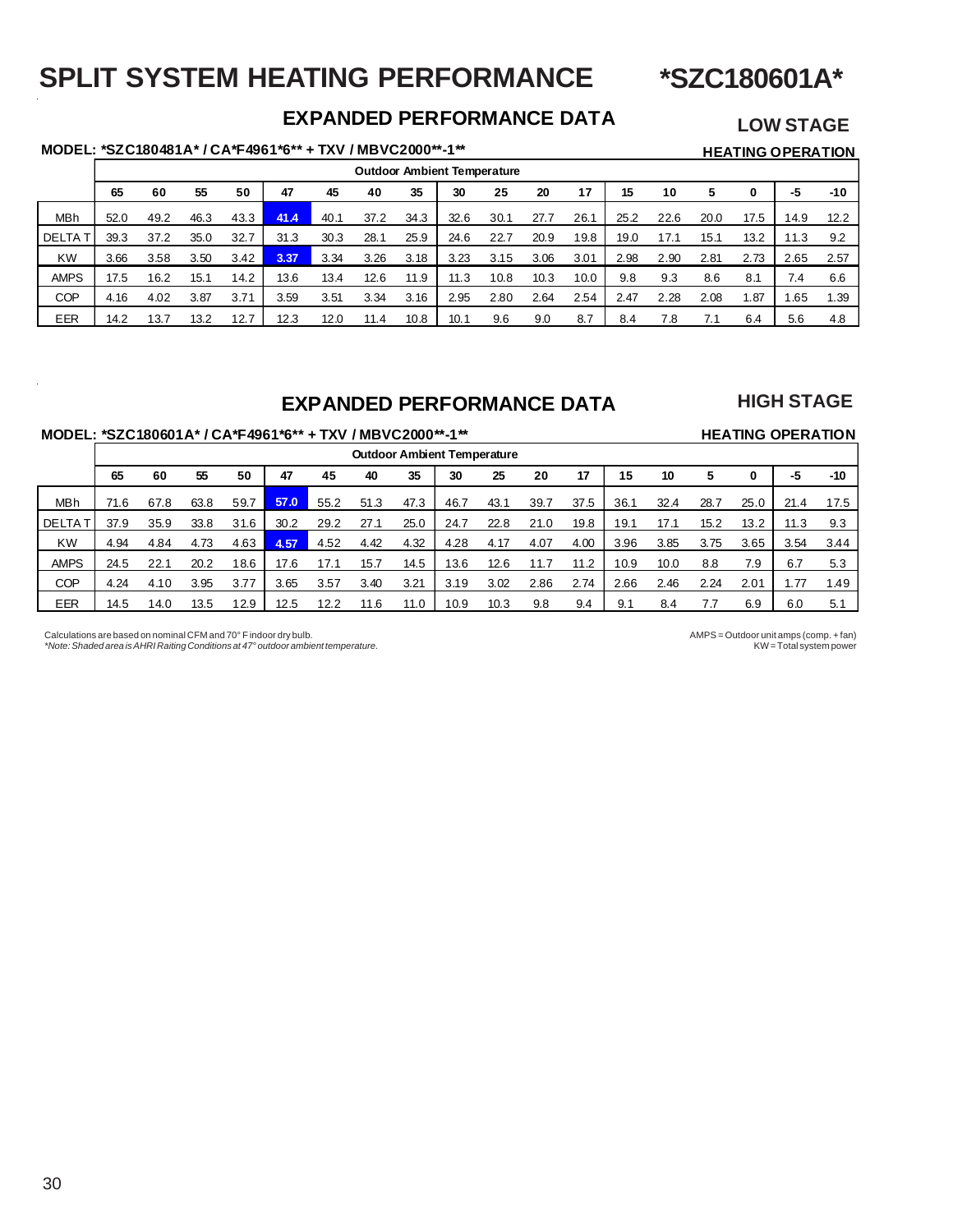### **SPLIT SYSTEM HEATING PERFORMANCE**

**\*SZC180601A\***

### **EXPANDED PERFORMANCE DATA**

### **LOW STAGE**

### **MODEL: \*SZC180481A\* / CA\*F4961\*6\*\* + TXV / MBVC2000\*\*-1\*\* HEATING OPERATION**

|               |      |      |      |      |      |      |      |      |      | <b>Outdoor Ambient Temperature</b> |      |      |      |      |      |      |      |       |
|---------------|------|------|------|------|------|------|------|------|------|------------------------------------|------|------|------|------|------|------|------|-------|
|               | 65   | 60   | 55   | 50   | 47   | 45   | 40   | 35   | 30   | 25                                 | 20   | 17   | 15   | 10   |      | 0    | -5   | $-10$ |
| MBh           | 52.0 | 49.2 | 46.3 | 43.3 | 41.4 | 40.1 | 37.2 | 34.3 | 32.6 | 30.1                               | 27.7 | 26.1 | 25.2 | 22.6 | 20.0 | 17.5 | 14.9 | 12.2  |
| <b>DELTAT</b> | 39.3 | 37.2 | 35.0 | 32.7 | 31.3 | 30.3 | 28.1 | 25.9 | 24.6 | 22.7                               | 20.9 | 19.8 | 19.0 | 17.1 | 15.1 | 13.2 | 11.3 | 9.2   |
| <b>KW</b>     | 3.66 | 3.58 | 3.50 | 3.42 | 3.37 | 3.34 | 3.26 | 3.18 | 3.23 | 3.15                               | 3.06 | 3.01 | 2.98 | 2.90 | 2.81 | 2.73 | 2.65 | 2.57  |
| <b>AMPS</b>   | 17.5 | 16.2 | 15.1 | 14.2 | 13.6 | 13.4 | 12.6 | 11.9 | 11.3 | 10.8                               | 10.3 | 10.0 | 9.8  | 9.3  | 8.6  | 8.1  | 7.4  | 6.6   |
| COP           | 4.16 | 4.02 | 3.87 | 3.71 | 3.59 | 3.51 | 3.34 | 3.16 | 2.95 | 2.80                               | 2.64 | 2.54 | 2.47 | 2.28 | 2.08 | 1.87 | .65  | 1.39  |
| EER           | 14.2 | 13.7 | 13.2 | 12.7 | 12.3 | 12.0 | 11.4 | 10.8 | 10.1 | 9.6                                | 9.0  | 8.7  | 8.4  | 7.8  |      | 6.4  | 5.6  | 4.8   |

### **EXPANDED PERFORMANCE DATA**

### **HIGH STAGE**

### MODEL: \*SZC180601A\* / CA\*F4961\*6\*\* + TXV / MBVC2000\*\*-1\*\* **HEATING OPERATION**

|               |      |      |      |      |      |      |      |      | <b>Outdoor Ambient Temperature</b> |      |      |      |      |      |      |      |      |       |
|---------------|------|------|------|------|------|------|------|------|------------------------------------|------|------|------|------|------|------|------|------|-------|
|               | 65   | 60   | 55   | 50   | 47   | 45   | 40   | 35   | 30                                 | 25   | 20   | 17   | 15   | 10   | 5    | 0    | -5   | $-10$ |
| <b>MBh</b>    | 71.6 | 67.8 | 63.8 | 59.7 | 57.0 | 55.2 | 51.3 | 47.3 | 46.7                               | 43.1 | 39.7 | 37.5 | 36.1 | 32.4 | 28.7 | 25.0 | 21.4 | 17.5  |
| <b>DELTAT</b> | 37.9 | 35.9 | 33.8 | 31.6 | 30.2 | 29.2 | 27.1 | 25.0 | 24.7                               | 22.8 | 21.0 | 19.8 | 19.1 | 17.1 | 15.2 | 13.2 | 11.3 | 9.3   |
| <b>KW</b>     | 4.94 | 4.84 | 4.73 | 4.63 | 4.57 | 4.52 | 4.42 | 4.32 | 4.28                               | 4.17 | 4.07 | 4.00 | 3.96 | 3.85 | 3.75 | 3.65 | 3.54 | 3.44  |
| <b>AMPS</b>   | 24.5 | 22.1 | 20.2 | 18.6 | 17.6 | 17.1 | 15.7 | 14.5 | 13.6                               | 12.6 | 11.7 | 11.2 | 10.9 | 10.0 | 8.8  | 7.9  | 6.7  | 5.3   |
| <b>COP</b>    | 4.24 | 4.10 | 3.95 | 3.77 | 3.65 | 3.57 | 3.40 | 3.21 | 3.19                               | 3.02 | 2.86 | 2.74 | 2.66 | 2.46 | 2.24 | 2.01 | 77،  | 1.49  |
| <b>EER</b>    | 14.5 | 14.0 | 13.5 | 12.9 | 12.5 | 12.2 | 11.6 | 11.0 | 10.9                               | 10.3 | 9.8  | 9.4  | 9.1  | 8.4  |      | 6.9  | 6.0  | 5.1   |

Calculations are based on nominal CFM and 70° F indoor dry bulb.<br>AMPS = Outdoor unit amps (comp. + fan) Mote: Shaded area is AHRI Raiting Conditions at 47° outdoor ambient temperature. *\*Note: Shaded area is AHRI Raiting Conditions at 47° outdoor ambient temperature.*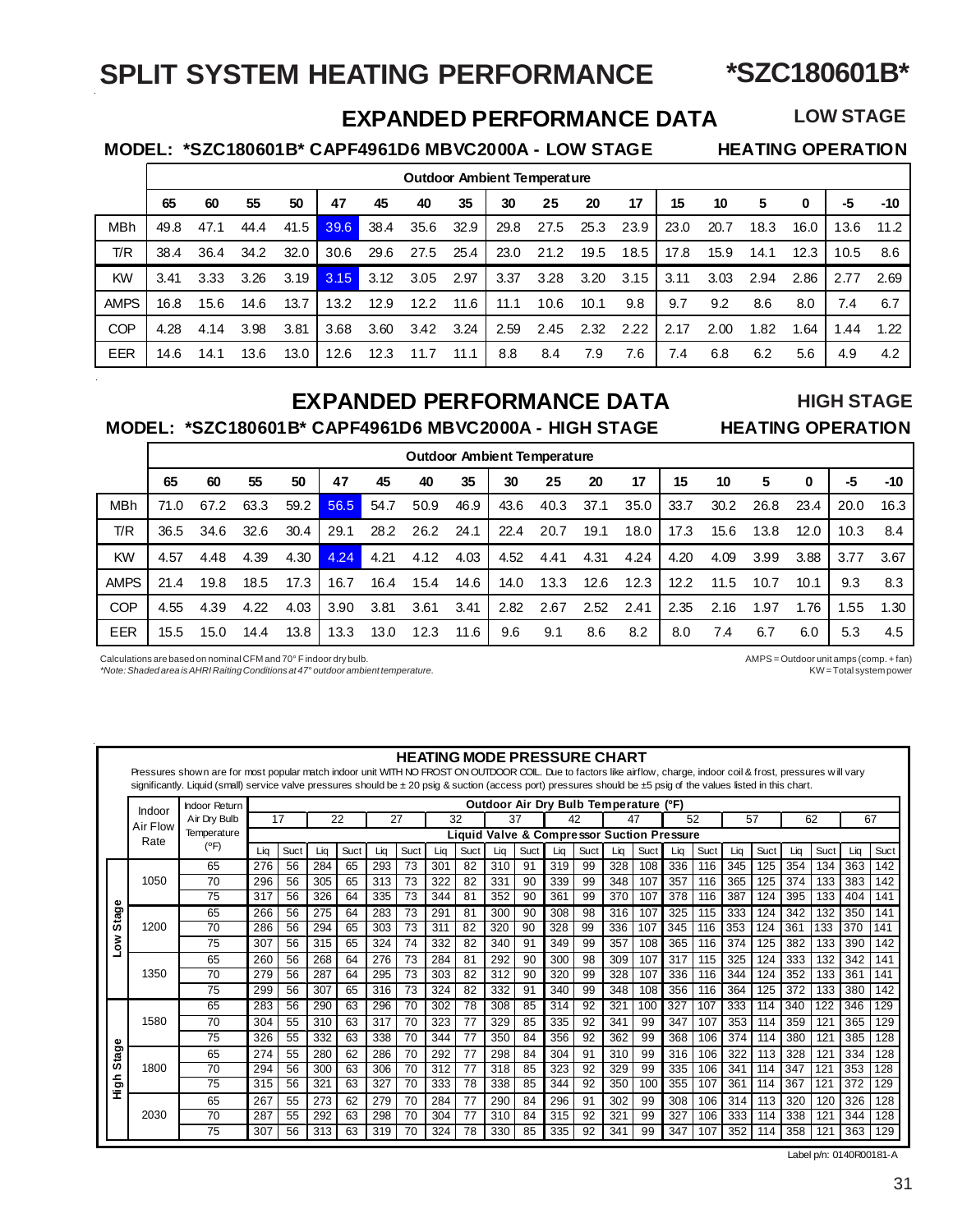### **\*SZC180601B\***

### **SPLIT SYSTEM HEATING PERFORMANCE**

### **LOW STAGE**

### **EXPANDED PERFORMANCE DATA**

 **MODEL: \*SZC180601B\* CAPF4961D6 MBVC2000A - LOW STAGE HEATING OPERATION**

|             |      |      |      |      |      |      | <b>Outdoor Ambient Temperature</b> |      |      |      |      |      |      |      |      |      |      |       |
|-------------|------|------|------|------|------|------|------------------------------------|------|------|------|------|------|------|------|------|------|------|-------|
|             | 65   | 60   | 55   | 50   | 47   | 45   | 40                                 | 35   | 30   | 25   | 20   | 17   | 15   | 10   | 5    | 0    | -5   | $-10$ |
| <b>MBh</b>  | 49.8 | 47.1 | 44.4 | 41.5 | 39.6 | 38.4 | 35.6                               | 32.9 | 29.8 | 27.5 | 25.3 | 23.9 | 23.0 | 20.7 | 18.3 | 16.0 | 13.6 | 11.2  |
| T/R         | 38.4 | 36.4 | 34.2 | 32.0 | 30.6 | 29.6 | 27.5                               | 25.4 | 23.0 | 21.2 | 19.5 | 18.5 | 17.8 | 15.9 | 14.1 | 12.3 | 10.5 | 8.6   |
| KW          | 3.41 | 3.33 | 3.26 | 3.19 | 3.15 | 3.12 | 3.05                               | 2.97 | 3.37 | 3.28 | 3.20 | 3.15 | 3.11 | 3.03 | 2.94 | 2.86 | 2.77 | 2.69  |
| <b>AMPS</b> | 16.8 | 15.6 | 14.6 | 13.7 | 13.2 | 12.9 | 12.2                               | 11.6 | 11.1 | 10.6 | 10.1 | 9.8  | 9.7  | 9.2  | 8.6  | 8.0  | 7.4  | 6.7   |
| <b>COP</b>  | 4.28 | 4.14 | 3.98 | 3.81 | 3.68 | 3.60 | 3.42                               | 3.24 | 2.59 | 2.45 | 2.32 | 2.22 | 2.17 | 2.00 | 1.82 | 1.64 | .44  | 1.22  |
| <b>EER</b>  | 14.6 | 14.1 | 13.6 | 13.0 | 12.6 | 12.3 | 11.7                               | 11.1 | 8.8  | 8.4  | 7.9  | 7.6  | 7.4  | 6.8  | 6.2  | 5.6  | 4.9  | 4.2   |

### **EXPANDED PERFORMANCE DATA**

 **MODEL: \*SZC180601B\* CAPF4961D6 MBVC2000A - HIGH STAGE HEATING OPERATION**

# **HIGH STAGE**

|             |      |      |      |      |      |      |      |      |      | <b>Outdoor Ambient Temperature</b> |      |      |      |      |      |      |      |      |
|-------------|------|------|------|------|------|------|------|------|------|------------------------------------|------|------|------|------|------|------|------|------|
|             | 65   | 60   | 55   | 50   | 47   | 45   | 40   | 35   | 30   | 25                                 | 20   | 17   | 15   | 10   | 5    | 0    | -5   | -10  |
| <b>MBh</b>  | 71.0 | 67.2 | 63.3 | 59.2 | 56.5 | 54.7 | 50.9 | 46.9 | 43.6 | 40.3                               | 37.1 | 35.0 | 33.7 | 30.2 | 26.8 | 23.4 | 20.0 | 16.3 |
| T/R         | 36.5 | 34.6 | 32.6 | 30.4 | 29.1 | 28.2 | 26.2 | 24.1 | 22.4 | 20.7                               | 19.1 | 18.0 | 17.3 | 15.6 | 13.8 | 12.0 | 10.3 | 8.4  |
| <b>KW</b>   | 4.57 | 4.48 | 4.39 | 4.30 | 4.24 | 4.21 | 4.12 | 4.03 | 4.52 | 4.41                               | 4.31 | 4.24 | 4.20 | 4.09 | 3.99 | 3.88 | 3.77 | 3.67 |
| <b>AMPS</b> | 21.4 | 19.8 | 18.5 | 17.3 | 16.7 | 16.4 | 15.4 | 14.6 | 14.0 | 13.3                               | 12.6 | 12.3 | 12.2 | 11.5 | 10.7 | 10.1 | 9.3  | 8.3  |
| <b>COP</b>  | 4.55 | 4.39 | 4.22 | 4.03 | 3.90 | 3.81 | 3.61 | 3.41 | 2.82 | 2.67                               | 2.52 | 2.41 | 2.35 | 2.16 | 1.97 | 1.76 | .55  | 1.30 |
| <b>EER</b>  | 15.5 | 15.0 | 14.4 | 13.8 | 13.3 | 13.0 | 12.3 | 11.6 | 9.6  | 9.1                                | 8.6  | 8.2  | 8.0  | 7.4  | 6.7  | 6.0  | 5.3  | 4.5  |

Calculations are based on nominal CFM and 70° F indoor dry bulb.<br>AMPS = Outdoor unit amps (comp. + fan) <br/>  $\text{KW} = \text{Total system power}$  />  $\text{N} = \text{Total system power}$ *\*Note: Shaded area is AHRI Raiting Conditions at 47° outdoor ambient temperature.* 

### **HEATING MODE PRESSURE CHART**

Pressures shown are for most popular match indoor unit WITH NO FROST ON OUTDOOR COIL. Due to factors like airflow, charge, indoor coil & frost, pressures w ill vary significantly. Liquid (small) service valve pressures should be ± 20 psig & suction (access port) pressures should be ±5 psig of the values listed in this chart.

|             | Indoor   | <b>Indoor Return</b> |     |      |     |      |     |      |     |             |     |      |     |      | <b>Outdoor Air Dry Bulb Temperature</b>    |      | (°F) |      |     |      |     |              |     |      |
|-------------|----------|----------------------|-----|------|-----|------|-----|------|-----|-------------|-----|------|-----|------|--------------------------------------------|------|------|------|-----|------|-----|--------------|-----|------|
|             | Air Flow | Air Drv Bulb         |     | 17   | 22  |      | 27  |      |     | 32          | 37  |      |     | 42   | 47                                         |      | 52   |      | 57  |      |     | 62           | 67  |      |
|             | Rate     | Temperature          |     |      |     |      |     |      |     |             |     |      |     |      | Liquid Valve & Compressor Suction Pressure |      |      |      |     |      |     |              |     |      |
|             |          | (°F)                 | Lia | Suct | Lia | Suct | Lia | Suct | Lia | <b>Suct</b> | Lia | Suct | Lia | Suct | Lia                                        | Suct | Lia  | Suct | Lia | Suct | Lia | Suct         | Lia | Suct |
|             |          | 65                   | 276 | 56   | 284 | 65   | 293 | 73   | 301 | 82          | 310 | 91   | 319 | 99   | 328                                        | 108  | 336  | 116  | 345 | 125  | 354 | 134          | 363 | 142  |
|             | 1050     | 70                   | 296 | 56   | 305 | 65   | 313 | 73   | 322 | 82          | 331 | 90   | 339 | 99   | 348                                        | 107  | 357  | 116  | 365 | 125  | 374 | 133          | 383 | 142  |
|             |          | 75                   | 317 | 56   | 326 | 64   | 335 | 73   | 344 | 81          | 352 | 90   | 361 | 99   | 370                                        | 107  | 378  | 116  | 387 | 124  | 395 | 133          | 404 | 141  |
| Stage       |          | 65                   | 266 | 56   | 275 | 64   | 283 | 73   | 291 | 81          | 300 | 90   | 308 | 98   | 316                                        | 107  | 325  | 115  | 333 | 124  | 342 | 132          | 350 | 141  |
|             | 1200     | 70                   | 286 | 56   | 294 | 65   | 303 | 73   | 311 | 82          | 320 | 90   | 328 | 99   | 336                                        | 107  | 345  | 116  | 353 | 124  | 361 | 133          | 370 | 141  |
| No∫         |          | 75                   | 307 | 56   | 315 | 65   | 324 | 74   | 332 | 82          | 340 | 91   | 349 | 99   | 357                                        | 108  | 365  | 116  | 374 | 125  | 382 | 133          | 390 | 142  |
|             |          | 65                   | 260 | 56   | 268 | 64   | 276 | 73   | 284 | 81          | 292 | 90   | 300 | 98   | 309                                        | 107  | 317  | 115  | 325 | 124  | 333 | 132          | 342 | 141  |
|             | 1350     | 70                   | 279 | 56   | 287 | 64   | 295 | 73   | 303 | 82          | 312 | 90   | 320 | 99   | 328                                        | 107  | 336  | 116  | 344 | 124  | 352 | 133          | 361 | 141  |
|             |          | 75                   | 299 | 56   | 307 | 65   | 316 | 73   | 324 | 82          | 332 | 91   | 340 | 99   | 348                                        | 108  | 356  | 116  | 364 | 125  | 372 | 133          | 380 | 142  |
|             |          | 65                   | 283 | 56   | 290 | 63   | 296 | 70   | 302 | 78          | 308 | 85   | 314 | 92   | 321                                        | 100  | 327  | 107  | 333 | 114  | 340 | 122          | 346 | 129  |
|             | 1580     | 70                   | 304 | 55   | 310 | 63   | 317 | 70   | 323 | 77          | 329 | 85   | 335 | 92   | 341                                        | 99   | 347  | 107  | 353 | 114  | 359 | $12^{\circ}$ | 365 | 129  |
| Φ           |          | 75                   | 326 | 55   | 332 | 63   | 338 | 70   | 344 | 77          | 350 | 84   | 356 | 92   | 362                                        | 99   | 368  | 106  | 374 | 114  | 380 | 121          | 385 | 128  |
| <b>Stag</b> |          | 65                   | 274 | 55   | 280 | 62   | 286 | 70   | 292 | 77          | 298 | 84   | 304 | 91   | 310                                        | 99   | 316  | 106  | 322 | 113  | 328 | 121          | 334 | 128  |
|             | 1800     | 70                   | 294 | 56   | 300 | 63   | 306 | 70   | 312 | 77          | 318 | 85   | 323 | 92   | 329                                        | 99   | 335  | 106  | 341 | 114  | 347 | 12′          | 353 | 128  |
| 등           |          | 75                   | 315 | 56   | 321 | 63   | 327 | 70   | 333 | 78          | 338 | 85   | 344 | 92   | 350                                        | 100  | 355  | 107  | 361 | 114  | 367 | 121          | 372 | 129  |
| Î           |          | 65                   | 267 | 55   | 273 | 62   | 279 | 70   | 284 | 77          | 290 | 84   | 296 | 91   | 302                                        | 99   | 308  | 106  | 314 | 113  | 320 | 120          | 326 | 128  |
|             | 2030     | 70                   | 287 | 55   | 292 | 63   | 298 | 70   | 304 | 77          | 310 | 84   | 315 | 92   | 321                                        | 99   | 327  | 106  | 333 | 114  | 338 | 121          | 344 | 128  |
|             |          | 75                   | 307 | 56   | 313 | 63   | 319 | 70   | 324 | 78          | 330 | 85   | 335 | 92   | 341                                        | 99   | 347  | 107  | 352 | 114  | 358 | $12^{\circ}$ | 363 | 129  |

Label p/n: 0140R00181-A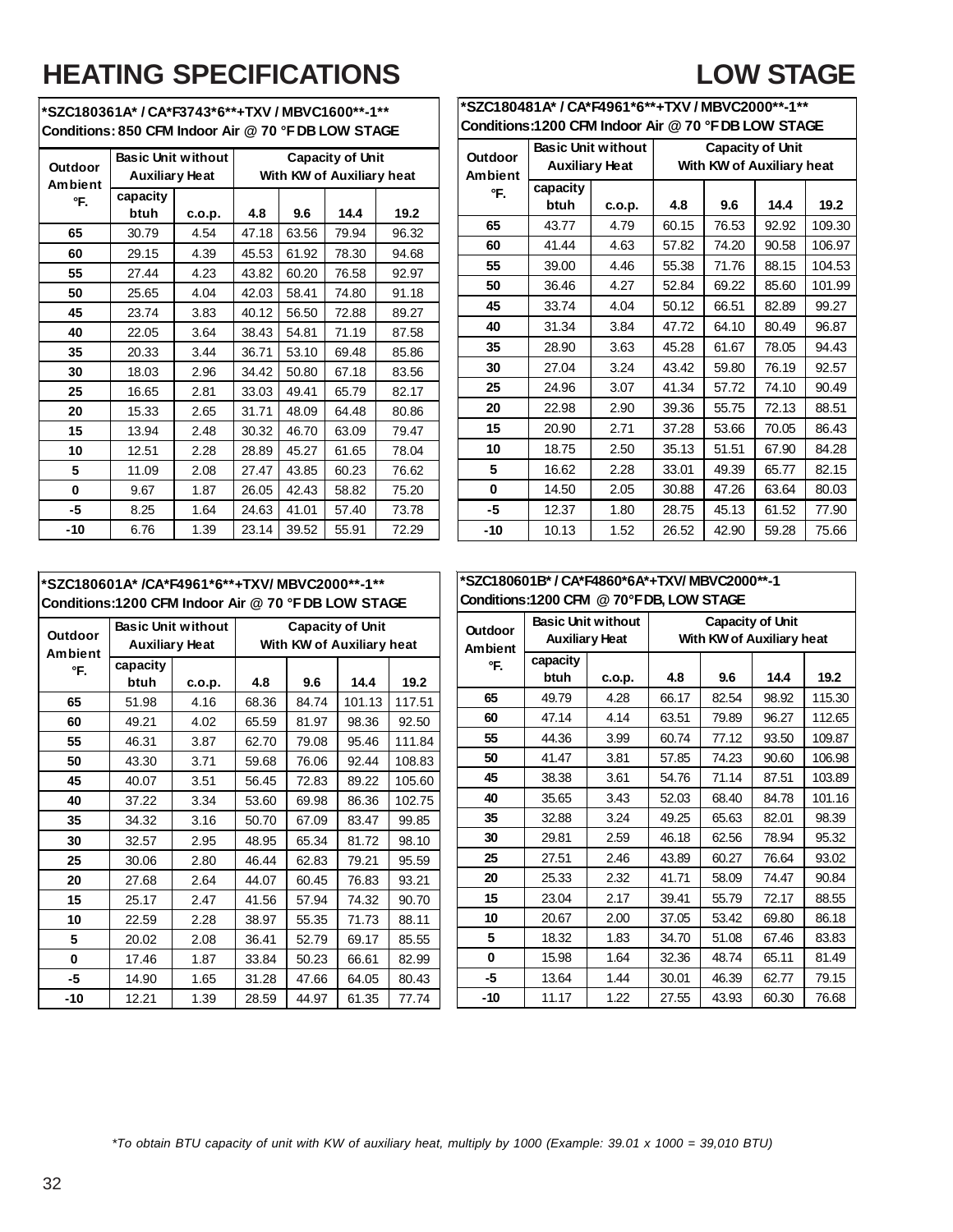## **HEATING SPECIFICATIONS**

### **LOW STAGE**

**\*SZC180361A\* / CA\*F3743\*6\*\*+TXV / MBVC1600\*\*-1\*\* Conditions: 850 CFM Indoor Air @ 70 °F DB LOW STAGE** 

| Outdoor<br>Ambient | <b>Basic Unit without</b><br><b>Auxiliary Heat</b> |        |       |       | <b>Capacity of Unit</b><br>With KW of Auxiliary heat |       |
|--------------------|----------------------------------------------------|--------|-------|-------|------------------------------------------------------|-------|
| °F.                | capacity<br>btuh                                   | c.o.p. | 4.8   | 9.6   | 14.4                                                 | 19.2  |
| 65                 | 30.79                                              | 4.54   | 47.18 | 63.56 | 79.94                                                | 96.32 |
| 60                 | 29.15                                              | 4.39   | 45.53 | 61.92 | 78.30                                                | 94.68 |
| 55                 | 27.44                                              | 4.23   | 43.82 | 60.20 | 76.58                                                | 92.97 |
| 50                 | 25.65                                              | 4.04   | 42.03 | 58.41 | 74.80                                                | 91.18 |
| 45                 | 23.74                                              | 3.83   | 40.12 | 56.50 | 72.88                                                | 89.27 |
| 40                 | 22.05                                              | 3.64   | 38.43 | 54.81 | 71.19                                                | 87.58 |
| 35                 | 20.33                                              | 3.44   | 36.71 | 53.10 | 69.48                                                | 85.86 |
| 30                 | 18.03                                              | 2.96   | 34.42 | 50.80 | 67.18                                                | 83.56 |
| 25                 | 16.65                                              | 2.81   | 33.03 | 49.41 | 65.79                                                | 82.17 |
| 20                 | 15.33                                              | 2.65   | 31.71 | 48.09 | 64.48                                                | 80.86 |
| 15                 | 13.94                                              | 2.48   | 30.32 | 46.70 | 63.09                                                | 79.47 |
| 10                 | 12.51                                              | 2.28   | 28.89 | 45.27 | 61.65                                                | 78.04 |
| 5                  | 11.09                                              | 2.08   | 27.47 | 43.85 | 60.23                                                | 76.62 |
| $\bf{0}$           | 9.67                                               | 1.87   | 26.05 | 42.43 | 58.82                                                | 75.20 |
| -5                 | 8.25                                               | 1.64   | 24.63 | 41.01 | 57.40                                                | 73.78 |
| -10                | 6.76                                               | 1.39   | 23.14 | 39.52 | 55.91                                                | 72.29 |

| *SZC180481A* / CA*F4961*6**+TXV / MBVC2000**-1**    |                                                                  |        |       |                           |       |        |  |  |  |  |  |  |  |  |  |
|-----------------------------------------------------|------------------------------------------------------------------|--------|-------|---------------------------|-------|--------|--|--|--|--|--|--|--|--|--|
| Conditions:1200 CFM Indoor Air @ 70 °F DB LOW STAGE |                                                                  |        |       |                           |       |        |  |  |  |  |  |  |  |  |  |
| Outdoor                                             | <b>Basic Unit without</b>                                        |        |       | <b>Capacity of Unit</b>   |       |        |  |  |  |  |  |  |  |  |  |
| <b>Ambient</b>                                      | <b>Auxiliary Heat</b>                                            |        |       | With KW of Auxiliary heat |       |        |  |  |  |  |  |  |  |  |  |
| °F.                                                 | capacity                                                         |        |       |                           |       |        |  |  |  |  |  |  |  |  |  |
|                                                     | btuh                                                             | c.o.p. | 4.8   | 9.6                       | 14.4  | 19.2   |  |  |  |  |  |  |  |  |  |
| 65                                                  | 43.77                                                            | 4.79   | 60.15 | 76.53                     | 92.92 | 109.30 |  |  |  |  |  |  |  |  |  |
| 60                                                  | 41.44<br>4.63<br>74.20<br>106.97<br>57.82<br>90.58<br>55<br>4.46 |        |       |                           |       |        |  |  |  |  |  |  |  |  |  |
| 71.76<br>39.00<br>55.38<br>88.15<br>104.53          |                                                                  |        |       |                           |       |        |  |  |  |  |  |  |  |  |  |
| 50                                                  | 36.46                                                            | 4.27   | 52.84 | 69.22                     | 85.60 | 101.99 |  |  |  |  |  |  |  |  |  |
| 45                                                  | 33.74                                                            | 4.04   | 50.12 | 66.51                     | 82.89 | 99.27  |  |  |  |  |  |  |  |  |  |
| 40                                                  | 31.34                                                            | 3.84   | 47.72 | 64.10                     | 80.49 | 96.87  |  |  |  |  |  |  |  |  |  |
| 35                                                  | 28.90                                                            | 3.63   | 45.28 | 61.67                     | 78.05 | 94.43  |  |  |  |  |  |  |  |  |  |
| 30                                                  | 27.04                                                            | 3.24   | 43.42 | 59.80                     | 76.19 | 92.57  |  |  |  |  |  |  |  |  |  |
| 25                                                  | 24.96                                                            | 3.07   | 41.34 | 57.72                     | 74.10 | 90.49  |  |  |  |  |  |  |  |  |  |
| 20                                                  | 22.98                                                            | 2.90   | 39.36 | 55.75                     | 72.13 | 88.51  |  |  |  |  |  |  |  |  |  |
| 15                                                  | 20.90                                                            | 2.71   | 37.28 | 53.66                     | 70.05 | 86.43  |  |  |  |  |  |  |  |  |  |
| 10                                                  | 18.75                                                            | 2.50   | 35.13 | 51.51                     | 67.90 | 84.28  |  |  |  |  |  |  |  |  |  |
| 5                                                   | 16.62                                                            | 2.28   | 33.01 | 49.39                     | 65.77 | 82.15  |  |  |  |  |  |  |  |  |  |
| 0                                                   | 14.50                                                            | 2.05   | 30.88 | 47.26                     | 63.64 | 80.03  |  |  |  |  |  |  |  |  |  |
| -5                                                  | 12.37                                                            | 1.80   | 28.75 | 45.13                     | 61.52 | 77.90  |  |  |  |  |  |  |  |  |  |
| $-10$                                               | 10.13                                                            | 1.52   | 26.52 | 42.90                     | 59.28 | 75.66  |  |  |  |  |  |  |  |  |  |

### **\*SZC180601A\* /CA\*F4961\*6\*\*+TXV/ MBVC2000\*\*-1\*\* Conditions:1200 CFM Indoor Air @ 70 °F DB LOW STAGE**

| <b>Outdoor</b><br>Ambient | <b>Basic Unit without</b><br><b>Auxiliary Heat</b> |        | <b>Capacity of Unit</b><br>With KW of Auxiliary heat |       |        |        |
|---------------------------|----------------------------------------------------|--------|------------------------------------------------------|-------|--------|--------|
| °F.                       | capacity                                           |        |                                                      |       |        |        |
|                           | btuh                                               | c.o.p. | 4.8                                                  | 9.6   | 14.4   | 19.2   |
| 65                        | 51.98                                              | 4.16   | 68.36                                                | 84.74 | 101.13 | 117.51 |
| 60                        | 49.21                                              | 4.02   | 65.59                                                | 81.97 | 98.36  | 92.50  |
| 55                        | 46.31                                              | 3.87   | 62.70                                                | 79.08 | 95.46  | 111.84 |
| 50                        | 43.30                                              | 3.71   | 59.68                                                | 76.06 | 92.44  | 108.83 |
| 45                        | 40.07                                              | 3.51   | 56.45                                                | 72.83 | 89.22  | 105.60 |
| 40                        | 37.22                                              | 3.34   | 53.60                                                | 69.98 | 86.36  | 102.75 |
| 35                        | 34.32                                              | 3.16   | 50.70                                                | 67.09 | 83.47  | 99.85  |
| 30                        | 32.57                                              | 2.95   | 48.95                                                | 65.34 | 81.72  | 98.10  |
| 25                        | 30.06                                              | 2.80   | 46.44                                                | 62.83 | 79.21  | 95.59  |
| 20                        | 27.68                                              | 2.64   | 44.07                                                | 60.45 | 76.83  | 93.21  |
| 15                        | 25.17                                              | 2.47   | 41.56                                                | 57.94 | 74.32  | 90.70  |
| 10                        | 22.59                                              | 2.28   | 38.97                                                | 55.35 | 71.73  | 88.11  |
| 5                         | 20.02                                              | 2.08   | 36.41                                                | 52.79 | 69.17  | 85.55  |
| 0                         | 17.46                                              | 1.87   | 33.84                                                | 50.23 | 66.61  | 82.99  |
| -5                        | 14.90                                              | 1.65   | 31.28                                                | 47.66 | 64.05  | 80.43  |
| -10                       | 12.21                                              | 1.39   | 28.59                                                | 44.97 | 61.35  | 77.74  |

### **\*SZC180601B\* / CA\*F4860\*6A\*+TXV/ MBVC2000\*\*-1 Conditions:1200 CFM @ 70°F DB, LOW STAGE**

| <b>Outdoor</b><br><b>Ambient</b> | <b>Basic Unit without</b><br>Auxiliary Heat |        | <b>Capacity of Unit</b><br>With KW of Auxiliary heat |       |       |        |
|----------------------------------|---------------------------------------------|--------|------------------------------------------------------|-------|-------|--------|
| °F.                              | capacity                                    |        |                                                      |       |       |        |
|                                  | btuh                                        | c.o.p. | 4.8                                                  | 9.6   | 14.4  | 19.2   |
| 65                               | 49.79                                       | 4.28   | 66.17                                                | 82.54 | 98.92 | 115.30 |
| 60                               | 47.14                                       | 4.14   | 63.51                                                | 79.89 | 96.27 | 112.65 |
| 55                               | 44.36                                       | 3.99   | 60.74                                                | 77.12 | 93.50 | 109.87 |
| 50                               | 41.47                                       | 3.81   | 57.85                                                | 74.23 | 90.60 | 106.98 |
| 45                               | 38.38                                       | 3.61   | 54.76                                                | 71.14 | 87.51 | 103.89 |
| 40                               | 35.65                                       | 3.43   | 52.03                                                | 68.40 | 84.78 | 101.16 |
| 35                               | 32.88                                       | 3.24   | 49.25                                                | 65.63 | 82.01 | 98.39  |
| 30                               | 29.81                                       | 2.59   | 46.18                                                | 62.56 | 78.94 | 95.32  |
| 25                               | 27.51                                       | 2.46   | 43.89                                                | 60.27 | 76.64 | 93.02  |
| 20                               | 25.33                                       | 2.32   | 41.71                                                | 58.09 | 74.47 | 90.84  |
| 15                               | 23.04                                       | 2.17   | 39.41                                                | 55.79 | 72.17 | 88.55  |
| 10                               | 20.67                                       | 2.00   | 37.05                                                | 53.42 | 69.80 | 86.18  |
| 5                                | 18.32                                       | 1.83   | 34.70                                                | 51.08 | 67.46 | 83.83  |
| 0                                | 15.98                                       | 1.64   | 32.36                                                | 48.74 | 65.11 | 81.49  |
| -5                               | 13.64                                       | 1.44   | 30.01                                                | 46.39 | 62.77 | 79.15  |
| -10                              | 11.17                                       | 1.22   | 27.55                                                | 43.93 | 60.30 | 76.68  |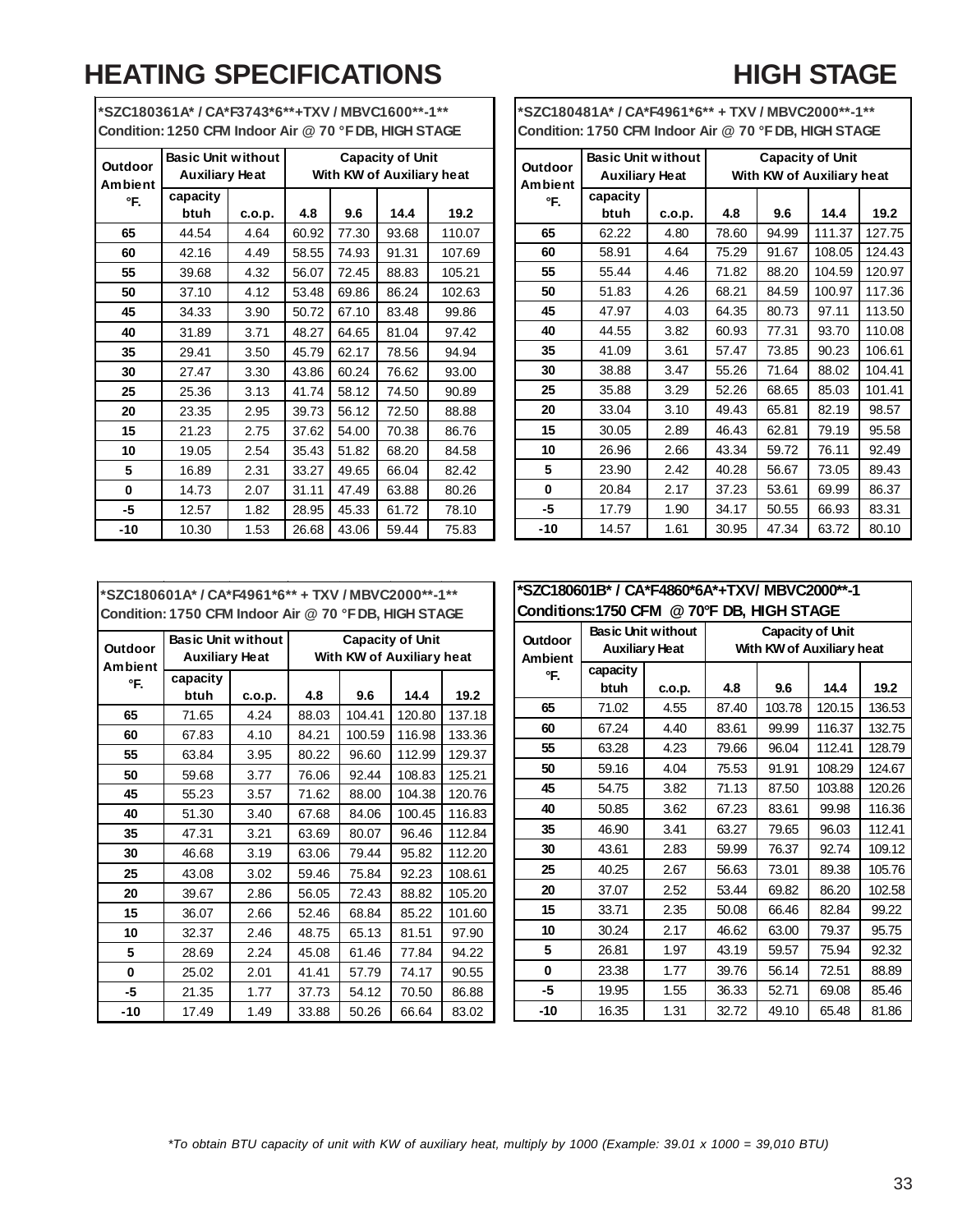### **HEATING SPECIFICATIONS HIGH STAGE**

| <b>Outdoor</b><br>Ambient | <b>Basic Unit without</b><br><b>Auxiliary Heat</b> |        | <b>Capacity of Unit</b><br>With KW of Auxiliary heat |       |       |        |
|---------------------------|----------------------------------------------------|--------|------------------------------------------------------|-------|-------|--------|
| °F.                       | capacity<br>btuh                                   | c.o.p. | 4.8                                                  | 9.6   | 14.4  | 19.2   |
| 65                        | 44.54                                              | 4.64   | 60.92                                                | 77.30 | 93.68 | 110.07 |
| 60                        | 42.16                                              | 4.49   | 58.55                                                | 74.93 | 91.31 | 107.69 |
| 55                        | 39.68                                              | 4.32   | 56.07                                                | 72.45 | 88.83 | 105.21 |
| 50                        | 37.10                                              | 4.12   | 53.48                                                | 69.86 | 86.24 | 102.63 |
| 45                        | 34.33                                              | 3.90   | 50.72                                                | 67.10 | 83.48 | 99.86  |
| 40                        | 31.89                                              | 3.71   | 48.27                                                | 64.65 | 81.04 | 97.42  |
| 35                        | 29.41                                              | 3.50   | 45.79                                                | 62.17 | 78.56 | 94.94  |
| 30                        | 27.47                                              | 3.30   | 43.86                                                | 60.24 | 76.62 | 93.00  |
| 25                        | 25.36                                              | 3.13   | 41.74                                                | 58.12 | 74.50 | 90.89  |
| 20                        | 23.35                                              | 2.95   | 39.73                                                | 56.12 | 72.50 | 88.88  |
| 15                        | 21.23                                              | 2.75   | 37.62                                                | 54.00 | 70.38 | 86.76  |
| 10                        | 19.05                                              | 2.54   | 35.43                                                | 51.82 | 68.20 | 84.58  |
| 5                         | 16.89                                              | 2.31   | 33.27                                                | 49.65 | 66.04 | 82.42  |
| 0                         | 14.73                                              | 2.07   | 31.11                                                | 47.49 | 63.88 | 80.26  |
| -5                        | 12.57                                              | 1.82   | 28.95                                                | 45.33 | 61.72 | 78.10  |
| -10                       | 10.30                                              | 1.53   | 26.68                                                | 43.06 | 59.44 | 75.83  |

**\*SZC180361A\* / CA\*F3743\*6\*\*+TXV / MBVC1600\*\*-1\*\* Condition: 1250 CFM Indoor Air @ 70 °F DB, HIGH STAGE**

**\*SZC180481A\* / CA\*F4961\*6\*\* + TXV / MBVC2000\*\*-1\*\* Condition: 1750 CFM Indoor Air @ 70 °F DB, HIGH STAGE**

| Outdoor<br><b>Ambient</b> | <b>Basic Unit without</b><br><b>Auxiliary Heat</b> |        | <b>Capacity of Unit</b><br>With KW of Auxiliary heat |       |        |        |
|---------------------------|----------------------------------------------------|--------|------------------------------------------------------|-------|--------|--------|
| °F.                       | capacity<br>btuh                                   | c.o.p. | 4.8                                                  | 9.6   | 14.4   | 19.2   |
| 65                        | 62.22                                              | 4.80   | 78.60                                                | 94.99 | 111.37 | 127.75 |
| 60                        | 58.91                                              | 4.64   | 75.29                                                | 91.67 | 108.05 | 124.43 |
| 55                        | 55.44                                              | 4.46   | 71.82                                                | 88.20 | 104.59 | 120.97 |
| 50                        | 51.83                                              | 4.26   | 68.21                                                | 84.59 | 100.97 | 117.36 |
| 45                        | 47.97                                              | 4.03   | 64.35                                                | 80.73 | 97.11  | 113.50 |
| 40                        | 44.55                                              | 3.82   | 60.93                                                | 77.31 | 93.70  | 110.08 |
| 35                        | 41.09                                              | 3.61   | 57.47                                                | 73.85 | 90.23  | 106.61 |
| 30                        | 38.88                                              | 3.47   | 55.26                                                | 71.64 | 88.02  | 104.41 |
| 25                        | 35.88                                              | 3.29   | 52.26                                                | 68.65 | 85.03  | 101.41 |
| 20                        | 33.04                                              | 3.10   | 49.43                                                | 65.81 | 82.19  | 98.57  |
| 15                        | 30.05                                              | 2.89   | 46.43                                                | 62.81 | 79.19  | 95.58  |
| 10                        | 26.96                                              | 2.66   | 43.34                                                | 59.72 | 76.11  | 92.49  |
| 5                         | 23.90                                              | 2.42   | 40.28                                                | 56.67 | 73.05  | 89.43  |
| 0                         | 20.84                                              | 2.17   | 37.23                                                | 53.61 | 69.99  | 86.37  |
| -5                        | 17.79                                              | 1.90   | 34.17                                                | 50.55 | 66.93  | 83.31  |
| $-10$                     | 14.57                                              | 1.61   | 30.95                                                | 47.34 | 63.72  | 80.10  |

**\*SZC180601A\* / CA\*F4961\*6\*\* + TXV / MBVC2000\*\*-1\*\* Condition: 1750 CFM Indoor Air @ 70 °F DB, HIGH STAGE**

| <b>Outdoor</b> | <b>Basic Unit without</b><br><b>Auxiliary Heat</b> |        | <b>Capacity of Unit</b><br>With KW of Auxiliary heat |        |        |        |
|----------------|----------------------------------------------------|--------|------------------------------------------------------|--------|--------|--------|
| <b>Ambient</b> | capacity                                           |        |                                                      |        |        |        |
| °F.            | btuh                                               | c.o.p. | 4.8                                                  | 9.6    | 14.4   | 19.2   |
| 65             | 71.65                                              | 4.24   | 88.03                                                | 104.41 | 120.80 | 137.18 |
| 60             | 67.83                                              | 4.10   | 84.21                                                | 100.59 | 116.98 | 133.36 |
| 55             | 63.84                                              | 3.95   | 80.22                                                | 96.60  | 112.99 | 129.37 |
| 50             | 59.68                                              | 3.77   | 76.06                                                | 92.44  | 108.83 | 125.21 |
| 45             | 55.23                                              | 3.57   | 71.62                                                | 88.00  | 104.38 | 120.76 |
| 40             | 51.30                                              | 3.40   | 67.68                                                | 84.06  | 100.45 | 116.83 |
| 35             | 47.31                                              | 3.21   | 63.69                                                | 80.07  | 96.46  | 112.84 |
| 30             | 46.68                                              | 3.19   | 63.06                                                | 79.44  | 95.82  | 112.20 |
| 25             | 43.08                                              | 3.02   | 59.46                                                | 75.84  | 92.23  | 108.61 |
| 20             | 39.67                                              | 2.86   | 56.05                                                | 72.43  | 88.82  | 105.20 |
| 15             | 36.07                                              | 2.66   | 52.46                                                | 68.84  | 85.22  | 101.60 |
| 10             | 32.37                                              | 2.46   | 48.75                                                | 65.13  | 81.51  | 97.90  |
| 5              | 28.69                                              | 2.24   | 45.08                                                | 61.46  | 77.84  | 94.22  |
| 0              | 25.02                                              | 2.01   | 41.41                                                | 57.79  | 74.17  | 90.55  |
| -5             | 21.35                                              | 1.77   | 37.73                                                | 54.12  | 70.50  | 86.88  |
| $-10$          | 17.49                                              | 1.49   | 33.88                                                | 50.26  | 66.64  | 83.02  |

| Conditions:1750 CFM @ 70°F DB, HIGH STAGE |                                                    |        |                                                      |        |        |        |  |  |
|-------------------------------------------|----------------------------------------------------|--------|------------------------------------------------------|--------|--------|--------|--|--|
| <b>Outdoor</b><br><b>Ambient</b>          | <b>Basic Unit without</b><br><b>Auxiliary Heat</b> |        | <b>Capacity of Unit</b><br>With KW of Auxiliary heat |        |        |        |  |  |
| °F.                                       | capacity                                           |        |                                                      |        |        |        |  |  |
|                                           | btuh                                               | c.o.p. | 4.8                                                  | 9.6    | 14.4   | 19.2   |  |  |
| 65                                        | 71.02                                              | 4.55   | 87.40                                                | 103.78 | 120.15 | 136.53 |  |  |
| 60                                        | 67.24                                              | 4.40   | 83.61                                                | 99.99  | 116.37 | 132.75 |  |  |
| 55                                        | 63.28                                              | 4.23   | 79.66                                                | 96.04  | 112.41 | 128.79 |  |  |
| 50                                        | 59.16                                              | 4.04   | 75.53                                                | 91.91  | 108.29 | 124.67 |  |  |
| 45                                        | 54.75                                              | 3.82   | 71.13                                                | 87.50  | 103.88 | 120.26 |  |  |
| 40                                        | 50.85                                              | 3.62   | 67.23                                                | 83.61  | 99.98  | 116.36 |  |  |
| 35                                        | 46.90                                              | 3.41   | 63.27                                                | 79.65  | 96.03  | 112.41 |  |  |
| 30                                        | 43.61                                              | 2.83   | 59.99                                                | 76.37  | 92.74  | 109.12 |  |  |
| 25                                        | 40.25                                              | 2.67   | 56.63                                                | 73.01  | 89.38  | 105.76 |  |  |
| 20                                        | 37.07                                              | 2.52   | 53.44                                                | 69.82  | 86.20  | 102.58 |  |  |
| 15                                        | 33.71                                              | 2.35   | 50.08                                                | 66.46  | 82.84  | 99.22  |  |  |
| 10                                        | 30.24                                              | 2.17   | 46.62                                                | 63.00  | 79.37  | 95.75  |  |  |
| 5                                         | 26.81                                              | 1.97   | 43.19                                                | 59.57  | 75.94  | 92.32  |  |  |
| 0                                         | 23.38                                              | 1.77   | 39.76                                                | 56.14  | 72.51  | 88.89  |  |  |
| -5                                        | 19.95                                              | 1.55   | 36.33                                                | 52.71  | 69.08  | 85.46  |  |  |
| -10                                       | 16.35                                              | 1.31   | 32.72                                                | 49.10  | 65.48  | 81.86  |  |  |

*\*To obtain BTU capacity of unit with KW of auxiliary heat, multiply by 1000 (Example: 39.01 x 1000 = 39,010 BTU)*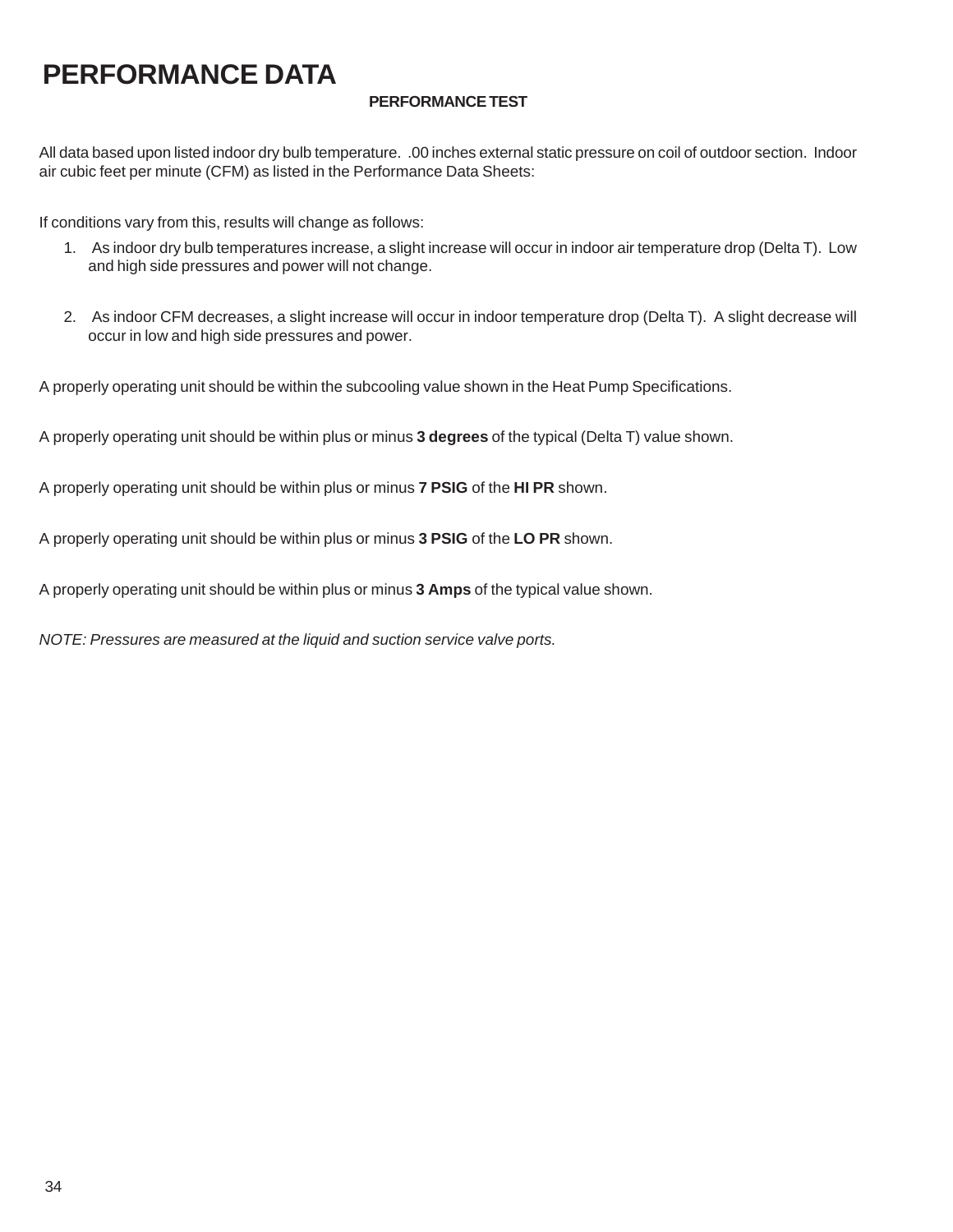### **PERFORMANCE DATA**

### **PERFORMANCE TEST**

All data based upon listed indoor dry bulb temperature. .00 inches external static pressure on coil of outdoor section. Indoor air cubic feet per minute (CFM) as listed in the Performance Data Sheets:

If conditions vary from this, results will change as follows:

- 1. As indoor dry bulb temperatures increase, a slight increase will occur in indoor air temperature drop (Delta T). Low and high side pressures and power will not change.
- 2. As indoor CFM decreases, a slight increase will occur in indoor temperature drop (Delta T). A slight decrease will occur in low and high side pressures and power.

A properly operating unit should be within the subcooling value shown in the Heat Pump Specifications.

A properly operating unit should be within plus or minus **3 degrees** of the typical (Delta T) value shown.

A properly operating unit should be within plus or minus **7 PSIG** of the **HI PR** shown.

A properly operating unit should be within plus or minus **3 PSIG** of the **LO PR** shown.

A properly operating unit should be within plus or minus **3 Amps** of the typical value shown.

*NOTE: Pressures are measured at the liquid and suction service valve ports.*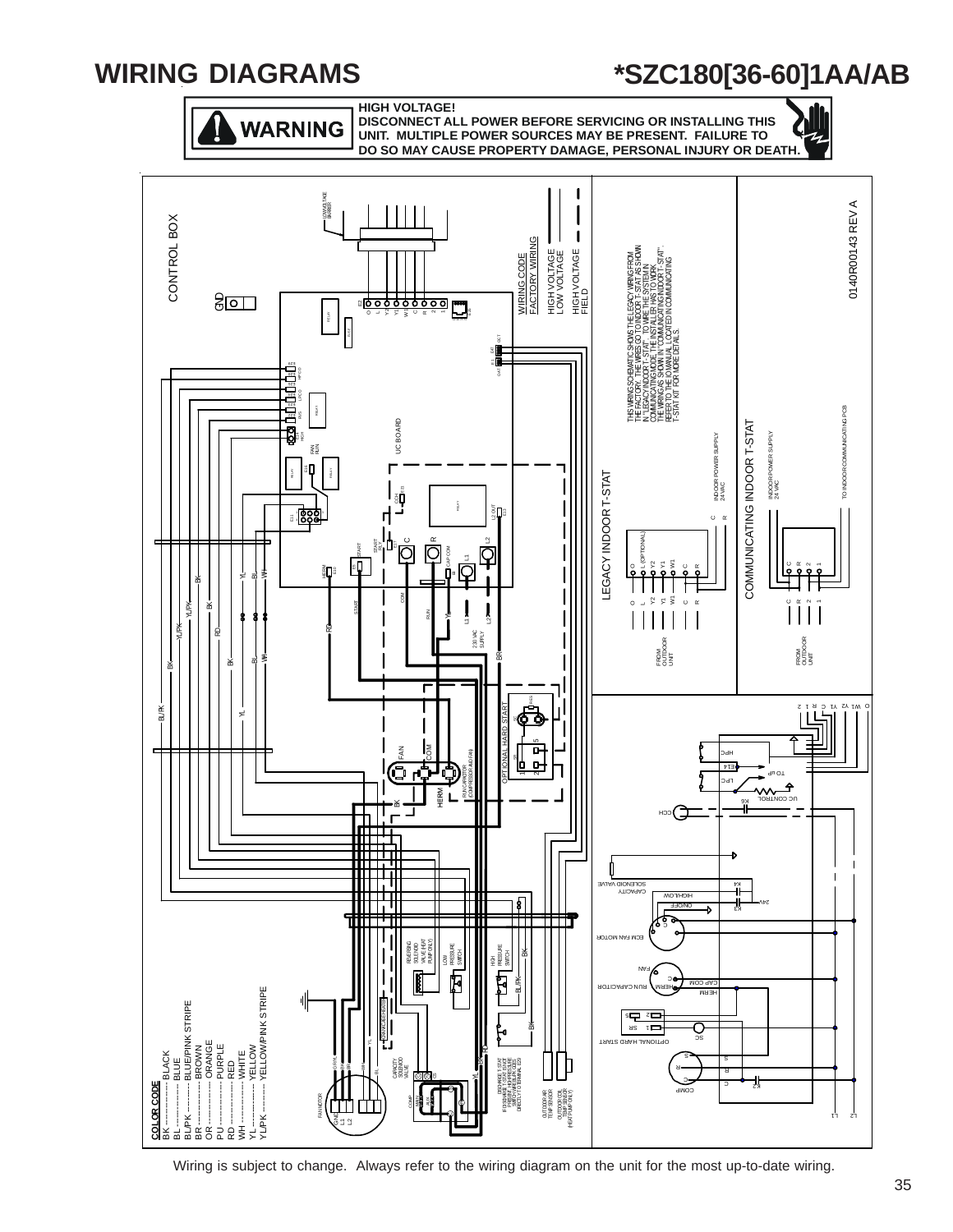

Wiring is subject to change. Always refer to the wiring diagram on the unit for the most up-to-date wiring.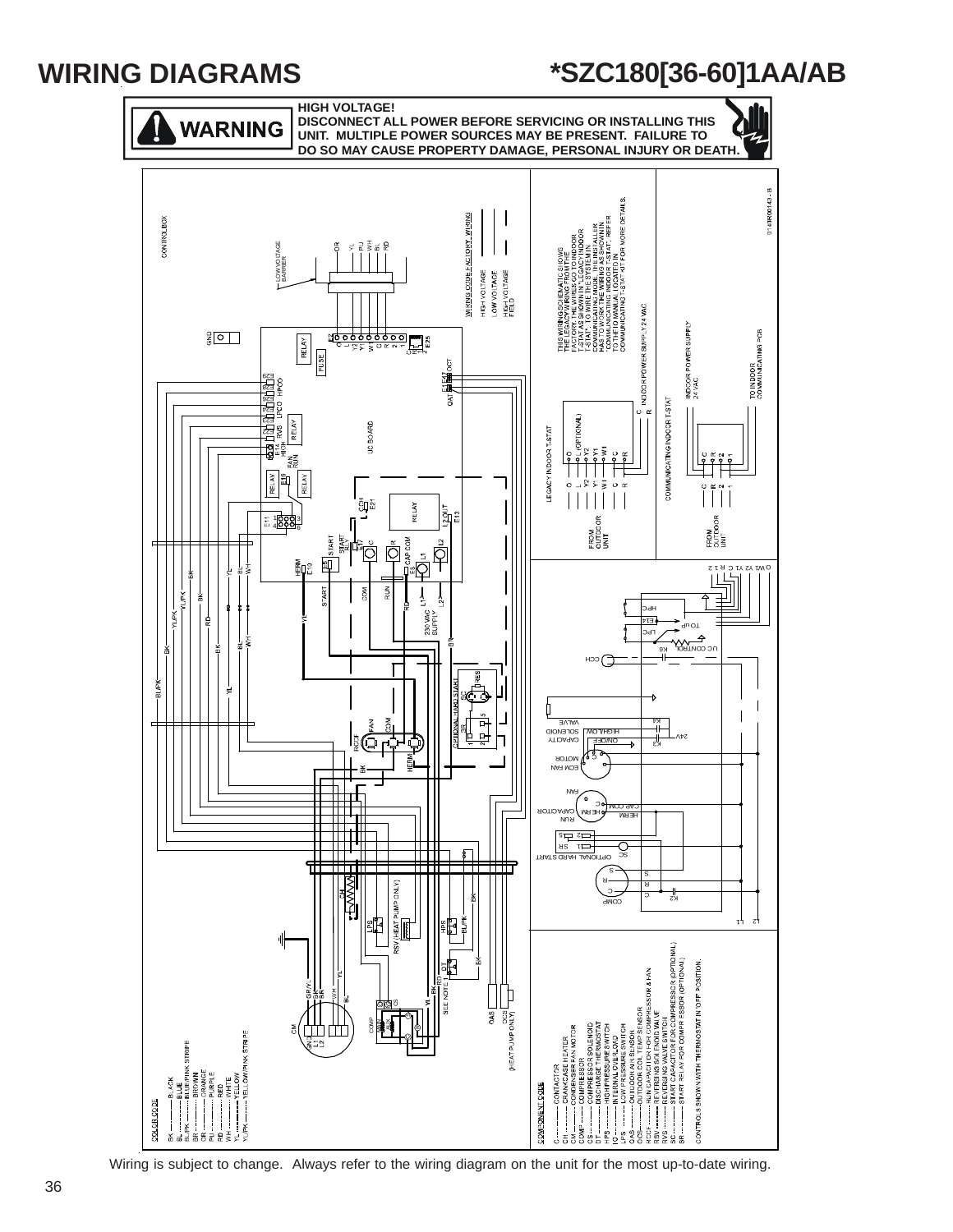

Wiring is subject to change. Always refer to the wiring diagram on the unit for the most up-to-date wiring.